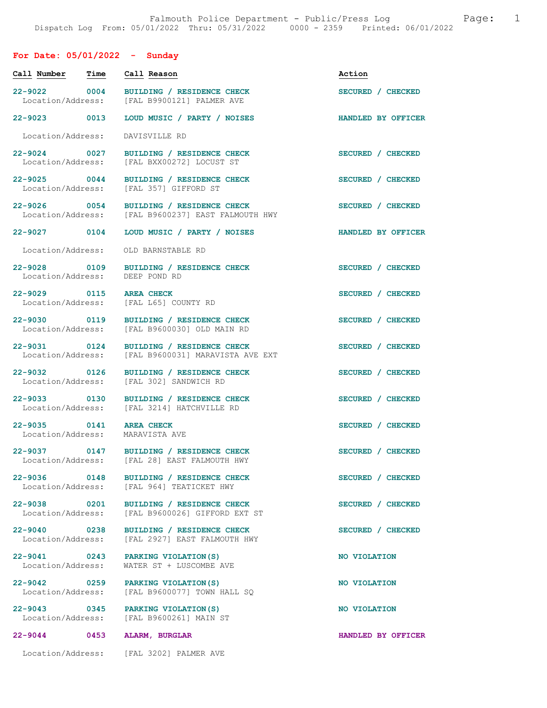## For Date: 05/01/2022 - Sunday

| Call Number                                  | Time | Call Reason                                                                                                                | Action             |
|----------------------------------------------|------|----------------------------------------------------------------------------------------------------------------------------|--------------------|
| 22-9022 0004<br>Location/Address:            |      | BUILDING / RESIDENCE CHECK<br>[FAL B9900121] PALMER AVE                                                                    | SECURED / CHECKED  |
| 22-9023 0013                                 |      | LOUD MUSIC / PARTY / NOISES                                                                                                | HANDLED BY OFFICER |
| Location/Address:                            |      | DAVISVILLE RD                                                                                                              |                    |
| 22-9024 0027<br>Location/Address:            |      | BUILDING / RESIDENCE CHECK<br>[FAL BXX00272] LOCUST ST                                                                     | SECURED / CHECKED  |
|                                              |      | 22-9025 0044 BUILDING / RESIDENCE CHECK<br>Location/Address: [FAL 357] GIFFORD ST                                          | SECURED / CHECKED  |
| 22-9026 0054                                 |      | BUILDING / RESIDENCE CHECK<br>Location/Address: [FAL B9600237] EAST FALMOUTH HWY                                           | SECURED / CHECKED  |
| 22-9027 0104                                 |      | LOUD MUSIC / PARTY / NOISES                                                                                                | HANDLED BY OFFICER |
| Location/Address:                            |      | OLD BARNSTABLE RD                                                                                                          |                    |
| 22-9028 0109<br>Location/Address:            |      | BUILDING / RESIDENCE CHECK<br>DEEP POND RD                                                                                 | SECURED / CHECKED  |
| 22-9029 0115 AREA CHECK                      |      | Location/Address: [FAL L65] COUNTY RD                                                                                      | SECURED / CHECKED  |
| 22-9030 0119<br>Location/Address:            |      | BUILDING / RESIDENCE CHECK<br>[FAL B9600030] OLD MAIN RD                                                                   | SECURED / CHECKED  |
| 22-9031 0124<br>Location/Address:            |      | BUILDING / RESIDENCE CHECK<br>[FAL B9600031] MARAVISTA AVE EXT                                                             | SECURED / CHECKED  |
| 22-9032 0126<br>Location/Address:            |      | BUILDING / RESIDENCE CHECK<br>[FAL 302] SANDWICH RD                                                                        | SECURED / CHECKED  |
| 22-9033 0130                                 |      | BUILDING / RESIDENCE CHECK<br>Location/Address: [FAL 3214] HATCHVILLE RD                                                   | SECURED / CHECKED  |
| 22-9035 0141 AREA CHECK<br>Location/Address: |      | MARAVISTA AVE                                                                                                              | SECURED / CHECKED  |
|                                              |      | 22-9037 0147 BUILDING / RESIDENCE CHECK<br>Location/Address: [FAL 28] EAST FALMOUTH HWY                                    | SECURED / CHECKED  |
| 22-9036 0148<br>Location/Address:            |      | BUILDING / RESIDENCE CHECK<br>[FAL 964] TEATICKET HWY                                                                      | SECURED / CHECKED  |
|                                              |      | 22-9038 0201 BUILDING / RESIDENCE CHECK<br>Location/Address: [FAL B9600026] GIFFORD EXT S<br>[FAL B9600026] GIFFORD EXT ST | SECURED / CHECKED  |
| 22-9040 0238<br>Location/Address:            |      | BUILDING / RESIDENCE CHECK<br>[FAL 2927] EAST FALMOUTH HWY                                                                 | SECURED / CHECKED  |
| Location/Address:                            |      | 22-9041 0243 PARKING VIOLATION (S)<br>WATER ST + LUSCOMBE AVE                                                              | NO VIOLATION       |
| Location/Address:                            |      | 22-9042 0259 PARKING VIOLATION (S)<br>[FAL B9600077] TOWN HALL SQ                                                          | NO VIOLATION       |
|                                              |      | 22-9043 0345 PARKING VIOLATION (S)<br>Location/Address: [FAL B9600261] MAIN ST                                             | NO VIOLATION       |
|                                              |      | 22-9044 0453 ALARM, BURGLAR                                                                                                | HANDLED BY OFFICER |
|                                              |      | Location/Address: [FAL 3202] PALMER AVE                                                                                    |                    |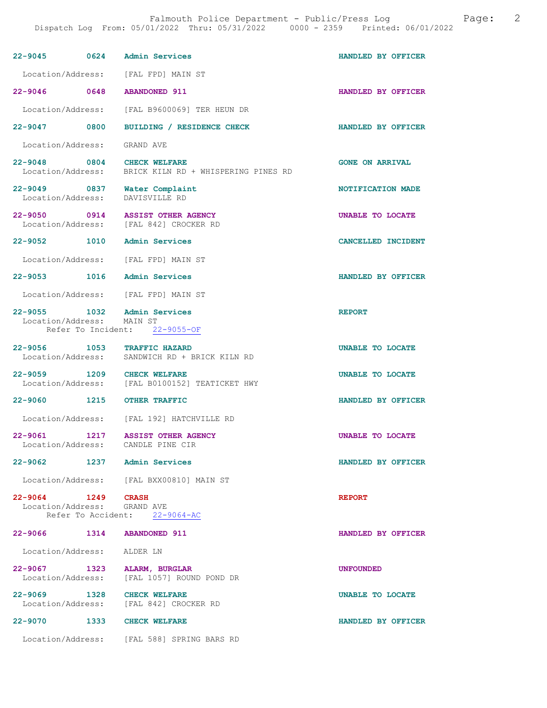| 22-9045 0624 Admin Services                       |      |                                                                               | HANDLED BY OFFICER     |
|---------------------------------------------------|------|-------------------------------------------------------------------------------|------------------------|
|                                                   |      | Location/Address: [FAL FPD] MAIN ST                                           |                        |
| 22-9046 0648 ABANDONED 911                        |      |                                                                               | HANDLED BY OFFICER     |
| Location/Address:                                 |      | [FAL B9600069] TER HEUN DR                                                    |                        |
| 22-9047 0800                                      |      | BUILDING / RESIDENCE CHECK                                                    | HANDLED BY OFFICER     |
| Location/Address: GRAND AVE                       |      |                                                                               |                        |
| $22 - 9048$                                       |      | $0804$ CHECK WELFARE<br>Location/Address: BRICK KILN RD + WHISPERING PINES RD | <b>GONE ON ARRIVAL</b> |
| 22-9049 0837 Water Complaint<br>Location/Address: |      | DAVISVILLE RD                                                                 | NOTIFICATION MADE      |
| 22-9050                                           |      | 0914 ASSIST OTHER AGENCY<br>Location/Address: [FAL 842] CROCKER RD            | UNABLE TO LOCATE       |
| 22-9052 1010 Admin Services                       |      |                                                                               | CANCELLED INCIDENT     |
|                                                   |      | Location/Address: [FAL FPD] MAIN ST                                           |                        |
| 22-9053 1016 Admin Services                       |      |                                                                               | HANDLED BY OFFICER     |
|                                                   |      | Location/Address: [FAL FPD] MAIN ST                                           |                        |
| 22-9055 1032<br>Location/Address: MAIN ST         |      | Admin Services<br>Refer To Incident: 22-9055-OF                               | <b>REPORT</b>          |
| 22-9056 1053 TRAFFIC HAZARD                       |      |                                                                               | UNABLE TO LOCATE       |
|                                                   |      | Location/Address: SANDWICH RD + BRICK KILN RD                                 |                        |
| $22 - 9059$                                       |      | 1209 CHECK WELFARE<br>Location/Address: [FAL B0100152] TEATICKET HWY          | UNABLE TO LOCATE       |
| 22-9060 1215 OTHER TRAFFIC                        |      |                                                                               | HANDLED BY OFFICER     |
|                                                   |      | Location/Address: [FAL 192] HATCHVILLE RD                                     |                        |
| $22 - 9061$<br>Location/Address: CANDLE PINE CIR  | 1217 | <b>ASSIST OTHER AGENCY</b>                                                    | UNABLE TO LOCATE       |
| 22-9062 1237 Admin Services                       |      |                                                                               | HANDLED BY OFFICER     |
|                                                   |      | Location/Address: [FAL BXX00810] MAIN ST                                      |                        |
| 22-9064 1249 CRASH<br>Location/Address: GRAND AVE |      | Refer To Accident: 22-9064-AC                                                 | <b>REPORT</b>          |
| 22-9066 1314                                      |      | <b>ABANDONED 911</b>                                                          | HANDLED BY OFFICER     |
| Location/Address: ALDER LN                        |      |                                                                               |                        |
| 22-9067 1323 ALARM, BURGLAR<br>Location/Address:  |      | [FAL 1057] ROUND POND DR                                                      | <b>UNFOUNDED</b>       |
| 22-9069 1328 CHECK WELFARE                        |      | Location/Address: [FAL 842] CROCKER RD                                        | UNABLE TO LOCATE       |
| 22-9070 1333 CHECK WELFARE                        |      |                                                                               | HANDLED BY OFFICER     |
|                                                   |      | Location/Address: [FAL 588] SPRING BARS RD                                    |                        |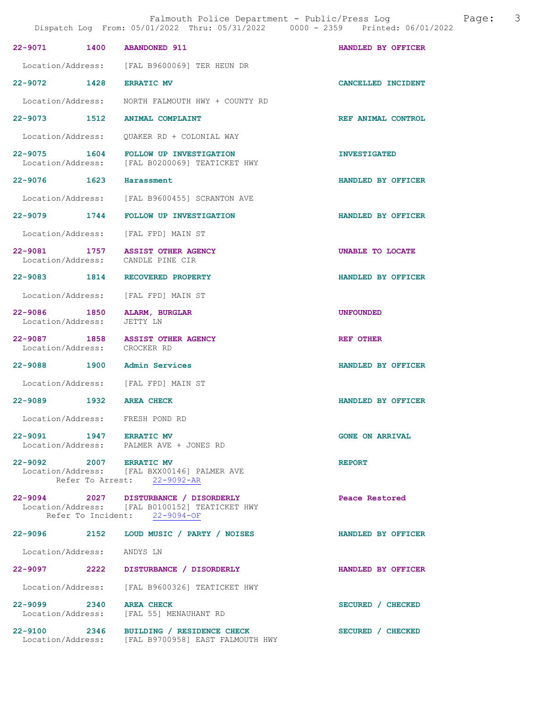|                                            | 22-9071 1400 ABANDONED 911                                                                                               | HANDLED BY OFFICER     |
|--------------------------------------------|--------------------------------------------------------------------------------------------------------------------------|------------------------|
|                                            | Location/Address: [FAL B9600069] TER HEUN DR                                                                             |                        |
|                                            | 22-9072 1428 ERRATIC MV                                                                                                  | CANCELLED INCIDENT     |
|                                            | Location/Address: MORTH FALMOUTH HWY + COUNTY RD                                                                         |                        |
|                                            | 22-9073 1512 ANIMAL COMPLAINT                                                                                            | REF ANIMAL CONTROL     |
|                                            | Location/Address: QUAKER RD + COLONIAL WAY                                                                               |                        |
|                                            | 22-9075 1604 FOLLOW UP INVESTIGATION<br>Location/Address: [FAL B0200069] TEATICKET HWY                                   | <b>INVESTIGATED</b>    |
| 22-9076 1623 Harassment                    |                                                                                                                          | HANDLED BY OFFICER     |
|                                            | Location/Address: [FAL B9600455] SCRANTON AVE                                                                            |                        |
|                                            | 22-9079 1744 FOLLOW UP INVESTIGATION                                                                                     | HANDLED BY OFFICER     |
|                                            | Location/Address: [FAL FPD] MAIN ST                                                                                      |                        |
|                                            | 22-9081 1757 ASSIST OTHER AGENCY<br>Location/Address: CANDLE PINE CIR                                                    | UNABLE TO LOCATE       |
|                                            | 22-9083 1814 RECOVERED PROPERTY                                                                                          | HANDLED BY OFFICER     |
|                                            | Location/Address: [FAL FPD] MAIN ST                                                                                      |                        |
| 22-9086 1850<br>Location/Address: JETTY LN | ALARM, BURGLAR                                                                                                           | <b>UNFOUNDED</b>       |
|                                            | 22-9087 1858 ASSIST OTHER AGENCY<br>Location/Address: CROCKER RD                                                         | REF OTHER              |
|                                            | 22-9088 1900 Admin Services                                                                                              | HANDLED BY OFFICER     |
|                                            | Location/Address: [FAL FPD] MAIN ST                                                                                      |                        |
|                                            | 22-9089 1932 AREA CHECK                                                                                                  | HANDLED BY OFFICER     |
|                                            | Location/Address: FRESH POND RD                                                                                          |                        |
|                                            | 22-9091 1947 ERRATIC MV<br>Location/Address: PALMER AVE + JONES RD                                                       | <b>GONE ON ARRIVAL</b> |
|                                            | 22-9092 2007 ERRATIC MV<br>Location/Address: [FAL BXX00146] PALMER AVE<br>Refer To Arrest: 22-9092-AR                    | <b>REPORT</b>          |
|                                            | 22-9094 2027 DISTURBANCE / DISORDERLY<br>Location/Address: [FAL B0100152] TEATICKET HWY<br>Refer To Incident: 22-9094-OF | Peace Restored         |
|                                            | 22-9096 2152 LOUD MUSIC / PARTY / NOISES                                                                                 | HANDLED BY OFFICER     |
| Location/Address: ANDYS LN                 |                                                                                                                          |                        |
|                                            | 22-9097 2222 DISTURBANCE / DISORDERLY                                                                                    | HANDLED BY OFFICER     |
|                                            | Location/Address: [FAL B9600326] TEATICKET HWY                                                                           |                        |
|                                            | 22-9099 2340 AREA CHECK<br>Location/Address: [FAL 55] MENAUHANT RD                                                       | SECURED / CHECKED      |
| $22 - 9100$                                | 2346 BUILDING / RESIDENCE CHECK                                                                                          | SECURED / CHECKED      |

Location/Address: [FAL B9700958] EAST FALMOUTH HWY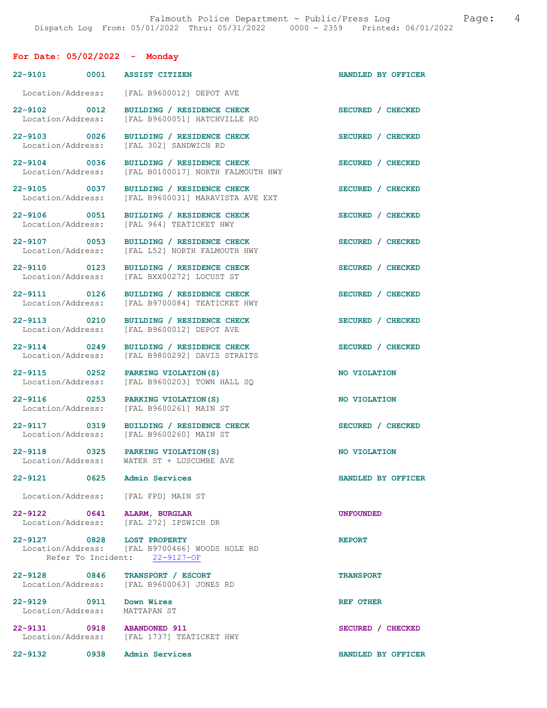# For Date: 05/02/2022 - Monday

|                                   | 22-9101 0001 ASSIST CITIZEN                                                                                   | HANDLED BY OFFICER |
|-----------------------------------|---------------------------------------------------------------------------------------------------------------|--------------------|
| Location/Address:                 | [FAL B9600012] DEPOT AVE                                                                                      |                    |
| 22-9102 0012<br>Location/Address: | BUILDING / RESIDENCE CHECK<br>[FAL B9600051] HATCHVILLE RD                                                    | SECURED / CHECKED  |
| 22-9103 0026<br>Location/Address: | BUILDING / RESIDENCE CHECK<br>[FAL 302] SANDWICH RD                                                           | SECURED / CHECKED  |
| 22-9104 0036<br>Location/Address: | BUILDING / RESIDENCE CHECK<br>[FAL B0100017] NORTH FALMOUTH HWY                                               | SECURED / CHECKED  |
| 22-9105 0037<br>Location/Address: | BUILDING / RESIDENCE CHECK<br>[FAL B9600031] MARAVISTA AVE EXT                                                | SECURED / CHECKED  |
| 22-9106 0051<br>Location/Address: | <b>BUILDING / RESIDENCE CHECK</b><br>[FAL 964] TEATICKET HWY                                                  | SECURED / CHECKED  |
| 22-9107 0053<br>Location/Address: | BUILDING / RESIDENCE CHECK<br>[FAL L52] NORTH FALMOUTH HWY                                                    | SECURED / CHECKED  |
| 22-9110 0123<br>Location/Address: | <b>BUILDING / RESIDENCE CHECK</b><br>[FAL BXX00272] LOCUST ST                                                 | SECURED / CHECKED  |
| 22-9111 0126<br>Location/Address: | BUILDING / RESIDENCE CHECK<br>[FAL B9700084] TEATICKET HWY                                                    | SECURED / CHECKED  |
| 22-9113 0210<br>Location/Address: | BUILDING / RESIDENCE CHECK<br>[FAL B9600012] DEPOT AVE                                                        | SECURED / CHECKED  |
| 22-9114 0249<br>Location/Address: | BUILDING / RESIDENCE CHECK<br>[FAL B9800292] DAVIS STRAITS                                                    | SECURED / CHECKED  |
| 22-9115 0252<br>Location/Address: | PARKING VIOLATION (S)<br>[FAL B9600203] TOWN HALL SQ                                                          | NO VIOLATION       |
| 22-9116 0253<br>Location/Address: | PARKING VIOLATION (S)<br>[FAL B9600261] MAIN ST                                                               | NO VIOLATION       |
|                                   |                                                                                                               |                    |
| 22-9117 0319<br>Location/Address: | <b>BUILDING / RESIDENCE CHECK</b><br>[FAL B9600260] MAIN ST                                                   | SECURED / CHECKED  |
| Location/Address:                 | 22-9118 0325 PARKING VIOLATION(S)<br>WATER ST + LUSCOMBE AVE                                                  | NO VIOLATION       |
|                                   | 22-9121 0625 Admin Services                                                                                   | HANDLED BY OFFICER |
|                                   | Location/Address: [FAL FPD] MAIN ST                                                                           |                    |
| 22-9122 0641                      | <b>ALARM, BURGLAR</b><br>Location/Address: [FAL 272] IPSWICH DR                                               | <b>UNFOUNDED</b>   |
|                                   | 22-9127 0828 LOST PROPERTY<br>Location/Address: [FAL B9700466] WOODS HOLE RD<br>Refer To Incident: 22-9127-OF | <b>REPORT</b>      |
| 22-9128 0846<br>Location/Address: | TRANSPORT / ESCORT<br>[FAL B9600063] JONES RD                                                                 | <b>TRANSPORT</b>   |
| 22-9129 0911<br>Location/Address: | Down Wires<br>MATTAPAN ST                                                                                     | REF OTHER          |
|                                   | 22-9131 0918 ABANDONED 911<br>Location/Address: [FAL 1737] TEATICKET HWY                                      | SECURED / CHECKED  |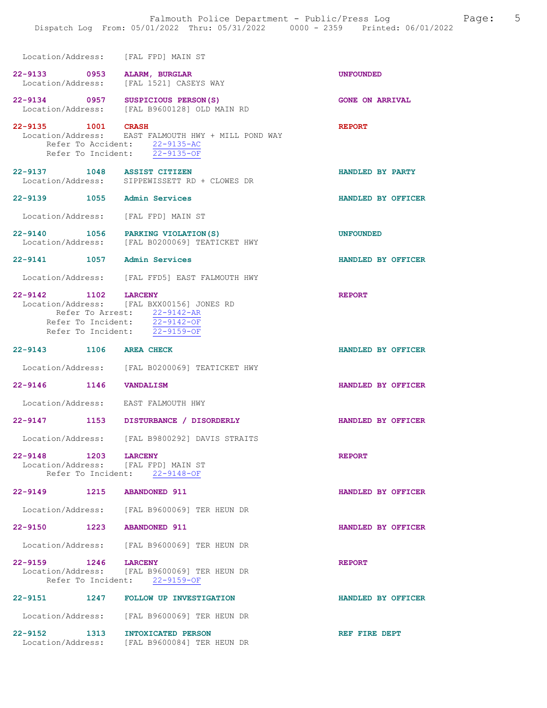| Location/Address: |  | [FAL FPD] MAIN ST |  |
|-------------------|--|-------------------|--|

- 22-9133 0953 ALARM, BURGLAR UNFOUNDED<br>Location/Address: [FAL 1521] CASEYS WAY [FAL 1521] CASEYS WAY
- 22-9134 0957 SUSPICIOUS PERSON(S) GONE ON ARRIVAL Location/Address: [FAL B9600128] OLD MAIN RD
- 22-9135 1001 CRASH REPORT Location/Address: EAST FALMOUTH HWY + MILL POND WAY Refer To Accident: 22-9135-AC Refer To Incident: 22-9135-OF
- 22-9137 1048 ASSIST CITIZEN HANDLED BY PARTY<br>
Location/Address: SIPPEWISSETT RD + CLOWES DR SIPPEWISSETT RD + CLOWES DR
- 22-9139 1055 Admin Services HANDLED BY OFFICER
- Location/Address: [FAL FPD] MAIN ST
- 22-9140 1056 PARKING VIOLATION(S) UNFOUNDED<br>Location/Address: [FAL B0200069] TEATICKET HWY [FAL B0200069] TEATICKET HWY
- 22-9141 1057 Admin Services HANDLED BY OFFICER
- Location/Address: [FAL FFD5] EAST FALMOUTH HWY

### 22-9142 1102 LARCENY REPORT Location/Address: [FAL BXX00156] JONES RD Refer To Arrest:  $22-9142-AR$ <br>Refer To Incident:  $22-9142-OF$ Refer To Incident:  $\frac{22-9142-OF}{22-9159-OF}$ Refer To Incident:

- 22-9143 1106 AREA CHECK HANDLED BY OFFICER Location/Address: [FAL B0200069] TEATICKET HWY
- 22-9146 1146 VANDALISM HANDLED BY OFFICER
- Location/Address: EAST FALMOUTH HWY
- 22-9147 1153 DISTURBANCE / DISORDERLY HANDLED BY OFFICER
	- Location/Address: [FAL B9800292] DAVIS STRAITS
- 22-9148 1203 LARCENY REPORT Location/Address: [FAL FPD] MAIN ST Refer To Incident: 22-9148-OF
- 22-9149 1215 ABANDONED 911 HANDLED BY OFFICER
- Location/Address: [FAL B9600069] TER HEUN DR
- 22-9150 1223 ABANDONED 911 HANDLED BY OFFICER
- Location/Address: [FAL B9600069] TER HEUN DR
- 22-9159 1246 LARCENY REPORT Location/Address: [FAL B9600069] TER HEUN DR Refer To Incident: 22-9159-OF
- 22-9151 1247 FOLLOW UP INVESTIGATION HANDLED BY OFFICER Location/Address: [FAL B9600069] TER HEUN DR 22-9152 1313 INTOXICATED PERSON REF FIRE DEPT Location/Address: [FAL B9600084] TER HEUN DR
	-
	-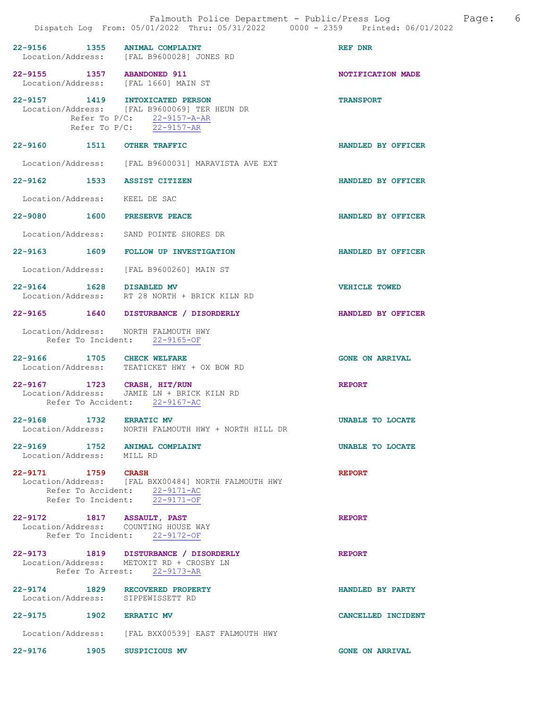|                                                            | Dispatch Log From: 05/01/2022 Thru: 05/31/2022 0000 - 2359 Printed: 06/01/2022                                                            | Falmouth Police Department - Public/Press Log<br>Page: | - 6 |
|------------------------------------------------------------|-------------------------------------------------------------------------------------------------------------------------------------------|--------------------------------------------------------|-----|
|                                                            | 22-9156 1355 ANIMAL COMPLAINT<br>Location/Address: [FAL B9600028] JONES RD                                                                | REF DNR                                                |     |
| 22-9155 1357 ABANDONED 911                                 | Location/Address: [FAL 1660] MAIN ST                                                                                                      | NOTIFICATION MADE                                      |     |
|                                                            | 22-9157 1419 INTOXICATED PERSON<br>Location/Address: [FAL B9600069] TER HEUN DR<br>Refer To P/C: 22-9157-A-AR<br>Refer To P/C: 22-9157-AR | <b>TRANSPORT</b>                                       |     |
| 22-9160 1511 OTHER TRAFFIC                                 |                                                                                                                                           | HANDLED BY OFFICER                                     |     |
|                                                            | Location/Address: [FAL B9600031] MARAVISTA AVE EXT                                                                                        |                                                        |     |
| 22-9162 1533 ASSIST CITIZEN                                |                                                                                                                                           | HANDLED BY OFFICER                                     |     |
| Location/Address: KEEL DE SAC                              |                                                                                                                                           |                                                        |     |
| 22-9080 1600 PRESERVE PEACE                                |                                                                                                                                           | HANDLED BY OFFICER                                     |     |
|                                                            | Location/Address: SAND POINTE SHORES DR                                                                                                   |                                                        |     |
|                                                            | 22-9163 1609 FOLLOW UP INVESTIGATION                                                                                                      | HANDLED BY OFFICER                                     |     |
|                                                            | Location/Address: [FAL B9600260] MAIN ST                                                                                                  |                                                        |     |
| 22-9164 1628 DISABLED MV                                   | Location/Address: RT 28 NORTH + BRICK KILN RD                                                                                             | <b>VEHICLE TOWED</b>                                   |     |
|                                                            | 22-9165 1640 DISTURBANCE / DISORDERLY                                                                                                     | HANDLED BY OFFICER                                     |     |
|                                                            | Location/Address: NORTH FALMOUTH HWY<br>Refer To Incident: 22-9165-OF                                                                     |                                                        |     |
| 22-9166 1705 CHECK WELFARE                                 | Location/Address: TEATICKET HWY + OX BOW RD                                                                                               | <b>GONE ON ARRIVAL</b>                                 |     |
| 22-9167 1723 CRASH, HIT/RUN                                | Location/Address: JAMIE LN + BRICK KILN RD<br>Refer To Accident: 22-9167-AC                                                               | <b>REPORT</b>                                          |     |
| 22-9168 1732 ERRATIC MV                                    | Location/Address: MORTH FALMOUTH HWY + NORTH HILL DR                                                                                      | UNABLE TO LOCATE                                       |     |
| 22-9169 1752 ANIMAL COMPLAINT<br>Location/Address: MILL RD |                                                                                                                                           | UNABLE TO LOCATE                                       |     |
| 22-9171 1759 CRASH                                         | Location/Address: [FAL BXX00484] NORTH FALMOUTH HWY<br>Refer To Accident: 22-9171-AC<br>Refer To Incident: 22-9171-OF                     | <b>REPORT</b>                                          |     |
| 22-9172 1817 ASSAULT, PAST                                 | Location/Address: COUNTING HOUSE WAY<br>Refer To Incident: 22-9172-OF                                                                     | <b>REPORT</b>                                          |     |
|                                                            | 22-9173 1819 DISTURBANCE / DISORDERLY<br>Location/Address: METOXIT RD + CROSBY LN<br>Refer To Arrest: 22-9173-AR                          | <b>REPORT</b>                                          |     |
| Location/Address: SIPPEWISSETT RD                          | 22-9174 1829 RECOVERED PROPERTY                                                                                                           | HANDLED BY PARTY                                       |     |
| 22-9175 1902 ERRATIC MV                                    |                                                                                                                                           | CANCELLED INCIDENT                                     |     |
|                                                            | Location/Address: [FAL BXX00539] EAST FALMOUTH HWY                                                                                        |                                                        |     |
| 1905<br>$22 - 9176$                                        | SUSPICIOUS MV                                                                                                                             | <b>GONE ON ARRIVAL</b>                                 |     |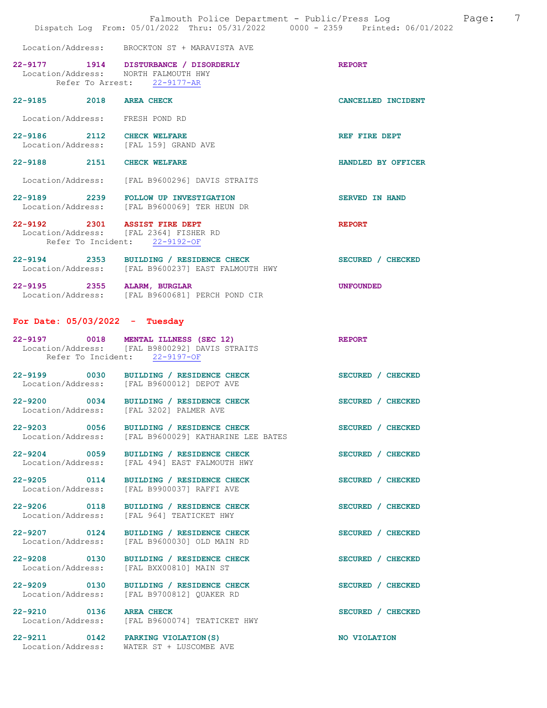|                                                                         | Falmouth Police Department - Public/Press Log<br>Dispatch Log From: 05/01/2022 Thru: 05/31/2022 0000 - 2359 Printed: 06/01/2022 |                       | 7<br>Page: |
|-------------------------------------------------------------------------|---------------------------------------------------------------------------------------------------------------------------------|-----------------------|------------|
|                                                                         | Location/Address: BROCKTON ST + MARAVISTA AVE                                                                                   |                       |            |
| Location/Address: NORTH FALMOUTH HWY                                    | 22-9177 1914 DISTURBANCE / DISORDERLY<br>Refer To Arrest: 22-9177-AR                                                            | <b>REPORT</b>         |            |
| 22-9185 2018 AREA CHECK                                                 |                                                                                                                                 | CANCELLED INCIDENT    |            |
| Location/Address: FRESH POND RD                                         |                                                                                                                                 |                       |            |
| 22-9186 2112 CHECK WELFARE<br>Location/Address: [FAL 159] GRAND AVE     |                                                                                                                                 | REF FIRE DEPT         |            |
| 22-9188 2151 CHECK WELFARE                                              |                                                                                                                                 | HANDLED BY OFFICER    |            |
|                                                                         | Location/Address: [FAL B9600296] DAVIS STRAITS                                                                                  |                       |            |
|                                                                         | 22-9189 2239 FOLLOW UP INVESTIGATION<br>Location/Address: [FAL B9600069] TER HEUN DR                                            | <b>SERVED IN HAND</b> |            |
| 22-9192 2301 ASSIST FIRE DEPT<br>Location/Address: [FAL 2364] FISHER RD |                                                                                                                                 | <b>REPORT</b>         |            |
|                                                                         | Refer To Incident: 22-9192-OF                                                                                                   |                       |            |
|                                                                         | 22-9194 2353 BUILDING / RESIDENCE CHECK<br>Location/Address: [FAL B9600237] EAST FALMOUTH HWY                                   | SECURED / CHECKED     |            |
|                                                                         | 22-9195 2355 ALARM, BURGLAR<br>Location/Address: [FAL B9600681] PERCH POND CIR                                                  | <b>UNFOUNDED</b>      |            |
| For Date: $05/03/2022 - Tuesday$                                        |                                                                                                                                 |                       |            |
|                                                                         | 22-9197 0018 MENTAL ILLNESS (SEC 12)<br>Location/Address: [FAL B9800292] DAVIS STRAITS<br>Refer To Incident: 22-9197-OF         | <b>REPORT</b>         |            |
|                                                                         | 22-9199 0030 BUILDING / RESIDENCE CHECK<br>Location/Address: [FAL B9600012] DEPOT AVE                                           | SECURED / CHECKED     |            |
|                                                                         | 22-9200 0034 BUILDING / RESIDENCE CHECK<br>Location/Address: [FAL 3202] PALMER AVE                                              | SECURED / CHECKED     |            |
| 22-9203 0056<br>Location/Address:                                       | BUILDING / RESIDENCE CHECK<br>[FAL B9600029] KATHARINE LEE BATES                                                                | SECURED / CHECKED     |            |
| 22-9204 0059<br>Location/Address:                                       | BUILDING / RESIDENCE CHECK<br>[FAL 494] EAST FALMOUTH HWY                                                                       | SECURED / CHECKED     |            |
| 22-9205 0114<br>Location/Address:                                       | BUILDING / RESIDENCE CHECK<br>[FAL B9900037] RAFFI AVE                                                                          | SECURED / CHECKED     |            |
| 22-9206 0118<br>Location/Address:                                       | BUILDING / RESIDENCE CHECK<br>[FAL 964] TEATICKET HWY                                                                           | SECURED / CHECKED     |            |
| 22-9207 0124<br>Location/Address:                                       | BUILDING / RESIDENCE CHECK<br>[FAL B9600030] OLD MAIN RD                                                                        | SECURED / CHECKED     |            |
| 22-9208 0130<br>Location/Address:                                       | BUILDING / RESIDENCE CHECK<br>[FAL BXX00810] MAIN ST                                                                            | SECURED / CHECKED     |            |
| 22-9209 0130<br>Location/Address:                                       | BUILDING / RESIDENCE CHECK<br>[FAL B9700812] QUAKER RD                                                                          | SECURED / CHECKED     |            |
| 22-9210 0136<br>Location/Address:                                       | <b>AREA CHECK</b><br>[FAL B9600074] TEATICKET HWY                                                                               | SECURED / CHECKED     |            |
| 22-9211 0142 PARKING VIOLATION (S)                                      | Location/Address: WATER ST + LUSCOMBE AVE                                                                                       | NO VIOLATION          |            |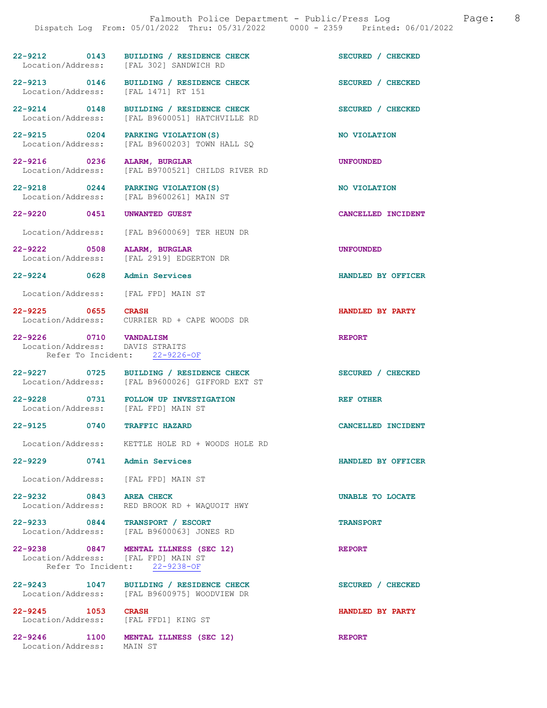## 22-9212 0143 BUILDING / RESIDENCE CHECK SECURED / CHECKED Location/Address: [FAL 302] SANDWICH RD Location/Address:

Location/Address:

22-9213 0146 BUILDING / RESIDENCE CHECK SECURED / CHECKED Location/Address: [FAL 1471] RT 151

22-9214 0148 BUILDING / RESIDENCE CHECK<br>
Location/Address: [FAL B9600051] HATCHVILLE RD<br>
SECURED / CHECKED [FAL B9600051] HATCHVILLE RD

22-9215 0204 PARKING VIOLATION(S) NO VIOLATION Location/Address: [FAL B9600203] TOWN HALL SQ

22-9216 0236 ALARM, BURGLAR<br>Location/Address: [FAL B9700521] CHILDS RIVER RD [FAL B9700521] CHILDS RIVER RD

22-9218 0244 PARKING VIOLATION(S) NO VIOLATION<br>
Location/Address: [FAL B9600261] MAIN ST [FAL B9600261] MAIN ST

22-9220 0451 UNWANTED GUEST CANCELLED INCIDENT

Location/Address: [FAL B9600069] TER HEUN DR

22-9222 0508 ALARM, BURGLAR<br>
Location/Address: [FAL 2919] EDGERTON DR [FAL 2919] EDGERTON DR

22-9224 0628 Admin Services HANDLED BY OFFICER

Location/Address: [FAL FPD] MAIN ST

22-9225 0655 CRASH 100000 DR HANDLED BY PARTY Location/Address: CURRIER RD + CAPE WOODS DR CURRIER RD + CAPE WOODS DR

22-9226 0710 VANDALISM REPORT REPORT Location/Address: DAVIS STRAITS Location/Address: Refer To Incident: 22-9226-OF

22-9227 0725 BUILDING / RESIDENCE CHECK SECURED / CHECKED Location/Address: [FAL B9600026] GIFFORD EXT ST

22-9228 0731 FOLLOW UP INVESTIGATION REF OTHER Location/Address: [FAL FPD] MAIN ST

22-9125 0740 TRAFFIC HAZARD CANCELLED INCIDENT

Location/Address: KETTLE HOLE RD + WOODS HOLE RD

22-9229 0741 Admin Services HANDLED BY OFFICER

Location/Address: [FAL FPD] MAIN ST

22-9232 0843 AREA CHECK UNABLE TO LOCATE Location/Address: RED BROOK RD + WAQUOIT HWY RED BROOK RD + WAQUOIT HWY

22-9233 0844 TRANSPORT / ESCORT<br>
Location/Address: [FAL B9600063] JONES RD [FAL B9600063] JONES RD

22-9238 0847 MENTAL ILLNESS (SEC 12) REPORT Location/Address: [FAL FPD] MAIN ST Refer To Incident: 22-9238-OF

22-9243 1047 BUILDING / RESIDENCE CHECK SECURED / CHECKED Location/Address: [FAL B9600975] WOODVIEW DR [FAL B9600975] WOODVIEW DR

22-9245 1053 CRASH 1053 CRASH HANDLED BY PARTY Location/Address:

22-9246 1100 MENTAL ILLNESS (SEC 12) REPORT Location/Address: MAIN ST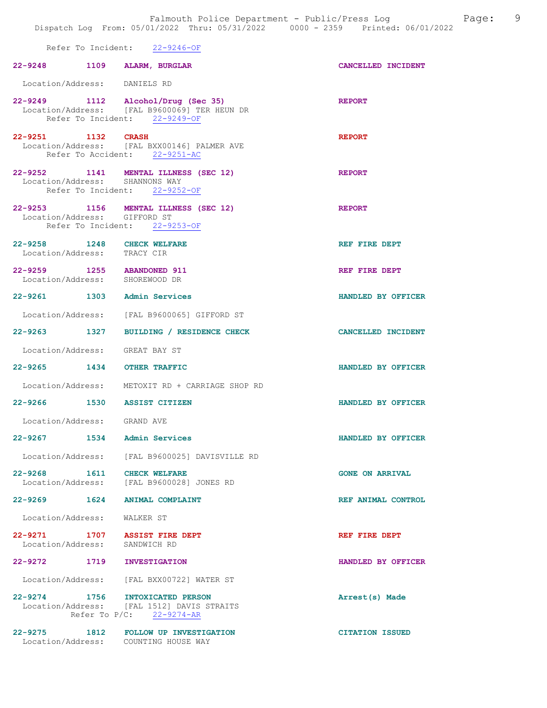|                                                              | Refer To Incident: 22-9246-OF                                                                                       |                           |
|--------------------------------------------------------------|---------------------------------------------------------------------------------------------------------------------|---------------------------|
| 22-9248 1109 ALARM, BURGLAR                                  |                                                                                                                     | CANCELLED INCIDENT        |
| Location/Address: DANIELS RD                                 |                                                                                                                     |                           |
|                                                              | 22-9249 1112 Alcohol/Drug (Sec 35)<br>Location/Address: [FAL B9600069] TER HEUN DR<br>Refer To Incident: 22-9249-OF | <b>REPORT</b>             |
| 22-9251 1132 CRASH                                           | Location/Address: [FAL BXX00146] PALMER AVE<br>Refer To Accident: 22-9251-AC                                        | <b>REPORT</b>             |
| Location/Address: SHANNONS WAY                               | 22-9252 1141 MENTAL ILLNESS (SEC 12)<br>Refer To Incident: 22-9252-OF                                               | <b>REPORT</b>             |
| Location/Address: GIFFORD ST                                 | 22-9253 1156 MENTAL ILLNESS (SEC 12)<br>Refer To Incident: 22-9253-OF                                               | <b>REPORT</b>             |
| 22-9258 1248 CHECK WELFARE<br>Location/Address: TRACY CIR    |                                                                                                                     | REF FIRE DEPT             |
| 22-9259 1255 ABANDONED 911<br>Location/Address: SHOREWOOD DR |                                                                                                                     | REF FIRE DEPT             |
| 22-9261 1303 Admin Services                                  |                                                                                                                     | HANDLED BY OFFICER        |
|                                                              | Location/Address: [FAL B9600065] GIFFORD ST                                                                         |                           |
|                                                              | 22-9263 1327 BUILDING / RESIDENCE CHECK                                                                             | <b>CANCELLED INCIDENT</b> |
| Location/Address: GREAT BAY ST                               |                                                                                                                     |                           |
| 22-9265 1434 OTHER TRAFFIC                                   |                                                                                                                     | HANDLED BY OFFICER        |
|                                                              | Location/Address: METOXIT RD + CARRIAGE SHOP RD                                                                     |                           |
| 22-9266 1530 ASSIST CITIZEN                                  |                                                                                                                     | HANDLED BY OFFICER        |
| Location/Address: GRAND AVE                                  |                                                                                                                     |                           |
| 1534<br>22-9267                                              | Admin Services                                                                                                      | HANDLED BY OFFICER        |
|                                                              | Location/Address: [FAL B9600025] DAVISVILLE RD                                                                      |                           |
| 22-9268                                                      | 1611 CHECK WELFARE<br>Location/Address: [FAL B9600028] JONES RD                                                     | <b>GONE ON ARRIVAL</b>    |
| 22-9269 1624 ANIMAL COMPLAINT                                |                                                                                                                     | REF ANIMAL CONTROL        |
| Location/Address:                                            | WALKER ST                                                                                                           |                           |
| 22-9271 1707 ASSIST FIRE DEPT<br>Location/Address:           | SANDWICH RD                                                                                                         | REF FIRE DEPT             |
| 22-9272<br>1719                                              | <b>INVESTIGATION</b>                                                                                                | HANDLED BY OFFICER        |
|                                                              | Location/Address: [FAL BXX00722] WATER ST                                                                           |                           |
| 22-9274 1756                                                 | INTOXICATED PERSON<br>Location/Address: [FAL 1512] DAVIS STRAITS<br>Refer To $P/C: 22-9274-AR$                      | Arrest(s) Made            |
| 22-9275<br>1812                                              | <b>FOLLOW UP INVESTIGATION</b><br>Location/Address: COUNTING HOUSE WAY                                              | <b>CITATION ISSUED</b>    |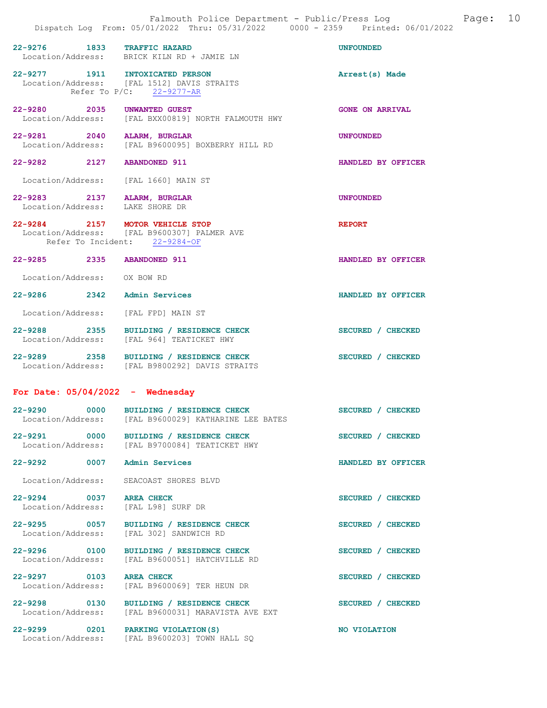|                                                                | 22-9276 1833 TRAFFIC HAZARD<br>Location/Address: BRICK KILN RD + JAMIE LN                       | <b>UNFOUNDED</b>       |
|----------------------------------------------------------------|-------------------------------------------------------------------------------------------------|------------------------|
| Refer To P/C: 22-9277-AR                                       | 22-9277 1911 INTOXICATED PERSON<br>Location/Address: [FAL 1512] DAVIS STRAITS                   | Arrest(s) Made         |
| 22-9280 2035 UNWANTED GUEST                                    | Location/Address: [FAL BXX00819] NORTH FALMOUTH HWY                                             | <b>GONE ON ARRIVAL</b> |
| 22-9281 2040 ALARM, BURGLAR                                    | Location/Address: [FAL B9600095] BOXBERRY HILL RD                                               | UNFOUNDED              |
| 22-9282 2127 ABANDONED 911                                     |                                                                                                 | HANDLED BY OFFICER     |
| Location/Address: [FAL 1660] MAIN ST                           |                                                                                                 |                        |
| 22-9283 2137 ALARM, BURGLAR<br>Location/Address: LAKE SHORE DR |                                                                                                 | <b>UNFOUNDED</b>       |
| Refer To Incident: 22-9284-OF                                  | 22-9284 2157 MOTOR VEHICLE STOP<br>Location/Address: [FAL B9600307] PALMER AVE                  | <b>REPORT</b>          |
| 22-9285 2335 ABANDONED 911                                     |                                                                                                 | HANDLED BY OFFICER     |
| Location/Address: OX BOW RD                                    |                                                                                                 |                        |
| 22-9286 2342 Admin Services                                    |                                                                                                 | HANDLED BY OFFICER     |
| Location/Address: [FAL FPD] MAIN ST                            |                                                                                                 |                        |
|                                                                | 22-9288 2355 BUILDING / RESIDENCE CHECK<br>Location/Address: [FAL 964] TEATICKET HWY            | SECURED / CHECKED      |
|                                                                | 22-9289 2358 BUILDING / RESIDENCE CHECK<br>Location/Address: [FAL B9800292] DAVIS STRAITS       | SECURED / CHECKED      |
| For Date: $05/04/2022 -$ Wednesday                             |                                                                                                 |                        |
|                                                                | 22-9290 0000 BUILDING / RESIDENCE CHECK<br>Location/Address: [FAL B9600029] KATHARINE LEE BATES | SECURED / CHECKED      |
|                                                                | 22-9291 0000 BUILDING / RESIDENCE CHECK<br>Location/Address: [FAL B9700084] TEATICKET HWY       | SECURED / CHECKED      |
| 22-9292 0007 Admin Services                                    |                                                                                                 | HANDLED BY OFFICER     |
| Location/Address: SEACOAST SHORES BLVD                         |                                                                                                 |                        |
| 22-9294 0037 AREA CHECK<br>Location/Address: [FAL L98] SURF DR |                                                                                                 | SECURED / CHECKED      |
|                                                                | 22-9295 0057 BUILDING / RESIDENCE CHECK<br>Location/Address: [FAL 302] SANDWICH RD              | SECURED / CHECKED      |
|                                                                | Location/Address: [FAL B9600051] HATCHVILLE RD                                                  | SECURED / CHECKED      |
| 22-9297 0103 AREA CHECK                                        | Location/Address: [FAL B9600069] TER HEUN DR                                                    | SECURED / CHECKED      |
|                                                                | 22-9298 0130 BUILDING / RESIDENCE CHECK<br>Location/Address: [FAL B9600031] MARAVISTA AVE EXT   | SECURED / CHECKED      |
| 22-9299 0201 PARKING VIOLATION (S)                             | Location/Address: [FAL B9600203] TOWN HALL SQ                                                   | NO VIOLATION           |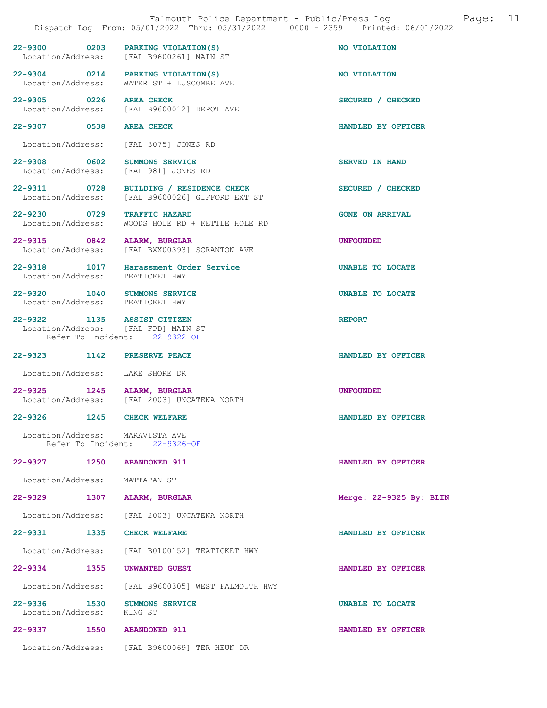|                                                       |      | Falmouth Police Department - Public/Press Log<br>Dispatch Log From: 05/01/2022 Thru: 05/31/2022 0000 - 2359 Printed: 06/01/2022 |                           | Page: | 11 |
|-------------------------------------------------------|------|---------------------------------------------------------------------------------------------------------------------------------|---------------------------|-------|----|
|                                                       |      | 22-9300 0203 PARKING VIOLATION (S)<br>Location/Address: [FAL B9600261] MAIN ST                                                  | NO VIOLATION              |       |    |
|                                                       |      | 22-9304 0214 PARKING VIOLATION(S)<br>Location/Address: WATER ST + LUSCOMBE AVE                                                  | NO VIOLATION              |       |    |
| 22-9305 0226 AREA CHECK                               |      | Location/Address: [FAL B9600012] DEPOT AVE                                                                                      | SECURED / CHECKED         |       |    |
| 22-9307 0538 AREA CHECK                               |      |                                                                                                                                 | HANDLED BY OFFICER        |       |    |
|                                                       |      | Location/Address: [FAL 3075] JONES RD                                                                                           |                           |       |    |
| 22-9308 0602                                          |      | SUMMONS SERVICE<br>Location/Address: [FAL 981] JONES RD                                                                         | <b>SERVED IN HAND</b>     |       |    |
|                                                       |      | 22-9311 0728 BUILDING / RESIDENCE CHECK<br>Location/Address: [FAL B9600026] GIFFORD EXT ST                                      | SECURED / CHECKED         |       |    |
| 22-9230 0729<br>Location/Address:                     |      | <b>TRAFFIC HAZARD</b><br>WOODS HOLE RD + KETTLE HOLE RD                                                                         | <b>GONE ON ARRIVAL</b>    |       |    |
| 22-9315 0842                                          |      | ALARM, BURGLAR<br>Location/Address: [FAL BXX00393] SCRANTON AVE                                                                 | <b>UNFOUNDED</b>          |       |    |
| Location/Address: TEATICKET HWY                       |      | 22-9318 1017 Harassment Order Service                                                                                           | <b>UNABLE TO LOCATE</b>   |       |    |
| Location/Address: TEATICKET HWY                       |      | 22-9320 1040 SUMMONS SERVICE                                                                                                    | <b>UNABLE TO LOCATE</b>   |       |    |
| 22-9322 1135 ASSIST CITIZEN                           |      | Location/Address: [FAL FPD] MAIN ST<br>Refer To Incident: 22-9322-OF                                                            | <b>REPORT</b>             |       |    |
| 22-9323 1142                                          |      | PRESERVE PEACE                                                                                                                  | HANDLED BY OFFICER        |       |    |
| Location/Address: LAKE SHORE DR                       |      |                                                                                                                                 |                           |       |    |
| 22-9325 1245 ALARM, BURGLAR                           |      | Location/Address: [FAL 2003] UNCATENA NORTH                                                                                     | <b>UNFOUNDED</b>          |       |    |
| 22-9326                                               | 1245 | <b>CHECK WELFARE</b>                                                                                                            | HANDLED BY OFFICER        |       |    |
| Location/Address: MARAVISTA AVE<br>Refer To Incident: |      | 22-9326-OF                                                                                                                      |                           |       |    |
| 22-9327 1250                                          |      | <b>ABANDONED 911</b>                                                                                                            | HANDLED BY OFFICER        |       |    |
| Location/Address:                                     |      | MATTAPAN ST                                                                                                                     |                           |       |    |
| 22-9329 1307                                          |      | ALARM, BURGLAR                                                                                                                  | Merge: $22-9325$ By: BLIN |       |    |
|                                                       |      | Location/Address: [FAL 2003] UNCATENA NORTH                                                                                     |                           |       |    |
| 22-9331 1335                                          |      | <b>CHECK WELFARE</b>                                                                                                            | HANDLED BY OFFICER        |       |    |
|                                                       |      | Location/Address: [FAL B0100152] TEATICKET HWY                                                                                  |                           |       |    |
| 22-9334 1355                                          |      | UNWANTED GUEST                                                                                                                  | HANDLED BY OFFICER        |       |    |
| Location/Address:                                     |      | [FAL B9600305] WEST FALMOUTH HWY                                                                                                |                           |       |    |
| 22-9336 1530<br>Location/Address:                     |      | <b>SUMMONS SERVICE</b><br>KING ST                                                                                               | UNABLE TO LOCATE          |       |    |
| 22-9337                                               | 1550 | <b>ABANDONED 911</b>                                                                                                            | HANDLED BY OFFICER        |       |    |
|                                                       |      | Location/Address: [FAL B9600069] TER HEUN DR                                                                                    |                           |       |    |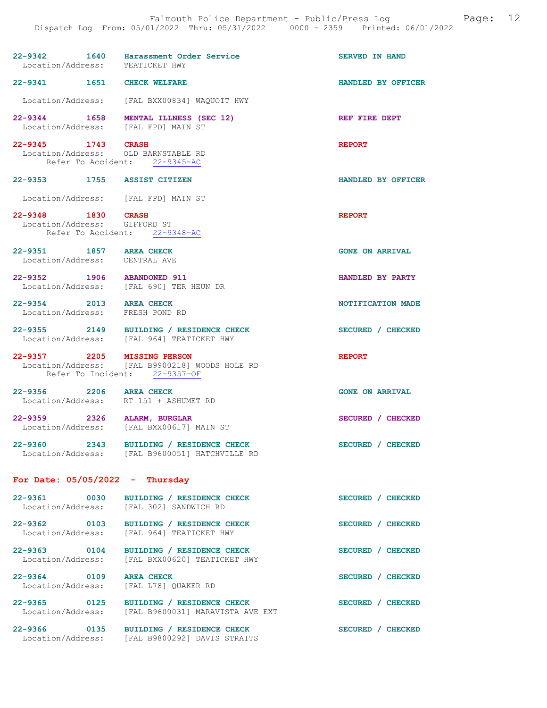| 22-9342 1640<br>Location/Address: TEATICKET HWY            | Harassment Order Service                                                                      | <b>SERVED IN HAND</b>  |
|------------------------------------------------------------|-----------------------------------------------------------------------------------------------|------------------------|
| 22-9341 1651 CHECK WELFARE                                 |                                                                                               | HANDLED BY OFFICER     |
|                                                            | Location/Address: [FAL BXX00834] WAQUOIT HWY                                                  |                        |
|                                                            | 22-9344 1658 MENTAL ILLNESS (SEC 12)<br>Location/Address: [FAL FPD] MAIN ST                   | REF FIRE DEPT          |
| 22-9345 1743 CRASH                                         | Location/Address: OLD BARNSTABLE RD<br>Refer To Accident: 22-9345-AC                          | <b>REPORT</b>          |
| 22-9353 1755 ASSIST CITIZEN                                |                                                                                               | HANDLED BY OFFICER     |
| Location/Address: [FAL FPD] MAIN ST                        |                                                                                               |                        |
| 22-9348 1830 CRASH<br>Location/Address: GIFFORD ST         | Refer To Accident: 22-9348-AC                                                                 | <b>REPORT</b>          |
| 22-9351 1857 AREA CHECK<br>Location/Address: CENTRAL AVE   |                                                                                               | <b>GONE ON ARRIVAL</b> |
|                                                            | 22-9352 1906 ABANDONED 911<br>Location/Address: [FAL 690] TER HEUN DR                         | HANDLED BY PARTY       |
| 22-9354 2013 AREA CHECK<br>Location/Address: FRESH POND RD |                                                                                               | NOTIFICATION MADE      |
|                                                            | 22-9355 2149 BUILDING / RESIDENCE CHECK<br>Location/Address: [FAL 964] TEATICKET HWY          | SECURED / CHECKED      |
|                                                            | 22-9357 2205 MISSING PERSON<br>Location/Address: [FAL B9900218] WOODS HOLE RD                 | <b>REPORT</b>          |
| Refer To Incident: 22-9357-OF                              |                                                                                               |                        |
| 22-9356 2206 AREA CHECK                                    | Location/Address: RT 151 + ASHUMET RD                                                         | <b>GONE ON ARRIVAL</b> |
| 22-9359 2326 ALARM, BURGLAR                                | Location/Address: [FAL BXX00617] MAIN ST                                                      | SECURED / CHECKED      |
|                                                            | 22-9360 2343 BUILDING / RESIDENCE CHECK<br>Location/Address: [FAL B9600051] HATCHVILLE RD     | SECURED / CHECKED      |
| For Date: $05/05/2022 - Thursday$                          |                                                                                               |                        |
|                                                            | 22-9361 0030 BUILDING / RESIDENCE CHECK<br>Location/Address: [FAL 302] SANDWICH RD            | SECURED / CHECKED      |
|                                                            | 22-9362 0103 BUILDING / RESIDENCE CHECK<br>Location/Address: [FAL 964] TEATICKET HWY          | SECURED / CHECKED      |
|                                                            | 22-9363 0104 BUILDING / RESIDENCE CHECK<br>Location/Address: [FAL BXX00620] TEATICKET HWY     | SECURED / CHECKED      |
| 22-9364 0109                                               | AREA CHECK<br>Location/Address: [FAL L78] QUAKER RD                                           | SECURED / CHECKED      |
|                                                            | 22-9365 0125 BUILDING / RESIDENCE CHECK<br>Location/Address: [FAL B9600031] MARAVISTA AVE EXT | SECURED / CHECKED      |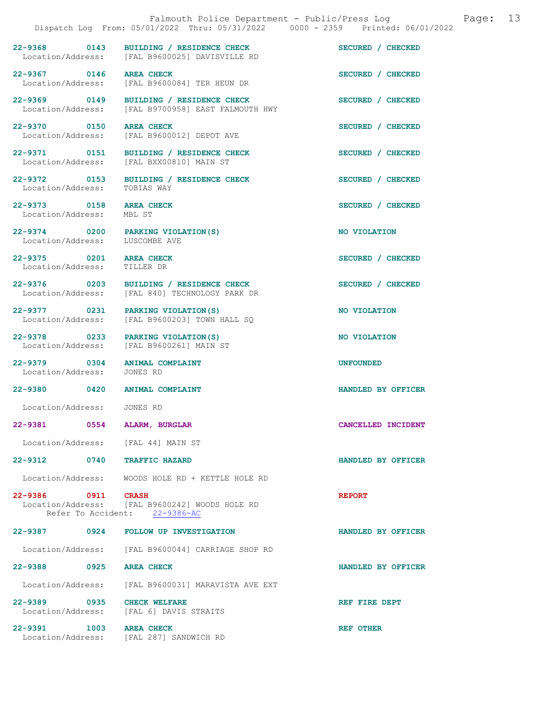|                                                                      |                                                                                               | Dispatch Log From: 05/01/2022 Thru: 05/31/2022 0000 - 2359 Printed: 06/01/2022 |
|----------------------------------------------------------------------|-----------------------------------------------------------------------------------------------|--------------------------------------------------------------------------------|
|                                                                      | 22-9368 0143 BUILDING / RESIDENCE CHECK<br>Location/Address: [FAL B9600025] DAVISVILLE RD     | SECURED / CHECKED                                                              |
| 22-9367 0146 AREA CHECK                                              | Location/Address: [FAL B9600084] TER HEUN DR                                                  | SECURED / CHECKED                                                              |
|                                                                      | 22-9369 0149 BUILDING / RESIDENCE CHECK<br>Location/Address: [FAL B9700958] EAST FALMOUTH HWY | SECURED / CHECKED                                                              |
| 22-9370 0150 AREA CHECK                                              | Location/Address: [FAL B9600012] DEPOT AVE                                                    | SECURED / CHECKED                                                              |
|                                                                      | 22-9371 0151 BUILDING / RESIDENCE CHECK<br>Location/Address: [FAL BXX00810] MAIN ST           | SECURED / CHECKED                                                              |
| Location/Address:                                                    | 22-9372 0153 BUILDING / RESIDENCE CHECK<br>TOBIAS WAY                                         | SECURED / CHECKED                                                              |
| 22-9373 0158 AREA CHECK<br>Location/Address: MBL ST                  |                                                                                               | SECURED / CHECKED                                                              |
| 22-9374 0200 PARKING VIOLATION (S)<br>Location/Address: LUSCOMBE AVE |                                                                                               | NO VIOLATION                                                                   |
| 22-9375 0201 AREA CHECK<br>Location/Address: TILLER DR               |                                                                                               | SECURED / CHECKED                                                              |
|                                                                      | 22-9376 0203 BUILDING / RESIDENCE CHECK<br>Location/Address: [FAL 840] TECHNOLOGY PARK DR     | SECURED / CHECKED                                                              |
| 22-9377 0231 PARKING VIOLATION (S)                                   | Location/Address: [FAL B9600203] TOWN HALL SQ                                                 | NO VIOLATION                                                                   |
|                                                                      | 22-9378 0233 PARKING VIOLATION (S)<br>Location/Address: [FAL B9600261] MAIN ST                | NO VIOLATION                                                                   |
| 22-9379 0304 ANIMAL COMPLAINT<br>Location/Address: JONES RD          |                                                                                               | <b>UNFOUNDED</b>                                                               |
| 22-9380 0420                                                         | <b>ANIMAL COMPLAINT</b>                                                                       | HANDLED BY OFFICER                                                             |
| Location/Address: JONES RD                                           |                                                                                               |                                                                                |
| 22-9381 0554 ALARM, BURGLAR                                          |                                                                                               | CANCELLED INCIDENT                                                             |
| Location/Address: [FAL 44] MAIN ST                                   |                                                                                               |                                                                                |
| 22-9312 0740 TRAFFIC HAZARD                                          |                                                                                               | HANDLED BY OFFICER                                                             |
|                                                                      | Location/Address: WOODS HOLE RD + KETTLE HOLE RD                                              |                                                                                |
| 22-9386 0911 CRASH                                                   | Location/Address: [FAL B9600242] WOODS HOLE RD<br>Refer To Accident: 22-9386-AC               | <b>REPORT</b>                                                                  |
|                                                                      | 22-9387 0924 FOLLOW UP INVESTIGATION                                                          | HANDLED BY OFFICER                                                             |
|                                                                      | Location/Address: [FAL B9600044] CARRIAGE SHOP RD                                             |                                                                                |
| 22-9388 0925                                                         | <b>AREA CHECK</b>                                                                             | HANDLED BY OFFICER                                                             |
|                                                                      | Location/Address: [FAL B9600031] MARAVISTA AVE EXT                                            |                                                                                |
| 22-9389 0935 CHECK WELFARE                                           | Location/Address: [FAL 6] DAVIS STRAITS                                                       | REF FIRE DEPT                                                                  |
| 22-9391 1003 AREA CHECK                                              | Location/Address: [FAL 287] SANDWICH RD                                                       | <b>REF OTHER</b>                                                               |

Falmouth Police Department - Public/Press Log and Page: 13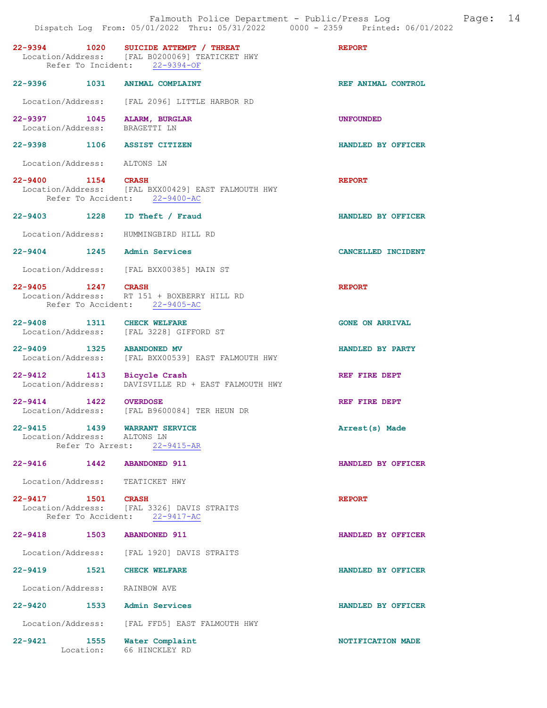|                                                              | 22-9394 1020 SUICIDE ATTEMPT / THREAT<br>Location/Address: [FAL B0200069] TEATICKET HWY<br>Refer To Incident: 22-9394-OF | <b>REPORT</b>          |
|--------------------------------------------------------------|--------------------------------------------------------------------------------------------------------------------------|------------------------|
| 22-9396 1031 ANIMAL COMPLAINT                                |                                                                                                                          | REF ANIMAL CONTROL     |
|                                                              | Location/Address: [FAL 2096] LITTLE HARBOR RD                                                                            |                        |
| 22-9397 1045 ALARM, BURGLAR<br>Location/Address: BRAGETTI LN |                                                                                                                          | UNFOUNDED              |
| 22-9398 1106 ASSIST CITIZEN                                  |                                                                                                                          | HANDLED BY OFFICER     |
| Location/Address: ALTONS LN                                  |                                                                                                                          |                        |
| 22-9400 1154 CRASH                                           | Location/Address: [FAL BXX00429] EAST FALMOUTH HWY<br>Refer To Accident: 22-9400-AC                                      | <b>REPORT</b>          |
| 22-9403 1228 ID Theft / Fraud                                |                                                                                                                          | HANDLED BY OFFICER     |
|                                                              | Location/Address: HUMMINGBIRD HILL RD                                                                                    |                        |
| 22-9404 1245 Admin Services                                  |                                                                                                                          | CANCELLED INCIDENT     |
|                                                              | Location/Address: [FAL BXX00385] MAIN ST                                                                                 |                        |
| 22-9405 1247 CRASH                                           | Location/Address: RT 151 + BOXBERRY HILL RD<br>Refer To Accident: 22-9405-AC                                             | <b>REPORT</b>          |
| 22-9408 1311 CHECK WELFARE                                   | Location/Address: [FAL 3228] GIFFORD ST                                                                                  | <b>GONE ON ARRIVAL</b> |
| 22-9409 1325 ABANDONED MV                                    | Location/Address: [FAL BXX00539] EAST FALMOUTH HWY                                                                       | HANDLED BY PARTY       |
| 22-9412 1413 Bicycle Crash                                   | Location/Address: DAVISVILLE RD + EAST FALMOUTH HWY                                                                      | REF FIRE DEPT          |
| 22-9414 1422 OVERDOSE                                        | Location/Address: [FAL B9600084] TER HEUN DR                                                                             | REF FIRE DEPT          |
| 1439<br>$22 - 9415$<br>Location/Address: ALTONS LN           | <b>WARRANT SERVICE</b><br>Refer To Arrest: 22-9415-AR                                                                    | Arrest(s) Made         |
| 22-9416 1442 ABANDONED 911                                   |                                                                                                                          | HANDLED BY OFFICER     |
| Location/Address: TEATICKET HWY                              |                                                                                                                          |                        |
| 22-9417 1501 CRASH                                           |                                                                                                                          | <b>REPORT</b>          |
|                                                              | Location/Address: [FAL 3326] DAVIS STRAITS<br>Refer To Accident: 22-9417-AC                                              |                        |
| 22-9418 1503 ABANDONED 911                                   |                                                                                                                          | HANDLED BY OFFICER     |
|                                                              | Location/Address: [FAL 1920] DAVIS STRAITS                                                                               |                        |
| 22-9419 1521 CHECK WELFARE                                   |                                                                                                                          | HANDLED BY OFFICER     |
| Location/Address: RAINBOW AVE                                |                                                                                                                          |                        |
| 22-9420                                                      | 1533 Admin Services                                                                                                      | HANDLED BY OFFICER     |
|                                                              | Location/Address: [FAL FFD5] EAST FALMOUTH HWY                                                                           |                        |
| 22-9421<br>1555<br>Location:                                 | Water Complaint<br>66 HINCKLEY RD                                                                                        | NOTIFICATION MADE      |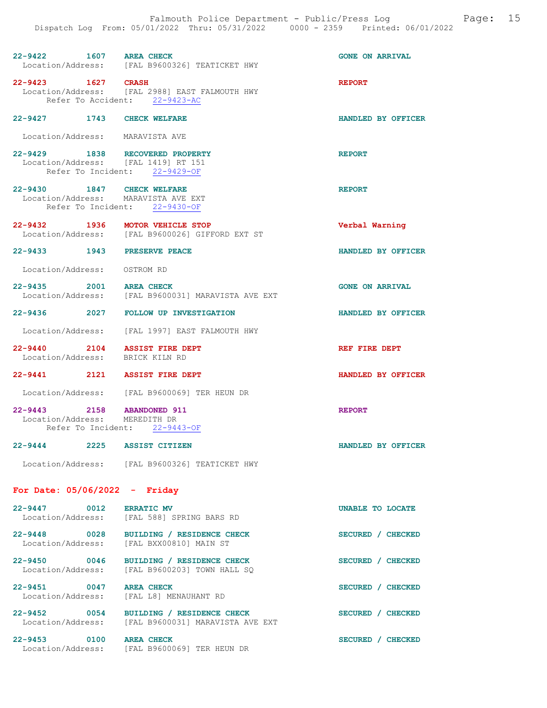| $22 - 9422$       | 1607 | AREA CHECK |                              |  | <b>GONE ON ARRIVAL</b> |
|-------------------|------|------------|------------------------------|--|------------------------|
| Location/Address: |      |            | [FAL B9600326] TEATICKET HWY |  |                        |

22-9423 1627 CRASH REPORT Location/Address: [FAL 2988] EAST FALMOUTH HWY Refer To Accident: 22-9423-AC

#### 22-9427 1743 CHECK WELFARE HANDLED BY OFFICER

Location/Address: MARAVISTA AVE

22-9429 1838 RECOVERED PROPERTY REPORT Location/Address: [FAL 1419] RT 151 Refer To Incident: 22-9429-OF

22-9430 1847 CHECK WELFARE <br>Location/Address: MARAVISTA AVE EXT Location/Address: Refer To Incident: 22-9430-OF

22-9432 1936 MOTOR VEHICLE STOP Verbal Warning Location/Address: [FAL B9600026] GIFFORD EXT ST

22-9433 1943 PRESERVE PEACE HANDLED BY OFFICER

Location/Address: OSTROM RD

22-9435 2001 AREA CHECK CHECK GONE ON ARRIVAL Location/Address: [FAL B9600031] MARAVISTA AVE EXT [FAL B9600031] MARAVISTA AVE EXT

22-9436 2027 FOLLOW UP INVESTIGATION HANDLED BY OFFICER

Location/Address: [FAL 1997] EAST FALMOUTH HWY

22-9440 2104 ASSIST FIRE DEPT REF FIRE DEPT Location/Address: BRICK KILN RD Location/Address:

22-9441 2121 ASSIST FIRE DEPT HANDLED BY OFFICER

Location/Address: [FAL B9600069] TER HEUN DR

22-9443 2158 ABANDONED 911 REPORT Location/Address: MEREDITH DR Refer To Incident: 22-9443-OF

22-9444 2225 ASSIST CITIZEN HANDLED BY OFFICER

Location/Address: [FAL B9600326] TEATICKET HWY

#### For Date: 05/06/2022 - Friday

| 0012<br>$22 - 9447$<br>Location/Address: | <b>ERRATIC MV</b><br>[FAL 588] SPRING BARS RD                  | <b>UNABLE TO LOCATE</b>          |
|------------------------------------------|----------------------------------------------------------------|----------------------------------|
| 0028<br>$22 - 9448$<br>Location/Address: | BUILDING / RESIDENCE CHECK<br>[FAL BXX00810] MAIN ST           | <b>SECURED</b><br><b>CHECKED</b> |
| $22 - 9450$<br>0046<br>Location/Address: | BUILDING / RESIDENCE CHECK<br>[FAL B9600203] TOWN HALL SO      | <b>SECURED</b><br><b>CHECKED</b> |
| 22-9451<br>0047<br>Location/Address:     | <b>AREA CHECK</b><br>[FAL L8] MENAUHANT RD                     | <b>SECURED</b><br><b>CHECKED</b> |
| $22 - 9452$<br>0054<br>Location/Address: | BUILDING / RESIDENCE CHECK<br>[FAL B9600031] MARAVISTA AVE EXT | <b>SECURED</b><br><b>CHECKED</b> |
| $22 - 9453$<br>0100<br>Location/Address: | <b>AREA CHECK</b><br>[FAL B9600069] TER HEUN DR                | <b>SECURED</b><br><b>CHECKED</b> |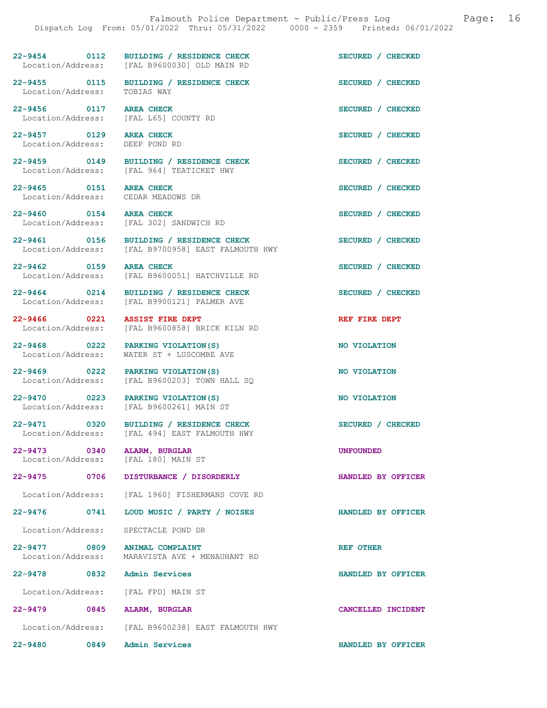22-9454 0112 BUILDING / RESIDENCE CHECK SECURED / CHECKED Location/Address: [FAL B9600030] OLD MAIN RD 22-9455 0115 BUILDING / RESIDENCE CHECK SECURED / CHECKED Location/Address: TOBIAS WAY 22-9456 0117 AREA CHECK SECURED / CHECKED Location/Address: [FAL L65] COUNTY RD 22-9457 0129 AREA CHECK SECURED / CHECKED Location/Address: DEEP POND RD 22-9459 0149 BUILDING / RESIDENCE CHECK SECURED / CHECKED Location/Address: [FAL 964] TEATICKET HWY [FAL 964] TEATICKET HWY 22-9465 0151 AREA CHECK SECURED / CHECKED Location/Address: 22-9460 0154 AREA CHECK SECURED / CHECKED<br>
Location/Address: [FAL 302] SANDWICH RD [FAL 302] SANDWICH RD 22-9461 0156 BUILDING / RESIDENCE CHECK SECURED / CHECKED Location/Address: [FAL B9700958] EAST FALMOUTH HWY 22-9462 0159 AREA CHECK SECURED / CHECKED Location/Address: [FAL B9600051] HATCHVILLE RD 22-9464 0214 BUILDING / RESIDENCE CHECK SECURED / CHECKED Location/Address: [FAL B9900121] PALMER AVE [FAL B9900121] PALMER AVE 22-9466 0221 ASSIST FIRE DEPT<br>Location/Address: [FAL B9600858] BRICK KILN RD [FAL B9600858] BRICK KILN RD 22-9468 0222 PARKING VIOLATION(S) NO VIOLATION<br>
Location/Address: WATER ST + LUSCOMBE AVE WATER ST + LUSCOMBE AVE 22-9469 0222 PARKING VIOLATION(S) NO VIOLATION Location/Address: [FAL B9600203] TOWN HALL SQ 22-9470 0223 PARKING VIOLATION(S) NO VIOLATION Location/Address: [FAL B9600261] MAIN ST 22-9471 0320 BUILDING / RESIDENCE CHECK SECURED / CHECKED Location/Address: [FAL 494] EAST FALMOUTH HWY [FAL 494] EAST FALMOUTH HWY 22-9473 0340 ALARM, BURGLAR<br>
Location/Address: [FAL 180] MAIN ST Location/Address: 22-9475 0706 DISTURBANCE / DISORDERLY HANDLED BY OFFICER Location/Address: [FAL 1960] FISHERMANS COVE RD 22-9476 0741 LOUD MUSIC / PARTY / NOISES HANDLED BY OFFICER Location/Address: SPECTACLE POND DR 22-9477 0809 ANIMAL COMPLAINT COMPLETER STREET OTHER Location/Address: MARAVISTA AVE + MENAUHANT RD 22-9478 0832 Admin Services HANDLED BY OFFICER

Location/Address: [FAL FPD] MAIN ST

22-9479 0845 ALARM, BURGLAR CANCELLED INCIDENT Location/Address: [FAL B9600238] EAST FALMOUTH HWY 22-9480 0849 Admin Services HANDLED BY OFFICER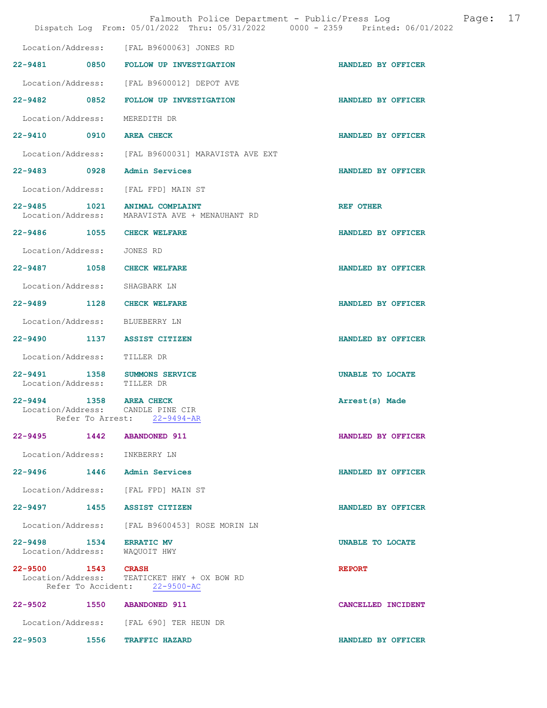|                                                          | Falmouth Police Department - Public/Press Log<br>Dispatch Log From: 05/01/2022 Thru: 05/31/2022 0000 - 2359 Printed: 06/01/2022 |                    | Page: | 17 |
|----------------------------------------------------------|---------------------------------------------------------------------------------------------------------------------------------|--------------------|-------|----|
|                                                          | Location/Address: [FAL B9600063] JONES RD                                                                                       |                    |       |    |
|                                                          | 22-9481 0850 FOLLOW UP INVESTIGATION                                                                                            | HANDLED BY OFFICER |       |    |
|                                                          | Location/Address: [FAL B9600012] DEPOT AVE                                                                                      |                    |       |    |
| 22-9482 0852                                             | FOLLOW UP INVESTIGATION                                                                                                         | HANDLED BY OFFICER |       |    |
| Location/Address:                                        | MEREDITH DR                                                                                                                     |                    |       |    |
| 22-9410 0910 AREA CHECK                                  |                                                                                                                                 | HANDLED BY OFFICER |       |    |
|                                                          | Location/Address: [FAL B9600031] MARAVISTA AVE EXT                                                                              |                    |       |    |
| 22-9483 0928                                             | Admin Services                                                                                                                  | HANDLED BY OFFICER |       |    |
| Location/Address:                                        | [FAL FPD] MAIN ST                                                                                                               |                    |       |    |
|                                                          | 22-9485 1021 ANIMAL COMPLAINT<br>Location/Address: MARAVISTA AVE + MENAUHANT RD                                                 | <b>REF OTHER</b>   |       |    |
| 22-9486 1055 CHECK WELFARE                               |                                                                                                                                 | HANDLED BY OFFICER |       |    |
| Location/Address:                                        | JONES RD                                                                                                                        |                    |       |    |
| 22-9487 1058 CHECK WELFARE                               |                                                                                                                                 | HANDLED BY OFFICER |       |    |
| Location/Address:                                        | SHAGBARK LN                                                                                                                     |                    |       |    |
| 22-9489 1128                                             | <b>CHECK WELFARE</b>                                                                                                            | HANDLED BY OFFICER |       |    |
| Location/Address: BLUEBERRY LN                           |                                                                                                                                 |                    |       |    |
|                                                          | 22-9490 1137 ASSIST CITIZEN                                                                                                     | HANDLED BY OFFICER |       |    |
| Location/Address:                                        | TILLER DR                                                                                                                       |                    |       |    |
| $22 - 9491$<br>Location/Address:                         | 1358 SUMMONS SERVICE<br>TILLER DR                                                                                               | UNABLE TO LOCATE   |       |    |
| 22-9494 1358 AREA CHECK<br>Location/Address:             | CANDLE PINE CIR<br>Refer To Arrest: 22-9494-AR                                                                                  | Arrest(s) Made     |       |    |
| 22-9495 1442 ABANDONED 911                               |                                                                                                                                 | HANDLED BY OFFICER |       |    |
| Location/Address: INKBERRY LN                            |                                                                                                                                 |                    |       |    |
|                                                          | 22-9496 1446 Admin Services                                                                                                     | HANDLED BY OFFICER |       |    |
|                                                          | Location/Address: [FAL FPD] MAIN ST                                                                                             |                    |       |    |
| 22-9497 1455 ASSIST CITIZEN                              |                                                                                                                                 | HANDLED BY OFFICER |       |    |
|                                                          | Location/Address: [FAL B9600453] ROSE MORIN LN                                                                                  |                    |       |    |
| 22-9498 1534 ERRATIC MV<br>Location/Address: WAQUOIT HWY |                                                                                                                                 | UNABLE TO LOCATE   |       |    |
| 22-9500 1543 CRASH                                       | Location/Address: TEATICKET HWY + OX BOW RD<br>Refer To Accident: 22-9500-AC                                                    | <b>REPORT</b>      |       |    |
| 22-9502 1550 ABANDONED 911                               |                                                                                                                                 | CANCELLED INCIDENT |       |    |
|                                                          | Location/Address: [FAL 690] TER HEUN DR                                                                                         |                    |       |    |
|                                                          | 22-9503 1556 TRAFFIC HAZARD                                                                                                     | HANDLED BY OFFICER |       |    |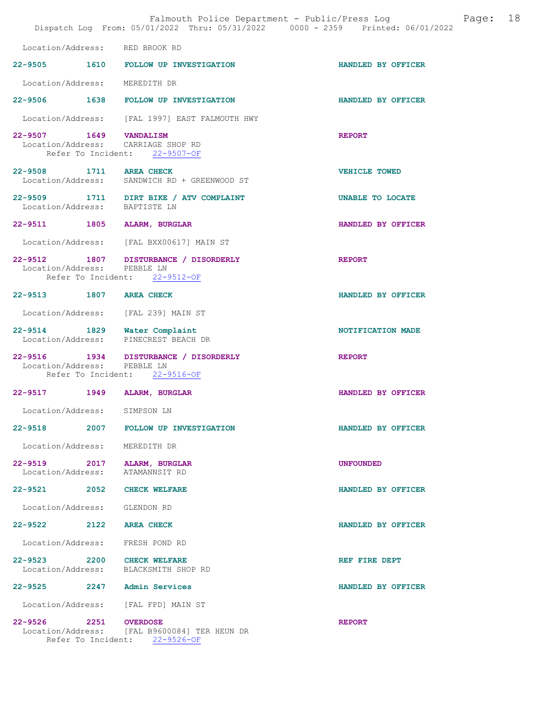|                               | Falmouth Police Department - Public/Press Log<br>Dispatch Log From: 05/01/2022 Thru: 05/31/2022 0000 - 2359 Printed: 06/01/2022 |                         | Page: 18 |  |
|-------------------------------|---------------------------------------------------------------------------------------------------------------------------------|-------------------------|----------|--|
|                               | Location/Address: RED BROOK RD                                                                                                  |                         |          |  |
|                               | 22-9505 1610 FOLLOW UP INVESTIGATION                                                                                            | HANDLED BY OFFICER      |          |  |
| Location/Address: MEREDITH DR |                                                                                                                                 |                         |          |  |
|                               | 22-9506 1638 FOLLOW UP INVESTIGATION                                                                                            | HANDLED BY OFFICER      |          |  |
|                               | Location/Address: [FAL 1997] EAST FALMOUTH HWY                                                                                  |                         |          |  |
| 22-9507 1649 VANDALISM        | Location/Address: CARRIAGE SHOP RD<br>Refer To Incident: 22-9507-OF                                                             | <b>REPORT</b>           |          |  |
| 22-9508 1711 AREA CHECK       | Location/Address: SANDWICH RD + GREENWOOD ST                                                                                    | <b>VEHICLE TOWED</b>    |          |  |
| Location/Address: BAPTISTE LN | 22-9509 1711 DIRT BIKE / ATV COMPLAINT                                                                                          | <b>UNABLE TO LOCATE</b> |          |  |
|                               | 22-9511 1805 ALARM, BURGLAR                                                                                                     | HANDLED BY OFFICER      |          |  |
|                               | Location/Address: [FAL BXX00617] MAIN ST                                                                                        |                         |          |  |
|                               | 22-9512 1807 DISTURBANCE / DISORDERLY<br>Location/Address: PEBBLE LN<br>Refer To Incident: 22-9512-OF                           | <b>REPORT</b>           |          |  |
| 22-9513 1807 AREA CHECK       |                                                                                                                                 | HANDLED BY OFFICER      |          |  |
|                               | Location/Address: [FAL 239] MAIN ST                                                                                             |                         |          |  |
|                               | 22-9514 1829 Water Complaint<br>Location/Address: PINECREST BEACH DR                                                            | NOTIFICATION MADE       |          |  |
| Location/Address: PEBBLE LN   | 22-9516 1934 DISTURBANCE / DISORDERLY<br>Refer To Incident: 22-9516-OF                                                          | <b>REPORT</b>           |          |  |
|                               | 22-9517 1949 ALARM, BURGLAR                                                                                                     | HANDLED BY OFFICER      |          |  |
| Location/Address:             | SIMPSON LN                                                                                                                      |                         |          |  |
|                               | 22-9518 2007 FOLLOW UP INVESTIGATION                                                                                            | HANDLED BY OFFICER      |          |  |
| Location/Address: MEREDITH DR |                                                                                                                                 |                         |          |  |
| Location/Address:             | 22-9519 2017 ALARM, BURGLAR<br>ATAMANNSIT RD                                                                                    | <b>UNFOUNDED</b>        |          |  |
| 22-9521 2052                  | <b>CHECK WELFARE</b>                                                                                                            | HANDLED BY OFFICER      |          |  |
| Location/Address: GLENDON RD  |                                                                                                                                 |                         |          |  |
| 22-9522 2122                  | <b>AREA CHECK</b>                                                                                                               | HANDLED BY OFFICER      |          |  |
|                               | Location/Address: FRESH POND RD                                                                                                 |                         |          |  |
|                               | 22-9523 2200 CHECK WELFARE<br>Location/Address: BLACKSMITH SHOP RD                                                              | REF FIRE DEPT           |          |  |
|                               | 22-9525 2247 Admin Services                                                                                                     | HANDLED BY OFFICER      |          |  |
|                               | Location/Address: [FAL FPD] MAIN ST                                                                                             |                         |          |  |
| 22-9526 2251 OVERDOSE         | Location/Address: [FAL B9600084] TER HEUN DR<br>Refer To Incident: 22-9526-OF                                                   | <b>REPORT</b>           |          |  |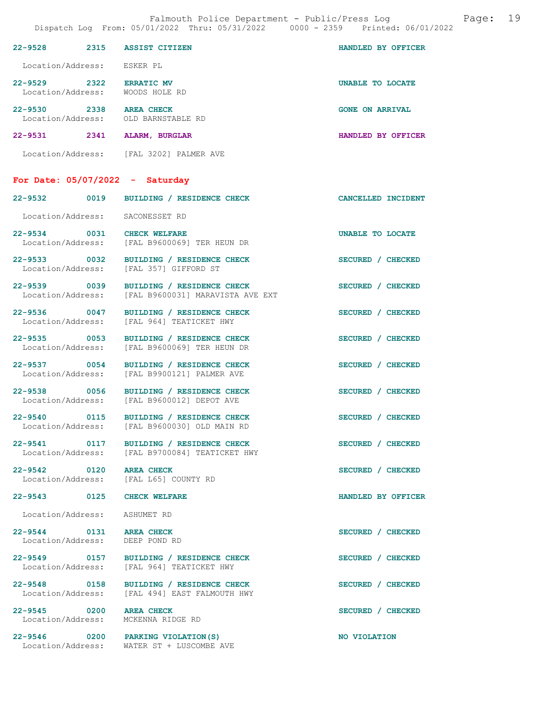|                                                                | DISPACCH LOG FIOM. 00/01/2022 INIU. 00/01/2022                                                | UUUU T ZJJJ<br>FIINLEU. VO/VI/ZU |
|----------------------------------------------------------------|-----------------------------------------------------------------------------------------------|----------------------------------|
| 22-9528 2315 ASSIST CITIZEN                                    |                                                                                               | HANDLED BY OFFICER               |
| Location/Address: ESKER PL                                     |                                                                                               |                                  |
| 22-9529 2322 ERRATIC MV<br>Location/Address: WOODS HOLE RD     |                                                                                               | UNABLE TO LOCATE                 |
| 22-9530 2338 AREA CHECK<br>Location/Address: OLD BARNSTABLE RD |                                                                                               | <b>GONE ON ARRIVAL</b>           |
| 22-9531 2341 ALARM, BURGLAR                                    |                                                                                               | HANDLED BY OFFICER               |
|                                                                | Location/Address: [FAL 3202] PALMER AVE                                                       |                                  |
| For Date: $05/07/2022 -$ Saturday                              |                                                                                               |                                  |
|                                                                | 22-9532 0019 BUILDING / RESIDENCE CHECK                                                       | CANCELLED INCIDENT               |
| Location/Address: SACONESSET RD                                |                                                                                               |                                  |
|                                                                | 22-9534 0031 CHECK WELFARE<br>Location/Address: [FAL B9600069] TER HEUN DR                    | UNABLE TO LOCATE                 |
|                                                                | 22-9533 0032 BUILDING / RESIDENCE CHECK<br>Location/Address: [FAL 357] GIFFORD ST             | SECURED / CHECKED                |
|                                                                | 22-9539 0039 BUILDING / RESIDENCE CHECK<br>Location/Address: [FAL B9600031] MARAVISTA AVE EXT | SECURED / CHECKED                |
|                                                                | 22-9536 0047 BUILDING / RESIDENCE CHECK<br>Location/Address: [FAL 964] TEATICKET HWY          | SECURED / CHECKED                |
|                                                                | 22-9535 0053 BUILDING / RESIDENCE CHECK<br>Location/Address: [FAL B9600069] TER HEUN DR       | SECURED / CHECKED                |
|                                                                | 22-9537 0054 BUILDING / RESIDENCE CHECK<br>Location/Address: [FAL B9900121] PALMER AVE        | SECURED / CHECKED                |
|                                                                | 22-9538 0056 BUILDING / RESIDENCE CHECK<br>Location/Address: [FAL B9600012] DEPOT AVE         | SECURED / CHECKED                |
|                                                                | 22-9540 0115 BUILDING / RESIDENCE CHECK<br>Location/Address: [FAL B9600030] OLD MAIN RD       | SECURED / CHECKED                |
|                                                                | 22-9541 0117 BUILDING / RESIDENCE CHECK<br>Location/Address: [FAL B9700084] TEATICKET HWY     | SECURED / CHECKED                |
| 22-9542 0120 AREA CHECK                                        | Location/Address: [FAL L65] COUNTY RD                                                         | SECURED / CHECKED                |
| 22-9543 0125 CHECK WELFARE                                     |                                                                                               | HANDLED BY OFFICER               |
| Location/Address: ASHUMET RD                                   |                                                                                               |                                  |
| 22-9544 0131 AREA CHECK<br>Location/Address: DEEP POND RD      |                                                                                               | SECURED / CHECKED                |
|                                                                | 22-9549 0157 BUILDING / RESIDENCE CHECK<br>Location/Address: [FAL 964] TEATICKET HWY          | SECURED / CHECKED                |
|                                                                | 22-9548 0158 BUILDING / RESIDENCE CHECK<br>Location/Address: [FAL 494] EAST FALMOUTH HWY      | SECURED / CHECKED                |
| 22-9545 0200 AREA CHECK<br>Location/Address: MCKENNA RIDGE RD  |                                                                                               | SECURED / CHECKED                |
|                                                                | 22-9546 0200 PARKING VIOLATION (S)                                                            | NO VIOLATION                     |

Location/Address: WATER ST + LUSCOMBE AVE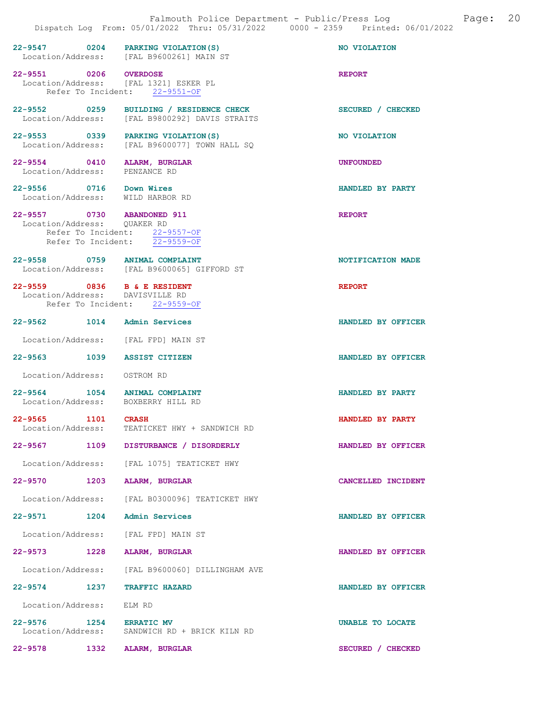|                                                                | 22-9547 0204 PARKING VIOLATION (S)<br>Location/Address: [FAL B9600261] MAIN ST      | NO VIOLATION       |
|----------------------------------------------------------------|-------------------------------------------------------------------------------------|--------------------|
| 22-9551 0206 OVERDOSE                                          | Location/Address: [FAL 1321] ESKER PL<br>Refer To Incident: 22-9551-OF              | <b>REPORT</b>      |
| 22-9552 0259                                                   | BUILDING / RESIDENCE CHECK<br>Location/Address: [FAL B9800292] DAVIS STRAITS        | SECURED / CHECKED  |
|                                                                | 22-9553 0339 PARKING VIOLATION (S)<br>Location/Address: [FAL B9600077] TOWN HALL SQ | NO VIOLATION       |
| 22-9554 0410 ALARM, BURGLAR<br>Location/Address:               | PENZANCE RD                                                                         | <b>UNFOUNDED</b>   |
| 22-9556 0716 Down Wires<br>Location/Address: WILD HARBOR RD    |                                                                                     | HANDLED BY PARTY   |
| 22-9557 0730 ABANDONED 911<br>Location/Address: QUAKER RD      | Refer To Incident: 22-9557-OF<br>Refer To Incident: 22-9559-OF                      | <b>REPORT</b>      |
| 22-9558 0759 ANIMAL COMPLAINT                                  | Location/Address: [FAL B9600065] GIFFORD ST                                         | NOTIFICATION MADE  |
| 22-9559 0836 B & E RESIDENT<br>Location/Address: DAVISVILLE RD | Refer To Incident: 22-9559-OF                                                       | <b>REPORT</b>      |
| 22-9562 1014 Admin Services                                    |                                                                                     | HANDLED BY OFFICER |
|                                                                | Location/Address: [FAL FPD] MAIN ST                                                 |                    |
| 22-9563 1039 ASSIST CITIZEN                                    |                                                                                     | HANDLED BY OFFICER |
| Location/Address: OSTROM RD                                    |                                                                                     |                    |
| 22-9564 1054 ANIMAL COMPLAINT                                  | Location/Address: BOXBERRY HILL RD                                                  | HANDLED BY PARTY   |
| 22-9565 1101 CRASH                                             | Location/Address: TEATICKET HWY + SANDWICH RD                                       | HANDLED BY PARTY   |
| 22-9567 2014<br>1109                                           | DISTURBANCE / DISORDERLY                                                            | HANDLED BY OFFICER |
|                                                                | Location/Address: [FAL 1075] TEATICKET HWY                                          |                    |
| 22-9570 1203 ALARM, BURGLAR                                    |                                                                                     | CANCELLED INCIDENT |
|                                                                | Location/Address: [FAL B0300096] TEATICKET HWY                                      |                    |
| 22-9571 1204 Admin Services                                    |                                                                                     | HANDLED BY OFFICER |
|                                                                | Location/Address: [FAL FPD] MAIN ST                                                 |                    |
| 22-9573 1228                                                   | <b>ALARM, BURGLAR</b>                                                               | HANDLED BY OFFICER |
|                                                                | Location/Address: [FAL B9600060] DILLINGHAM AVE                                     |                    |
| 22-9574 1237                                                   | <b>TRAFFIC HAZARD</b>                                                               | HANDLED BY OFFICER |
| Location/Address:                                              | ELM RD                                                                              |                    |
| 22-9576 1254 ERRATIC MV                                        | Location/Address: SANDWICH RD + BRICK KILN RD                                       | UNABLE TO LOCATE   |
| 22-9578 1332 ALARM, BURGLAR                                    |                                                                                     | SECURED / CHECKED  |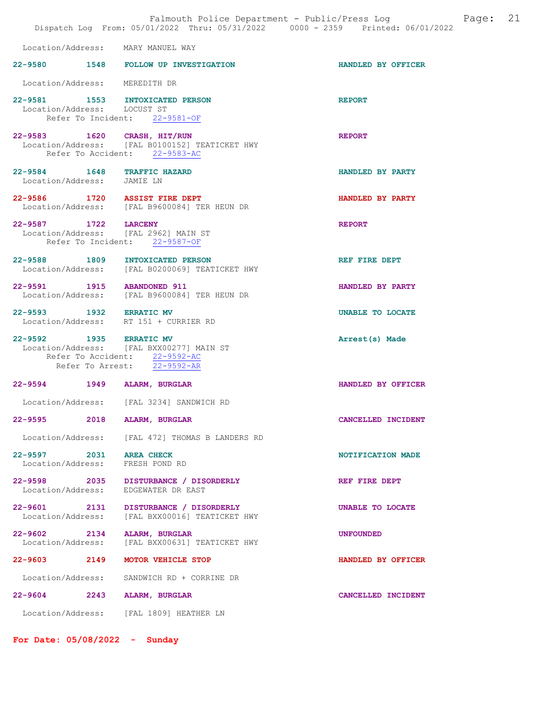|                                                              | Falmouth Police Department - Public/Press Log<br>Dispatch Log From: 05/01/2022 Thru: 05/31/2022 0000 - 2359 Printed: 06/01/2022 | 21<br>Page:        |
|--------------------------------------------------------------|---------------------------------------------------------------------------------------------------------------------------------|--------------------|
| Location/Address: MARY MANUEL WAY                            |                                                                                                                                 |                    |
|                                                              | 22-9580 1548 FOLLOW UP INVESTIGATION                                                                                            | HANDLED BY OFFICER |
| Location/Address: MEREDITH DR                                |                                                                                                                                 |                    |
| 22-9581<br>Location/Address: LOCUST ST                       | 1553 INTOXICATED PERSON<br>Refer To Incident: 22-9581-OF                                                                        | <b>REPORT</b>      |
| 22-9583 1620 CRASH, HIT/RUN                                  | Location/Address: [FAL B0100152] TEATICKET HWY<br>Refer To Accident: 22-9583-AC                                                 | <b>REPORT</b>      |
| 22-9584 1648<br>Location/Address: JAMIE LN                   | <b>TRAFFIC HAZARD</b>                                                                                                           | HANDLED BY PARTY   |
| 22-9586 1720 ASSIST FIRE DEPT                                | Location/Address: [FAL B9600084] TER HEUN DR                                                                                    | HANDLED BY PARTY   |
| 22-9587 1722 LARCENY<br>Location/Address: [FAL 2962] MAIN ST | Refer To Incident: 22-9587-OF                                                                                                   | <b>REPORT</b>      |
| 22-9588 1809                                                 | INTOXICATED PERSON<br>Location/Address: [FAL B0200069] TEATICKET HWY                                                            | REF FIRE DEPT      |
| 22-9591 1915 ABANDONED 911                                   | Location/Address: [FAL B9600084] TER HEUN DR                                                                                    | HANDLED BY PARTY   |
| 22-9593 1932                                                 | <b>ERRATIC MV</b><br>Location/Address: RT 151 + CURRIER RD                                                                      | UNABLE TO LOCATE   |
| 22-9592 1935 ERRATIC MV                                      | Location/Address: [FAL BXX00277] MAIN ST<br>Refer To Accident: 22-9592-AC<br>Refer To Arrest: $\overline{22-9592-AR}$           | Arrest(s) Made     |
| 22-9594 1949 ALARM, BURGLAR                                  |                                                                                                                                 | HANDLED BY OFFICER |
|                                                              | Location/Address: [FAL 3234] SANDWICH RD                                                                                        |                    |
| 22-9595<br>2018                                              | ALARM, BURGLAR                                                                                                                  | CANCELLED INCIDENT |
|                                                              | Location/Address: [FAL 472] THOMAS B LANDERS RD                                                                                 |                    |
| 22-9597 2031<br>Location/Address: FRESH POND RD              | <b>AREA CHECK</b>                                                                                                               | NOTIFICATION MADE  |
| 22-9598 2035<br>Location/Address:                            | DISTURBANCE / DISORDERLY<br>EDGEWATER DR EAST                                                                                   | REF FIRE DEPT      |
| 22-9601 2131<br>Location/Address:                            | DISTURBANCE / DISORDERLY<br>[FAL BXX00016] TEATICKET HWY                                                                        | UNABLE TO LOCATE   |
| 22-9602 2134<br>Location/Address:                            | ALARM, BURGLAR<br>[FAL BXX00631] TEATICKET HWY                                                                                  | <b>UNFOUNDED</b>   |
| 22-9603 2149                                                 | MOTOR VEHICLE STOP                                                                                                              | HANDLED BY OFFICER |
| Location/Address:                                            | SANDWICH RD + CORRINE DR                                                                                                        |                    |
| 22-9604 2243 ALARM, BURGLAR                                  |                                                                                                                                 | CANCELLED INCIDENT |
|                                                              | Location/Address: [FAL 1809] HEATHER LN                                                                                         |                    |

For Date: 05/08/2022 - Sunday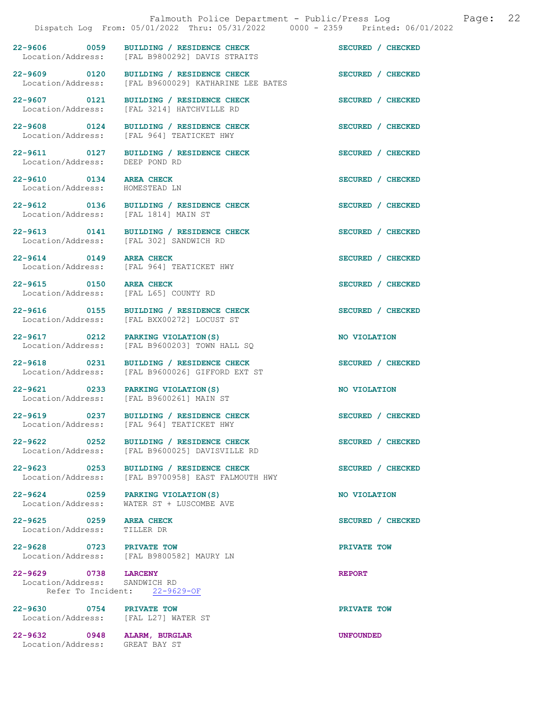22-9606 0059 BUILDING / RESIDENCE CHECK<br>
Location/Address: [FAL B9800292] DAVIS STRAITS [FAL B9800292] DAVIS STRAITS 22-9609 0120 BUILDING / RESIDENCE CHECK<br>Location/Address: [FAL B9600029] KATHARINE LEE BATES [FAL B9600029] KATHARINE LEE BATES 22-9607 0121 BUILDING / RESIDENCE CHECK SECURED / CHECKED Location/Address: [FAL 3214] HATCHVILLE RD 22-9608 0124 BUILDING / RESIDENCE CHECK SECURED / CHECKED Location/Address: [FAL 964] TEATICKET HWY 22-9611 0127 BUILDING / RESIDENCE CHECK SECURED / CHECKED Location/Address: DEEP POND RD Location/Address: 22-9610 0134 AREA CHECK SECURED / CHECKED Location/Address: HOMESTEAD LN 22-9612 0136 BUILDING / RESIDENCE CHECK SECURED / CHECKED Location/Address: [FAL 1814] MAIN ST 22-9613 0141 BUILDING / RESIDENCE CHECK SECURED / CHECKED Location/Address: [FAL 302] SANDWICH RD 22-9614 0149 AREA CHECK SECURED / CHECKED Location/Address: [FAL 964] TEATICKET HWY 22-9615 0150 AREA CHECK SECURED / CHECKED<br>
Location/Address: [FAL L65] COUNTY RD [FAL L65] COUNTY RD 22-9616 0155 BUILDING / RESIDENCE CHECK SECURED / CHECKED Location/Address: [FAL BXX00272] LOCUST ST Location/Address: [FAL BXX00272] LOCUST ST 22-9617 0212 PARKING VIOLATION(S) NO VIOLATION Location/Address: [FAL B9600203] TOWN HALL SQ 22-9618 0231 BUILDING / RESIDENCE CHECK SECURED / CHECKED Location/Address: [FAL B9600026] GIFFORD EXT ST 22-9621 0233 PARKING VIOLATION(S) NO VIOLATION

22-9625 0259 AREA CHECK SECURED / CHECKED Location/Address: TILLER DR

22-9629 0738 LARCENY REPORT Location/Address: SANDWICH RD Refer To Incident: 22-9629-OF

22-9630 0754 PRIVATE TOW DOCATION PRIVATE TOW DOCATION Address: [FAL L27] WATER ST

[FAL L27] WATER ST

22-9632 0948 ALARM, BURGLAR UNFOUNDED Location/Address: GREAT BAY ST

Location/Address: [FAL B9600261] MAIN ST

22-9619 0237 BUILDING / RESIDENCE CHECK SECURED / CHECKED Location/Address: [FAL 964] TEATICKET HWY [FAL 964] TEATICKET HWY

22-9622 0252 BUILDING / RESIDENCE CHECK<br>
Location/Address: [FAL B9600025] DAVISVILLE RD Location/Address: [FAL B9600025] DAVISVILLE RD

22-9623 0253 BUILDING / RESIDENCE CHECK SECURED / CHECKED Location/Address: [FAL B9700958] EAST FALMOUTH HWY

22-9624 0259 PARKING VIOLATION(S) NO VIOLATION Location/Address: WATER ST + LUSCOMBE AVE

22-9628 0723 PRIVATE TOW PRIVATE TOW Location/Address: [FAL B9800582] MAURY LN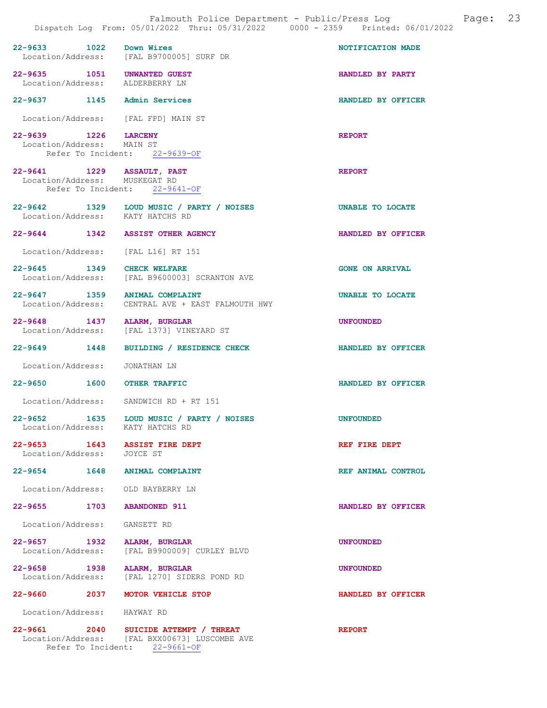|                                                                | Falmouth Police Department - Public/Press Log Fage: 23<br>Dispatch Log From: 05/01/2022 Thru: 05/31/2022 0000 - 2359 Printed: 06/01/2022 |                        |  |
|----------------------------------------------------------------|------------------------------------------------------------------------------------------------------------------------------------------|------------------------|--|
| 22-9633 1022 Down Wires                                        | Location/Address: [FAL B9700005] SURF DR                                                                                                 | NOTIFICATION MADE      |  |
| 22-9635 1051 UNWANTED GUEST<br>Location/Address: ALDERBERRY LN |                                                                                                                                          | HANDLED BY PARTY       |  |
| 22-9637 1145 Admin Services                                    |                                                                                                                                          | HANDLED BY OFFICER     |  |
| Location/Address: [FAL FPD] MAIN ST                            |                                                                                                                                          |                        |  |
| 22-9639 1226 LARCENY<br>Location/Address: MAIN ST              | Refer To Incident: 22-9639-OF                                                                                                            | <b>REPORT</b>          |  |
| 22-9641 1229 ASSAULT, PAST<br>Location/Address: MUSKEGAT RD    | Refer To Incident: 22-9641-OF                                                                                                            | <b>REPORT</b>          |  |
| Location/Address: KATY HATCHS RD                               | 22-9642 1329 LOUD MUSIC / PARTY / NOISES                                                                                                 | UNABLE TO LOCATE       |  |
|                                                                | 22-9644 1342 ASSIST OTHER AGENCY                                                                                                         | HANDLED BY OFFICER     |  |
| Location/Address: [FAL L16] RT 151                             |                                                                                                                                          |                        |  |
| 22-9645 1349 CHECK WELFARE                                     | Location/Address: [FAL B9600003] SCRANTON AVE                                                                                            | <b>GONE ON ARRIVAL</b> |  |
| 22-9647 1359 ANIMAL COMPLAINT                                  | Location/Address: CENTRAL AVE + EAST FALMOUTH HWY                                                                                        | UNABLE TO LOCATE       |  |
| 22-9648 1437 ALARM, BURGLAR                                    | Location/Address: [FAL 1373] VINEYARD ST                                                                                                 | <b>UNFOUNDED</b>       |  |
|                                                                | 22-9649 1448 BUILDING / RESIDENCE CHECK                                                                                                  | HANDLED BY OFFICER     |  |
| Location/Address: JONATHAN LN                                  |                                                                                                                                          |                        |  |
| 22-9650 1600 OTHER TRAFFIC                                     |                                                                                                                                          | HANDLED BY OFFICER     |  |
|                                                                | Location/Address: SANDWICH RD + RT 151                                                                                                   |                        |  |
| Location/Address:                                              | 22-9652 1635 LOUD MUSIC / PARTY / NOISES<br>KATY HATCHS RD                                                                               | <b>UNFOUNDED</b>       |  |
| 22-9653 1643 ASSIST FIRE DEPT<br>Location/Address:             | JOYCE ST                                                                                                                                 | REF FIRE DEPT          |  |
| 22-9654 1648 ANIMAL COMPLAINT                                  |                                                                                                                                          | REF ANIMAL CONTROL     |  |
| Location/Address: OLD BAYBERRY LN                              |                                                                                                                                          |                        |  |
| 22-9655 1703 ABANDONED 911                                     |                                                                                                                                          | HANDLED BY OFFICER     |  |
| Location/Address:                                              | GANSETT RD                                                                                                                               |                        |  |
| 22-9657 1932<br>Location/Address:                              | ALARM, BURGLAR<br>[FAL B9900009] CURLEY BLVD                                                                                             | <b>UNFOUNDED</b>       |  |
| 22-9658 1938 ALARM, BURGLAR<br>Location/Address:               | [FAL 1270] SIDERS POND RD                                                                                                                | <b>UNFOUNDED</b>       |  |
|                                                                | 22-9660 2037 MOTOR VEHICLE STOP                                                                                                          | HANDLED BY OFFICER     |  |
| Location/Address: HAYWAY RD                                    |                                                                                                                                          |                        |  |
|                                                                | 20-9661 2040 SUICIDE ATTEMPT / THREAT<br>Location/Address: [FAL BXX00673] LUSCOMBE AVE<br>Refer To Incident: 22-9661-OF                  | <b>REPORT</b>          |  |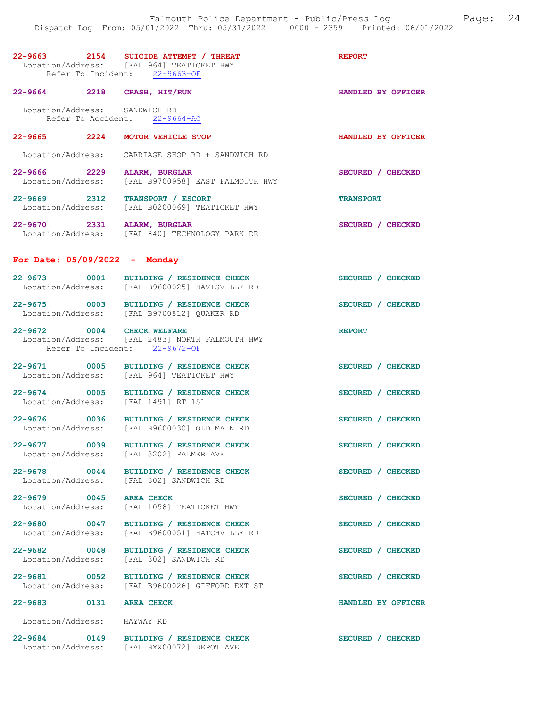|                                     | 22-9663 2154 SUICIDE ATTEMPT / THREAT<br>Location/Address: [FAL 964] TEATICKET HWY<br>Refer To Incident: 22-9663-OF | <b>REPORT</b>      |
|-------------------------------------|---------------------------------------------------------------------------------------------------------------------|--------------------|
| 22-9664 2218 CRASH, HIT/RUN         |                                                                                                                     | HANDLED BY OFFICER |
| Location/Address: SANDWICH RD       | Refer To Accident: 22-9664-AC                                                                                       |                    |
| 22-9665 2224 MOTOR VEHICLE STOP     |                                                                                                                     | HANDLED BY OFFICER |
|                                     | Location/Address: CARRIAGE SHOP RD + SANDWICH RD                                                                    |                    |
| 22-9666 2229 ALARM, BURGLAR         | Location/Address: [FAL B9700958] EAST FALMOUTH HWY                                                                  | SECURED / CHECKED  |
| 22-9669 2312 TRANSPORT / ESCORT     | Location/Address: [FAL B0200069] TEATICKET HWY                                                                      | <b>TRANSPORT</b>   |
| 22-9670 2331 ALARM, BURGLAR         | Location/Address: [FAL 840] TECHNOLOGY PARK DR                                                                      | SECURED / CHECKED  |
| For Date: $05/09/2022 -$ Monday     |                                                                                                                     |                    |
|                                     | 22-9673 0001 BUILDING / RESIDENCE CHECK<br>Location/Address: [FAL B9600025] DAVISVILLE RD                           | SECURED / CHECKED  |
|                                     | 22-9675 0003 BUILDING / RESIDENCE CHECK<br>Location/Address: [FAL B9700812] QUAKER RD                               | SECURED / CHECKED  |
| 22-9672 0004 CHECK WELFARE          | Location/Address: [FAL 2483] NORTH FALMOUTH HWY<br>Refer To Incident: 22-9672-OF                                    | <b>REPORT</b>      |
|                                     | 22-9671 0005 BUILDING / RESIDENCE CHECK<br>Location/Address: [FAL 964] TEATICKET HWY                                | SECURED / CHECKED  |
| Location/Address: [FAL 1491] RT 151 | 22-9674 0005 BUILDING / RESIDENCE CHECK                                                                             | SECURED / CHECKED  |
|                                     | 22-9676 0036 BUILDING / RESIDENCE CHECK<br>Location/Address: [FAL B9600030] OLD MAIN RD                             | SECURED / CHECKED  |
|                                     | 22-9677 0039 BUILDING / RESIDENCE CHECK<br>Location/Address: [FAL 3202] PALMER AVE                                  | SECURED / CHECKED  |
|                                     | 22-9678 0044 BUILDING / RESIDENCE CHECK<br>Location/Address: [FAL 302] SANDWICH RD                                  | SECURED / CHECKED  |
| 22-9679 0045 AREA CHECK             | Location/Address: [FAL 1058] TEATICKET HWY                                                                          | SECURED / CHECKED  |
|                                     | 22-9680 0047 BUILDING / RESIDENCE CHECK<br>Location/Address: [FAL B9600051] HATCHVILLE RD                           | SECURED / CHECKED  |
| 22-9682 0048                        | BUILDING / RESIDENCE CHECK<br>Location/Address: [FAL 302] SANDWICH RD                                               | SECURED / CHECKED  |
|                                     | 22-9681 0052 BUILDING / RESIDENCE CHECK<br>Location/Address: [FAL B9600026] GIFFORD EXT ST                          | SECURED / CHECKED  |
| 22-9683 0131 AREA CHECK             |                                                                                                                     | HANDLED BY OFFICER |
| Location/Address: HAYWAY RD         |                                                                                                                     |                    |
|                                     | 22-9684 0149 BUILDING / RESIDENCE CHECK<br>Location/Address: [FAL BXX00072] DEPOT AVE                               | SECURED / CHECKED  |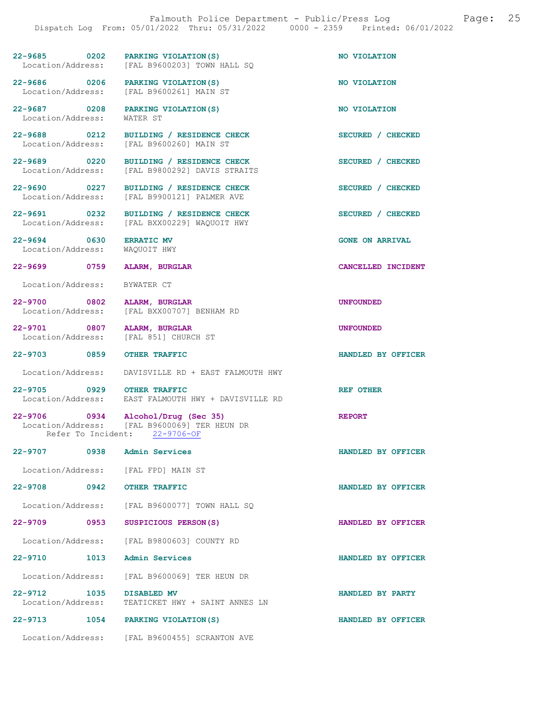| $22 - 9685$       | 0202 | PARKING VIOLATION(S)        | NO VIOLATION |
|-------------------|------|-----------------------------|--------------|
| Location/Address: |      | [FAL B9600203] TOWN HALL SO |              |

[FAL B9600261] MAIN ST

[FAL B9900121] PALMER AVE

Location/Address: [FAL BXX00229] WAQUOIT HWY

22-9686 0206 PARKING VIOLATION(S) NO VIOLATION<br>
Location/Address: [FAL B9600261] MAIN ST

22-9687 0208 PARKING VIOLATION(S) NO VIOLATION<br>
Location/Address: WATER ST Location/Address:

22-9688 0212 BUILDING / RESIDENCE CHECK SECURED / CHECKED Location/Address: [FAL B9600260] MAIN ST

22-9689 0220 BUILDING / RESIDENCE CHECK SECURED / CHECKED Location/Address: [FAL B9800292] DAVIS STRAITS

22-9690 0227 BUILDING / RESIDENCE CHECK SECURED / CHECKED Location/Address: [FAL B9900121] PALMER AVE

22-9691 0232 BUILDING / RESIDENCE CHECK SECURED / CHECKED<br>
Location/Address: [FAL BXX00229] WAQUOIT HWY

22-9694 0630 ERRATIC MV GONE ON ARRIVAL Location/Address: WAQUOIT HWY

Location/Address: BYWATER CT

22-9700 0802 ALARM, BURGLAR UNFOUNDED Location/Address: [FAL BXX00707] BENHAM RD

22-9701 0807 ALARM, BURGLAR UNFOUNDED

Location/Address: [FAL 851] CHURCH ST

Location/Address: DAVISVILLE RD + EAST FALMOUTH HWY

22-9705 0929 OTHER TRAFFIC<br>Location/Address: EAST FALMOUTH HWY + DAVISVILLE RD EAST FALMOUTH HWY + DAVISVILLE RD

22-9706 0934 Alcohol/Drug (Sec 35) REPORT Location/Address: [FAL B9600069] TER HEUN DR<br>Refer To Incident: 22-9706-OF Refer To Incident:

22-9707 0938 Admin Services HANDLED BY OFFICER

Location/Address: [FAL FPD] MAIN ST

22-9708 0942 OTHER TRAFFIC HANDLED BY OFFICER

Location/Address: [FAL B9600077] TOWN HALL SQ

22-9709 0953 SUSPICIOUS PERSON(S) HANDLED BY OFFICER

Location/Address: [FAL B9800603] COUNTY RD

22-9710 1013 Admin Services HANDLED BY OFFICER

 Location/Address: [FAL B9600069] TER HEUN DR 22-9712 1035 DISABLED MV **HANDLED BY PARTY**<br>
Location/Address: TEATICKET HWY + SAINT ANNES LN

TEATICKET HWY + SAINT ANNES LN

22-9713 1054 PARKING VIOLATION(S) HANDLED BY OFFICER

Location/Address: [FAL B9600455] SCRANTON AVE

22-9699 0759 ALARM, BURGLAR CANCELLED INCIDENT

22-9703 0859 OTHER TRAFFIC HANDLED BY OFFICER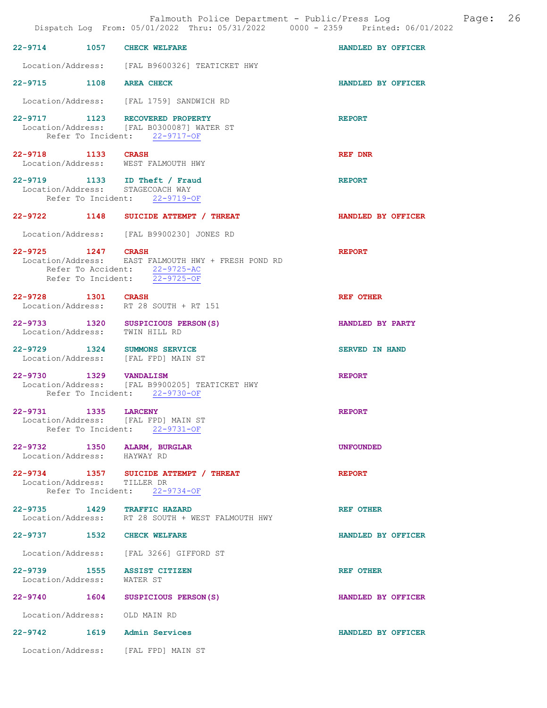|                             |      | Dispatch Log From: 05/01/2022 Thru: 05/31/2022 0000 - 2359 Printed: 06/01/2022                                        | Falmouth Police Department - Public/Press Log<br>Page: | 26 |
|-----------------------------|------|-----------------------------------------------------------------------------------------------------------------------|--------------------------------------------------------|----|
|                             |      | 22-9714 1057 CHECK WELFARE                                                                                            | HANDLED BY OFFICER                                     |    |
|                             |      | Location/Address: [FAL B9600326] TEATICKET HWY                                                                        |                                                        |    |
|                             |      | 22-9715 1108 AREA CHECK                                                                                               | HANDLED BY OFFICER                                     |    |
|                             |      | Location/Address: [FAL 1759] SANDWICH RD                                                                              |                                                        |    |
|                             |      | 22-9717 1123 RECOVERED PROPERTY<br>Location/Address: [FAL B0300087] WATER ST<br>Refer To Incident: 22-9717-OF         | <b>REPORT</b>                                          |    |
| 22-9718 1133 CRASH          |      | Location/Address: WEST FALMOUTH HWY                                                                                   | REF DNR                                                |    |
|                             |      | 22-9719 1133 ID Theft / Fraud<br>Location/Address: STAGECOACH WAY<br>Refer To Incident: 22-9719-OF                    | <b>REPORT</b>                                          |    |
|                             |      | 22-9722 1148 SUICIDE ATTEMPT / THREAT                                                                                 | HANDLED BY OFFICER                                     |    |
|                             |      | Location/Address: [FAL B9900230] JONES RD                                                                             |                                                        |    |
| 22-9725 1247 CRASH          |      | Location/Address: EAST FALMOUTH HWY + FRESH POND RD<br>Refer To Accident: 22-9725-AC<br>Refer To Incident: 22-9725-OF | <b>REPORT</b>                                          |    |
| 22-9728 1301 CRASH          |      | Location/Address: RT 28 SOUTH + RT 151                                                                                | <b>REF OTHER</b>                                       |    |
|                             |      | 22-9733 1320 SUSPICIOUS PERSON(S)<br>Location/Address: TWIN HILL RD                                                   | HANDLED BY PARTY                                       |    |
|                             |      | 22-9729 1324 SUMMONS SERVICE<br>Location/Address: [FAL FPD] MAIN ST                                                   | <b>SERVED IN HAND</b>                                  |    |
| 22-9730                     |      | 1329 VANDALISM<br>Location/Address: [FAL B9900205] TEATICKET HWY<br>Refer To Incident: 22-9730-OF                     | <b>REPORT</b>                                          |    |
| 22-9731                     | 1335 | <b>LARCENY</b><br>Location/Address: [FAL FPD] MAIN ST<br>Refer To Incident: 22-9731-OF                                | <b>REPORT</b>                                          |    |
| Location/Address: HAYWAY RD |      | 22-9732 1350 ALARM, BURGLAR                                                                                           | <b>UNFOUNDED</b>                                       |    |
| Location/Address: TILLER DR |      | 22-9734 1357 SUICIDE ATTEMPT / THREAT<br>Refer To Incident: 22-9734-OF                                                | <b>REPORT</b>                                          |    |
|                             |      | 22-9735 1429 TRAFFIC HAZARD<br>Location/Address: RT 28 SOUTH + WEST FALMOUTH HWY                                      | REF OTHER                                              |    |
|                             |      | 22-9737 1532 CHECK WELFARE                                                                                            | HANDLED BY OFFICER                                     |    |
|                             |      | Location/Address: [FAL 3266] GIFFORD ST                                                                               |                                                        |    |
| Location/Address: WATER ST  |      | 22-9739 1555 ASSIST CITIZEN                                                                                           | <b>REF OTHER</b>                                       |    |
|                             |      | 22-9740 1604 SUSPICIOUS PERSON(S)                                                                                     | HANDLED BY OFFICER                                     |    |
|                             |      | Location/Address: OLD MAIN RD                                                                                         |                                                        |    |
|                             |      | 22-9742 1619 Admin Services                                                                                           | HANDLED BY OFFICER                                     |    |
|                             |      | Location/Address: [FAL FPD] MAIN ST                                                                                   |                                                        |    |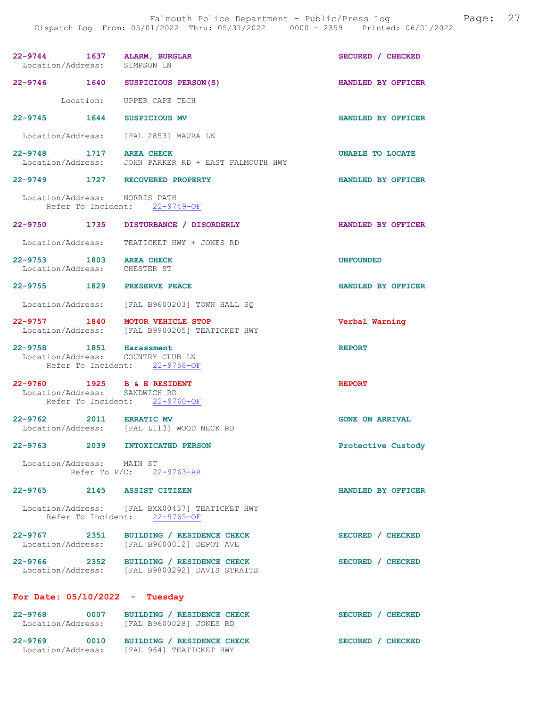| 22-9744 1637 ALARM, BURGLAR<br>Location/Address: SIMPSON LN  |                                                                                           | SECURED / CHECKED      |
|--------------------------------------------------------------|-------------------------------------------------------------------------------------------|------------------------|
| 22-9746 1640 SUSPICIOUS PERSON(S)                            |                                                                                           | HANDLED BY OFFICER     |
|                                                              | Location: UPPER CAPE TECH                                                                 |                        |
| 22-9745 1644 SUSPICIOUS MV                                   |                                                                                           | HANDLED BY OFFICER     |
| Location/Address: [FAL 2853] MAURA LN                        |                                                                                           |                        |
| 22-9748 1717 AREA CHECK                                      | Location/Address: JOHN PARKER RD + EAST FALMOUTH HWY                                      | UNABLE TO LOCATE       |
| 22-9749 1727 RECOVERED PROPERTY                              |                                                                                           | HANDLED BY OFFICER     |
| Location/Address: NORRIS PATH                                | Refer To Incident: 22-9749-OF                                                             |                        |
|                                                              | 22-9750 1735 DISTURBANCE / DISORDERLY                                                     | HANDLED BY OFFICER     |
|                                                              | Location/Address: TEATICKET HWY + JONES RD                                                |                        |
| 22-9753 1803 AREA CHECK<br>Location/Address: CHESTER ST      |                                                                                           | <b>UNFOUNDED</b>       |
| 22-9755 1829 PRESERVE PEACE                                  |                                                                                           | HANDLED BY OFFICER     |
|                                                              | Location/Address: [FAL B9600203] TOWN HALL SQ                                             |                        |
| 22-9757 1840 MOTOR VEHICLE STOP                              | Location/Address: [FAL B9900205] TEATICKET HWY                                            | Verbal Warning         |
| 22-9758 1851 Harassment<br>Location/Address: COUNTRY CLUB LN | Refer To Incident: 22-9758-OF                                                             | <b>REPORT</b>          |
| 22-9760 1925 B & E RESIDENT<br>Location/Address: SANDWICH RD | Refer To Incident: 22-9760-OF                                                             | <b>REPORT</b>          |
| 22-9762 2011 ERRATIC MV                                      | Location/Address: [FAL L113] WOOD NECK RD                                                 | <b>GONE ON ARRIVAL</b> |
| 22-9763 2039 INTOXICATED PERSON                              |                                                                                           | Protective Custody     |
| Location/Address: MAIN ST                                    | Refer To P/C: 22-9763-AR                                                                  |                        |
| 22-9765 2145 ASSIST CITIZEN                                  |                                                                                           | HANDLED BY OFFICER     |
|                                                              | Location/Address: [FAL BXX00437] TEATICKET HWY<br>Refer To Incident: 22-9765-OF           |                        |
|                                                              | 22-9767 2351 BUILDING / RESIDENCE CHECK<br>Location/Address: [FAL B9600012] DEPOT AVE     | SECURED / CHECKED      |
|                                                              | 22-9766 2352 BUILDING / RESIDENCE CHECK<br>Location/Address: [FAL B9800292] DAVIS STRAITS | SECURED / CHECKED      |
| For Date: $05/10/2022 - Tuesday$                             |                                                                                           |                        |
|                                                              | 22-9768 0007 BUILDING / RESIDENCE CHECK<br>Location/Address: [FAL B9600028] JONES RD      | SECURED / CHECKED      |

| 22-9769           | 0010 | BUILDING / RESIDENCE CHECK | SECURED / CHECKED |
|-------------------|------|----------------------------|-------------------|
| Location/Address: |      | FAL 9641 TEATICKET HWY     |                   |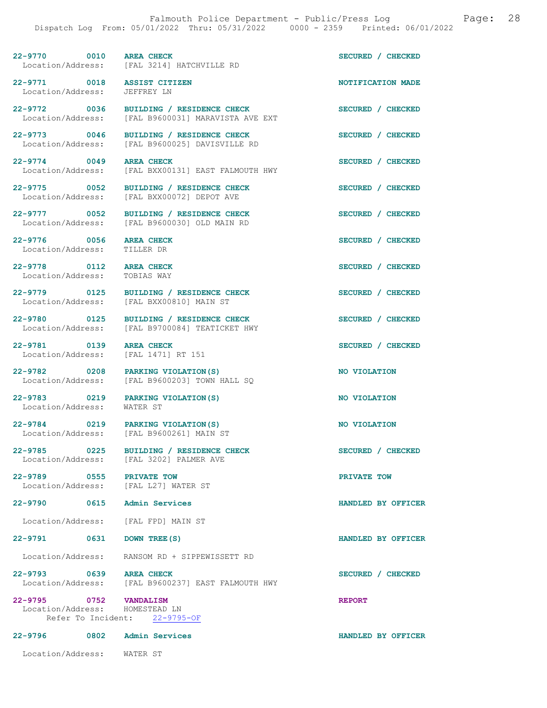22-9770 0010 AREA CHECK SECURED / CHECKED Location/Address: [FAL 3214] HATCHVILLE RD

22-9771 0018 ASSIST CITIZEN NOTIFICATION MADE Location/Address: JEFFREY LN

22-9776 0056 AREA CHECK SECURED / CHECKED Location/Address: TILLER DR Location/Address:

22-9778 0112 AREA CHECK SECURED / CHECKED Location/Address: TOBIAS WAY

22-9781 0139 AREA CHECK SECURED / CHECKED<br>
Location/Address: [FAL 1471] RT 151

22-9783 0219 PARKING VIOLATION(S) NO VIOLATION<br>Location/Address: WATER ST Location/Address:

22-9789 0555 PRIVATE TOW DOCATION PRIVATE TOW DOCATION Address: [FAL L27] WATER ST

22-9790 0615 Admin Services HANDLED BY OFFICER

22-9795 0752 VANDALISM REPORT Location/Address: HOMESTEAD LN<br>Refer To Incident: 22-9795-OF Refer To Incident:

22-9796 0802 Admin Services HANDLED BY OFFICER

Location/Address: WATER ST

22-9772 0036 BUILDING / RESIDENCE CHECK SECURED / CHECKED

Location/Address: [FAL B9600031] MARAVISTA AVE EXT

22-9773 0046 BUILDING / RESIDENCE CHECK SECURED / CHECKED Location/Address: [FAL B9600025] DAVISVILLE RD

[FAL 3214] HATCHVILLE RD

22-9774 0049 AREA CHECK SECURED / CHECKED Location/Address: [FAL BXX00131] EAST FALMOUTH HWY

22-9775 0052 BUILDING / RESIDENCE CHECK SECURED / CHECKED Location/Address: [FAL BXX00072] DEPOT AVE [FAL BXX00072] DEPOT AVE

22-9777 0052 BUILDING / RESIDENCE CHECK SECURED / CHECKED<br>Location/Address: [FAL B9600030] OLD MAIN RD [FAL B9600030] OLD MAIN RD

22-9779 0125 BUILDING / RESIDENCE CHECK SECURED / CHECKED<br>
Location/Address: [FAL BXX00810] MAIN ST [FAL BXX00810] MAIN ST

22-9780 0125 BUILDING / RESIDENCE CHECK SECURED / CHECKED Location/Address: [FAL B9700084] TEATICKET HWY [FAL B9700084] TEATICKET HWY

Location/Address: [FAL 1471] RT 151

22-9782 0208 PARKING VIOLATION(S) NO VIOLATION Location/Address: [FAL B9600203] TOWN HALL SQ

22-9784 0219 PARKING VIOLATION(S) NO VIOLATION<br>
Location/Address: [FAL B9600261] MAIN ST [FAL B9600261] MAIN ST

22-9785 0225 BUILDING / RESIDENCE CHECK SECURED / CHECKED Location/Address: [FAL 3202] PALMER AVE [FAL 3202] PALMER AVE

[FAL L27] WATER ST

Location/Address: [FAL FPD] MAIN ST

22-9791 0631 DOWN TREE(S) HANDLED BY OFFICER

Location/Address: RANSOM RD + SIPPEWISSETT RD

22-9793 0639 AREA CHECK SECURED / CHECKED<br>Location/Address: [FAL B9600237] EAST FALMOUTH HWY [FAL B9600237] EAST FALMOUTH HWY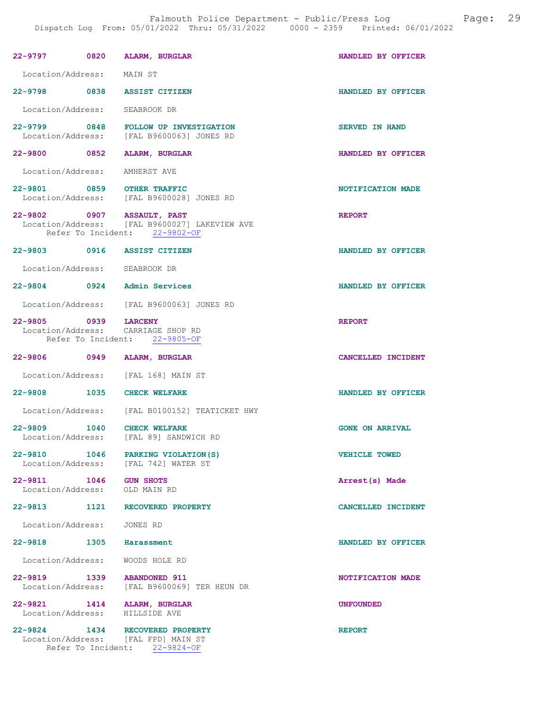| 22-9797                                                 | 0820 | ALARM, BURGLAR                                                                                               | HANDLED BY OFFICER       |
|---------------------------------------------------------|------|--------------------------------------------------------------------------------------------------------------|--------------------------|
| Location/Address: MAIN ST                               |      |                                                                                                              |                          |
|                                                         |      | 22-9798 0838 ASSIST CITIZEN                                                                                  | HANDLED BY OFFICER       |
| Location/Address: SEABROOK DR                           |      |                                                                                                              |                          |
|                                                         |      | 22-9799 0848 FOLLOW UP INVESTIGATION<br>Location/Address: [FAL B9600063] JONES RD                            | <b>SERVED IN HAND</b>    |
| 22-9800 0852                                            |      | <b>ALARM, BURGLAR</b>                                                                                        | HANDLED BY OFFICER       |
| Location/Address: AMHERST AVE                           |      |                                                                                                              |                          |
|                                                         |      | 22-9801 0859 OTHER TRAFFIC<br>Location/Address: [FAL B9600028] JONES RD                                      | NOTIFICATION MADE        |
|                                                         |      | 22-9802 0907 ASSAULT, PAST<br>Location/Address: [FAL B9600027] LAKEVIEW AVE<br>Refer To Incident: 22-9802-OF | <b>REPORT</b>            |
|                                                         |      | 22-9803 0916 ASSIST CITIZEN                                                                                  | HANDLED BY OFFICER       |
| Location/Address: SEABROOK DR                           |      |                                                                                                              |                          |
|                                                         |      | 22-9804 0924 Admin Services                                                                                  | HANDLED BY OFFICER       |
|                                                         |      | Location/Address: [FAL B9600063] JONES RD                                                                    |                          |
| 22-9805 0939 LARCENY                                    |      | Location/Address: CARRIAGE SHOP RD<br>Refer To Incident: 22-9805-OF                                          | <b>REPORT</b>            |
|                                                         |      |                                                                                                              |                          |
| 22-9806 0949                                            |      | <b>ALARM, BURGLAR</b>                                                                                        | CANCELLED INCIDENT       |
|                                                         |      | Location/Address: [FAL 168] MAIN ST                                                                          |                          |
| 22-9808 1035 CHECK WELFARE                              |      |                                                                                                              | HANDLED BY OFFICER       |
|                                                         |      | Location/Address: [FAL B0100152] TEATICKET HWY                                                               |                          |
|                                                         |      | 22-9809 1040 CHECK WELFARE<br>Location/Address: [FAL 89] SANDWICH RD                                         | <b>GONE ON ARRIVAL</b>   |
|                                                         |      | 22-9810 1046 PARKING VIOLATION (S)<br>Location/Address: [FAL 742] WATER ST                                   | <b>VEHICLE TOWED</b>     |
| 22-9811 1046 GUN SHOTS<br>Location/Address: OLD MAIN RD |      |                                                                                                              | Arrest(s) Made           |
| 22-9813 1121                                            |      | RECOVERED PROPERTY                                                                                           | CANCELLED INCIDENT       |
| Location/Address:                                       |      | JONES RD                                                                                                     |                          |
| $22 - 9818$                                             | 1305 | Harassment                                                                                                   | HANDLED BY OFFICER       |
| Location/Address:                                       |      | WOODS HOLE RD                                                                                                |                          |
|                                                         |      | 22-9819 1339 ABANDONED 911<br>Location/Address: [FAL B9600069] TER HEUN DR                                   | <b>NOTIFICATION MADE</b> |
| 22-9821                                                 |      | 1414 ALARM, BURGLAR<br>Location/Address: HILLSIDE AVE                                                        | <b>UNFOUNDED</b>         |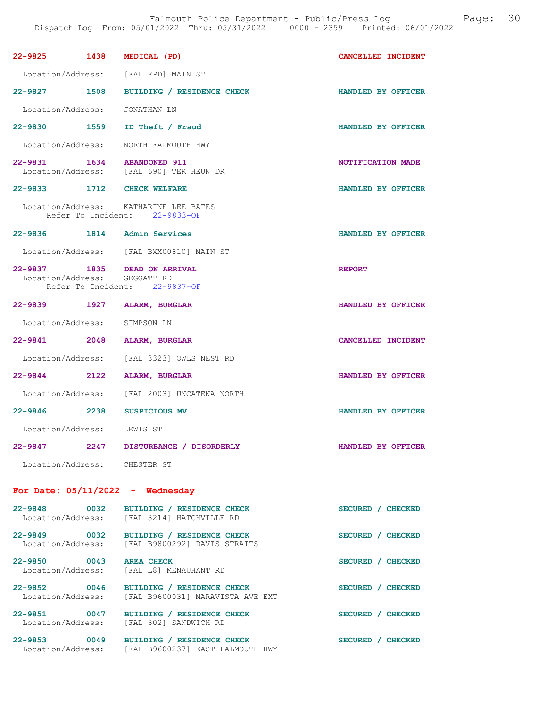| 22-9825 1438 MEDICAL (PD)          |                                                                        | CANCELLED INCIDENT |
|------------------------------------|------------------------------------------------------------------------|--------------------|
|                                    | Location/Address: [FAL FPD] MAIN ST                                    |                    |
|                                    | 22-9827 1508 BUILDING / RESIDENCE CHECK                                | HANDLED BY OFFICER |
| Location/Address: JONATHAN LN      |                                                                        |                    |
|                                    | 22-9830 1559 ID Theft / Fraud                                          | HANDLED BY OFFICER |
|                                    | Location/Address: NORTH FALMOUTH HWY                                   |                    |
|                                    | 22-9831 1634 ABANDONED 911<br>Location/Address: [FAL 690] TER HEUN DR  | NOTIFICATION MADE  |
| 22-9833 1712 CHECK WELFARE         |                                                                        | HANDLED BY OFFICER |
|                                    | Location/Address: KATHARINE LEE BATES<br>Refer To Incident: 22-9833-OF |                    |
| 22-9836 1814 Admin Services        |                                                                        | HANDLED BY OFFICER |
|                                    | Location/Address: [FAL BXX00810] MAIN ST                               |                    |
| Location/Address: GEGGATT RD       | 22-9837 1835 DEAD ON ARRIVAL<br>Refer To Incident: 22-9837-OF          | <b>REPORT</b>      |
| 22-9839 1927 ALARM, BURGLAR        |                                                                        | HANDLED BY OFFICER |
| Location/Address: SIMPSON LN       |                                                                        |                    |
| 22-9841 2048 ALARM, BURGLAR        |                                                                        | CANCELLED INCIDENT |
|                                    | Location/Address: [FAL 3323] OWLS NEST RD                              |                    |
| 22-9844 2122 ALARM, BURGLAR        |                                                                        | HANDLED BY OFFICER |
|                                    | Location/Address: [FAL 2003] UNCATENA NORTH                            |                    |
| 22-9846 2238 SUSPICIOUS MV         |                                                                        | HANDLED BY OFFICER |
| Location/Address: LEWIS ST         |                                                                        |                    |
| $22 - 9847$                        | 2247 DISTURBANCE / DISORDERLY                                          | HANDLED BY OFFICER |
| Location/Address: CHESTER ST       |                                                                        |                    |
| For Date: $05/11/2022 -$ Wednesday |                                                                        |                    |
| 22-9848 0032<br>Location/Address:  | BUILDING / RESIDENCE CHECK<br>[FAL 3214] HATCHVILLE RD                 | SECURED / CHECKED  |
| 22-9849 0032<br>Location/Address:  | BUILDING / RESIDENCE CHECK<br>[FAL B9800292] DAVIS STRAITS             | SECURED / CHECKED  |
| 22-9850 0043<br>Location/Address:  | <b>AREA CHECK</b><br>[FAL L8] MENAUHANT RD                             | SECURED / CHECKED  |
| 22-9852 0046<br>Location/Address:  | BUILDING / RESIDENCE CHECK<br>[FAL B9600031] MARAVISTA AVE EXT         | SECURED / CHECKED  |
| 22-9851 0047<br>Location/Address:  | BUILDING / RESIDENCE CHECK<br>[FAL 302] SANDWICH RD                    | SECURED / CHECKED  |
| 22-9853 0049<br>Location/Address:  | BUILDING / RESIDENCE CHECK<br>[FAL B9600237] EAST FALMOUTH HWY         | SECURED / CHECKED  |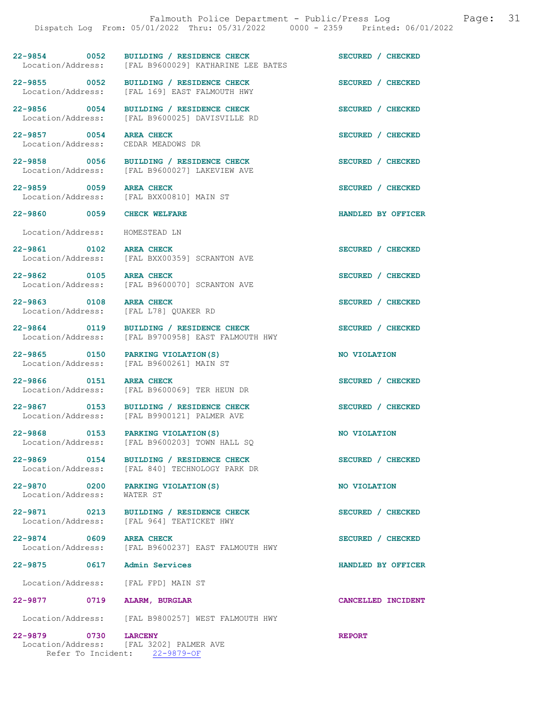|                                                                  | 22-9854 0052 BUILDING / RESIDENCE CHECK<br>Location/Address: [FAL B9600029] KATHARINE LEE BATES        | SECURED / CHECKED  |
|------------------------------------------------------------------|--------------------------------------------------------------------------------------------------------|--------------------|
| 22-9855 0052<br>Location/Address:                                | BUILDING / RESIDENCE CHECK<br>[FAL 169] EAST FALMOUTH HWY                                              | SECURED / CHECKED  |
| 22-9856 0054                                                     | BUILDING / RESIDENCE CHECK<br>Location/Address: [FAL B9600025] DAVISVILLE RD                           | SECURED / CHECKED  |
| 22-9857 0054<br>Location/Address:                                | <b>AREA CHECK</b><br>CEDAR MEADOWS DR                                                                  | SECURED / CHECKED  |
|                                                                  | 22-9858 0056 BUILDING / RESIDENCE CHECK<br>Location/Address: [FAL B9600027] LAKEVIEW AVE               | SECURED / CHECKED  |
| 22-9859 0059                                                     | <b>AREA CHECK</b><br>Location/Address: [FAL BXX00810] MAIN ST                                          | SECURED / CHECKED  |
| 22-9860 0059 CHECK WELFARE                                       |                                                                                                        | HANDLED BY OFFICER |
| Location/Address: HOMESTEAD LN                                   |                                                                                                        |                    |
| 22-9861 0102 AREA CHECK<br>Location/Address:                     | [FAL BXX00359] SCRANTON AVE                                                                            | SECURED / CHECKED  |
| 22-9862 0105 AREA CHECK<br>Location/Address:                     | [FAL B9600070] SCRANTON AVE                                                                            | SECURED / CHECKED  |
| 22-9863 0108<br>Location/Address:                                | <b>AREA CHECK</b><br>[FAL L78] QUAKER RD                                                               | SECURED / CHECKED  |
| 22-9864 0119                                                     | BUILDING / RESIDENCE CHECK                                                                             | SECURED / CHECKED  |
|                                                                  | 22-9865 0150 PARKING VIOLATION(S)<br>Location/Address: [FAL B9600261] MAIN ST<br>PARKING VIOLATION (S) | NO VIOLATION       |
| 22-9866 0151                                                     | <b>AREA CHECK</b><br>Location/Address: [FAL B9600069] TER HEUN DR                                      | SECURED / CHECKED  |
|                                                                  | 22-9867 0153 BUILDING / RESIDENCE CHECK<br>Location/Address: [FAL B9900121] PALMER AVE                 | SECURED / CHECKED  |
| 22-9868 0153 PARKING VIOLATION(S)                                | Location/Address: [FAL B9600203] TOWN HALL SQ                                                          | NO VIOLATION       |
|                                                                  | 22-9869 0154 BUILDING / RESIDENCE CHECK<br>Location/Address: [FAL 840] TECHNOLOGY PARK DR              | SECURED / CHECKED  |
| 22-9870 0200 PARKING VIOLATION (S)<br>Location/Address: WATER ST |                                                                                                        | NO VIOLATION       |
|                                                                  | 22-9871 0213 BUILDING / RESIDENCE CHECK<br>Location/Address: [FAL 964] TEATICKET HWY                   | SECURED / CHECKED  |
| 22-9874 0609 AREA CHECK                                          | Location/Address: [FAL B9600237] EAST FALMOUTH HWY                                                     | SECURED / CHECKED  |
|                                                                  |                                                                                                        | HANDLED BY OFFICER |
| Location/Address: [FAL FPD] MAIN ST                              |                                                                                                        |                    |
| 22-9877 0719                                                     | <b>ALARM, BURGLAR</b>                                                                                  | CANCELLED INCIDENT |
|                                                                  | Location/Address: [FAL B9800257] WEST FALMOUTH HWY                                                     |                    |
| 0730<br>22-9879<br>Location/Address:                             | <b>LARCENY</b><br>[FAL 3202] PALMER AVE                                                                | <b>REPORT</b>      |

Refer To Incident: 22-9879-OF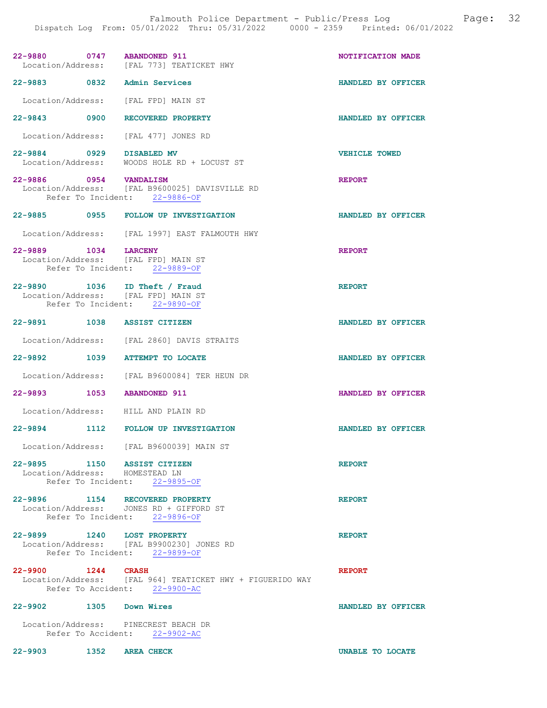| 22-9880 0747 ABANDONED 911                                                                   | Location/Address: [FAL 773] TEATICKET HWY                                                  | NOTIFICATION MADE    |
|----------------------------------------------------------------------------------------------|--------------------------------------------------------------------------------------------|----------------------|
| 22-9883 0832 Admin Services                                                                  |                                                                                            | HANDLED BY OFFICER   |
| Location/Address: [FAL FPD] MAIN ST                                                          |                                                                                            |                      |
| 22-9843 0900 RECOVERED PROPERTY                                                              |                                                                                            | HANDLED BY OFFICER   |
| Location/Address: [FAL 477] JONES RD                                                         |                                                                                            |                      |
| 22-9884 0929 DISABLED MV                                                                     | Location/Address: WOODS HOLE RD + LOCUST ST                                                | <b>VEHICLE TOWED</b> |
| 22-9886 0954 VANDALISM                                                                       | Location/Address: [FAL B9600025] DAVISVILLE RD<br>Refer To Incident: 22-9886-OF            | <b>REPORT</b>        |
|                                                                                              | 22-9885 0955 FOLLOW UP INVESTIGATION                                                       | HANDLED BY OFFICER   |
|                                                                                              | Location/Address: [FAL 1997] EAST FALMOUTH HWY                                             |                      |
| 22-9889 1034 LARCENY<br>Location/Address: [FAL FPD] MAIN ST<br>Refer To Incident: 22-9889-OF |                                                                                            | <b>REPORT</b>        |
| 22-9890 1036 ID Theft / Fraud<br>Location/Address: [FAL FPD] MAIN ST                         | Refer To Incident: 22-9890-OF                                                              | <b>REPORT</b>        |
| 22-9891 1038 ASSIST CITIZEN                                                                  |                                                                                            | HANDLED BY OFFICER   |
|                                                                                              | Location/Address: [FAL 2860] DAVIS STRAITS                                                 |                      |
| 22-9892 1039 ATTEMPT TO LOCATE                                                               |                                                                                            | HANDLED BY OFFICER   |
|                                                                                              | Location/Address: [FAL B9600084] TER HEUN DR                                               |                      |
| 22-9893 1053 ABANDONED 911                                                                   |                                                                                            | HANDLED BY OFFICER   |
| Location/Address: HILL AND PLAIN RD                                                          |                                                                                            |                      |
|                                                                                              | 22-9894 1112 FOLLOW UP INVESTIGATION                                                       | HANDLED BY OFFICER   |
|                                                                                              | Location/Address: [FAL B9600039] MAIN ST                                                   |                      |
| 22-9895 1150 ASSIST CITIZEN<br>Location/Address: HOMESTEAD LN                                | Refer To Incident: 22-9895-OF                                                              | <b>REPORT</b>        |
| 22-9896 1154 RECOVERED PROPERTY                                                              | Location/Address: JONES RD + GIFFORD ST<br>Refer To Incident: 22-9896-OF                   | <b>REPORT</b>        |
| 22-9899 1240 LOST PROPERTY                                                                   | Location/Address: [FAL B9900230] JONES RD<br>Refer To Incident: 22-9899-OF                 | <b>REPORT</b>        |
| 22-9900 1244 CRASH                                                                           | Location/Address: [FAL 964] TEATICKET HWY + FIGUERIDO WAY<br>Refer To Accident: 22-9900-AC | <b>REPORT</b>        |
| 22-9902 1305 Down Wires                                                                      |                                                                                            | HANDLED BY OFFICER   |
| Location/Address: PINECREST BEACH DR                                                         | Refer To Accident: 22-9902-AC                                                              |                      |

22-9903 1352 AREA CHECK UNABLE TO LOCATE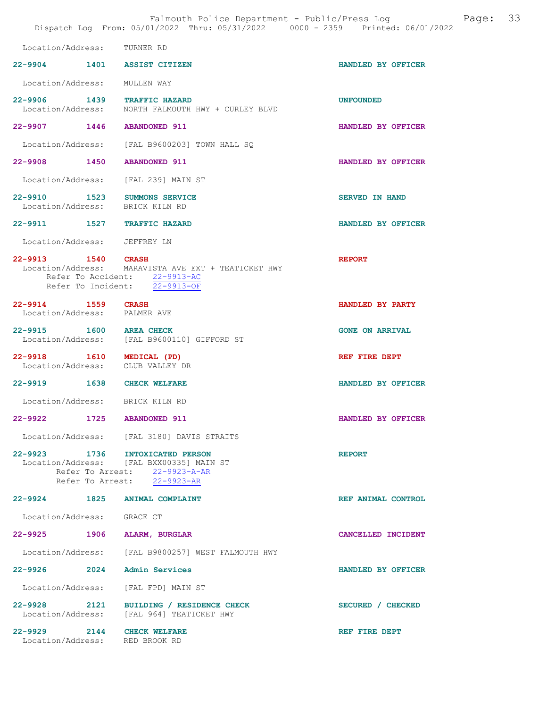|                                                              | Falmouth Police Department - Public/Press Log<br>Dispatch Log From: 05/01/2022 Thru: 05/31/2022 0000 - 2359 Printed: 06/01/2022             | 33<br>Page:            |
|--------------------------------------------------------------|---------------------------------------------------------------------------------------------------------------------------------------------|------------------------|
| Location/Address: TURNER RD                                  |                                                                                                                                             |                        |
|                                                              | 22-9904 1401 ASSIST CITIZEN                                                                                                                 | HANDLED BY OFFICER     |
| Location/Address:                                            | MULLEN WAY                                                                                                                                  |                        |
|                                                              | 22-9906 1439 TRAFFIC HAZARD<br>Location/Address: NORTH FALMOUTH HWY + CURLEY BLVD                                                           | <b>UNFOUNDED</b>       |
| 22-9907 1446 ABANDONED 911                                   |                                                                                                                                             | HANDLED BY OFFICER     |
|                                                              | Location/Address: [FAL B9600203] TOWN HALL SQ                                                                                               |                        |
| 22-9908 1450                                                 | <b>ABANDONED 911</b>                                                                                                                        | HANDLED BY OFFICER     |
|                                                              | Location/Address: [FAL 239] MAIN ST                                                                                                         |                        |
| Location/Address: BRICK KILN RD                              | 22-9910 1523 SUMMONS SERVICE                                                                                                                | <b>SERVED IN HAND</b>  |
|                                                              | 22-9911 1527 TRAFFIC HAZARD                                                                                                                 | HANDLED BY OFFICER     |
| Location/Address: JEFFREY LN                                 |                                                                                                                                             |                        |
| 22-9913 1540 CRASH                                           | Location/Address: MARAVISTA AVE EXT + TEATICKET HWY<br>Refer To Accident: 22-9913-AC<br>Refer To Incident: 22-9913-OF                       | <b>REPORT</b>          |
| 22-9914 1559 CRASH<br>Location/Address: PALMER AVE           |                                                                                                                                             | HANDLED BY PARTY       |
| 22-9915 1600 AREA CHECK                                      | Location/Address: [FAL B9600110] GIFFORD ST                                                                                                 | <b>GONE ON ARRIVAL</b> |
| 22-9918 1610 MEDICAL (PD)                                    | Location/Address: CLUB VALLEY DR                                                                                                            | REF FIRE DEPT          |
| 22-9919 1638 CHECK WELFARE                                   |                                                                                                                                             | HANDLED BY OFFICER     |
| Location/Address: BRICK KILN RD                              |                                                                                                                                             |                        |
| 22-9922                                                      | 1725 ABANDONED 911                                                                                                                          | HANDLED BY OFFICER     |
|                                                              | Location/Address: [FAL 3180] DAVIS STRAITS                                                                                                  |                        |
|                                                              | 22-9923 1736 INTOXICATED PERSON<br>Location/Address: [FAL BXX00335] MAIN ST<br>Refer To Arrest: 22-9923-A-AR<br>Refer To Arrest: 22-9923-AR | <b>REPORT</b>          |
|                                                              | 22-9924 1825 ANIMAL COMPLAINT                                                                                                               | REF ANIMAL CONTROL     |
| Location/Address: GRACE CT                                   |                                                                                                                                             |                        |
|                                                              | 22-9925 1906 ALARM, BURGLAR                                                                                                                 | CANCELLED INCIDENT     |
|                                                              | Location/Address: [FAL B9800257] WEST FALMOUTH HWY                                                                                          |                        |
|                                                              | 22-9926 2024 Admin Services                                                                                                                 | HANDLED BY OFFICER     |
|                                                              | Location/Address: [FAL FPD] MAIN ST                                                                                                         |                        |
|                                                              | 22-9928 2121 BUILDING / RESIDENCE CHECK<br>Location/Address: [FAL 964] TEATICKET HWY                                                        | SECURED / CHECKED      |
| 22-9929 2144 CHECK WELFARE<br>Location/Address: RED BROOK RD |                                                                                                                                             | REF FIRE DEPT          |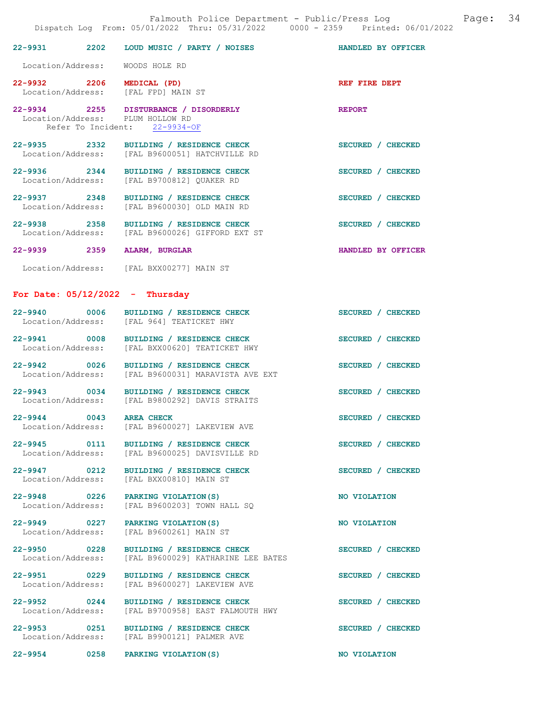|                                   |      | Falmouth Police Department - Public/Press Log Mage: 34<br>Dispatch Log From: 05/01/2022 Thru: 05/31/2022 0000 - 2359 Printed: 06/01/2022 |                    |  |
|-----------------------------------|------|------------------------------------------------------------------------------------------------------------------------------------------|--------------------|--|
|                                   |      | 22-9931 2202 LOUD MUSIC / PARTY / NOISES HANDLED BY OFFICER                                                                              |                    |  |
| Location/Address: WOODS HOLE RD   |      |                                                                                                                                          |                    |  |
|                                   |      | 22-9932 2206 MEDICAL (PD)<br>Location/Address: [FAL FPD] MAIN ST                                                                         | REF FIRE DEPT      |  |
| Location/Address: PLUM HOLLOW RD  |      | 22-9934 2255 DISTURBANCE / DISORDERLY REPORT<br>Refer To Incident: 22-9934-OF                                                            |                    |  |
|                                   |      | 22-9935 2332 BUILDING / RESIDENCE CHECK<br>Location/Address: [FAL B9600051] HATCHVILLE RD                                                | SECURED / CHECKED  |  |
|                                   |      | 22-9936 2344 BUILDING / RESIDENCE CHECK<br>Location/Address: [FAL B9700812] QUAKER RD                                                    | SECURED / CHECKED  |  |
|                                   |      | 22-9937 2348 BUILDING / RESIDENCE CHECK<br>Location/Address: [FAL B9600030] OLD MAIN RD                                                  | SECURED / CHECKED  |  |
|                                   |      | 22-9938 2358 BUILDING / RESIDENCE CHECK<br>Location/Address: [FAL B9600026] GIFFORD EXT ST                                               | SECURED / CHECKED  |  |
|                                   |      | 22-9939 2359 ALARM, BURGLAR                                                                                                              | HANDLED BY OFFICER |  |
|                                   |      | Location/Address: [FAL BXX00277] MAIN ST                                                                                                 |                    |  |
| For Date: $05/12/2022 - Thursday$ |      |                                                                                                                                          |                    |  |
|                                   |      | 22-9940 0006 BUILDING / RESIDENCE CHECK<br>Location/Address: [FAL 964] TEATICKET HWY                                                     | SECURED / CHECKED  |  |
|                                   |      | 22-9941 0008 BUILDING / RESIDENCE CHECK<br>Location/Address: [FAL BXX00620] TEATICKET HWY                                                | SECURED / CHECKED  |  |
|                                   |      | 22-9942 0026 BUILDING / RESIDENCE CHECK<br>Location/Address: [FAL B9600031] MARAVISTA AVE EXT                                            | SECURED / CHECKED  |  |
| Location/Address:                 |      | 22-9943 0034 BUILDING / RESIDENCE CHECK<br>[FAL B9800292] DAVIS STRAITS                                                                  | SECURED / CHECKED  |  |
| 22-9944 0043<br>Location/Address: |      | <b>AREA CHECK</b><br>[FAL B9600027] LAKEVIEW AVE                                                                                         | SECURED / CHECKED  |  |
| 22-9945 0111<br>Location/Address: |      | BUILDING / RESIDENCE CHECK<br>[FAL B9600025] DAVISVILLE RD                                                                               | SECURED / CHECKED  |  |
| 22-9947 0212<br>Location/Address: |      | BUILDING / RESIDENCE CHECK<br>[FAL BXX00810] MAIN ST                                                                                     | SECURED / CHECKED  |  |
| $22 - 9948$                       | 0226 | PARKING VIOLATION (S)                                                                                                                    | NO VIOLATION       |  |

22-9949 0227 PARKING VIOLATION(S) NO VIOLATION

Location/Address: [FAL B9600203] TOWN HALL SQ

Location/Address: [FAL B9600261] MAIN ST

22-9950 0228 BUILDING / RESIDENCE CHECK<br>Location/Address: [FAL B9600029] KATHARINE LEE BATES [FAL B9600029] KATHARINE LEE BATES

22-9951 0229 BUILDING / RESIDENCE CHECK SECURED / CHECKED Location/Address: [FAL B9600027] LAKEVIEW AVE

22-9952 0244 BUILDING / RESIDENCE CHECK SECURED / CHECKED Location/Address: [FAL B9700958] EAST FALMOUTH HWY

22-9953 0251 BUILDING / RESIDENCE CHECK SECURED / CHECKED Location/Address: [FAL B9900121] PALMER AVE

22-9954 0258 PARKING VIOLATION(S) NO VIOLATION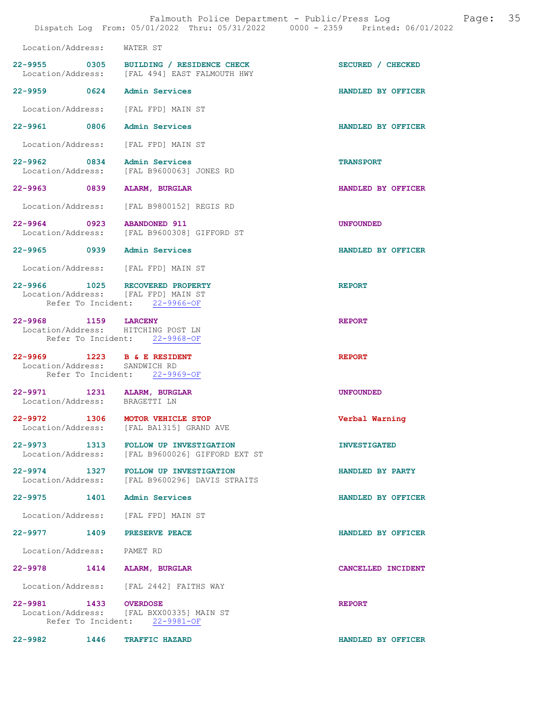| Location/Address: WATER ST                                             |                                                                                          |                     |
|------------------------------------------------------------------------|------------------------------------------------------------------------------------------|---------------------|
|                                                                        | 22-9955 0305 BUILDING / RESIDENCE CHECK<br>Location/Address: [FAL 494] EAST FALMOUTH HWY | SECURED / CHECKED   |
| 22-9959 0624 Admin Services                                            |                                                                                          | HANDLED BY OFFICER  |
| Location/Address: [FAL FPD] MAIN ST                                    |                                                                                          |                     |
| 22-9961 0806 Admin Services                                            |                                                                                          | HANDLED BY OFFICER  |
| Location/Address: [FAL FPD] MAIN ST                                    |                                                                                          |                     |
| 22-9962 0834 Admin Services                                            | Location/Address: [FAL B9600063] JONES RD                                                | <b>TRANSPORT</b>    |
| 22-9963 0839 ALARM, BURGLAR                                            |                                                                                          | HANDLED BY OFFICER  |
|                                                                        | Location/Address: [FAL B9800152] REGIS RD                                                |                     |
|                                                                        | 22-9964 0923 ABANDONED 911<br>Location/Address: [FAL B9600308] GIFFORD ST                | <b>UNFOUNDED</b>    |
| 22-9965 0939 Admin Services                                            |                                                                                          | HANDLED BY OFFICER  |
| Location/Address: [FAL FPD] MAIN ST                                    |                                                                                          |                     |
| 22-9966 1025 RECOVERED PROPERTY<br>Location/Address: [FAL FPD] MAIN ST | Refer To Incident: 22-9966-OF                                                            | <b>REPORT</b>       |
| 22-9968 1159 LARCENY<br>Location/Address: HITCHING POST LN             | Refer To Incident: 22-9968-OF                                                            | <b>REPORT</b>       |
| 22-9969 1223 B & E RESIDENT<br>Location/Address: SANDWICH RD           | Refer To Incident: 22-9969-OF                                                            | <b>REPORT</b>       |
| 22-9971 1231 ALARM, BURGLAR<br>Location/Address: BRAGETTI LN           |                                                                                          | <b>UNFOUNDED</b>    |
| 22-9972 1306 MOTOR VEHICLE STOP                                        | Location/Address: [FAL BA1315] GRAND AVE                                                 | Verbal Warning      |
| $22 - 9973$<br>1313<br>Location/Address:                               | FOLLOW UP INVESTIGATION<br>[FAL B9600026] GIFFORD EXT ST                                 | <b>INVESTIGATED</b> |
|                                                                        | 22-9974 1327 FOLLOW UP INVESTIGATION<br>Location/Address: [FAL B9600296] DAVIS STRAITS   | HANDLED BY PARTY    |
| 22-9975 1401 Admin Services                                            |                                                                                          | HANDLED BY OFFICER  |
| Location/Address: [FAL FPD] MAIN ST                                    |                                                                                          |                     |
| 22-9977 1409 PRESERVE PEACE                                            |                                                                                          | HANDLED BY OFFICER  |
| Location/Address: PAMET RD                                             |                                                                                          |                     |
| 22-9978 1414 ALARM, BURGLAR                                            |                                                                                          | CANCELLED INCIDENT  |
|                                                                        | Location/Address: [FAL 2442] FAITHS WAY                                                  |                     |
| 22-9981 1433 OVERDOSE                                                  | Location/Address: [FAL BXX00335] MAIN ST<br>Refer To Incident: 22-9981-OF                | <b>REPORT</b>       |

22-9982 1446 TRAFFIC HAZARD 122-9982 HANDLED BY OFFICER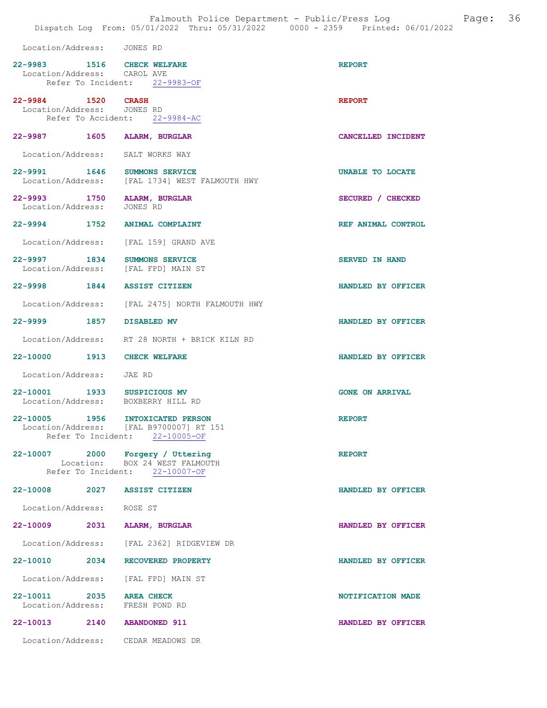| Location/Address: JONES RD                                  |                                                                                                               |                        |
|-------------------------------------------------------------|---------------------------------------------------------------------------------------------------------------|------------------------|
| 22-9983 1516 CHECK WELFARE<br>Location/Address: CAROL AVE   | Refer To Incident: 22-9983-OF                                                                                 | <b>REPORT</b>          |
| 22-9984 1520 CRASH<br>Location/Address: JONES RD            | Refer To Accident: 22-9984-AC                                                                                 | <b>REPORT</b>          |
| 22-9987 1605 ALARM, BURGLAR                                 |                                                                                                               | CANCELLED INCIDENT     |
|                                                             | Location/Address: SALT WORKS WAY                                                                              |                        |
|                                                             | 22-9991 1646 SUMMONS SERVICE<br>Location/Address: [FAL 1734] WEST FALMOUTH HWY                                | UNABLE TO LOCATE       |
| 22-9993 1750 ALARM, BURGLAR<br>Location/Address: JONES RD   |                                                                                                               | SECURED / CHECKED      |
|                                                             | 22-9994 1752 ANIMAL COMPLAINT                                                                                 | REF ANIMAL CONTROL     |
|                                                             | Location/Address: [FAL 159] GRAND AVE                                                                         |                        |
|                                                             | 22-9997 1834 SUMMONS SERVICE<br>Location/Address: [FAL FPD] MAIN ST                                           | SERVED IN HAND         |
| 22-9998 1844 ASSIST CITIZEN                                 |                                                                                                               | HANDLED BY OFFICER     |
|                                                             | Location/Address: [FAL 2475] NORTH FALMOUTH HWY                                                               |                        |
| 22-9999 1857 DISABLED MV                                    |                                                                                                               | HANDLED BY OFFICER     |
|                                                             | Location/Address: RT 28 NORTH + BRICK KILN RD                                                                 |                        |
| 22-10000 1913 CHECK WELFARE                                 |                                                                                                               | HANDLED BY OFFICER     |
| Location/Address: JAE RD                                    |                                                                                                               |                        |
|                                                             | 22-10001 1933 SUSPICIOUS MV<br>Location/Address: BOXBERRY HILL RD                                             | <b>GONE ON ARRIVAL</b> |
|                                                             | 22-10005 1956 INTOXICATED PERSON<br>Location/Address: [FAL B9700007] RT 151<br>Refer To Incident: 22-10005-OF | <b>REPORT</b>          |
|                                                             | 22-10007 2000 Forgery / Uttering<br>Location: BOX 24 WEST FALMOUTH<br>Refer To Incident: 22-10007-OF          | <b>REPORT</b>          |
| 22-10008 2027 ASSIST CITIZEN                                |                                                                                                               | HANDLED BY OFFICER     |
| Location/Address: ROSE ST                                   |                                                                                                               |                        |
| 22-10009 2031 ALARM, BURGLAR                                |                                                                                                               | HANDLED BY OFFICER     |
|                                                             | Location/Address: [FAL 2362] RIDGEVIEW DR                                                                     |                        |
|                                                             | 22-10010 2034 RECOVERED PROPERTY                                                                              | HANDLED BY OFFICER     |
|                                                             | Location/Address: [FAL FPD] MAIN ST                                                                           |                        |
| 22-10011 2035 AREA CHECK<br>Location/Address: FRESH POND RD |                                                                                                               | NOTIFICATION MADE      |
| 22-10013 2140 ABANDONED 911                                 |                                                                                                               | HANDLED BY OFFICER     |

Location/Address: CEDAR MEADOWS DR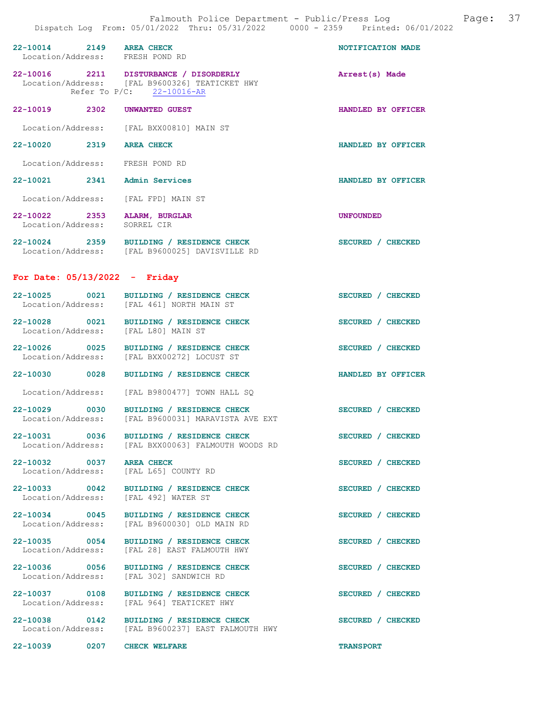|                                                              | Dispatch Log From: 05/01/2022 Thru: 05/31/2022 0000 - 2359 Printed: 06/01/2022                                        |                    |
|--------------------------------------------------------------|-----------------------------------------------------------------------------------------------------------------------|--------------------|
| 22-10014 2149 AREA CHECK<br>Location/Address: FRESH POND RD  |                                                                                                                       | NOTIFICATION MADE  |
|                                                              | 22-10016 2211 DISTURBANCE / DISORDERLY<br>Location/Address: [FAL B9600326] TEATICKET HWY<br>Refer To P/C: 22-10016-AR | Arrest(s) Made     |
| 22-10019 2302                                                | UNWANTED GUEST                                                                                                        | HANDLED BY OFFICER |
|                                                              | Location/Address: [FAL BXX00810] MAIN ST                                                                              |                    |
| 22-10020 2319 AREA CHECK                                     |                                                                                                                       | HANDLED BY OFFICER |
| Location/Address: FRESH POND RD                              |                                                                                                                       |                    |
| 22-10021 2341 Admin Services                                 |                                                                                                                       | HANDLED BY OFFICER |
| Location/Address: [FAL FPD] MAIN ST                          |                                                                                                                       |                    |
| 22-10022 2353 ALARM, BURGLAR<br>Location/Address: SORREL CIR |                                                                                                                       | <b>UNFOUNDED</b>   |
|                                                              | 22-10024 2359 BUILDING / RESIDENCE CHECK<br>Location/Address: [FAL B9600025] DAVISVILLE RD                            | SECURED / CHECKED  |
| For Date: $05/13/2022 -$ Friday                              |                                                                                                                       |                    |
|                                                              | 22-10025 0021 BUILDING / RESIDENCE CHECK<br>Location/Address: [FAL 461] NORTH MAIN ST                                 | SECURED / CHECKED  |
| Location/Address: [FAL L80] MAIN ST                          | 22-10028 0021 BUILDING / RESIDENCE CHECK                                                                              | SECURED / CHECKED  |
|                                                              | 22-10026 0025 BUILDING / RESIDENCE CHECK<br>Location/Address: [FAL BXX00272] LOCUST ST                                | SECURED / CHECKED  |
| 22-10030 0028                                                | BUILDING / RESIDENCE CHECK                                                                                            | HANDLED BY OFFICER |
|                                                              | Location/Address: [FAL B9800477] TOWN HALL SQ                                                                         |                    |
|                                                              | 22-10029 0030 BUILDING / RESIDENCE CHECK<br>Location/Address: [FAL B9600031] MARAVISTA AVE EXT                        | SECURED / CHECKED  |
| 22-10031 0036                                                | BUILDING / RESIDENCE CHECK<br>Location/Address: [FAL BXX00063] FALMOUTH WOODS RD                                      | SECURED / CHECKED  |
| 22-10032 0037<br>Location/Address:                           | <b>AREA CHECK</b><br>[FAL L65] COUNTY RD                                                                              | SECURED / CHECKED  |
| 22-10033 0042<br>Location/Address:                           | BUILDING / RESIDENCE CHECK<br>[FAL 492] WATER ST                                                                      | SECURED / CHECKED  |
| 22-10034 0045<br>Location/Address:                           | BUILDING / RESIDENCE CHECK<br>[FAL B9600030] OLD MAIN RD                                                              | SECURED / CHECKED  |
| 22-10035 0054<br>Location/Address:                           | BUILDING / RESIDENCE CHECK<br>[FAL 28] EAST FALMOUTH HWY                                                              | SECURED / CHECKED  |
| 22-10036 0056<br>Location/Address:                           | BUILDING / RESIDENCE CHECK<br>[FAL 302] SANDWICH RD                                                                   | SECURED / CHECKED  |
| 22-10037 0108<br>Location/Address:                           | BUILDING / RESIDENCE CHECK<br>[FAL 964] TEATICKET HWY                                                                 | SECURED / CHECKED  |
| 22-10038 0142                                                | BUILDING / RESIDENCE CHECK<br>Location/Address: [FAL B9600237] EAST FALMOUTH HWY                                      | SECURED / CHECKED  |
| 22-10039<br>$\sim$ 0207                                      | <b>CHECK WELFARE</b>                                                                                                  | <b>TRANSPORT</b>   |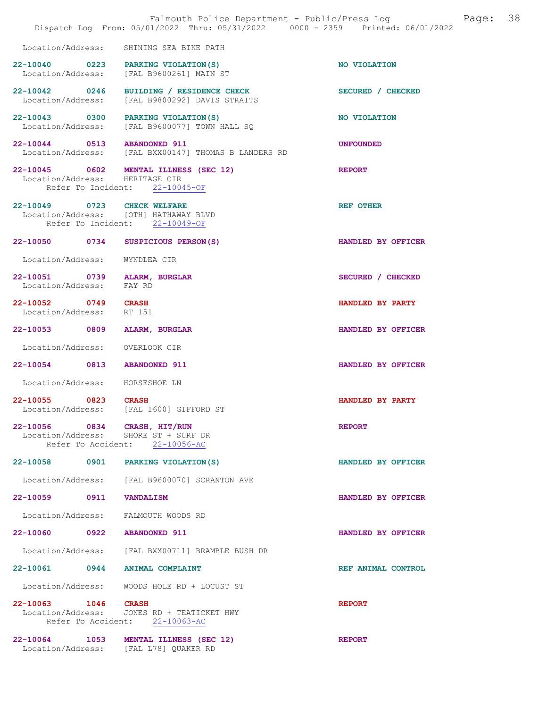|                                                                                                        | Falmouth Police Department - Public/Press Log Fage: 38<br>Dispatch Log From: 05/01/2022 Thru: 05/31/2022 0000 - 2359 Printed: 06/01/2022 |                    |  |
|--------------------------------------------------------------------------------------------------------|------------------------------------------------------------------------------------------------------------------------------------------|--------------------|--|
|                                                                                                        | Location/Address: SHINING SEA BIKE PATH                                                                                                  |                    |  |
|                                                                                                        | 22-10040 0223 PARKING VIOLATION (S)<br>Location/Address: [FAL B9600261] MAIN ST                                                          | NO VIOLATION       |  |
|                                                                                                        | 22-10042 0246 BUILDING / RESIDENCE CHECK<br>Location/Address: [FAL B9800292] DAVIS STRAITS                                               | SECURED / CHECKED  |  |
|                                                                                                        | 22-10043 0300 PARKING VIOLATION(S)<br>Location/Address: [FAL B9600077] TOWN HALL SQ                                                      | NO VIOLATION       |  |
|                                                                                                        | 22-10044 0513 ABANDONED 911<br>Location/Address: [FAL BXX00147] THOMAS B LANDERS RD                                                      | <b>UNFOUNDED</b>   |  |
|                                                                                                        | 22-10045 0602 MENTAL ILLNESS (SEC 12)<br>Location/Address: HERITAGE CIR<br>Refer To Incident: 22-10045-OF                                | <b>REPORT</b>      |  |
| 22-10049 0723 CHECK WELFARE<br>Location/Address: [OTH] HATHAWAY BLVD<br>Refer To Incident: 22-10049-OF |                                                                                                                                          | <b>REF OTHER</b>   |  |
| 22-10050 0734 SUSPICIOUS PERSON(S)                                                                     |                                                                                                                                          | HANDLED BY OFFICER |  |
| Location/Address: WYNDLEA CIR                                                                          |                                                                                                                                          |                    |  |
| 22-10051 0739 ALARM, BURGLAR<br>Location/Address: FAY RD                                               |                                                                                                                                          | SECURED / CHECKED  |  |
| 22-10052 0749 CRASH<br>Location/Address: RT 151                                                        |                                                                                                                                          | HANDLED BY PARTY   |  |
| 22-10053 0809 ALARM, BURGLAR                                                                           |                                                                                                                                          | HANDLED BY OFFICER |  |
| Location/Address: OVERLOOK CIR                                                                         |                                                                                                                                          |                    |  |
| 22-10054 0813 ABANDONED 911                                                                            |                                                                                                                                          | HANDLED BY OFFICER |  |
| Location/Address: HORSESHOE LN                                                                         |                                                                                                                                          |                    |  |
| 22-10055 0823 CRASH                                                                                    | Location/Address: [FAL 1600] GIFFORD ST                                                                                                  | HANDLED BY PARTY   |  |
| 22-10056 0834 CRASH, HIT/RUN<br>Location/Address: SHORE ST + SURF DR                                   | Refer To Accident: 22-10056-AC                                                                                                           | <b>REPORT</b>      |  |
| 22-10058 0901 PARKING VIOLATION(S)                                                                     |                                                                                                                                          | HANDLED BY OFFICER |  |
|                                                                                                        | Location/Address: [FAL B9600070] SCRANTON AVE                                                                                            |                    |  |
| 22-10059 0911 VANDALISM                                                                                |                                                                                                                                          | HANDLED BY OFFICER |  |
| Location/Address: FALMOUTH WOODS RD                                                                    |                                                                                                                                          |                    |  |
| 22-10060 0922 ABANDONED 911                                                                            |                                                                                                                                          | HANDLED BY OFFICER |  |
|                                                                                                        | Location/Address: [FAL BXX00711] BRAMBLE BUSH DR                                                                                         |                    |  |
| 22-10061 0944 ANIMAL COMPLAINT                                                                         |                                                                                                                                          | REF ANIMAL CONTROL |  |
|                                                                                                        | Location/Address: WOODS HOLE RD + LOCUST ST                                                                                              |                    |  |
| 22-10063 1046 CRASH                                                                                    | Location/Address: JONES RD + TEATICKET HWY<br>Refer To Accident: 22-10063-AC                                                             | <b>REPORT</b>      |  |
| Location/Address: [FAL L78] QUAKER RD                                                                  | 22-10064 1053 MENTAL ILLNESS (SEC 12)                                                                                                    | <b>REPORT</b>      |  |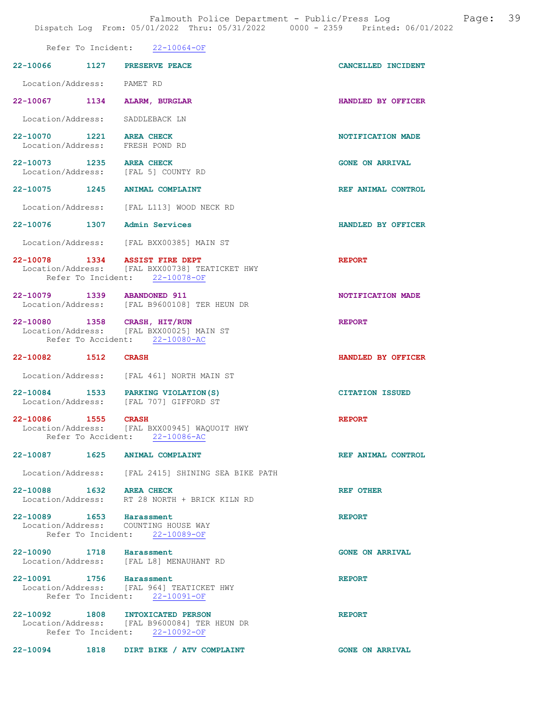Falmouth Police Department - Public/Press Log and Page: 39 Dispatch Log From: 05/01/2022 Thru: 05/31/2022 0000 - 2359 Printed: 06/01/2022

|                                                     | DISPACCII DOGA FIOM. VOZULZVAZA INIM. VOZULZVAZA<br>UUUU LJJJ                    |                        |
|-----------------------------------------------------|----------------------------------------------------------------------------------|------------------------|
|                                                     | Refer To Incident: 22-10064-OF                                                   |                        |
| 22-10066 1127                                       | PRESERVE PEACE                                                                   | CANCELLED INCIDENT     |
| Location/Address:                                   | PAMET RD                                                                         |                        |
| 22-10067<br>1134                                    | ALARM, BURGLAR                                                                   | HANDLED BY OFFICER     |
| Location/Address:                                   | SADDLEBACK LN                                                                    |                        |
| 22-10070<br>1221<br>Location/Address: FRESH POND RD | <b>AREA CHECK</b>                                                                | NOTIFICATION MADE      |
| 22-10073 1235 AREA CHECK<br>Location/Address:       | [FAL 5] COUNTY RD                                                                | <b>GONE ON ARRIVAL</b> |
| 22-10075<br>1245                                    | <b>ANIMAL COMPLAINT</b>                                                          | REF ANIMAL CONTROL     |
| Location/Address:                                   | [FAL L113] WOOD NECK RD                                                          |                        |
| 22-10076<br>1307                                    | <b>Admin Services</b>                                                            | HANDLED BY OFFICER     |
|                                                     | Location/Address: [FAL BXX00385] MAIN ST                                         |                        |
| 22-10078 1334 ASSIST FIRE DEPT                      | Location/Address: [FAL BXX00738] TEATICKET HWY<br>Refer To Incident: 22-10078-OF | <b>REPORT</b>          |
| 22-10079<br>1339<br>Location/Address:               | <b>ABANDONED 911</b><br>[FAL B9600108] TER HEUN DR                               | NOTIFICATION MADE      |
| 22-10080<br>1358<br>Location/Address:               | CRASH, HIT/RUN<br>[FAL BXX00025] MAIN ST<br>Refer To Accident: 22-10080-AC       | <b>REPORT</b>          |
| 22-10082 1512                                       | <b>CRASH</b>                                                                     | HANDLED BY OFFICER     |
| Location/Address:                                   | [FAL 461] NORTH MAIN ST                                                          |                        |
| 22-10084<br>1533<br>Location/Address:               | PARKING VIOLATION (S)<br>[FAL 707] GIFFORD ST                                    | <b>CITATION ISSUED</b> |
| 22-10086<br>1555<br>Location/Address:               | <b>CRASH</b><br>[FAL BXX00945] WAQUOIT HWY<br>Refer To Accident: 22-10086-AC     | <b>REPORT</b>          |
| 22-10087 1625 ANIMAL COMPLAINT                      |                                                                                  | REF ANIMAL CONTROL     |
|                                                     | Location/Address: [FAL 2415] SHINING SEA BIKE PATH                               |                        |
| 22-10088 1632 AREA CHECK                            | Location/Address: RT 28 NORTH + BRICK KILN RD                                    | REF OTHER              |
| 22-10089 1653 Harassment                            | Location/Address: COUNTING HOUSE WAY<br>Refer To Incident: 22-10089-OF           | <b>REPORT</b>          |
| 22-10090 1718 Harassment                            | Location/Address: [FAL L8] MENAUHANT RD                                          | <b>GONE ON ARRIVAL</b> |
| 22-10091 1756 Harassment                            | Location/Address: [FAL 964] TEATICKET HWY<br>Refer To Incident: 22-10091-OF      | <b>REPORT</b>          |
| 22-10092 1808 INTOXICATED PERSON                    | Location/Address: [FAL B9600084] TER HEUN DR<br>Refer To Incident: 22-10092-OF   | <b>REPORT</b>          |
| 22-10094 1818                                       | DIRT BIKE / ATV COMPLAINT                                                        | <b>GONE ON ARRIVAL</b> |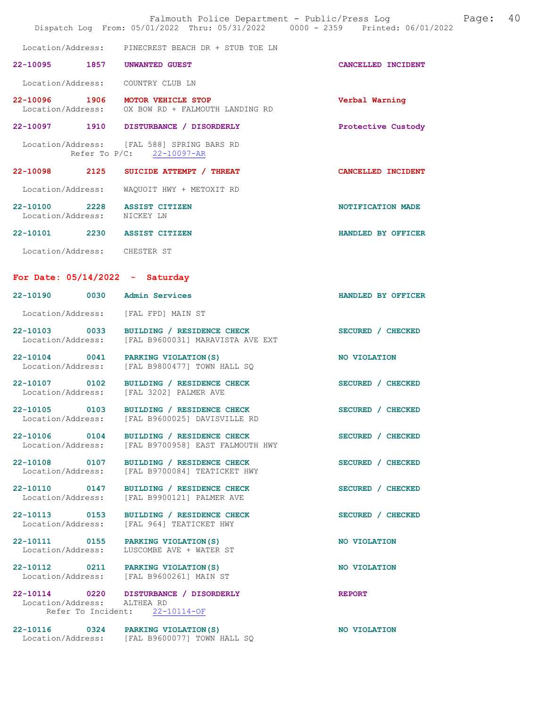|                                   | Falmouth Police Department - Public/Press Log<br>Dispatch Log From: 05/01/2022 Thru: 05/31/2022 0000 - 2359 Printed: 06/01/2022 |                    | Page: | 40 |
|-----------------------------------|---------------------------------------------------------------------------------------------------------------------------------|--------------------|-------|----|
|                                   | Location/Address: PINECREST BEACH DR + STUB TOE LN                                                                              |                    |       |    |
|                                   | 22-10095 1857 UNWANTED GUEST                                                                                                    | CANCELLED INCIDENT |       |    |
|                                   | Location/Address: COUNTRY CLUB LN                                                                                               |                    |       |    |
|                                   | 22-10096 1906 MOTOR VEHICLE STOP<br>Location/Address: OX BOW RD + FALMOUTH LANDING RD                                           | Verbal Warning     |       |    |
|                                   | 22-10097 1910 DISTURBANCE / DISORDERLY                                                                                          | Protective Custody |       |    |
|                                   | Location/Address: [FAL 588] SPRING BARS RD<br>Refer To P/C: 22-10097-AR                                                         |                    |       |    |
|                                   | 22-10098 2125 SUICIDE ATTEMPT / THREAT                                                                                          | CANCELLED INCIDENT |       |    |
| Location/Address:                 | WAQUOIT HWY + METOXIT RD                                                                                                        |                    |       |    |
| Location/Address: NICKEY LN       | 22-10100 2228 ASSIST CITIZEN                                                                                                    | NOTIFICATION MADE  |       |    |
|                                   | 22-10101 2230 ASSIST CITIZEN                                                                                                    | HANDLED BY OFFICER |       |    |
| Location/Address: CHESTER ST      |                                                                                                                                 |                    |       |    |
| For Date: $05/14/2022 -$ Saturday |                                                                                                                                 |                    |       |    |
|                                   | 22-10190 0030 Admin Services                                                                                                    | HANDLED BY OFFICER |       |    |
|                                   | Location/Address: [FAL FPD] MAIN ST                                                                                             |                    |       |    |
|                                   | 22-10103 0033 BUILDING / RESIDENCE CHECK<br>Location/Address: [FAL B9600031] MARAVISTA AVE EXT                                  | SECURED / CHECKED  |       |    |
|                                   | 22-10104 0041 PARKING VIOLATION (S)<br>Location/Address: [FAL B9800477] TOWN HALL SQ                                            | NO VIOLATION       |       |    |
|                                   | 22-10107 0102 BUILDING / RESIDENCE CHECK<br>Location/Address: [FAL 3202] PALMER AVE                                             | SECURED / CHECKED  |       |    |
| 22-10105 0103                     | BUILDING / RESIDENCE CHECK<br>Location/Address: [FAL B9600025] DAVISVILLE RD                                                    | SECURED / CHECKED  |       |    |
|                                   | 22-10106 0104 BUILDING / RESIDENCE CHECK<br>Location/Address: [FAL B9700958] EAST FALMOUTH HWY                                  | SECURED / CHECKED  |       |    |
| Location/Address:                 | 22-10108 0107 BUILDING / RESIDENCE CHECK<br>[FAL B9700084] TEATICKET HWY                                                        | SECURED / CHECKED  |       |    |
| Location/Address:                 | 22-10110 0147 BUILDING / RESIDENCE CHECK<br>[FAL B9900121] PALMER AVE                                                           | SECURED / CHECKED  |       |    |
| Location/Address:                 | 22-10113 0153 BUILDING / RESIDENCE CHECK<br>[FAL 964] TEATICKET HWY                                                             | SECURED / CHECKED  |       |    |
| Location/Address:                 | 22-10111 0155 PARKING VIOLATION(S)<br>LUSCOMBE AVE + WATER ST                                                                   | NO VIOLATION       |       |    |
|                                   | 22-10112 0211 PARKING VIOLATION(S)<br>Location/Address: [FAL B9600261] MAIN ST                                                  | NO VIOLATION       |       |    |
| Location/Address: ALTHEA RD       | 22-10114 0220 DISTURBANCE / DISORDERLY<br>Refer To Incident: 22-10114-OF                                                        | <b>REPORT</b>      |       |    |
|                                   | 22-10116 0324 PARKING VIOLATION(S)<br>Location/Address: [FAL B9600077] TOWN HALL SQ                                             | NO VIOLATION       |       |    |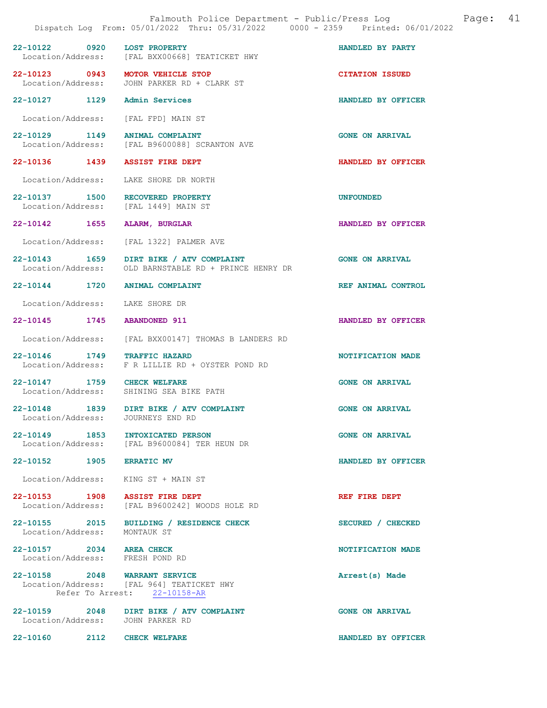| Falmouth Police Department - Public/Press Log<br>Dispatch Log From: 05/01/2022 Thru: 05/31/2022 0000 - 2359 Printed: 06/01/2022 |      |                                                                                                            |                        | Page: | 41 |
|---------------------------------------------------------------------------------------------------------------------------------|------|------------------------------------------------------------------------------------------------------------|------------------------|-------|----|
| $22 - 10122$                                                                                                                    | 0920 | <b>LOST PROPERTY</b><br>Location/Address: [FAL BXX00668] TEATICKET HWY                                     | HANDLED BY PARTY       |       |    |
| 22-10123 0943                                                                                                                   |      | MOTOR VEHICLE STOP<br>Location/Address: JOHN PARKER RD + CLARK ST                                          | <b>CITATION ISSUED</b> |       |    |
| 22-10127 1129                                                                                                                   |      | Admin Services                                                                                             | HANDLED BY OFFICER     |       |    |
| Location/Address:                                                                                                               |      | [FAL FPD] MAIN ST                                                                                          |                        |       |    |
| 22-10129 1149                                                                                                                   |      | ANIMAL COMPLAINT<br>Location/Address: [FAL B9600088] SCRANTON AVE                                          | <b>GONE ON ARRIVAL</b> |       |    |
| 22-10136 1439                                                                                                                   |      | <b>ASSIST FIRE DEPT</b>                                                                                    | HANDLED BY OFFICER     |       |    |
| Location/Address:                                                                                                               |      | LAKE SHORE DR NORTH                                                                                        |                        |       |    |
| 22-10137 1500<br>Location/Address:                                                                                              |      | RECOVERED PROPERTY<br>[FAL 1449] MAIN ST                                                                   | <b>UNFOUNDED</b>       |       |    |
| 22-10142 1655                                                                                                                   |      | ALARM, BURGLAR                                                                                             | HANDLED BY OFFICER     |       |    |
| Location/Address:                                                                                                               |      | [FAL 1322] PALMER AVE                                                                                      |                        |       |    |
| 22-10143 1659                                                                                                                   |      | DIRT BIKE / ATV COMPLAINT<br>Location/Address: OLD BARNSTABLE RD + PRINCE HENRY DR                         | <b>GONE ON ARRIVAL</b> |       |    |
| 22-10144 1720                                                                                                                   |      | <b>ANIMAL COMPLAINT</b>                                                                                    | REF ANIMAL CONTROL     |       |    |
| Location/Address:                                                                                                               |      | LAKE SHORE DR                                                                                              |                        |       |    |
| 22-10145 1745                                                                                                                   |      | <b>ABANDONED 911</b>                                                                                       | HANDLED BY OFFICER     |       |    |
| Location/Address:                                                                                                               |      | [FAL BXX00147] THOMAS B LANDERS RD                                                                         |                        |       |    |
| 22-10146 1749                                                                                                                   |      | <b>TRAFFIC HAZARD</b><br>Location/Address: F R LILLIE RD + OYSTER POND RD                                  | NOTIFICATION MADE      |       |    |
| 22-10147 1759                                                                                                                   |      | <b>CHECK WELFARE</b><br>Location/Address: SHINING SEA BIKE PATH                                            | <b>GONE ON ARRIVAL</b> |       |    |
| 22-10148<br>Location/Address:                                                                                                   | 1839 | DIRT BIKE / ATV COMPLAINT<br>JOURNEYS END RD                                                               | <b>GONE ON ARRIVAL</b> |       |    |
|                                                                                                                                 |      | 22-10149 1853 INTOXICATED PERSON<br>Location/Address: [FAL B9600084] TER HEUN DR                           | <b>GONE ON ARRIVAL</b> |       |    |
| 22-10152 1905 ERRATIC MV                                                                                                        |      |                                                                                                            | HANDLED BY OFFICER     |       |    |
|                                                                                                                                 |      | Location/Address: KING ST + MAIN ST                                                                        |                        |       |    |
|                                                                                                                                 |      | 22-10153 1908 ASSIST FIRE DEPT<br>Location/Address: [FAL B9600242] WOODS HOLE RD                           | REF FIRE DEPT          |       |    |
| Location/Address: MONTAUK ST                                                                                                    |      | 22-10155 2015 BUILDING / RESIDENCE CHECK                                                                   | SECURED / CHECKED      |       |    |
| 22-10157 2034 AREA CHECK<br>Location/Address: FRESH POND RD                                                                     |      |                                                                                                            | NOTIFICATION MADE      |       |    |
|                                                                                                                                 |      | 22-10158 2048 WARRANT SERVICE<br>Location/Address: [FAL 964] TEATICKET HWY<br>Refer To Arrest: 22-10158-AR | Arrest(s) Made         |       |    |
|                                                                                                                                 |      | 22-10159 2048 DIRT BIKE / ATV COMPLAINT<br>Location/Address: JOHN PARKER RD                                | <b>GONE ON ARRIVAL</b> |       |    |
| 22-10160 2112 CHECK WELFARE                                                                                                     |      |                                                                                                            | HANDLED BY OFFICER     |       |    |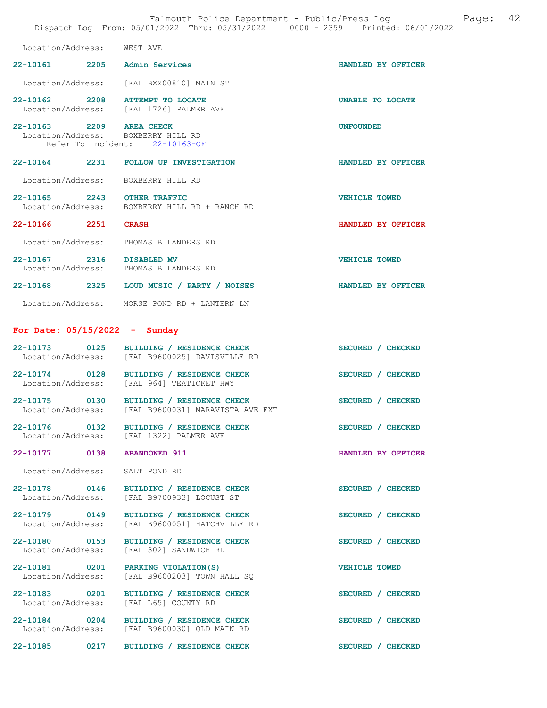| Falmouth Police Department - Public/Press Log Fage: 42<br>Dispatch Log From: 05/01/2022 Thru: 05/31/2022 0000 - 2359 Printed: 06/01/2022 |  |                                                                                            |                      |  |
|------------------------------------------------------------------------------------------------------------------------------------------|--|--------------------------------------------------------------------------------------------|----------------------|--|
| Location/Address: WEST AVE                                                                                                               |  |                                                                                            |                      |  |
| 22-10161 2205 Admin Services                                                                                                             |  |                                                                                            | HANDLED BY OFFICER   |  |
|                                                                                                                                          |  | Location/Address: [FAL BXX00810] MAIN ST                                                   |                      |  |
|                                                                                                                                          |  | 22-10162 2208 ATTEMPT TO LOCATE<br>Location/Address: [FAL 1726] PALMER AVE                 | UNABLE TO LOCATE     |  |
| 22-10163 2209 AREA CHECK                                                                                                                 |  | Location/Address: BOXBERRY HILL RD<br>Refer To Incident: 22-10163-OF                       | <b>UNFOUNDED</b>     |  |
|                                                                                                                                          |  | 22-10164 2231 FOLLOW UP INVESTIGATION                                                      | HANDLED BY OFFICER   |  |
| Location/Address:                                                                                                                        |  | BOXBERRY HILL RD                                                                           |                      |  |
| 22-10165 2243 OTHER TRAFFIC                                                                                                              |  | Location/Address: BOXBERRY HILL RD + RANCH RD                                              | <b>VEHICLE TOWED</b> |  |
| 22-10166 2251                                                                                                                            |  | <b>CRASH</b>                                                                               | HANDLED BY OFFICER   |  |
| Location/Address:                                                                                                                        |  | THOMAS B LANDERS RD                                                                        |                      |  |
| 22-10167 2316 DISABLED MV                                                                                                                |  | Location/Address: THOMAS B LANDERS RD                                                      | <b>VEHICLE TOWED</b> |  |
|                                                                                                                                          |  | 22-10168 2325 LOUD MUSIC / PARTY / NOISES                                                  | HANDLED BY OFFICER   |  |
|                                                                                                                                          |  | Location/Address: MORSE POND RD + LANTERN LN                                               |                      |  |
| For Date: $05/15/2022 -$ Sunday                                                                                                          |  |                                                                                            |                      |  |
|                                                                                                                                          |  | 22-10173 0125 BUILDING / RESIDENCE CHECK<br>Location/Address: [FAL B9600025] DAVISVILLE RD | SECURED / CHECKED    |  |
|                                                                                                                                          |  | 22-10174 0128 BUILDING / RESIDENCE CHECK<br>Location/Address: [FAL 964] TEATICKET HWY      | SECURED / CHECKED    |  |
| 22-10175 0130<br>Location/Address:                                                                                                       |  | BUILDING / RESIDENCE CHECK<br>[FAL B9600031] MARAVISTA AVE EXT                             | SECURED / CHECKED    |  |
| 22-10176 0132<br>Location/Address:                                                                                                       |  | BUILDING / RESIDENCE CHECK<br>[FAL 1322] PALMER AVE                                        | SECURED / CHECKED    |  |
| 22-10177 0138                                                                                                                            |  | <b>ABANDONED 911</b>                                                                       | HANDLED BY OFFICER   |  |
| Location/Address: SALT POND RD                                                                                                           |  |                                                                                            |                      |  |
| 22-10178 0146<br>Location/Address:                                                                                                       |  | BUILDING / RESIDENCE CHECK<br>[FAL B9700933] LOCUST ST                                     | SECURED / CHECKED    |  |
| 22-10179 0149<br>Location/Address:                                                                                                       |  | BUILDING / RESIDENCE CHECK<br>[FAL B9600051] HATCHVILLE RD                                 | SECURED / CHECKED    |  |
| 22-10180 0153<br>Location/Address:                                                                                                       |  | BUILDING / RESIDENCE CHECK<br>[FAL 302] SANDWICH RD                                        | SECURED / CHECKED    |  |
| 22-10181 0201<br>Location/Address:                                                                                                       |  | PARKING VIOLATION (S)<br>[FAL B9600203] TOWN HALL SQ                                       | <b>VEHICLE TOWED</b> |  |
| 22-10183 0201<br>Location/Address:                                                                                                       |  | BUILDING / RESIDENCE CHECK<br>[FAL L65] COUNTY RD                                          | SECURED / CHECKED    |  |
| 22-10184 0204<br>Location/Address:                                                                                                       |  | BUILDING / RESIDENCE CHECK<br>[FAL B9600030] OLD MAIN RD                                   | SECURED / CHECKED    |  |
| 22-10185 0217                                                                                                                            |  | BUILDING / RESIDENCE CHECK                                                                 | SECURED / CHECKED    |  |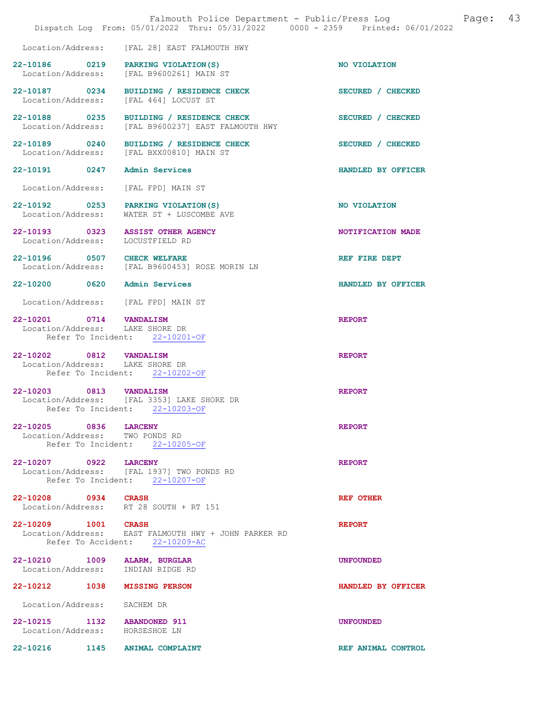|                                                                   | Falmouth Police Department - Public/Press Log<br>Dispatch Log From: 05/01/2022 Thru: 05/31/2022 0000 - 2359 Printed: 06/01/2022 | Page:              | 43 |
|-------------------------------------------------------------------|---------------------------------------------------------------------------------------------------------------------------------|--------------------|----|
|                                                                   | Location/Address: [FAL 28] EAST FALMOUTH HWY                                                                                    |                    |    |
|                                                                   | 22-10186 0219 PARKING VIOLATION (S)<br>Location/Address: [FAL B9600261] MAIN ST                                                 | NO VIOLATION       |    |
| 22-10187 0234<br>Location/Address:                                | BUILDING / RESIDENCE CHECK<br>[FAL 464] LOCUST ST                                                                               | SECURED / CHECKED  |    |
| 22-10188 0235<br>Location/Address:                                | BUILDING / RESIDENCE CHECK<br>[FAL B9600237] EAST FALMOUTH HWY                                                                  | SECURED / CHECKED  |    |
| 22-10189 0240<br>Location/Address:                                | BUILDING / RESIDENCE CHECK<br>[FAL BXX00810] MAIN ST                                                                            | SECURED / CHECKED  |    |
| 22-10191 0247                                                     | Admin Services                                                                                                                  | HANDLED BY OFFICER |    |
| Location/Address:                                                 | [FAL FPD] MAIN ST                                                                                                               |                    |    |
|                                                                   | 22-10192 0253 PARKING VIOLATION (S)<br>Location/Address: WATER ST + LUSCOMBE AVE                                                | NO VIOLATION       |    |
| Location/Address: LOCUSTFIELD RD                                  | 22-10193 0323 ASSIST OTHER AGENCY                                                                                               | NOTIFICATION MADE  |    |
| 22-10196 0507 CHECK WELFARE                                       | Location/Address: [FAL B9600453] ROSE MORIN LN                                                                                  | REF FIRE DEPT      |    |
| 22-10200 0620 Admin Services                                      |                                                                                                                                 | HANDLED BY OFFICER |    |
| Location/Address: [FAL FPD] MAIN ST                               |                                                                                                                                 |                    |    |
| 22-10201 0714 VANDALISM<br>Location/Address: LAKE SHORE DR        | Refer To Incident: 22-10201-OF                                                                                                  | <b>REPORT</b>      |    |
| 22-10202 0812 VANDALISM<br>Location/Address: LAKE SHORE DR        | Refer To Incident: 22-10202-OF                                                                                                  | <b>REPORT</b>      |    |
| 22-10203 0813 VANDALISM                                           | Location/Address: [FAL 3353] LAKE SHORE DR<br>Refer To Incident: 22-10203-OF                                                    | <b>REPORT</b>      |    |
| 22-10205 0836 LARCENY<br>Location/Address: TWO PONDS RD           | Refer To Incident: 22-10205-OF                                                                                                  | <b>REPORT</b>      |    |
| 22-10207 0922 LARCENY                                             | Location/Address: [FAL 1937] TWO PONDS RD<br>Refer To Incident: 22-10207-OF                                                     | <b>REPORT</b>      |    |
| 22-10208 0934 CRASH                                               | Location/Address: RT 28 SOUTH + RT 151                                                                                          | <b>REF OTHER</b>   |    |
| 22-10209 1001 CRASH                                               | Location/Address: EAST FALMOUTH HWY + JOHN PARKER RD<br>Refer To Accident: 22-10209-AC                                          | <b>REPORT</b>      |    |
| 22-10210 1009 ALARM, BURGLAR<br>Location/Address: INDIAN RIDGE RD |                                                                                                                                 | <b>UNFOUNDED</b>   |    |
| 22-10212 1038 MISSING PERSON                                      |                                                                                                                                 | HANDLED BY OFFICER |    |
| Location/Address: SACHEM DR                                       |                                                                                                                                 |                    |    |
| 22-10215 1132 ABANDONED 911<br>Location/Address: HORSESHOE LN     |                                                                                                                                 | <b>UNFOUNDED</b>   |    |
| 22-10216 1145                                                     | <b>ANIMAL COMPLAINT</b>                                                                                                         | REF ANIMAL CONTROL |    |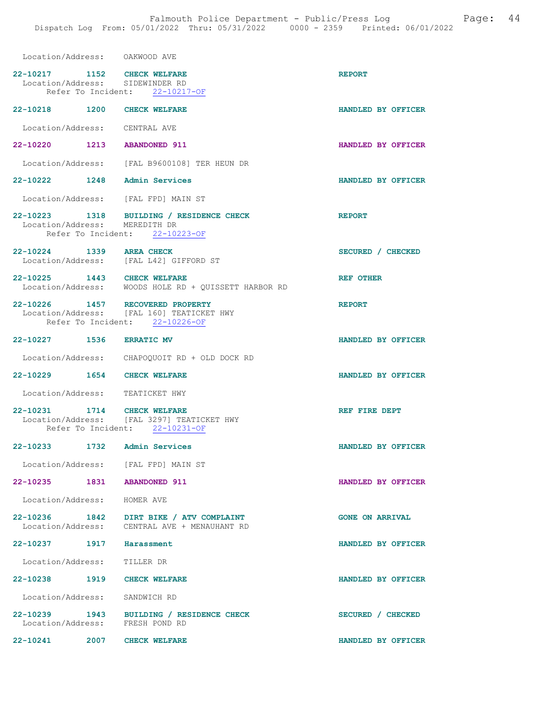| Location/Address: OAKWOOD AVE                                  |                                                                                         |                        |
|----------------------------------------------------------------|-----------------------------------------------------------------------------------------|------------------------|
| 22-10217 1152 CHECK WELFARE<br>Location/Address: SIDEWINDER RD | Refer To Incident: 22-10217-OF                                                          | <b>REPORT</b>          |
| 22-10218 1200 CHECK WELFARE                                    |                                                                                         | HANDLED BY OFFICER     |
| Location/Address: CENTRAL AVE                                  |                                                                                         |                        |
| 22-10220                                                       | 1213 ABANDONED 911                                                                      | HANDLED BY OFFICER     |
|                                                                | Location/Address: [FAL B9600108] TER HEUN DR                                            |                        |
| 22-10222                                                       | 1248 Admin Services                                                                     | HANDLED BY OFFICER     |
| Location/Address: [FAL FPD] MAIN ST                            |                                                                                         |                        |
| Location/Address: MEREDITH DR                                  | 22-10223 1318 BUILDING / RESIDENCE CHECK<br>Refer To Incident: 22-10223-OF              | <b>REPORT</b>          |
| 22-10224 1339 AREA CHECK                                       | Location/Address: [FAL L42] GIFFORD ST                                                  | SECURED / CHECKED      |
| 22-10225 1443 CHECK WELFARE                                    | Location/Address: WOODS HOLE RD + QUISSETT HARBOR RD                                    | <b>REF OTHER</b>       |
| 22-10226 1457 RECOVERED PROPERTY                               | Location/Address: [FAL 160] TEATICKET HWY<br>Refer To Incident: 22-10226-OF             | <b>REPORT</b>          |
| 22-10227 1536                                                  | <b>ERRATIC MV</b>                                                                       | HANDLED BY OFFICER     |
|                                                                | Location/Address: CHAPOQUOIT RD + OLD DOCK RD                                           |                        |
| 22-10229 1654 CHECK WELFARE                                    |                                                                                         | HANDLED BY OFFICER     |
| Location/Address: TEATICKET HWY                                |                                                                                         |                        |
| 22-10231 1714<br>Location/Address:                             | <b>CHECK WELFARE</b><br>[FAL 3297] TEATICKET HWY<br>Refer To Incident: 22-10231-OF      | REF FIRE DEPT          |
| 22-10233<br>1732                                               | Admin Services                                                                          | HANDLED BY OFFICER     |
| Location/Address: [FAL FPD] MAIN ST                            |                                                                                         |                        |
| 22-10235 1831 ABANDONED 911                                    |                                                                                         | HANDLED BY OFFICER     |
| Location/Address: HOMER AVE                                    |                                                                                         |                        |
|                                                                | 22-10236 1842 DIRT BIKE / ATV COMPLAINT<br>Location/Address: CENTRAL AVE + MENAUHANT RD | <b>GONE ON ARRIVAL</b> |
| 22-10237 1917 Harassment                                       |                                                                                         | HANDLED BY OFFICER     |
| Location/Address:                                              | TILLER DR                                                                               |                        |
| 22-10238 1919 CHECK WELFARE                                    |                                                                                         | HANDLED BY OFFICER     |
| Location/Address: SANDWICH RD                                  |                                                                                         |                        |
| Location/Address: FRESH POND RD                                | 22-10239 1943 BUILDING / RESIDENCE CHECK                                                | SECURED / CHECKED      |

22-10241 2007 CHECK WELFARE HANDLED BY OFFICER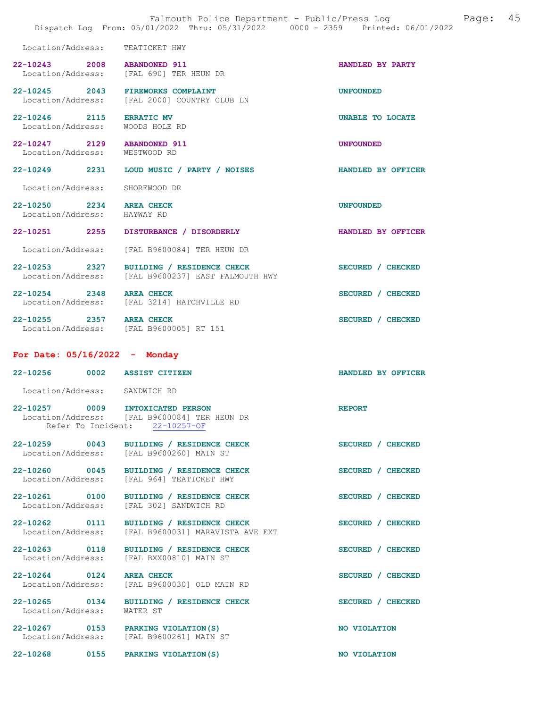|                                                         | Falmouth Police Department - Public/Press Log<br>Dispatch Log From: 05/01/2022 Thru: 05/31/2022 0000 - 2359 Printed: 06/01/2022 | 45<br>Page:        |
|---------------------------------------------------------|---------------------------------------------------------------------------------------------------------------------------------|--------------------|
| Location/Address: TEATICKET HWY                         |                                                                                                                                 |                    |
| 22-10243 2008                                           | <b>ABANDONED 911</b><br>Location/Address: [FAL 690] TER HEUN DR                                                                 | HANDLED BY PARTY   |
| 22-10245 2043<br>Location/Address:                      | <b>FIREWORKS COMPLAINT</b><br>[FAL 2000] COUNTRY CLUB LN                                                                        | <b>UNFOUNDED</b>   |
| 22-10246 2115<br>Location/Address:                      | <b>ERRATIC MV</b><br>WOODS HOLE RD                                                                                              | UNABLE TO LOCATE   |
| 22-10247 2129<br>Location/Address:                      | <b>ABANDONED 911</b><br>WESTWOOD RD                                                                                             | <b>UNFOUNDED</b>   |
| 22-10249 2231                                           | LOUD MUSIC / PARTY / NOISES                                                                                                     | HANDLED BY OFFICER |
| Location/Address:                                       | SHOREWOOD DR                                                                                                                    |                    |
| 22-10250 2234 AREA CHECK<br>Location/Address: HAYWAY RD |                                                                                                                                 | <b>UNFOUNDED</b>   |
| 22-10251 2255                                           | DISTURBANCE / DISORDERLY                                                                                                        | HANDLED BY OFFICER |
| Location/Address:                                       | [FAL B9600084] TER HEUN DR                                                                                                      |                    |
| 22-10253 2327<br>Location/Address:                      | BUILDING / RESIDENCE CHECK<br>[FAL B9600237] EAST FALMOUTH HWY                                                                  | SECURED / CHECKED  |
| 22-10254 2348                                           | <b>AREA CHECK</b><br>Location/Address: [FAL 3214] HATCHVILLE RD                                                                 | SECURED / CHECKED  |
| 22-10255 2357 AREA CHECK                                | Location/Address: [FAL B9600005] RT 151                                                                                         | SECURED / CHECKED  |
| For Date: $05/16/2022 -$ Monday                         |                                                                                                                                 |                    |
| 22-10256 0002 ASSIST CITIZEN                            |                                                                                                                                 | HANDLED BY OFFICER |
| Location/Address: SANDWICH RD                           |                                                                                                                                 |                    |
| 0009<br>$22 - 10257$                                    | INTOXICATED PERSON<br>Location/Address: [FAL B9600084] TER HEUN DR<br>Refer To Incident: 22-10257-OF                            | <b>REPORT</b>      |
| 22-10259 0043                                           | BUILDING / RESIDENCE CHECK<br>Location/Address: [FAL B9600260] MAIN ST                                                          | SECURED / CHECKED  |
| 22-10260 0045<br>Location/Address:                      | BUILDING / RESIDENCE CHECK<br>[FAL 964] TEATICKET HWY                                                                           | SECURED / CHECKED  |
| 22-10261 0100<br>Location/Address:                      | BUILDING / RESIDENCE CHECK<br>[FAL 302] SANDWICH RD                                                                             | SECURED / CHECKED  |
| 22-10262 0111                                           | BUILDING / RESIDENCE CHECK<br>Location/Address: [FAL B9600031] MARAVISTA AVE EXT                                                | SECURED / CHECKED  |
| 22-10263 0118                                           | BUILDING / RESIDENCE CHECK<br>Location/Address: [FAL BXX00810] MAIN ST                                                          | SECURED / CHECKED  |
| 22-10264 0124 AREA CHECK                                | Location/Address: [FAL B9600030] OLD MAIN RD                                                                                    | SECURED / CHECKED  |
| 22-10265 0134<br>Location/Address:                      | BUILDING / RESIDENCE CHECK<br>WATER ST                                                                                          | SECURED / CHECKED  |
| 22-10267 0153 PARKING VIOLATION (S)                     | Location/Address: [FAL B9600261] MAIN ST                                                                                        | NO VIOLATION       |
| 22-10268 0155                                           | PARKING VIOLATION (S)                                                                                                           | NO VIOLATION       |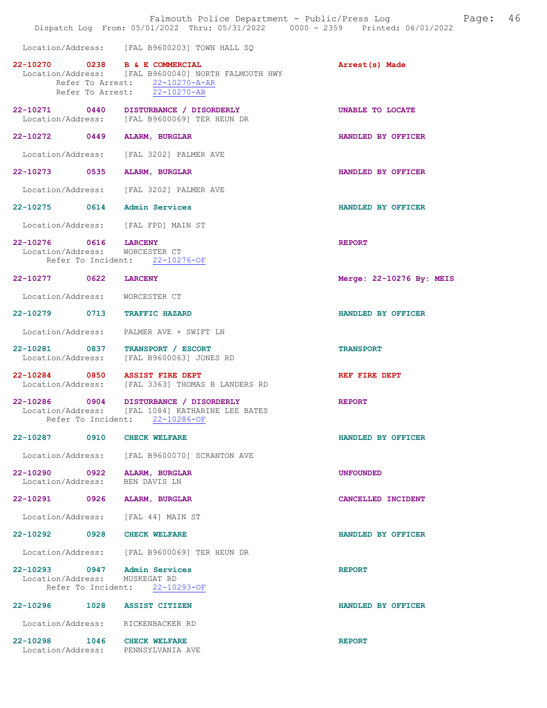|                                            | Falmouth Police Department - Public/Press Log<br>Dispatch Log From: 05/01/2022 Thru: 05/31/2022 0000 - 2359 Printed: 06/01/2022                           | 46<br>Page:              |
|--------------------------------------------|-----------------------------------------------------------------------------------------------------------------------------------------------------------|--------------------------|
|                                            | Location/Address: [FAL B9600203] TOWN HALL SQ                                                                                                             |                          |
|                                            | 22-10270 0238 B & E COMMERCIAL<br>Location/Address: [FAL B9600040] NORTH FALMOUTH HWY<br>Refer To Arrest: $22-10270-A-AR$<br>Refer To Arrest: 22-10270-AR | Arrest(s) Made           |
| 22-10271 0440                              | DISTURBANCE / DISORDERLY<br>Location/Address: [FAL B9600069] TER HEUN DR                                                                                  | UNABLE TO LOCATE         |
| 22-10272 0449                              | <b>ALARM, BURGLAR</b>                                                                                                                                     | HANDLED BY OFFICER       |
| Location/Address:                          | [FAL 3202] PALMER AVE                                                                                                                                     |                          |
| 22-10273 0535                              | <b>ALARM, BURGLAR</b>                                                                                                                                     | HANDLED BY OFFICER       |
| Location/Address:                          | [FAL 3202] PALMER AVE                                                                                                                                     |                          |
| 22-10275                                   | 0614<br>Admin Services                                                                                                                                    | HANDLED BY OFFICER       |
|                                            | Location/Address: [FAL FPD] MAIN ST                                                                                                                       |                          |
| 22-10276 0616 LARCENY<br>Location/Address: | WORCESTER CT<br>Refer To Incident: 22-10276-OF                                                                                                            | <b>REPORT</b>            |
| 22-10277 0622                              | <b>LARCENY</b>                                                                                                                                            | Merge: 22-10276 By: MEIS |
| Location/Address:                          | WORCESTER CT                                                                                                                                              |                          |
| $22 - 10279$<br>0713                       | <b>TRAFFIC HAZARD</b>                                                                                                                                     | HANDLED BY OFFICER       |
| Location/Address:                          | PALMER AVE + SWIFT LN                                                                                                                                     |                          |
| 22-10281 0837<br>Location/Address:         | TRANSPORT / ESCORT<br>[FAL B9600063] JONES RD                                                                                                             | <b>TRANSPORT</b>         |
| 22-10284 0850<br>Location/Address:         | <b>ASSIST FIRE DEPT</b><br>[FAL 3363] THOMAS B LANDERS RD                                                                                                 | REF FIRE DEPT            |
| 22-10286 0904<br>Location/Address:         | DISTURBANCE / DISORDERLY<br>[FAL 1084] KATHARINE LEE BATES<br>Refer To Incident: 22-10286-OF                                                              | <b>REPORT</b>            |
| 22-10287                                   | 0910<br><b>CHECK WELFARE</b>                                                                                                                              | HANDLED BY OFFICER       |
|                                            | Location/Address: [FAL B9600070] SCRANTON AVE                                                                                                             |                          |
| 22-10290 0922<br>Location/Address:         | ALARM, BURGLAR<br>BEN DAVIS LN                                                                                                                            | <b>UNFOUNDED</b>         |
|                                            | 22-10291 0926 ALARM, BURGLAR                                                                                                                              | CANCELLED INCIDENT       |
|                                            | Location/Address: [FAL 44] MAIN ST                                                                                                                        |                          |
|                                            | 22-10292 0928 CHECK WELFARE                                                                                                                               | HANDLED BY OFFICER       |
|                                            | Location/Address: [FAL B9600069] TER HEUN DR                                                                                                              |                          |
| Location/Address: MUSKEGAT RD              | 22-10293 0947 Admin Services<br>Refer To Incident: 22-10293-OF                                                                                            | <b>REPORT</b>            |
|                                            | 22-10296 1028 ASSIST CITIZEN                                                                                                                              | HANDLED BY OFFICER       |
|                                            | Location/Address: RICKENBACKER RD                                                                                                                         |                          |
|                                            | 22-10298 1046 CHECK WELFARE<br>Location/Address: PENNSYLVANIA AVE                                                                                         | <b>REPORT</b>            |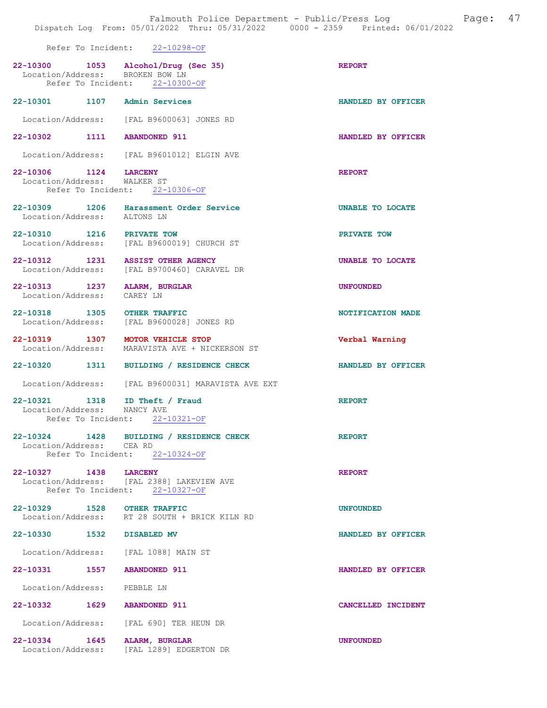|                                                      | Dispatch Log From: 05/01/2022 Thru: 05/31/2022 0000 - 2359 Printed: 06/01/2022                           | Falmouth Police Department - Public/Press Log Fage: 47 |  |
|------------------------------------------------------|----------------------------------------------------------------------------------------------------------|--------------------------------------------------------|--|
|                                                      | Refer To Incident: 22-10298-OF                                                                           |                                                        |  |
|                                                      | 22-10300 1053 Alcohol/Drug (Sec 35)<br>Location/Address: BROKEN BOW LN<br>Refer To Incident: 22-10300-OF | <b>REPORT</b>                                          |  |
|                                                      | 22-10301 1107 Admin Services                                                                             | HANDLED BY OFFICER                                     |  |
|                                                      | Location/Address: [FAL B9600063] JONES RD                                                                |                                                        |  |
|                                                      | 22-10302 1111 ABANDONED 911                                                                              | HANDLED BY OFFICER                                     |  |
|                                                      | Location/Address: [FAL B9601012] ELGIN AVE                                                               |                                                        |  |
| 22-10306 1124 LARCENY<br>Location/Address: WALKER ST | Refer To Incident: 22-10306-OF                                                                           | <b>REPORT</b>                                          |  |
| Location/Address: ALTONS LN                          | 22-10309 1206 Harassment Order Service                                                                   | UNABLE TO LOCATE                                       |  |
| 22-10310 1216 PRIVATE TOW                            | Location/Address: [FAL B9600019] CHURCH ST                                                               | PRIVATE TOW                                            |  |
|                                                      | 22-10312 1231 ASSIST OTHER AGENCY<br>Location/Address: [FAL B9700460] CARAVEL DR                         | UNABLE TO LOCATE                                       |  |
| Location/Address: CAREY LN                           | 22-10313 1237 ALARM, BURGLAR                                                                             | <b>UNFOUNDED</b>                                       |  |
|                                                      | 22-10318 1305 OTHER TRAFFIC<br>Location/Address: [FAL B9600028] JONES RD                                 | NOTIFICATION MADE                                      |  |
|                                                      | 22-10319 1307 MOTOR VEHICLE STOP<br>Location/Address: MARAVISTA AVE + NICKERSON ST                       | Verbal Warning                                         |  |
|                                                      | 22-10320 1311 BUILDING / RESIDENCE CHECK                                                                 | HANDLED BY OFFICER                                     |  |
|                                                      | Location/Address: [FAL B9600031] MARAVISTA AVE EXT                                                       |                                                        |  |
|                                                      | 22-10321 1318 ID Theft / Fraud<br>Location/Address: NANCY AVE<br>Refer To Incident: 22-10321-OF          | <b>REPORT</b>                                          |  |
| Location/Address: CEA RD                             | 22-10324 1428 BUILDING / RESIDENCE CHECK<br>Refer To Incident: 22-10324-OF                               | <b>REPORT</b>                                          |  |
| 22-10327 1438 LARCENY                                | Location/Address: [FAL 2388] LAKEVIEW AVE<br>Refer To Incident: 22-10327-OF                              | <b>REPORT</b>                                          |  |
|                                                      | 22-10329 1528 OTHER TRAFFIC<br>Location/Address: RT 28 SOUTH + BRICK KILN RD                             | <b>UNFOUNDED</b>                                       |  |
| 22-10330 1532 DISABLED MV                            |                                                                                                          | HANDLED BY OFFICER                                     |  |
|                                                      | Location/Address: [FAL 1088] MAIN ST                                                                     |                                                        |  |
|                                                      | 22-10331 1557 ABANDONED 911                                                                              | HANDLED BY OFFICER                                     |  |
| Location/Address: PEBBLE LN                          |                                                                                                          |                                                        |  |
|                                                      | 22-10332 1629 ABANDONED 911                                                                              | CANCELLED INCIDENT                                     |  |
|                                                      | Location/Address: [FAL 690] TER HEUN DR                                                                  |                                                        |  |
|                                                      | 22-10334 1645 ALARM, BURGLAR<br>Location/Address: [FAL 1289] EDGERTON DR                                 | <b>UNFOUNDED</b>                                       |  |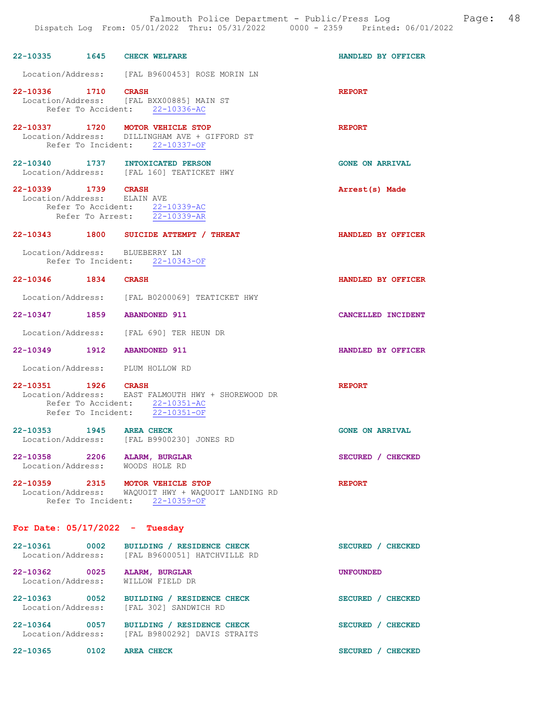22-10335 1645 CHECK WELFARE HANDLED BY OFFICER Location/Address: [FAL B9600453] ROSE MORIN LN 22-10336 1710 CRASH REPORT Location/Address: [FAL BXX00885] MAIN ST Refer To Accident: 22-10336-AC 22-10337 1720 MOTOR VEHICLE STOP **REPORT**  Location/Address: DILLINGHAM AVE + GIFFORD ST Refer To Incident: 22-10337-OF 22-10340 1737 INTOXICATED PERSON GONE ON ARRIVAL Location/Address: [FAL 160] TEATICKET HWY 22-10339 1739 CRASH Arrest(s) Made Location/Address: ELAIN AVE Refer To Accident: 22-10339-AC<br>Refer To Arrest: 22-10339-AR Refer To Arrest: 22-10343 1800 SUICIDE ATTEMPT / THREAT HANDLED BY OFFICER Location/Address: BLUEBERRY LN Refer To Incident: 22-10343-OF 22-10346 1834 CRASH HANDLED BY OFFICER Location/Address: [FAL B0200069] TEATICKET HWY 22-10347 1859 ABANDONED 911 CANCELLED INCIDENT Location/Address: [FAL 690] TER HEUN DR 22-10349 1912 ABANDONED 911 HANDLED BY OFFICER Location/Address: PLUM HOLLOW RD 22-10351 1926 CRASH REPORT Location/Address: EAST FALMOUTH HWY + SHOREWOOD DR Refer To Accident:  $\frac{22-10351-AC}{22-10351-OF}$ Refer To Incident: 22-10353 1945 AREA CHECK GONE ON ARRIVAL Location/Address: [FAL B9900230] JONES RD 22-10358 2206 ALARM, BURGLAR SECURED / CHECKED Location/Address: WOODS HOLE RD Location/Address: 22-10359 2315 MOTOR VEHICLE STOP REPORT Location/Address: WAQUOIT HWY + WAQUOIT LANDING RD Refer To Incident: 22-10359-OF For Date: 05/17/2022 - Tuesday 22-10361 0002 BUILDING / RESIDENCE CHECK<br>
Location/Address: [FAL B9600051] HATCHVILLE RD [FAL B9600051] HATCHVILLE RD 22-10362 0025 ALARM, BURGLAR UNFOUNDED<br>
Location/Address: WILLOW FIELD DR Location/Address: 22-10363 0052 BUILDING / RESIDENCE CHECK SECURED / CHECKED Location/Address: [FAL 302] SANDWICH RD 22-10364 0057 BUILDING / RESIDENCE CHECK SECURED / CHECKED Location/Address: [FAL B9800292] DAVIS STRAITS

22-10365 0102 AREA CHECK SECURED / CHECKED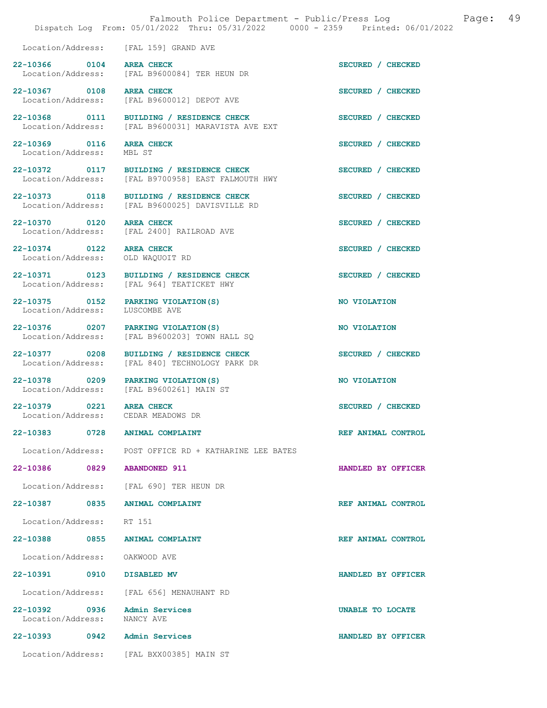|                                                                | Dispatch Log From: 05/01/2022 Thru: 05/31/2022 0000 - 2359 Printed: 06/01/2022   |                    |
|----------------------------------------------------------------|----------------------------------------------------------------------------------|--------------------|
| Location/Address:                                              | [FAL 159] GRAND AVE                                                              |                    |
| 22-10366 0104<br>Location/Address:                             | <b>AREA CHECK</b><br>[FAL B9600084] TER HEUN DR                                  | SECURED / CHECKED  |
| 22-10367 0108                                                  | <b>AREA CHECK</b><br>Location/Address: [FAL B9600012] DEPOT AVE                  | SECURED / CHECKED  |
| 22-10368 0111<br>Location/Address:                             | BUILDING / RESIDENCE CHECK<br>[FAL B9600031] MARAVISTA AVE EXT                   | SECURED / CHECKED  |
| 22-10369 0116<br>Location/Address:                             | <b>AREA CHECK</b><br>MBL ST                                                      | SECURED / CHECKED  |
| 22-10372 0117                                                  | BUILDING / RESIDENCE CHECK<br>Location/Address: [FAL B9700958] EAST FALMOUTH HWY | SECURED / CHECKED  |
| 22-10373 0118                                                  | BUILDING / RESIDENCE CHECK<br>Location/Address: [FAL B9600025] DAVISVILLE RD     | SECURED / CHECKED  |
| 22-10370 0120<br>Location/Address:                             | <b>AREA CHECK</b><br>[FAL 2400] RAILROAD AVE                                     | SECURED / CHECKED  |
| 22-10374 0122<br>Location/Address:                             | <b>AREA CHECK</b><br>OLD WAQUOIT RD                                              | SECURED / CHECKED  |
| 22-10371 0123                                                  | BUILDING / RESIDENCE CHECK<br>Location/Address: [FAL 964] TEATICKET HWY          | SECURED / CHECKED  |
| 22-10375 0152<br>Location/Address:                             | PARKING VIOLATION (S)<br>LUSCOMBE AVE                                            | NO VIOLATION       |
| 22-10376 0207<br>Location/Address:                             | PARKING VIOLATION (S)<br>[FAL B9600203] TOWN HALL SQ                             | NO VIOLATION       |
| 22-10377 0208<br>Location/Address:                             | BUILDING / RESIDENCE CHECK<br>[FAL 840] TECHNOLOGY PARK DR                       | SECURED / CHECKED  |
| 22-10378 0209                                                  | PARKING VIOLATION (S)<br>Location/Address: [FAL B9600261] MAIN ST                | NO VIOLATION       |
| 22-10379 0221 AREA CHECK<br>Location/Address: CEDAR MEADOWS DR |                                                                                  | SECURED / CHECKED  |
| 22-10383 0728                                                  | ANIMAL COMPLAINT                                                                 | REF ANIMAL CONTROL |
|                                                                | Location/Address: POST OFFICE RD + KATHARINE LEE BATES                           |                    |
| 22-10386 0829 ABANDONED 911                                    |                                                                                  | HANDLED BY OFFICER |
|                                                                | Location/Address: [FAL 690] TER HEUN DR                                          |                    |
| 22-10387 0835 ANIMAL COMPLAINT                                 |                                                                                  | REF ANIMAL CONTROL |
| Location/Address: RT 151                                       |                                                                                  |                    |
| 22-10388 0855 ANIMAL COMPLAINT                                 |                                                                                  | REF ANIMAL CONTROL |
| Location/Address: OAKWOOD AVE                                  |                                                                                  |                    |
| 22-10391 0910 DISABLED MV                                      |                                                                                  | HANDLED BY OFFICER |
|                                                                | Location/Address: [FAL 656] MENAUHANT RD                                         |                    |
| 22-10392 0936<br>Location/Address: NANCY AVE                   | Admin Services                                                                   | UNABLE TO LOCATE   |
| 22-10393 0942 Admin Services                                   |                                                                                  | HANDLED BY OFFICER |
|                                                                | Location/Address: [FAL BXX00385] MAIN ST                                         |                    |

Falmouth Police Department - Public/Press Log and Page: 49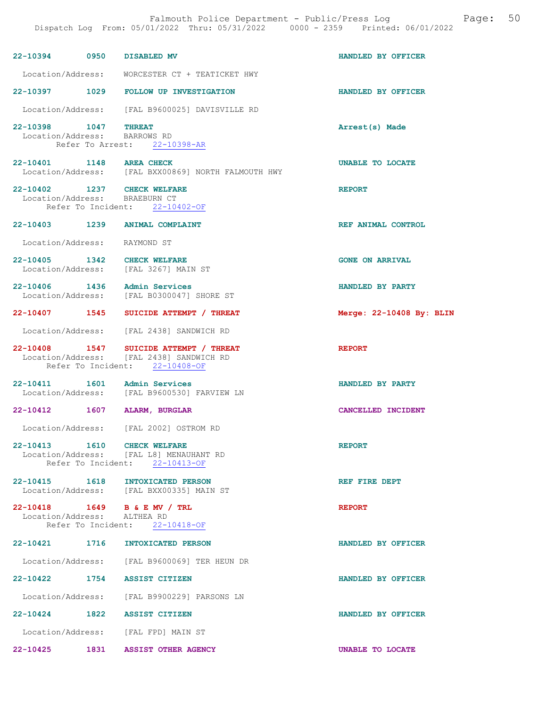|                                                      |      | 22-10394 0950 DISABLED MV                                                                                            | HANDLED BY OFFICER       |
|------------------------------------------------------|------|----------------------------------------------------------------------------------------------------------------------|--------------------------|
|                                                      |      | Location/Address: WORCESTER CT + TEATICKET HWY                                                                       |                          |
|                                                      |      | 22-10397 1029 FOLLOW UP INVESTIGATION                                                                                | HANDLED BY OFFICER       |
|                                                      |      | Location/Address: [FAL B9600025] DAVISVILLE RD                                                                       |                          |
| 22-10398 1047 THREAT<br>Location/Address: BARROWS RD |      | Refer To Arrest: 22-10398-AR                                                                                         | Arrest(s) Made           |
| 22-10401 1148 AREA CHECK                             |      | Location/Address: [FAL BXX00869] NORTH FALMOUTH HWY                                                                  | UNABLE TO LOCATE         |
|                                                      |      | 22-10402 1237 CHECK WELFARE<br>Location/Address: BRAEBURN CT<br>Refer To Incident: 22-10402-OF                       | <b>REPORT</b>            |
|                                                      |      | 22-10403 1239 ANIMAL COMPLAINT                                                                                       | REF ANIMAL CONTROL       |
| Location/Address: RAYMOND ST                         |      |                                                                                                                      |                          |
|                                                      |      | 22-10405 1342 CHECK WELFARE<br>Location/Address: [FAL 3267] MAIN ST                                                  | <b>GONE ON ARRIVAL</b>   |
|                                                      |      | 22-10406 1436 Admin Services<br>Location/Address: [FAL B0300047] SHORE ST                                            | HANDLED BY PARTY         |
|                                                      |      | 22-10407 1545 SUICIDE ATTEMPT / THREAT                                                                               | Merge: 22-10408 By: BLIN |
|                                                      |      | Location/Address: [FAL 2438] SANDWICH RD                                                                             |                          |
|                                                      |      | 22-10408 1547 SUICIDE ATTEMPT / THREAT<br>Location/Address: [FAL 2438] SANDWICH RD<br>Refer To Incident: 22-10408-OF | <b>REPORT</b>            |
|                                                      |      | 22-10411 1601 Admin Services<br>Location/Address: [FAL B9600530] FARVIEW LN                                          | HANDLED BY PARTY         |
|                                                      |      | 22-10412 1607 ALARM, BURGLAR                                                                                         | CANCELLED INCIDENT       |
|                                                      |      | Location/Address: [FAL 2002] OSTROM RD                                                                               |                          |
| $22 - 10413$                                         | 1610 | <b>CHECK WELFARE</b><br>Location/Address: [FAL L8] MENAUHANT RD<br>Refer To Incident: 22-10413-OF                    | <b>REPORT</b>            |
|                                                      |      | 22-10415 1618 INTOXICATED PERSON<br>Location/Address: [FAL BXX00335] MAIN ST                                         | REF FIRE DEPT            |
| Location/Address: ALTHEA RD                          |      | 22-10418  1649  B & E MV / TRL<br>Refer To Incident: 22-10418-OF                                                     | <b>REPORT</b>            |
|                                                      |      | 22-10421 1716 INTOXICATED PERSON                                                                                     | HANDLED BY OFFICER       |
|                                                      |      | Location/Address: [FAL B9600069] TER HEUN DR                                                                         |                          |
|                                                      |      | 22-10422 1754 ASSIST CITIZEN                                                                                         | HANDLED BY OFFICER       |
|                                                      |      | Location/Address: [FAL B9900229] PARSONS LN                                                                          |                          |
|                                                      |      | 22-10424 1822 ASSIST CITIZEN                                                                                         | HANDLED BY OFFICER       |
|                                                      |      | Location/Address: [FAL FPD] MAIN ST                                                                                  |                          |
|                                                      |      | 22-10425 1831 ASSIST OTHER AGENCY                                                                                    | UNABLE TO LOCATE         |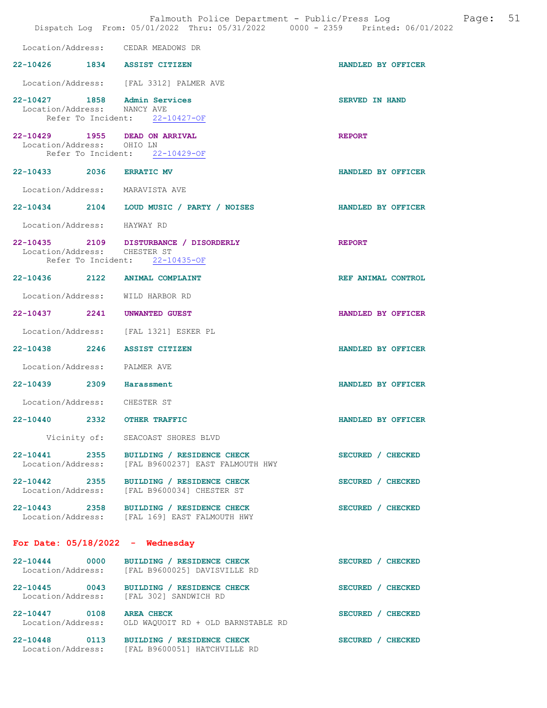|                                                             | Falmouth Police Department - Public/Press Log<br>Dispatch Log From: 05/01/2022 Thru: 05/31/2022 0000 - 2359 Printed: 06/01/2022 | 51<br>Page:           |  |
|-------------------------------------------------------------|---------------------------------------------------------------------------------------------------------------------------------|-----------------------|--|
|                                                             | Location/Address: CEDAR MEADOWS DR                                                                                              |                       |  |
| 22-10426 1834 ASSIST CITIZEN                                |                                                                                                                                 | HANDLED BY OFFICER    |  |
|                                                             | Location/Address: [FAL 3312] PALMER AVE                                                                                         |                       |  |
| 22-10427 1858 Admin Services<br>Location/Address: NANCY AVE | Refer To Incident: 22-10427-OF                                                                                                  | <b>SERVED IN HAND</b> |  |
| Location/Address: OHIO LN                                   | 22-10429 1955 DEAD ON ARRIVAL<br>Refer To Incident: 22-10429-OF                                                                 | <b>REPORT</b>         |  |
| 22-10433 2036 ERRATIC MV                                    |                                                                                                                                 | HANDLED BY OFFICER    |  |
| Location/Address: MARAVISTA AVE                             |                                                                                                                                 |                       |  |
|                                                             | 22-10434 2104 LOUD MUSIC / PARTY / NOISES                                                                                       | HANDLED BY OFFICER    |  |
| Location/Address: HAYWAY RD                                 |                                                                                                                                 |                       |  |
| Location/Address: CHESTER ST                                | 22-10435 2109 DISTURBANCE / DISORDERLY<br>Refer To Incident: 22-10435-OF                                                        | <b>REPORT</b>         |  |
|                                                             | 22-10436 2122 ANIMAL COMPLAINT                                                                                                  | REF ANIMAL CONTROL    |  |
|                                                             | Location/Address: WILD HARBOR RD                                                                                                |                       |  |
| 22-10437 2241 UNWANTED GUEST                                |                                                                                                                                 | HANDLED BY OFFICER    |  |
|                                                             | Location/Address: [FAL 1321] ESKER PL                                                                                           |                       |  |
| 22-10438 2246 ASSIST CITIZEN                                |                                                                                                                                 | HANDLED BY OFFICER    |  |
| Location/Address: PALMER AVE                                |                                                                                                                                 |                       |  |
| 22-10439 2309 Harassment                                    |                                                                                                                                 | HANDLED BY OFFICER    |  |
| Location/Address: CHESTER ST                                |                                                                                                                                 |                       |  |
| 22-10440 2332                                               | <b>OTHER TRAFFIC</b>                                                                                                            | HANDLED BY OFFICER    |  |
|                                                             | Vicinity of: SEACOAST SHORES BLVD                                                                                               |                       |  |
|                                                             | 22-10441 2355 BUILDING / RESIDENCE CHECK<br>Location/Address: [FAL B9600237] EAST FALMOUTH HWY                                  | SECURED / CHECKED     |  |
|                                                             | 22-10442 2355 BUILDING / RESIDENCE CHECK<br>Location/Address: [FAL B9600034] CHESTER ST                                         | SECURED / CHECKED     |  |
|                                                             | 22-10443 2358 BUILDING / RESIDENCE CHECK<br>Location/Address: [FAL 169] EAST FALMOUTH HWY                                       | SECURED / CHECKED     |  |
|                                                             | For Date: $05/18/2022 -$ Wednesday                                                                                              |                       |  |
| 22-10444 0000                                               | BUILDING / RESIDENCE CHECK<br>Location/Address: [FAL B9600025] DAVISVILLE RD                                                    | SECURED / CHECKED     |  |
|                                                             | 22-10445 0043 BUILDING / RESIDENCE CHECK<br>Location/Address: [FAL 302] SANDWICH RD                                             | SECURED / CHECKED     |  |
| 22-10447 0108 AREA CHECK                                    | Location/Address: OLD WAQUOIT RD + OLD BARNSTABLE RD                                                                            | SECURED / CHECKED     |  |
|                                                             | 22-10448 0113 BUILDING / RESIDENCE CHECK<br>Location/Address: [FAL B9600051] HATCHVILLE RD                                      | SECURED / CHECKED     |  |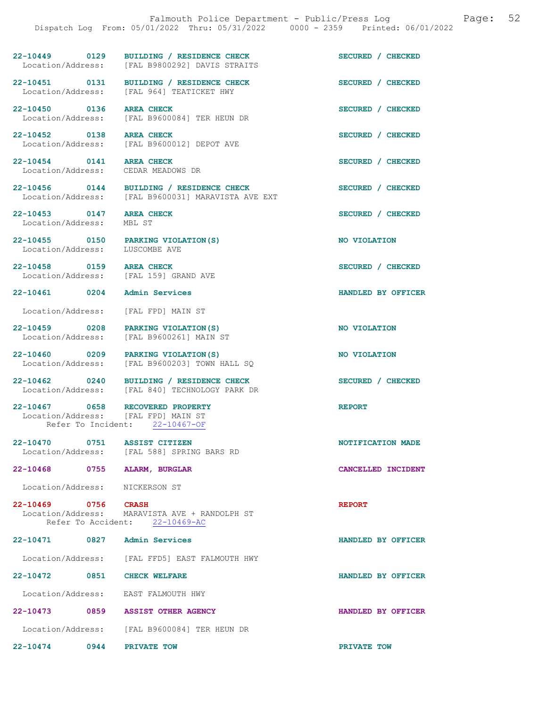22-10449 0129 BUILDING / RESIDENCE CHECK SECURED / CHECKED Location/Address: [FAL B9800292] DAVIS STRAITS

22-10451 0131 BUILDING / RESIDENCE CHECK<br>
Location/Address: [FAL 964] TEATICKET HWY [FAL 964] TEATICKET HWY

Location/Address: [FAL B9600084] TER HEUN DR

22-10452 0138 AREA CHECK SECURED / CHECKED Location/Address: [FAL B9600012] DEPOT AVE

22-10454 0141 AREA CHECK SECURED / CHECKED Location/Address: CEDAR MEADOWS DR

Location/Address: [FAL B9600031] MARAVISTA AVE EXT

22-10453 0147 AREA CHECK SECURED / CHECKED Location/Address: MBL ST

22-10455 0150 PARKING VIOLATION(S) NO VIOLATION<br>
Location/Address: LUSCOMBE AVE Location/Address:

22-10458 0159 AREA CHECK SECURED / CHECKED Location/Address: [FAL 159] GRAND AVE

Location/Address: [FAL FPD] MAIN ST

22-10459 0208 PARKING VIOLATION(S) NO VIOLATION Location/Address: [FAL B9600261] MAIN ST

22-10460 0209 PARKING VIOLATION(S) NO VIOLATION Location/Address: [FAL B9600203] TOWN HALL SQ

22-10462 0240 BUILDING / RESIDENCE CHECK SECURED / CHECKED Location/Address: [FAL 840] TECHNOLOGY PARK DR [FAL 840] TECHNOLOGY PARK DR

22-10467 0658 RECOVERED PROPERTY<br>
Location/Address: [FAL FPD] MAIN ST Location/Address: Refer To Incident: 22-10467-OF

22-10470 0751 ASSIST CITIZEN NOTIFICATION MADE Location/Address: [FAL 588] SPRING BARS RD

22-10468 0755 ALARM, BURGLAR CANCELLED INCIDENT

Location/Address: NICKERSON ST

22-10469 0756 CRASH REPORT Location/Address: MARAVISTA AVE + RANDOLPH ST Refer To Accident: 22-10469-AC

22-10471 0827 Admin Services HANDLED BY OFFICER

Location/Address: [FAL FFD5] EAST FALMOUTH HWY

22-10472 0851 CHECK WELFARE HANDLED BY OFFICER

Location/Address: EAST FALMOUTH HWY

22-10473 0859 ASSIST OTHER AGENCY HANDLED BY OFFICER Location/Address: [FAL B9600084] TER HEUN DR

22-10474 0944 PRIVATE TOW PRIVATE TOW

22-10450 0136 AREA CHECK SECURED / CHECKED

22-10456 0144 BUILDING / RESIDENCE CHECK SECURED / CHECKED

22-10461 0204 Admin Services HANDLED BY OFFICER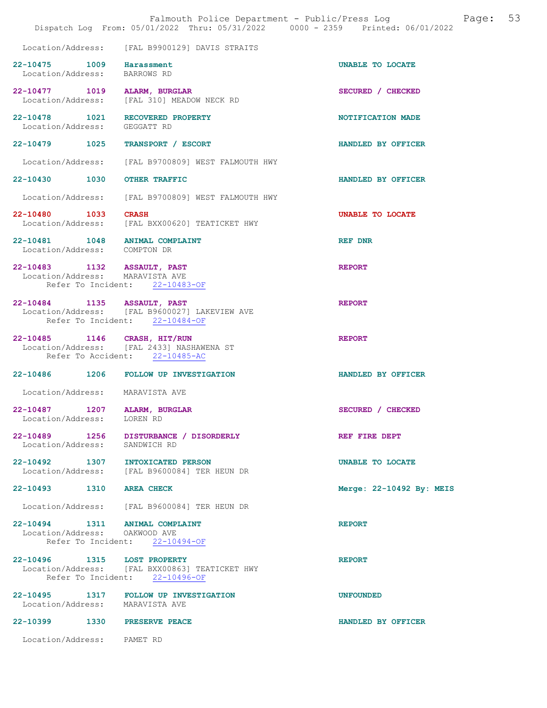|                                                                 | Dispatch Log From: 05/01/2022 Thru: 05/31/2022 0000 - 2359 Printed: 06/01/2022   | Falmouth Police Department - Public/Press Log Cage: | 53 |
|-----------------------------------------------------------------|----------------------------------------------------------------------------------|-----------------------------------------------------|----|
|                                                                 | Location/Address: [FAL B9900129] DAVIS STRAITS                                   |                                                     |    |
| 22-10475 1009 Harassment<br>Location/Address: BARROWS RD        |                                                                                  | UNABLE TO LOCATE                                    |    |
| 22-10477 1019 ALARM, BURGLAR                                    | Location/Address: [FAL 310] MEADOW NECK RD                                       | SECURED / CHECKED                                   |    |
| Location/Address: GEGGATT RD                                    | 22-10478  1021  RECOVERED PROPERTY                                               | NOTIFICATION MADE                                   |    |
|                                                                 | 22-10479   1025   TRANSPORT / ESCORT                                             | HANDLED BY OFFICER                                  |    |
|                                                                 | Location/Address: [FAL B9700809] WEST FALMOUTH HWY                               |                                                     |    |
| 22-10430 1030 OTHER TRAFFIC                                     |                                                                                  | HANDLED BY OFFICER                                  |    |
|                                                                 | Location/Address: [FAL B9700809] WEST FALMOUTH HWY                               |                                                     |    |
| 22-10480 1033 CRASH                                             | Location/Address: [FAL BXX00620] TEATICKET HWY                                   | UNABLE TO LOCATE                                    |    |
| 22-10481 1048 ANIMAL COMPLAINT<br>Location/Address: COMPTON DR  |                                                                                  | REF DNR                                             |    |
| 22-10483 1132 ASSAULT, PAST<br>Location/Address: MARAVISTA AVE  | Refer To Incident: 22-10483-OF                                                   | <b>REPORT</b>                                       |    |
| 22-10484 1135 ASSAULT, PAST                                     | Location/Address: [FAL B9600027] LAKEVIEW AVE<br>Refer To Incident: 22-10484-OF  | <b>REPORT</b>                                       |    |
| 22-10485 1146 CRASH, HIT/RUN                                    | Location/Address: [FAL 2433] NASHAWENA ST<br>Refer To Accident: 22-10485-AC      | <b>REPORT</b>                                       |    |
|                                                                 | 22-10486 1206 FOLLOW UP INVESTIGATION                                            | HANDLED BY OFFICER                                  |    |
| Location/Address: MARAVISTA AVE                                 |                                                                                  |                                                     |    |
| 22-10487<br>1207<br>Location/Address: LOREN RD                  | <b>ALARM, BURGLAR</b>                                                            | SECURED / CHECKED                                   |    |
|                                                                 | 22-10489 1256 DISTURBANCE / DISORDERLY<br>Location/Address: SANDWICH RD          | REF FIRE DEPT                                       |    |
|                                                                 | 22-10492 1307 INTOXICATED PERSON<br>Location/Address: [FAL B9600084] TER HEUN DR | <b>UNABLE TO LOCATE</b>                             |    |
| 22-10493 1310 AREA CHECK                                        |                                                                                  | Merge: 22-10492 By: MEIS                            |    |
|                                                                 | Location/Address: [FAL B9600084] TER HEUN DR                                     |                                                     |    |
| 22-10494 1311 ANIMAL COMPLAINT<br>Location/Address: OAKWOOD AVE | Refer To Incident: 22-10494-OF                                                   | <b>REPORT</b>                                       |    |
| 22-10496 1315 LOST PROPERTY                                     |                                                                                  | <b>REPORT</b>                                       |    |
|                                                                 | Location/Address: [FAL BXX00863] TEATICKET HWY<br>Refer To Incident: 22-10496-OF |                                                     |    |
| Location/Address: MARAVISTA AVE                                 | 22-10495 1317 FOLLOW UP INVESTIGATION                                            | <b>UNFOUNDED</b>                                    |    |
| 22-10399 1330 PRESERVE PEACE                                    |                                                                                  | HANDLED BY OFFICER                                  |    |
| Location/Address: PAMET RD                                      |                                                                                  |                                                     |    |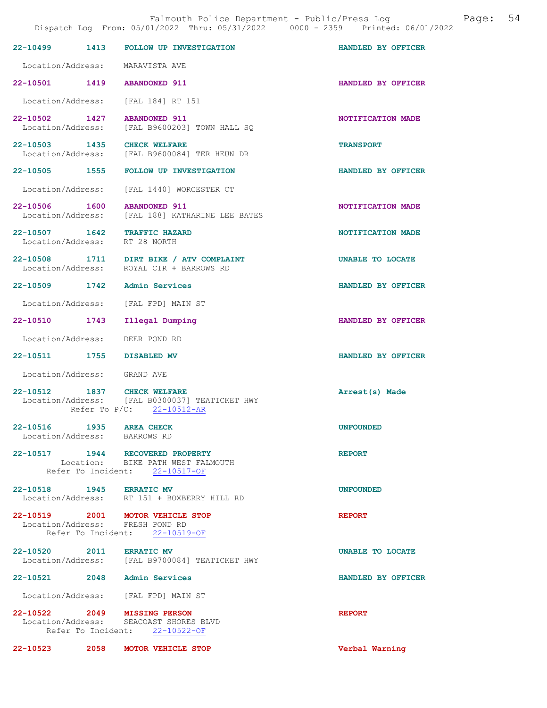|                                                          | Dispatch Log From: 05/01/2022 Thru: 05/31/2022 0000 - 2359 Printed: 06/01/2022                             |                    |
|----------------------------------------------------------|------------------------------------------------------------------------------------------------------------|--------------------|
| 1413<br>$22 - 10499$                                     | <b>FOLLOW UP INVESTIGATION</b>                                                                             | HANDLED BY OFFICER |
|                                                          | Location/Address: MARAVISTA AVE                                                                            |                    |
|                                                          | 22-10501 1419 ABANDONED 911                                                                                | HANDLED BY OFFICER |
|                                                          | Location/Address: [FAL 184] RT 151                                                                         |                    |
| 22-10502 1427<br>Location/Address:                       | <b>ABANDONED 911</b><br>[FAL B9600203] TOWN HALL SO                                                        | NOTIFICATION MADE  |
|                                                          | 22-10503 1435 CHECK WELFARE<br>Location/Address: [FAL B9600084] TER HEUN DR                                | <b>TRANSPORT</b>   |
|                                                          | 22-10505 1555 FOLLOW UP INVESTIGATION                                                                      | HANDLED BY OFFICER |
|                                                          | Location/Address: [FAL 1440] WORCESTER CT                                                                  |                    |
| 22-10506 1600                                            | <b>ABANDONED 911</b><br>Location/Address: [FAL 188] KATHARINE LEE BATES                                    | NOTIFICATION MADE  |
|                                                          | 22-10507 1642 TRAFFIC HAZARD<br>Location/Address: RT 28 NORTH                                              | NOTIFICATION MADE  |
|                                                          | 22-10508 1711 DIRT BIKE / ATV COMPLAINT<br>Location/Address: ROYAL CIR + BARROWS RD                        | UNABLE TO LOCATE   |
|                                                          | 22-10509 1742 Admin Services                                                                               | HANDLED BY OFFICER |
|                                                          | Location/Address: [FAL FPD] MAIN ST                                                                        |                    |
| 22-10510 1743                                            | Illegal Dumping                                                                                            | HANDLED BY OFFICER |
|                                                          | Location/Address: DEER POND RD                                                                             |                    |
| 22-10511 1755 DISABLED MV                                |                                                                                                            | HANDLED BY OFFICER |
| Location/Address: GRAND AVE                              |                                                                                                            |                    |
|                                                          | 22-10512 1837 CHECK WELFARE<br>Location/Address: [FAL B0300037] TEATICKET HWY<br>Refer To P/C: 22-10512-AR | Arrest(s) Made     |
| 22-10516 1935 AREA CHECK<br>Location/Address: BARROWS RD |                                                                                                            | <b>UNFOUNDED</b>   |
|                                                          | 22-10517 1944 RECOVERED PROPERTY<br>Location: BIKE PATH WEST FALMOUTH<br>Refer To Incident: 22-10517-OF    | <b>REPORT</b>      |
| 22-10518 1945 ERRATIC MV                                 | Location/Address: RT 151 + BOXBERRY HILL RD                                                                | <b>UNFOUNDED</b>   |
|                                                          | 22-10519 2001 MOTOR VEHICLE STOP<br>Location/Address: FRESH POND RD<br>Refer To Incident: 22-10519-OF      | <b>REPORT</b>      |
| 22-10520 2011 ERRATIC MV                                 | Location/Address: [FAL B9700084] TEATICKET HWY                                                             | UNABLE TO LOCATE   |
|                                                          | 22-10521 2048 Admin Services                                                                               | HANDLED BY OFFICER |
|                                                          | Location/Address: [FAL FPD] MAIN ST                                                                        |                    |
|                                                          | 22-10522 2049 MISSING PERSON<br>Location/Address: SEACOAST SHORES BLVD<br>Refer To Incident: 22-10522-OF   | <b>REPORT</b>      |
|                                                          | 22-10523 2058 MOTOR VEHICLE STOP                                                                           | Verbal Warning     |

Falmouth Police Department - Public/Press Log and Page: 54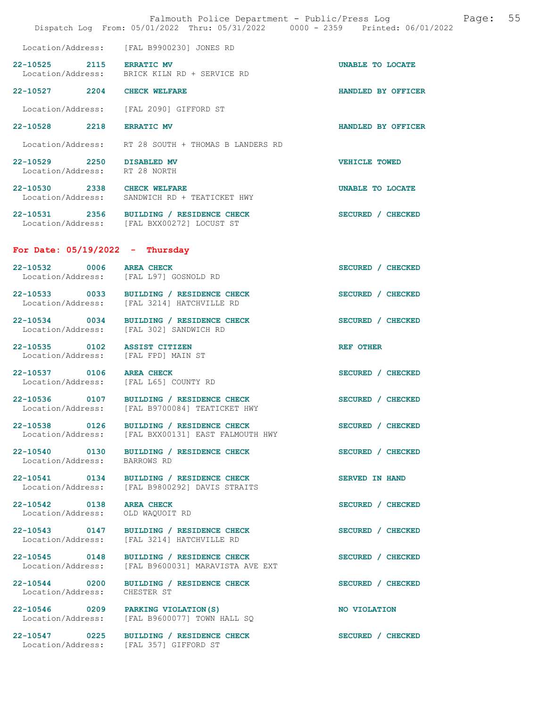|                                                                     | Falmouth Police Department - Public/Press Log<br>Dispatch Log From: 05/01/2022 Thru: 05/31/2022 0000 - 2359 Printed: 06/01/2022 | 55<br>Page:          |
|---------------------------------------------------------------------|---------------------------------------------------------------------------------------------------------------------------------|----------------------|
|                                                                     | Location/Address: [FAL B9900230] JONES RD                                                                                       |                      |
| 22-10525 2115 ERRATIC MV                                            | Location/Address: BRICK KILN RD + SERVICE RD                                                                                    | UNABLE TO LOCATE     |
| 22-10527 2204 CHECK WELFARE                                         |                                                                                                                                 | HANDLED BY OFFICER   |
|                                                                     | Location/Address: [FAL 2090] GIFFORD ST                                                                                         |                      |
| 22-10528 2218                                                       | <b>ERRATIC MV</b>                                                                                                               | HANDLED BY OFFICER   |
|                                                                     | Location/Address: RT 28 SOUTH + THOMAS B LANDERS RD                                                                             |                      |
| 22-10529 2250 DISABLED MV<br>Location/Address: RT 28 NORTH          |                                                                                                                                 | <b>VEHICLE TOWED</b> |
| 22-10530 2338 CHECK WELFARE                                         | Location/Address: SANDWICH RD + TEATICKET HWY                                                                                   | UNABLE TO LOCATE     |
|                                                                     | 22-10531 2356 BUILDING / RESIDENCE CHECK<br>Location/Address: [FAL BXX00272] LOCUST ST                                          | SECURED / CHECKED    |
| For Date: $05/19/2022 - Thursday$                                   |                                                                                                                                 |                      |
| 22-10532 0006 AREA CHECK<br>Location/Address: [FAL L97] GOSNOLD RD  |                                                                                                                                 | SECURED / CHECKED    |
|                                                                     | 22-10533 0033 BUILDING / RESIDENCE CHECK<br>Location/Address: [FAL 3214] HATCHVILLE RD                                          | SECURED / CHECKED    |
| Location/Address: [FAL 302] SANDWICH RD                             | 22-10534 0034 BUILDING / RESIDENCE CHECK                                                                                        | SECURED / CHECKED    |
| 22-10535 0102 ASSIST CITIZEN<br>Location/Address: [FAL FPD] MAIN ST |                                                                                                                                 | REF OTHER            |
| 22-10537 0106 AREA CHECK<br>Location/Address: [FAL L65] COUNTY RD   |                                                                                                                                 | SECURED / CHECKED    |
|                                                                     | 22-10536 0107 BUILDING / RESIDENCE CHECK<br>Location/Address: [FAL B9700084] TEATICKET HWY                                      | SECURED / CHECKED    |
|                                                                     | 22-10538 0126 BUILDING / RESIDENCE CHECK<br>Location/Address: [FAL BXX00131] EAST FALMOUTH HWY                                  | SECURED / CHECKED    |
| 22-10540 0130<br>Location/Address:                                  | BUILDING / RESIDENCE CHECK<br>BARROWS RD                                                                                        | SECURED / CHECKED    |
| 22-10541 0134                                                       | BUILDING / RESIDENCE CHECK<br>Location/Address: [FAL B9800292] DAVIS STRAITS                                                    | SERVED IN HAND       |
| 22-10542 0138<br>Location/Address:                                  | <b>AREA CHECK</b><br>OLD WAQUOIT RD                                                                                             | SECURED / CHECKED    |
| 22-10543 0147                                                       | BUILDING / RESIDENCE CHECK<br>Location/Address: [FAL 3214] HATCHVILLE RD                                                        | SECURED / CHECKED    |
| 22-10545 0148<br>Location/Address:                                  | BUILDING / RESIDENCE CHECK<br>[FAL B9600031] MARAVISTA AVE EXT                                                                  | SECURED / CHECKED    |
| 22-10544 0200<br>Location/Address:                                  | BUILDING / RESIDENCE CHECK<br>CHESTER ST                                                                                        | SECURED / CHECKED    |
| Location/Address:                                                   | 22-10546 0209 PARKING VIOLATION (S)<br>[FAL B9600077] TOWN HALL SQ                                                              | NO VIOLATION         |
|                                                                     | 22-10547 0225 BUILDING / RESIDENCE CHECK<br>Location/Address: [FAL 357] GIFFORD ST                                              | SECURED / CHECKED    |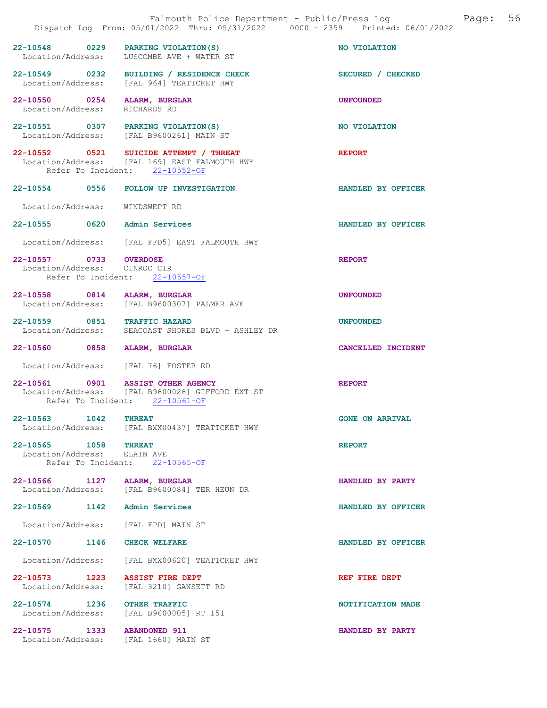|                                                               | Falmouth Police Department - Public/Press Log<br>Dispatch Log From: 05/01/2022 Thru: 05/31/2022 0000 - 2359 Printed: 06/01/2022 |                        | Page: | 56 |
|---------------------------------------------------------------|---------------------------------------------------------------------------------------------------------------------------------|------------------------|-------|----|
|                                                               | 22-10548 0229 PARKING VIOLATION (S)<br>Location/Address: LUSCOMBE AVE + WATER ST                                                | NO VIOLATION           |       |    |
|                                                               | 22-10549 0232 BUILDING / RESIDENCE CHECK<br>Location/Address: [FAL 964] TEATICKET HWY                                           | SECURED / CHECKED      |       |    |
| 22-10550 0254 ALARM, BURGLAR<br>Location/Address: RICHARDS RD |                                                                                                                                 | <b>UNFOUNDED</b>       |       |    |
|                                                               | 22-10551 0307 PARKING VIOLATION (S)<br>Location/Address: [FAL B9600261] MAIN ST                                                 | NO VIOLATION           |       |    |
|                                                               | 22-10552 0521 SUICIDE ATTEMPT / THREAT<br>Location/Address: [FAL 169] EAST FALMOUTH HWY<br>Refer To Incident: 22-10552-OF       | <b>REPORT</b>          |       |    |
|                                                               | 22-10554 0556 FOLLOW UP INVESTIGATION                                                                                           | HANDLED BY OFFICER     |       |    |
| Location/Address: WINDSWEPT RD                                |                                                                                                                                 |                        |       |    |
| 22-10555 0620 Admin Services                                  |                                                                                                                                 | HANDLED BY OFFICER     |       |    |
|                                                               | Location/Address: [FAL FFD5] EAST FALMOUTH HWY                                                                                  |                        |       |    |
| 22-10557 0733 OVERDOSE<br>Location/Address: CINROC CIR        | Refer To Incident: 22-10557-OF                                                                                                  | <b>REPORT</b>          |       |    |
| 22-10558 0814 ALARM, BURGLAR                                  | Location/Address: [FAL B9600307] PALMER AVE                                                                                     | <b>UNFOUNDED</b>       |       |    |
| 22-10559 0851 TRAFFIC HAZARD                                  | Location/Address: SEACOAST SHORES BLVD + ASHLEY DR                                                                              | <b>UNFOUNDED</b>       |       |    |
| 22-10560 0858 ALARM, BURGLAR                                  |                                                                                                                                 | CANCELLED INCIDENT     |       |    |
|                                                               | Location/Address: [FAL 76] FOSTER RD                                                                                            |                        |       |    |
|                                                               | 22-10561 0901 ASSIST OTHER AGENCY<br>Location/Address: [FAL B9600026] GIFFORD EXT ST<br>Refer To Incident: 22-10561-OF          | <b>REPORT</b>          |       |    |
| 22-10563 1042                                                 | <b>THREAT</b><br>Location/Address: [FAL BXX00437] TEATICKET HWY                                                                 | <b>GONE ON ARRIVAL</b> |       |    |
| 22-10565 1058 THREAT<br>Location/Address: ELAIN AVE           | Refer To Incident: 22-10565-OF                                                                                                  | <b>REPORT</b>          |       |    |
| 22-10566 1127 ALARM, BURGLAR                                  | Location/Address: [FAL B9600084] TER HEUN DR                                                                                    | HANDLED BY PARTY       |       |    |
| 22-10569 1142                                                 | <b>Admin Services</b>                                                                                                           | HANDLED BY OFFICER     |       |    |
| Location/Address:                                             | [FAL FPD] MAIN ST                                                                                                               |                        |       |    |
| 22-10570 1146                                                 | <b>CHECK WELFARE</b>                                                                                                            | HANDLED BY OFFICER     |       |    |
| Location/Address:                                             | [FAL BXX00620] TEATICKET HWY                                                                                                    |                        |       |    |
| 22-10573 1223<br>Location/Address:                            | <b>ASSIST FIRE DEPT</b><br>[FAL 3210] GANSETT RD                                                                                | REF FIRE DEPT          |       |    |
| 22-10574 1236 OTHER TRAFFIC                                   | Location/Address: [FAL B9600005] RT 151                                                                                         | NOTIFICATION MADE      |       |    |
| 22-10575 1333 ABANDONED 911                                   | Location/Address: [FAL 1660] MAIN ST                                                                                            | HANDLED BY PARTY       |       |    |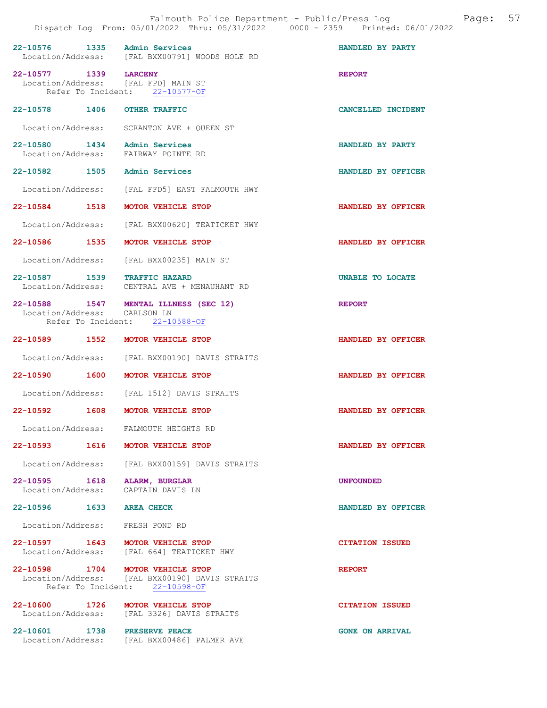| 22-10576 1335 Admin Services                                        | Location/Address: [FAL BXX00791] WOODS HOLE RD                                                                       | HANDLED BY PARTY       |
|---------------------------------------------------------------------|----------------------------------------------------------------------------------------------------------------------|------------------------|
| 22-10577 1339 LARCENY<br>Location/Address: [FAL FPD] MAIN ST        | Refer To Incident: 22-10577-OF                                                                                       | <b>REPORT</b>          |
| 22-10578 1406 OTHER TRAFFIC                                         |                                                                                                                      | CANCELLED INCIDENT     |
|                                                                     | Location/Address: SCRANTON AVE + QUEEN ST                                                                            |                        |
| 22-10580 1434 Admin Services<br>Location/Address: FAIRWAY POINTE RD |                                                                                                                      | HANDLED BY PARTY       |
| 22-10582 1505 Admin Services                                        |                                                                                                                      | HANDLED BY OFFICER     |
|                                                                     | Location/Address: [FAL FFD5] EAST FALMOUTH HWY                                                                       |                        |
| 22-10584 1518 MOTOR VEHICLE STOP                                    |                                                                                                                      | HANDLED BY OFFICER     |
|                                                                     | Location/Address: [FAL BXX00620] TEATICKET HWY                                                                       |                        |
| 22-10586 1535 MOTOR VEHICLE STOP                                    |                                                                                                                      | HANDLED BY OFFICER     |
|                                                                     | Location/Address: [FAL BXX002351 MAIN ST                                                                             |                        |
| 22-10587 1539 TRAFFIC HAZARD                                        | Location/Address: CENTRAL AVE + MENAUHANT RD                                                                         | UNABLE TO LOCATE       |
| Location/Address: CARLSON LN                                        | 22-10588 1547 MENTAL ILLNESS (SEC 12)<br>Refer To Incident: 22-10588-OF                                              | <b>REPORT</b>          |
| 22-10589 1552 MOTOR VEHICLE STOP                                    |                                                                                                                      | HANDLED BY OFFICER     |
|                                                                     | Location/Address: [FAL BXX00190] DAVIS STRAITS                                                                       |                        |
| 22-10590 1600                                                       | MOTOR VEHICLE STOP                                                                                                   | HANDLED BY OFFICER     |
|                                                                     | Location/Address: [FAL 1512] DAVIS STRAITS                                                                           |                        |
| 22-10592 1608 MOTOR VEHICLE STOP                                    |                                                                                                                      | HANDLED BY OFFICER     |
| Location/Address: FALMOUTH HEIGHTS RD                               |                                                                                                                      |                        |
| 1616<br>22-10593                                                    | MOTOR VEHICLE STOP                                                                                                   | HANDLED BY OFFICER     |
|                                                                     | Location/Address: [FAL BXX00159] DAVIS STRAITS                                                                       |                        |
| 22-10595 1618 ALARM, BURGLAR<br>Location/Address: CAPTAIN DAVIS LN  |                                                                                                                      | <b>UNFOUNDED</b>       |
| 22-10596 1633 AREA CHECK                                            |                                                                                                                      | HANDLED BY OFFICER     |
| Location/Address: FRESH POND RD                                     |                                                                                                                      |                        |
| 22-10597 1643 MOTOR VEHICLE STOP                                    | Location/Address: [FAL 664] TEATICKET HWY                                                                            | <b>CITATION ISSUED</b> |
|                                                                     | 22-10598 1704 MOTOR VEHICLE STOP<br>Location/Address: [FAL BXX00190] DAVIS STRAITS<br>Refer To Incident: 22-10598-OF | <b>REPORT</b>          |
| 22-10600 1726 MOTOR VEHICLE STOP                                    | Location/Address: [FAL 3326] DAVIS STRAITS                                                                           | <b>CITATION ISSUED</b> |
| 22-10601 1738 PRESERVE PEACE                                        | Location/Address: [FAL BXX00486] PALMER AVE                                                                          | <b>GONE ON ARRIVAL</b> |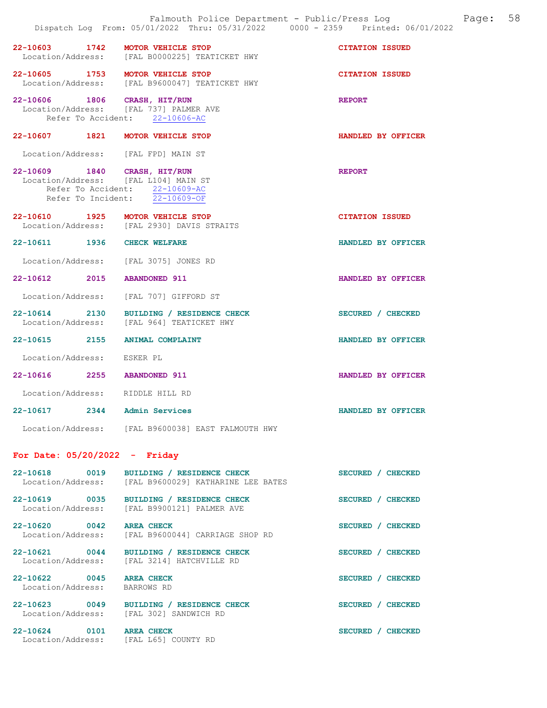|                                               | Falmouth Police Department - Public/Press Log<br>Dispatch Log From: 05/01/2022 Thru: 05/31/2022 0000 - 2359 Printed: 06/01/2022 | Page:                  | 58 |
|-----------------------------------------------|---------------------------------------------------------------------------------------------------------------------------------|------------------------|----|
|                                               | 22-10603 1742 MOTOR VEHICLE STOP<br>Location/Address: [FAL B0000225] TEATICKET HWY                                              | <b>CITATION ISSUED</b> |    |
|                                               | 22-10605 1753 MOTOR VEHICLE STOP<br>Location/Address: [FAL B9600047] TEATICKET HWY                                              | <b>CITATION ISSUED</b> |    |
| 22-10606 1806 CRASH, HIT/RUN                  | Location/Address: [FAL 737] PALMER AVE<br>Refer To Accident: 22-10606-AC                                                        | <b>REPORT</b>          |    |
|                                               | 22-10607 1821 MOTOR VEHICLE STOP                                                                                                | HANDLED BY OFFICER     |    |
|                                               | Location/Address: [FAL FPD] MAIN ST                                                                                             |                        |    |
| 22-10609 1840 CRASH, HIT/RUN                  | Location/Address: [FAL L104] MAIN ST<br>Refer To Accident: 22-10609-AC<br>Refer To Incident: 22-10609-OF                        | <b>REPORT</b>          |    |
|                                               | 22-10610 1925 MOTOR VEHICLE STOP<br>Location/Address: [FAL 2930] DAVIS STRAITS                                                  | <b>CITATION ISSUED</b> |    |
| 22-10611 1936 CHECK WELFARE                   |                                                                                                                                 | HANDLED BY OFFICER     |    |
|                                               | Location/Address: [FAL 3075] JONES RD                                                                                           |                        |    |
| 22-10612 2015 ABANDONED 911                   |                                                                                                                                 | HANDLED BY OFFICER     |    |
|                                               | Location/Address: [FAL 707] GIFFORD ST                                                                                          |                        |    |
|                                               | 22-10614 2130 BUILDING / RESIDENCE CHECK<br>Location/Address: [FAL 964] TEATICKET HWY                                           | SECURED / CHECKED      |    |
| 22-10615 2155 ANIMAL COMPLAINT                |                                                                                                                                 | HANDLED BY OFFICER     |    |
| Location/Address: ESKER PL                    |                                                                                                                                 |                        |    |
| 22-10616 2255 ABANDONED 911                   |                                                                                                                                 | HANDLED BY OFFICER     |    |
| Location/Address: RIDDLE HILL RD              |                                                                                                                                 |                        |    |
| 22-10617<br>2344                              | Admin Services                                                                                                                  | HANDLED BY OFFICER     |    |
|                                               | Location/Address: [FAL B9600038] EAST FALMOUTH HWY                                                                              |                        |    |
| For Date: $05/20/2022 -$ Friday               |                                                                                                                                 |                        |    |
| 22-10618 0019<br>Location/Address:            | BUILDING / RESIDENCE CHECK<br>[FAL B9600029] KATHARINE LEE BATES                                                                | SECURED / CHECKED      |    |
|                                               | 22-10619 0035 BUILDING / RESIDENCE CHECK<br>Location/Address: [FAL B9900121] PALMER AVE                                         | SECURED / CHECKED      |    |
| 22-10620 0042 AREA CHECK<br>Location/Address: | [FAL B9600044] CARRIAGE SHOP RD                                                                                                 | SECURED / CHECKED      |    |
| 22-10621 0044                                 | BUILDING / RESIDENCE CHECK<br>Location/Address: [FAL 3214] HATCHVILLE RD                                                        | SECURED / CHECKED      |    |
| 22-10622 0045 AREA CHECK<br>Location/Address: | BARROWS RD                                                                                                                      | SECURED / CHECKED      |    |
| 22-10623 0049                                 | BUILDING / RESIDENCE CHECK<br>Location/Address: [FAL 302] SANDWICH RD                                                           | SECURED / CHECKED      |    |
| 22-10624 0101 AREA CHECK                      | Location/Address: [FAL L65] COUNTY RD                                                                                           | SECURED / CHECKED      |    |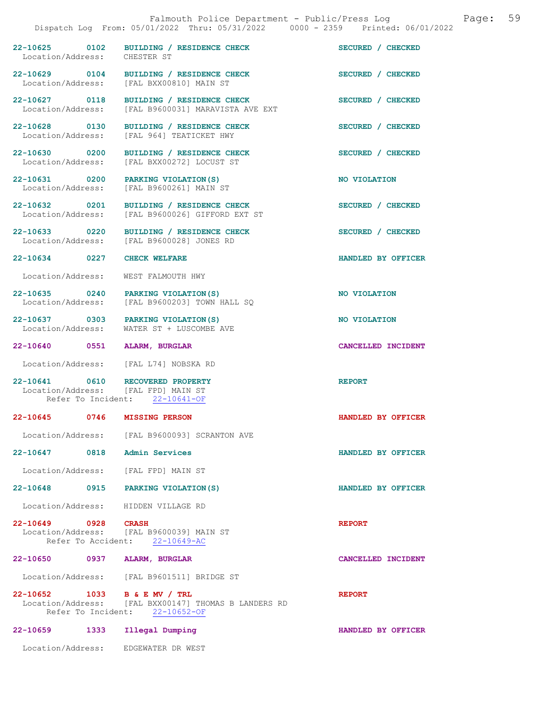|                                    |                    | Falmouth Police Department - Public/Press Log<br>Dispatch Log From: 05/01/2022 Thru: 05/31/2022 0000 - 2359 Printed: 06/01/2022 | 59<br>Page:        |
|------------------------------------|--------------------|---------------------------------------------------------------------------------------------------------------------------------|--------------------|
| 22-10625 0102<br>Location/Address: |                    | BUILDING / RESIDENCE CHECK<br>CHESTER ST                                                                                        | SECURED / CHECKED  |
| 22-10629 0104                      |                    | BUILDING / RESIDENCE CHECK<br>Location/Address: [FAL BXX00810] MAIN ST                                                          | SECURED / CHECKED  |
| 22-10627 0118<br>Location/Address: |                    | BUILDING / RESIDENCE CHECK<br>[FAL B9600031] MARAVISTA AVE EXT                                                                  | SECURED / CHECKED  |
| 22-10628 0130<br>Location/Address: |                    | BUILDING / RESIDENCE CHECK<br>[FAL 964] TEATICKET HWY                                                                           | SECURED / CHECKED  |
| 22-10630 0200<br>Location/Address: |                    | BUILDING / RESIDENCE CHECK<br>[FAL BXX00272] LOCUST ST                                                                          | SECURED / CHECKED  |
| 22-10631 0200<br>Location/Address: |                    | PARKING VIOLATION (S)<br>[FAL B9600261] MAIN ST                                                                                 | NO VIOLATION       |
| 22-10632 0201                      |                    | BUILDING / RESIDENCE CHECK<br>Location/Address: [FAL B9600026] GIFFORD EXT ST                                                   | SECURED / CHECKED  |
| 22-10633 0220                      |                    | BUILDING / RESIDENCE CHECK<br>Location/Address: [FAL B9600028] JONES RD                                                         | SECURED / CHECKED  |
| 22-10634 0227                      |                    | <b>CHECK WELFARE</b>                                                                                                            | HANDLED BY OFFICER |
| Location/Address:                  |                    | WEST FALMOUTH HWY                                                                                                               |                    |
| Location/Address:                  |                    | 22-10635 0240 PARKING VIOLATION (S)<br>[FAL B9600203] TOWN HALL SQ                                                              | NO VIOLATION       |
| Location/Address:                  |                    | 22-10637 0303 PARKING VIOLATION(S)<br>WATER ST + LUSCOMBE AVE                                                                   | NO VIOLATION       |
| 22-10640                           | 0551               | ALARM, BURGLAR                                                                                                                  | CANCELLED INCIDENT |
|                                    |                    | Location/Address: [FAL L74] NOBSKA RD                                                                                           |                    |
|                                    | Refer To Incident: | 22-10641 0610 RECOVERED PROPERTY<br>Location/Address: [FAL FPD] MAIN ST<br>$22 - 10641 - OF$                                    | <b>REPORT</b>      |
| 22-10645                           | 0746               | <b>MISSING PERSON</b>                                                                                                           | HANDLED BY OFFICER |
|                                    |                    | Location/Address: [FAL B9600093] SCRANTON AVE                                                                                   |                    |
| 22-10647 0818                      |                    | <b>Admin Services</b>                                                                                                           | HANDLED BY OFFICER |
| Location/Address:                  |                    | [FAL FPD] MAIN ST                                                                                                               |                    |
| 22-10648 0915                      |                    | PARKING VIOLATION (S)                                                                                                           | HANDLED BY OFFICER |
| Location/Address:                  |                    | HIDDEN VILLAGE RD                                                                                                               |                    |
| 22-10649 0928 CRASH                |                    | Location/Address: [FAL B9600039] MAIN ST<br>Refer To Accident: 22-10649-AC                                                      | <b>REPORT</b>      |
|                                    |                    | 22-10650 0937 ALARM, BURGLAR                                                                                                    | CANCELLED INCIDENT |
|                                    |                    | Location/Address: [FAL B9601511] BRIDGE ST                                                                                      |                    |
|                                    |                    | 22-10652 1033 B & E MV / TRL<br>Location/Address: [FAL BXX00147] THOMAS B LANDERS RD<br>Refer To Incident: 22-10652-OF          | <b>REPORT</b>      |
| 22-10659                           | 1333               | Illegal Dumping                                                                                                                 | HANDLED BY OFFICER |
|                                    |                    | Location/Address: EDGEWATER DR WEST                                                                                             |                    |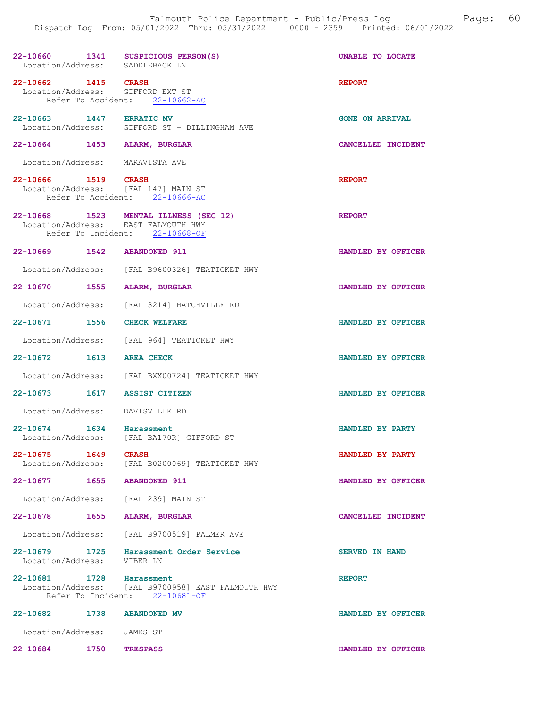| 22-10660 1341 SUSPICIOUS PERSON(S)<br>Location/Address: SADDLEBACK LN |                                                                                                    | UNABLE TO LOCATE       |
|-----------------------------------------------------------------------|----------------------------------------------------------------------------------------------------|------------------------|
| 22-10662 1415 CRASH<br>Location/Address: GIFFORD EXT ST               | Refer To Accident: 22-10662-AC                                                                     | <b>REPORT</b>          |
| 22-10663 1447 ERRATIC MV                                              | Location/Address: GIFFORD ST + DILLINGHAM AVE                                                      | <b>GONE ON ARRIVAL</b> |
| 22-10664 1453 ALARM, BURGLAR                                          |                                                                                                    | CANCELLED INCIDENT     |
| Location/Address: MARAVISTA AVE                                       |                                                                                                    |                        |
| 22-10666 1519 CRASH<br>Location/Address: [FAL 147] MAIN ST            | Refer To Accident: 22-10666-AC                                                                     | <b>REPORT</b>          |
| Location/Address: EAST FALMOUTH HWY                                   | 22-10668 1523 MENTAL ILLNESS (SEC 12)<br>Refer To Incident: 22-10668-OF                            | <b>REPORT</b>          |
| 22-10669 1542 ABANDONED 911                                           |                                                                                                    | HANDLED BY OFFICER     |
|                                                                       | Location/Address: [FAL B9600326] TEATICKET HWY                                                     |                        |
| 22-10670 1555 ALARM, BURGLAR                                          |                                                                                                    | HANDLED BY OFFICER     |
|                                                                       | Location/Address: [FAL 3214] HATCHVILLE RD                                                         |                        |
| 22-10671 1556 CHECK WELFARE                                           |                                                                                                    | HANDLED BY OFFICER     |
|                                                                       | Location/Address: [FAL 964] TEATICKET HWY                                                          |                        |
| 22-10672 1613 AREA CHECK                                              |                                                                                                    | HANDLED BY OFFICER     |
|                                                                       | Location/Address: [FAL BXX00724] TEATICKET HWY                                                     |                        |
| 22-10673 1617 ASSIST CITIZEN                                          |                                                                                                    | HANDLED BY OFFICER     |
| Location/Address: DAVISVILLE RD                                       |                                                                                                    |                        |
| 22-10674 1634 Harassment                                              | Location/Address: [FAL BA170R] GIFFORD ST                                                          | HANDLED BY PARTY       |
| 22-10675<br>1649<br>Location/Address:                                 | <b>CRASH</b><br>[FAL B0200069] TEATICKET HWY                                                       | HANDLED BY PARTY       |
| 22-10677<br>1655                                                      | <b>ABANDONED 911</b>                                                                               | HANDLED BY OFFICER     |
| Location/Address: [FAL 239] MAIN ST                                   |                                                                                                    |                        |
| 22-10678<br>1655                                                      | <b>ALARM, BURGLAR</b>                                                                              | CANCELLED INCIDENT     |
| Location/Address:                                                     | [FAL B9700519] PALMER AVE                                                                          |                        |
| 22-10679 1725<br>Location/Address:                                    | Harassment Order Service<br>VIBER LN                                                               | <b>SERVED IN HAND</b>  |
| 22-10681 1728                                                         | Harassment<br>Location/Address: [FAL B9700958] EAST FALMOUTH HWY<br>Refer To Incident: 22-10681-OF | <b>REPORT</b>          |
| 22-10682 1738                                                         | <b>ABANDONED MV</b>                                                                                | HANDLED BY OFFICER     |
| Location/Address:                                                     | JAMES ST                                                                                           |                        |
| 22-10684<br>1750                                                      | <b>TRESPASS</b>                                                                                    | HANDLED BY OFFICER     |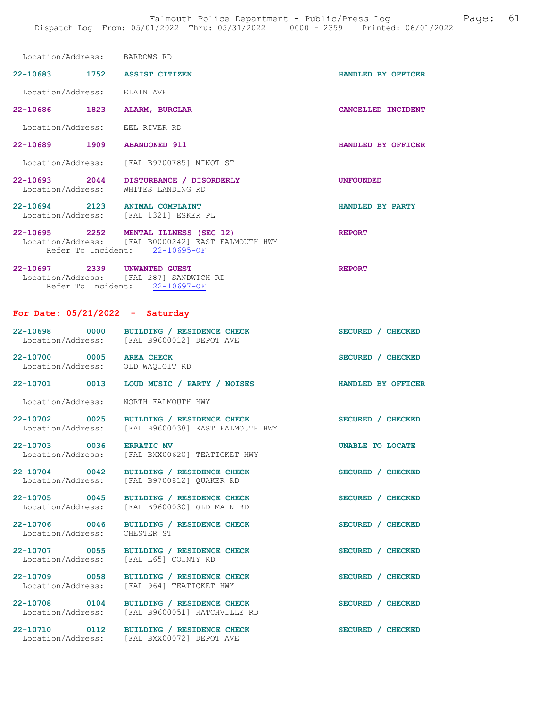| Location/Address:                 |      | BARROWS RD                                     |                    |
|-----------------------------------|------|------------------------------------------------|--------------------|
| $22 - 10683$                      | 1752 | <b>ASSIST CITIZEN</b>                          | HANDLED BY OFFICER |
| Location/Address:                 |      | ELAIN AVE                                      |                    |
| 22-10686                          | 1823 | <b>ALARM, BURGLAR</b>                          | CANCELLED INCIDENT |
| Location/Address:                 |      | EEL RIVER RD                                   |                    |
| $22 - 10689$                      | 1909 | <b>ABANDONED 911</b>                           | HANDLED BY OFFICER |
| Location/Address:                 |      | [FAL B9700785] MINOT ST                        |                    |
| $22 - 10693$<br>Location/Address: | 2044 | DISTURBANCE / DISORDERLY<br>WHITES LANDING RD  | <b>UNFOUNDED</b>   |
| $22 - 10694$<br>Location/Address: | 2123 | <b>ANIMAL COMPLAINT</b><br>[FAL 1321] ESKER PL | HANDLED BY PARTY   |

22-10695 2252 MENTAL ILLNESS (SEC 12) REPORT Location/Address: [FAL B0000242] EAST FALMOUTH HWY Refer To Incident: 22-10695-OF

22-10697 2339 UNWANTED GUEST REPORT Location/Address: [FAL 287] SANDWICH RD Refer To Incident: 22-10697-OF

## For Date: 05/21/2022 - Saturday

| 22-10698 0000                                                | BUILDING / RESIDENCE CHECK<br>Location/Address: [FAL B9600012] DEPOT AVE               | SECURED / CHECKED  |
|--------------------------------------------------------------|----------------------------------------------------------------------------------------|--------------------|
| 22-10700 0005 AREA CHECK<br>Location/Address: OLD WAQUOIT RD |                                                                                        | SECURED / CHECKED  |
| 22-10701 0013                                                | LOUD MUSIC / PARTY / NOISES                                                            | HANDLED BY OFFICER |
| Location/Address: NORTH FALMOUTH HWY                         |                                                                                        |                    |
| 22-10702 0025                                                | BUILDING / RESIDENCE CHECK<br>Location/Address: [FAL B9600038] EAST FALMOUTH HWY       | SECURED / CHECKED  |
| 22-10703 0036                                                | <b>ERRATIC MV</b><br>Location/Address: [FAL BXX00620] TEATICKET HWY                    | UNABLE TO LOCATE   |
| 22-10704 0042                                                | BUILDING / RESIDENCE CHECK<br>Location/Address: [FAL B9700812] QUAKER RD               | SECURED / CHECKED  |
| 22-10705 0045                                                | BUILDING / RESIDENCE CHECK<br>Location/Address: [FAL B9600030] OLD MAIN RD             | SECURED / CHECKED  |
| Location/Address:                                            | 22-10706 0046 BUILDING / RESIDENCE CHECK<br>CHESTER ST                                 | SECURED / CHECKED  |
|                                                              | 22-10707 0055 BUILDING / RESIDENCE CHECK<br>Location/Address: [FAL L65] COUNTY RD      | SECURED / CHECKED  |
| 22-10709 0058                                                | BUILDING / RESIDENCE CHECK<br>Location/Address: [FAL 964] TEATICKET HWY                | SECURED / CHECKED  |
| 22-10708 0104                                                | BUILDING / RESIDENCE CHECK<br>Location/Address: [FAL B9600051] HATCHVILLE RD           | SECURED / CHECKED  |
|                                                              | 22-10710 0112 BUILDING / RESIDENCE CHECK<br>Location/Address: [FAL BXX00072] DEPOT AVE | SECURED / CHECKED  |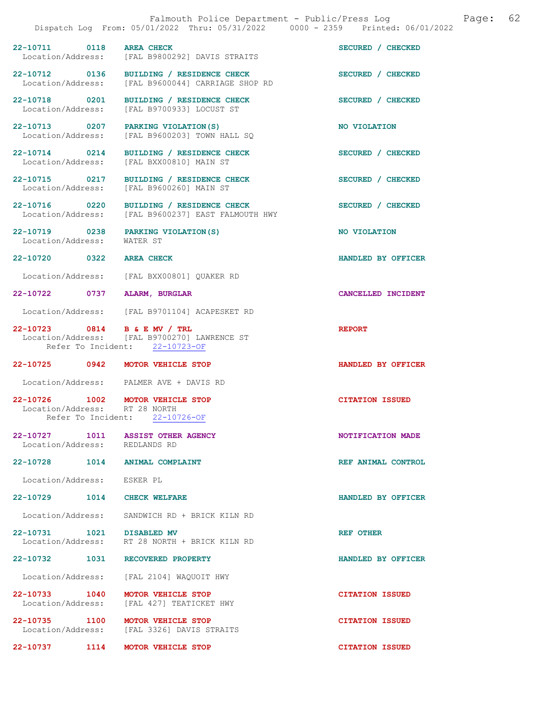|                                                   | Falmouth Police Department - Public/Press Log<br>Dispatch Log From: 05/01/2022 Thru: 05/31/2022 0000 - 2359 Printed: 06/01/2022 | 62<br>Page:            |
|---------------------------------------------------|---------------------------------------------------------------------------------------------------------------------------------|------------------------|
| $22 - 10711$<br>0118<br>Location/Address:         | <b>AREA CHECK</b><br>[FAL B9800292] DAVIS STRAITS                                                                               | SECURED / CHECKED      |
| 22-10712 0136<br>Location/Address:                | BUILDING / RESIDENCE CHECK<br>[FAL B9600044] CARRIAGE SHOP RD                                                                   | SECURED / CHECKED      |
| 22-10718 0201<br>Location/Address:                | BUILDING / RESIDENCE CHECK<br>[FAL B9700933] LOCUST ST                                                                          | SECURED / CHECKED      |
| 22-10713 0207<br>Location/Address:                | PARKING VIOLATION (S)<br>[FAL B9600203] TOWN HALL SQ                                                                            | NO VIOLATION           |
| 22-10714 0214<br>Location/Address:                | BUILDING / RESIDENCE CHECK<br>[FAL BXX00810] MAIN ST                                                                            | SECURED / CHECKED      |
| 22-10715 0217<br>Location/Address:                | BUILDING / RESIDENCE CHECK<br>[FAL B9600260] MAIN ST                                                                            | SECURED / CHECKED      |
| 22-10716 0220<br>Location/Address:                | BUILDING / RESIDENCE CHECK<br>[FAL B9600237] EAST FALMOUTH HWY                                                                  | SECURED / CHECKED      |
| 22-10719 0238<br>Location/Address:                | PARKING VIOLATION (S)<br>WATER ST                                                                                               | NO VIOLATION           |
| $22 - 10720$<br>0322                              | <b>AREA CHECK</b>                                                                                                               | HANDLED BY OFFICER     |
| Location/Address:                                 | [FAL BXX00801] QUAKER RD                                                                                                        |                        |
| 22-10722<br>0737                                  | ALARM, BURGLAR                                                                                                                  | CANCELLED INCIDENT     |
| Location/Address:                                 | [FAL B9701104] ACAPESKET RD                                                                                                     |                        |
| 22-10723 0814 B & E MV / TRL                      | Location/Address: [FAL B9700270] LAWRENCE ST<br>Refer To Incident: 22-10723-OF                                                  | <b>REPORT</b>          |
| 22-10725<br>0942                                  | MOTOR VEHICLE STOP                                                                                                              | HANDLED BY OFFICER     |
| Location/Address:                                 | PALMER AVE + DAVIS RD                                                                                                           |                        |
| 22-10726<br>1002<br>Location/Address: RT 28 NORTH | MOTOR VEHICLE STOP<br>Refer To Incident: 22-10726-OF                                                                            | <b>CITATION ISSUED</b> |
|                                                   |                                                                                                                                 |                        |
| Location/Address: REDLANDS RD                     | 22-10727 1011 ASSIST OTHER AGENCY                                                                                               | NOTIFICATION MADE      |
| 22-10728 1014 ANIMAL COMPLAINT                    |                                                                                                                                 | REF ANIMAL CONTROL     |
| Location/Address: ESKER PL                        |                                                                                                                                 |                        |
| 22-10729 1014 CHECK WELFARE                       |                                                                                                                                 | HANDLED BY OFFICER     |
|                                                   | Location/Address: SANDWICH RD + BRICK KILN RD                                                                                   |                        |
| 22-10731 1021 DISABLED MV                         | Location/Address: RT 28 NORTH + BRICK KILN RD                                                                                   | REF OTHER              |
| 22-10732 1031                                     | <b>RECOVERED PROPERTY</b>                                                                                                       | HANDLED BY OFFICER     |
|                                                   | Location/Address: [FAL 2104] WAQUOIT HWY                                                                                        |                        |
| 22-10733 1040<br>Location/Address:                | MOTOR VEHICLE STOP<br>[FAL 427] TEATICKET HWY                                                                                   | <b>CITATION ISSUED</b> |
| 22-10735 1100<br>Location/Address:                | <b>MOTOR VEHICLE STOP</b><br>[FAL 3326] DAVIS STRAITS                                                                           | <b>CITATION ISSUED</b> |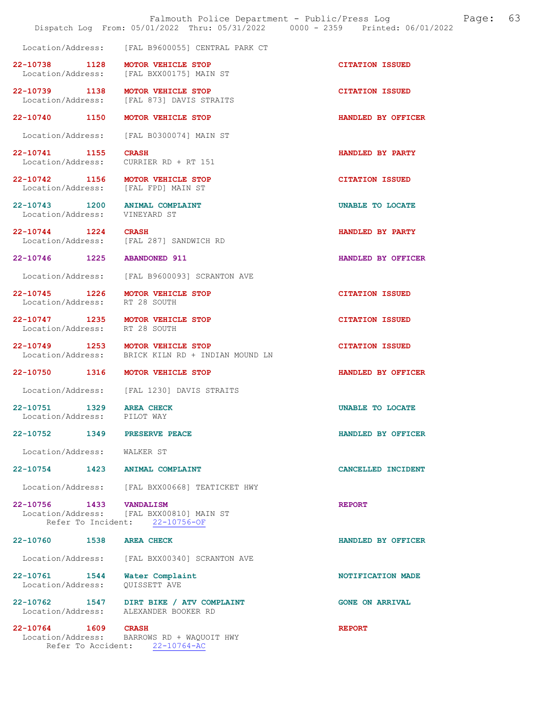|                                                                 |      | Falmouth Police Department - Public/Press Log<br>Dispatch Log From: 05/01/2022 Thru: 05/31/2022 0000 - 2359 Printed: 06/01/2022 |                        | Page: | 63 |
|-----------------------------------------------------------------|------|---------------------------------------------------------------------------------------------------------------------------------|------------------------|-------|----|
| Location/Address:                                               |      | [FAL B9600055] CENTRAL PARK CT                                                                                                  |                        |       |    |
| 22-10738 1128<br>Location/Address:                              |      | MOTOR VEHICLE STOP<br>[FAL BXX00175] MAIN ST                                                                                    | <b>CITATION ISSUED</b> |       |    |
| 22-10739 1138<br>Location/Address:                              |      | MOTOR VEHICLE STOP<br>[FAL 873] DAVIS STRAITS                                                                                   | <b>CITATION ISSUED</b> |       |    |
| 22-10740 1150                                                   |      | MOTOR VEHICLE STOP                                                                                                              | HANDLED BY OFFICER     |       |    |
| Location/Address:                                               |      | [FAL B0300074] MAIN ST                                                                                                          |                        |       |    |
| 22-10741 1155                                                   |      | <b>CRASH</b><br>Location/Address: CURRIER RD + RT 151                                                                           | HANDLED BY PARTY       |       |    |
|                                                                 |      | 22-10742 1156 MOTOR VEHICLE STOP<br>Location/Address: [FAL FPD] MAIN ST                                                         | <b>CITATION ISSUED</b> |       |    |
| 22-10743 1200 ANIMAL COMPLAINT<br>Location/Address: VINEYARD ST |      |                                                                                                                                 | UNABLE TO LOCATE       |       |    |
| 22-10744 1224                                                   |      | <b>CRASH</b><br>Location/Address: [FAL 287] SANDWICH RD                                                                         | HANDLED BY PARTY       |       |    |
| 22-10746 1225 ABANDONED 911                                     |      |                                                                                                                                 | HANDLED BY OFFICER     |       |    |
| Location/Address:                                               |      | [FAL B9600093] SCRANTON AVE                                                                                                     |                        |       |    |
| 22-10745 1226<br>Location/Address: RT 28 SOUTH                  |      | MOTOR VEHICLE STOP                                                                                                              | <b>CITATION ISSUED</b> |       |    |
| Location/Address: RT 28 SOUTH                                   |      | 22-10747 1235 MOTOR VEHICLE STOP                                                                                                | <b>CITATION ISSUED</b> |       |    |
|                                                                 |      | 22-10749 1253 MOTOR VEHICLE STOP<br>Location/Address: BRICK KILN RD + INDIAN MOUND LN                                           | <b>CITATION ISSUED</b> |       |    |
| 22-10750 1316                                                   |      | MOTOR VEHICLE STOP                                                                                                              | HANDLED BY OFFICER     |       |    |
| Location/Address:                                               |      | [FAL 1230] DAVIS STRAITS                                                                                                        |                        |       |    |
| 22-10751<br>Location/Address:                                   | 1329 | AREA CHECK<br>PILOT WAY                                                                                                         | UNABLE TO LOCATE       |       |    |
| 22-10752 1349 PRESERVE PEACE                                    |      |                                                                                                                                 | HANDLED BY OFFICER     |       |    |
| Location/Address:                                               |      | WALKER ST                                                                                                                       |                        |       |    |
| 22-10754 1423                                                   |      | <b>ANIMAL COMPLAINT</b>                                                                                                         | CANCELLED INCIDENT     |       |    |
|                                                                 |      | Location/Address: [FAL BXX00668] TEATICKET HWY                                                                                  |                        |       |    |
| 22-10756 1433 VANDALISM                                         |      |                                                                                                                                 | <b>REPORT</b>          |       |    |
| Refer To Incident:                                              |      | Location/Address: [FAL BXX00810] MAIN ST<br>22-10756-OF                                                                         |                        |       |    |
| 22-10760 1538                                                   |      | <b>AREA CHECK</b>                                                                                                               | HANDLED BY OFFICER     |       |    |
| Location/Address:                                               |      | [FAL BXX00340] SCRANTON AVE                                                                                                     |                        |       |    |
| 22-10761 1544<br>Location/Address:                              |      | Water Complaint<br>OUISSETT AVE                                                                                                 | NOTIFICATION MADE      |       |    |
|                                                                 |      | 22-10762 1547 DIRT BIKE / ATV COMPLAINT<br>Location/Address: ALEXANDER BOOKER RD                                                | <b>GONE ON ARRIVAL</b> |       |    |
| 22-10764 1609                                                   |      | <b>CRASH</b><br>Location/Address: BARROWS RD + WAQUOIT HWY<br>Refer To Accident: 22-10764-AC                                    | <b>REPORT</b>          |       |    |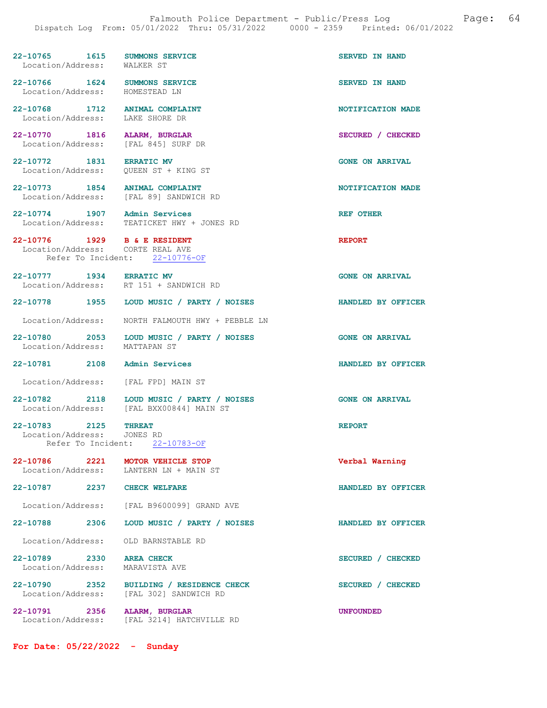22-10765 1615 SUMMONS SERVICE SERVED IN HAND<br>
Location/Address: WALKER ST Location/Address: 22-10766 1624 SUMMONS SERVICE SERVED IN HAND Location/Address: HOMESTEAD LN 22-10768 1712 ANIMAL COMPLAINT NOTIFICATION MADE Location/Address: LAKE SHORE DR Location/Address: 22-10770 1816 ALARM, BURGLAR SECURED / CHECKED Location/Address: [FAL 845] SURF DR 22-10772 1831 ERRATIC MV GONE ON ARRIVAL Location/Address: QUEEN ST + KING ST 22-10773 1854 ANIMAL COMPLAINT 1991 1854 ANIMAL COMPLAINT NOTIFICATION MADE [FAL 89] SANDWICH RD 22-10774 1907 Admin Services<br>
Location/Address: TEATICKET HWY + JONES RD TEATICKET HWY + JONES RD 22-10776 1929 B & E RESIDENT REPORT Location/Address: CORTE REAL AVE Refer To Incident: 22-10776-OF 22-10777 1934 ERRATIC MV 60NE ON ARRIVAL Location/Address: RT 151 + SANDWICH RD 22-10778 1955 LOUD MUSIC / PARTY / NOISES HANDLED BY OFFICER Location/Address: NORTH FALMOUTH HWY + PEBBLE LN 22-10780 2053 LOUD MUSIC / PARTY / NOISES GONE ON ARRIVAL Location/Address: MATTAPAN ST 22-10781 2108 Admin Services HANDLED BY OFFICER Location/Address: [FAL FPD] MAIN ST 22-10782 2118 LOUD MUSIC / PARTY / NOISES GONE ON ARRIVAL Location/Address: [FAL BXX00844] MAIN ST 22-10783 2125 THREAT REPORT Location/Address: JONES RD<br>Refer To Incident: 22-10783-OF Refer To Incident: 22-10786 2221 MOTOR VEHICLE STOP Verbal Warning<br>
Location/Address: LANTERN LN + MAIN ST LANTERN LN + MAIN ST 22-10787 2237 CHECK WELFARE HANDLED BY OFFICER Location/Address: [FAL B9600099] GRAND AVE 22-10788 2306 LOUD MUSIC / PARTY / NOISES HANDLED BY OFFICER Location/Address: OLD BARNSTABLE RD 22-10789 2330 AREA CHECK SECURED / CHECKED Location/Address: MARAVISTA AVE

22-10790 2352 BUILDING / RESIDENCE CHECK SECURED / CHECKED Location/Address: [FAL 302] SANDWICH RD

22-10791 2356 ALARM, BURGLAR UNFOUNDED Location/Address: [FAL 3214] HATCHVILLE RD

For Date: 05/22/2022 - Sunday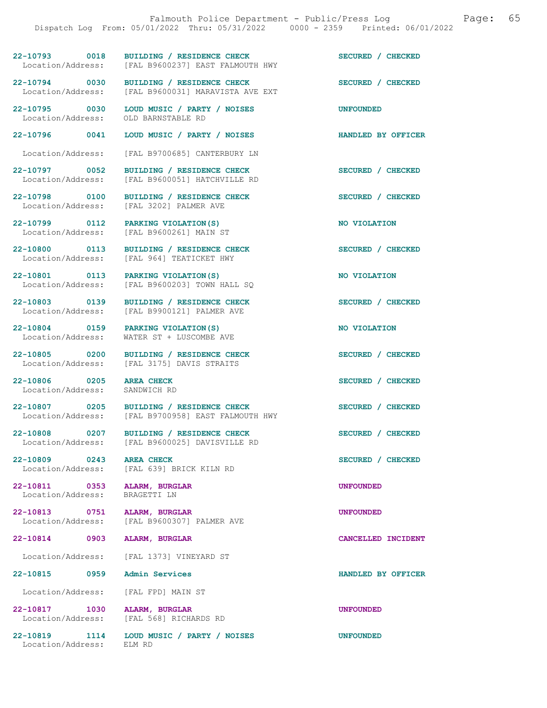22-10793 0018 BUILDING / RESIDENCE CHECK<br>
Location/Address: [FAL B9600237] EAST FALMOUTH HWY [FAL B9600237] EAST FALMOUTH HWY

22-10794 0030 BUILDING / RESIDENCE CHECK<br>
Location/Address: [FAL B9600031] MARAVISTA AVE EXT

Location/Address:

22-10806 0205 AREA CHECK SECURED / CHECKED SECURED / CHECKED Location/Address:

22-10809 0243 AREA CHECK SECURED / CHECKED

22-10811 0353 ALARM, BURGLAR UNE CONSIDER UNFOUNDED<br>
Location/Address: BRAGETTI LN Location/Address:

22-10814 0903 ALARM, BURGLAR CANCELLED INCIDENT

22-10815 0959 Admin Services HANDLED BY OFFICER

Location/Address: [FAL FPD] MAIN ST

22-10817 1030 ALARM, BURGLAR UNFOUNDED

Location/Address:

 Location/Address: [FAL B9600031] MARAVISTA AVE EXT 22-10795 0030 LOUD MUSIC / PARTY / NOISES UNFOUNDED<br>
Location/Address: OLD BARNSTABLE RD

22-10796 0041 LOUD MUSIC / PARTY / NOISES HANDLED BY OFFICER

Location/Address: [FAL B9700685] CANTERBURY LN

22-10797 0052 BUILDING / RESIDENCE CHECK<br>
Location/Address: [FAL B9600051] HATCHVILLE RD [FAL B9600051] HATCHVILLE RD

22-10798 0100 BUILDING / RESIDENCE CHECK SECURED / CHECKED Location/Address: [FAL 3202] PALMER AVE [FAL 3202] PALMER AVE

22-10799 0112 PARKING VIOLATION(S) NO VIOLATION Location/Address: [FAL B9600261] MAIN ST

22-10800 0113 BUILDING / RESIDENCE CHECK SECURED / CHECKED Location/Address: [FAL 964] TEATICKET HWY

22-10801 0113 PARKING VIOLATION(S) NO VIOLATION<br>
Location/Address: [FAL B9600203] TOWN HALL SO [FAL B9600203] TOWN HALL SQ

22-10803 0139 BUILDING / RESIDENCE CHECK SECURED / CHECKED Location/Address: [FAL B9900121] PALMER AVE

22-10804 0159 PARKING VIOLATION(S) NO VIOLATION Location/Address: WATER ST + LUSCOMBE AVE

22-10805 0200 BUILDING / RESIDENCE CHECK SECURED / CHECKED Location/Address: [FAL 3175] DAVIS STRAITS

22-10807 0205 BUILDING / RESIDENCE CHECK<br>
Location/Address: [FAL B9700958] EAST FALMOUTH HWY [FAL B9700958] EAST FALMOUTH HWY

22-10808 0207 BUILDING / RESIDENCE CHECK SECURED / CHECKED Location/Address: [FAL B9600025] DAVISVILLE RD

Location/Address: [FAL 639] BRICK KILN RD

22-10813 0751 ALARM, BURGLAR<br>
Location/Address: [FAL B9600307] PALMER AVE [FAL B9600307] PALMER AVE

Location/Address: [FAL 1373] VINEYARD ST

Location/Address: [FAL 568] RICHARDS RD

22-10819 1114 LOUD MUSIC / PARTY / NOISES UNFOUNDED<br>
Location/Address: ELM RD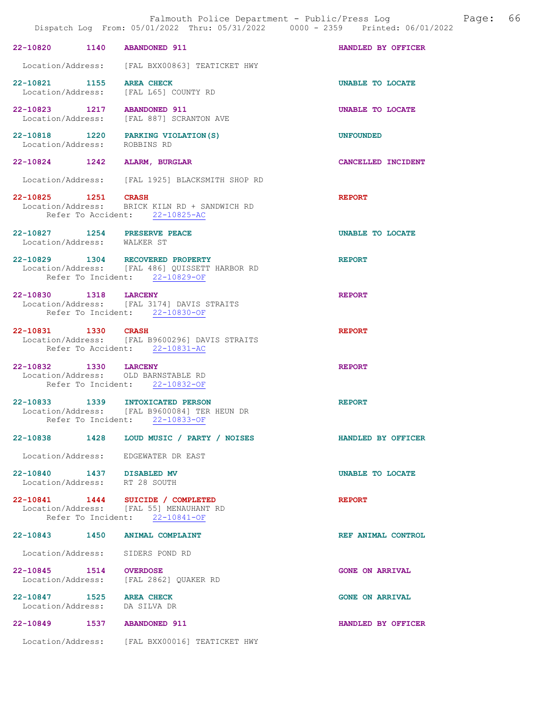|                                                              |                                                                                                                      | Dispatch Log From: 05/01/2022 Thru: 05/31/2022 - 0000 - 2359 - Printed: 06/01/202 |
|--------------------------------------------------------------|----------------------------------------------------------------------------------------------------------------------|-----------------------------------------------------------------------------------|
| 22-10820 1140 ABANDONED 911                                  |                                                                                                                      | HANDLED BY OFFICER                                                                |
|                                                              | Location/Address: [FAL BXX00863] TEATICKET HWY                                                                       |                                                                                   |
| 22-10821 1155 AREA CHECK                                     | Location/Address: [FAL L65] COUNTY RD                                                                                | UNABLE TO LOCATE                                                                  |
| 22-10823 1217 ABANDONED 911                                  | Location/Address: [FAL 887] SCRANTON AVE                                                                             | UNABLE TO LOCATE                                                                  |
|                                                              | 22-10818 1220 PARKING VIOLATION (S)<br>Location/Address: ROBBINS RD                                                  | <b>UNFOUNDED</b>                                                                  |
| 22-10824 1242 ALARM, BURGLAR                                 |                                                                                                                      | CANCELLED INCIDENT                                                                |
|                                                              | Location/Address: [FAL 1925] BLACKSMITH SHOP RD                                                                      |                                                                                   |
| 22-10825 1251 CRASH                                          | Location/Address: BRICK KILN RD + SANDWICH RD<br>Refer To Accident: 22-10825-AC                                      | <b>REPORT</b>                                                                     |
| 22-10827 1254 PRESERVE PEACE<br>Location/Address: WALKER ST  |                                                                                                                      | <b>UNABLE TO LOCATE</b>                                                           |
|                                                              | 22-10829 1304 RECOVERED PROPERTY<br>Location/Address: [FAL 486] QUISSETT HARBOR RD<br>Refer To Incident: 22-10829-OF | <b>REPORT</b>                                                                     |
| 22-10830 1318 LARCENY                                        | Location/Address: [FAL 3174] DAVIS STRAITS<br>Refer To Incident: 22-10830-OF                                         | <b>REPORT</b>                                                                     |
| 22-10831 1330 CRASH                                          | Location/Address: [FAL B9600296] DAVIS STRAITS<br>Refer To Accident: 22-10831-AC                                     | <b>REPORT</b>                                                                     |
| 22-10832 1330 LARCENY<br>Location/Address: OLD BARNSTABLE RD | Refer To Incident: 22-10832-OF                                                                                       | <b>REPORT</b>                                                                     |
| 22-10833 1339 INTOXICATED PERSON                             | Location/Address: [FAL B9600084] TER HEUN DR<br>Refer To Incident: 22-10833-OF                                       | <b>REPORT</b>                                                                     |
| 22-10838 1428                                                | LOUD MUSIC / PARTY / NOISES                                                                                          | HANDLED BY OFFICER                                                                |
|                                                              | Location/Address: EDGEWATER DR EAST                                                                                  |                                                                                   |
| 22-10840 1437 DISABLED MV<br>Location/Address: RT 28 SOUTH   |                                                                                                                      | UNABLE TO LOCATE                                                                  |
|                                                              | 22-10841 1444 SUICIDE / COMPLETED<br>Location/Address: [FAL 55] MENAUHANT RD<br>Refer To Incident: 22-10841-OF       | <b>REPORT</b>                                                                     |
| 22-10843 1450 ANIMAL COMPLAINT                               |                                                                                                                      | REF ANIMAL CONTROL                                                                |
| Location/Address: SIDERS POND RD                             |                                                                                                                      |                                                                                   |
| 22-10845 1514 OVERDOSE<br>Location/Address:                  | [FAL 2862] QUAKER RD                                                                                                 | <b>GONE ON ARRIVAL</b>                                                            |
| 22-10847 1525 AREA CHECK<br>Location/Address: DA SILVA DR    |                                                                                                                      | <b>GONE ON ARRIVAL</b>                                                            |
| 22-10849<br>1537                                             | <b>ABANDONED 911</b>                                                                                                 | HANDLED BY OFFICER                                                                |

Location/Address: [FAL BXX00016] TEATICKET HWY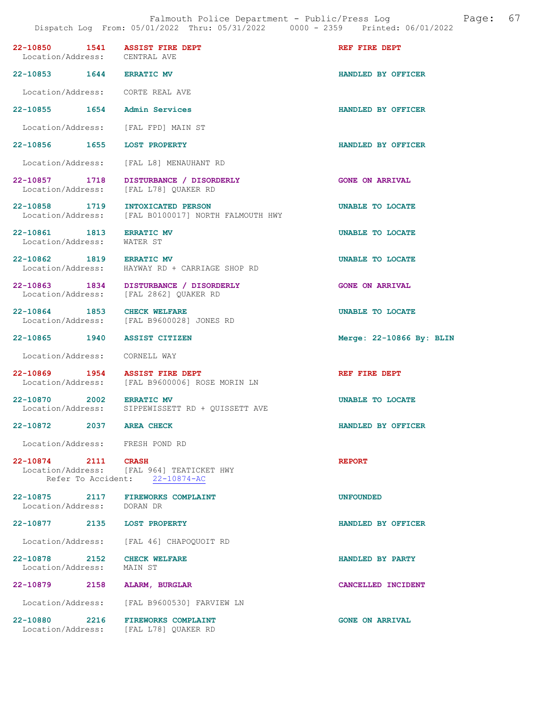| 22-10850 1541 ASSIST FIRE DEPT<br>Location/Address: CENTRAL AVE |                                                                                  | REF FIRE DEPT            |
|-----------------------------------------------------------------|----------------------------------------------------------------------------------|--------------------------|
| 22-10853 1644 ERRATIC MV                                        |                                                                                  | HANDLED BY OFFICER       |
| Location/Address: CORTE REAL AVE                                |                                                                                  |                          |
| 22-10855 1654 Admin Services                                    |                                                                                  | HANDLED BY OFFICER       |
| Location/Address: [FAL FPD] MAIN ST                             |                                                                                  |                          |
| 22-10856 1655 LOST PROPERTY                                     |                                                                                  | HANDLED BY OFFICER       |
|                                                                 | Location/Address: [FAL L8] MENAUHANT RD                                          |                          |
| Location/Address: [FAL L78] QUAKER RD                           | 22-10857 1718 DISTURBANCE / DISORDERLY                                           | <b>GONE ON ARRIVAL</b>   |
| 22-10858 1719 INTOXICATED PERSON                                | Location/Address: [FAL B0100017] NORTH FALMOUTH HWY                              | <b>UNABLE TO LOCATE</b>  |
| 22-10861 1813 ERRATIC MV<br>Location/Address: WATER ST          |                                                                                  | UNABLE TO LOCATE         |
| 22-10862 1819 ERRATIC MV                                        | Location/Address: HAYWAY RD + CARRIAGE SHOP RD                                   | UNABLE TO LOCATE         |
|                                                                 | 22-10863 1834 DISTURBANCE / DISORDERLY<br>Location/Address: [FAL 2862] OUAKER RD | <b>GONE ON ARRIVAL</b>   |
| 22-10864 1853 CHECK WELFARE                                     | Location/Address: [FAL B9600028] JONES RD                                        | <b>UNABLE TO LOCATE</b>  |
| 22-10865 1940 ASSIST CITIZEN                                    |                                                                                  | Merge: 22-10866 By: BLIN |
| Location/Address: CORNELL WAY                                   |                                                                                  |                          |
| 22-10869 1954 ASSIST FIRE DEPT                                  | Location/Address: [FAL B9600006] ROSE MORIN LN                                   | REF FIRE DEPT            |
| 22-10870 2002 ERRATIC MV                                        | Location/Address: SIPPEWISSETT RD + QUISSETT AVE                                 | UNABLE TO LOCATE         |
| 22-10872 2037 AREA CHECK                                        |                                                                                  | HANDLED BY OFFICER       |
| Location/Address: FRESH POND RD                                 |                                                                                  |                          |
| 22-10874 2111 CRASH                                             | Location/Address: [FAL 964] TEATICKET HWY<br>Refer To Accident: 22-10874-AC      | <b>REPORT</b>            |
| 22-10875 2117 FIREWORKS COMPLAINT<br>Location/Address: DORAN DR |                                                                                  | <b>UNFOUNDED</b>         |
| 22-10877 2135 LOST PROPERTY                                     |                                                                                  | HANDLED BY OFFICER       |
|                                                                 | Location/Address: [FAL 46] CHAPOQUOIT RD                                         |                          |
| 22-10878 2152 CHECK WELFARE<br>Location/Address: MAIN ST        |                                                                                  | HANDLED BY PARTY         |
| 22-10879 2158 ALARM, BURGLAR                                    |                                                                                  | CANCELLED INCIDENT       |
|                                                                 | Location/Address: [FAL B9600530] FARVIEW LN                                      |                          |
| 22-10880 2216<br>Location/Address: [FAL L78] QUAKER RD          | <b>FIREWORKS COMPLAINT</b>                                                       | <b>GONE ON ARRIVAL</b>   |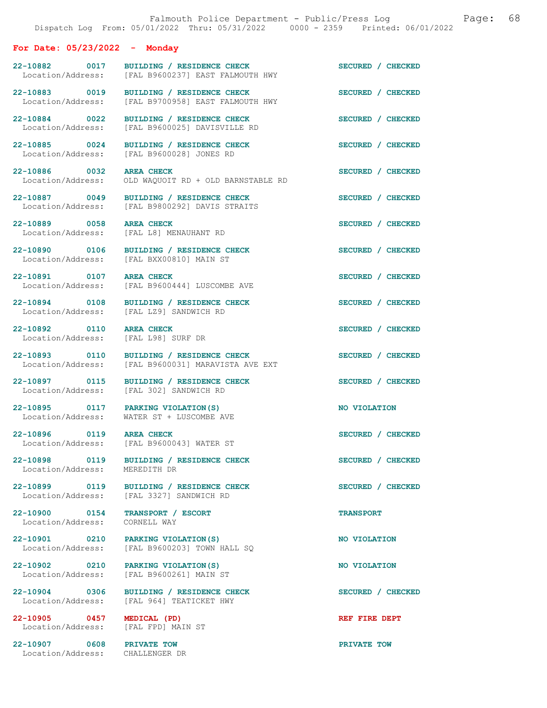For Date: 05/23/2022 - Monday

| 22-10882 0017<br>Location/Address:                           | BUILDING / RESIDENCE CHECK<br>[FAL B9600237] EAST FALMOUTH HWY                       | SECURED / CHECKED |
|--------------------------------------------------------------|--------------------------------------------------------------------------------------|-------------------|
| 22-10883 0019<br>Location/Address:                           | BUILDING / RESIDENCE CHECK<br>[FAL B9700958] EAST FALMOUTH HWY                       | SECURED / CHECKED |
| 22-10884 0022<br>Location/Address:                           | BUILDING / RESIDENCE CHECK<br>[FAL B9600025] DAVISVILLE RD                           | SECURED / CHECKED |
| 22-10885 0024<br>Location/Address:                           | BUILDING / RESIDENCE CHECK<br>[FAL B9600028] JONES RD                                | SECURED / CHECKED |
| 22-10886 0032<br>Location/Address:                           | <b>AREA CHECK</b><br>OLD WAQUOIT RD + OLD BARNSTABLE RD                              | SECURED / CHECKED |
| 22-10887 0049<br>Location/Address:                           | BUILDING / RESIDENCE CHECK<br>[FAL B9800292] DAVIS STRAITS                           | SECURED / CHECKED |
| 22-10889 0058<br>Location/Address:                           | <b>AREA CHECK</b><br>[FAL L8] MENAUHANT RD                                           | SECURED / CHECKED |
| 22-10890 0106<br>Location/Address:                           | BUILDING / RESIDENCE CHECK<br>[FAL BXX00810] MAIN ST                                 | SECURED / CHECKED |
| 22-10891 0107<br>Location/Address:                           | <b>AREA CHECK</b><br>[FAL B9600444] LUSCOMBE AVE                                     | SECURED / CHECKED |
| 22-10894 0108<br>Location/Address:                           | BUILDING / RESIDENCE CHECK<br>[FAL LZ9] SANDWICH RD                                  | SECURED / CHECKED |
| 22-10892 0110<br>Location/Address:                           | AREA CHECK<br>[FAL L98] SURF DR                                                      | SECURED / CHECKED |
| 22-10893 0110<br>Location/Address:                           | BUILDING / RESIDENCE CHECK<br>[FAL B9600031] MARAVISTA AVE EXT                       | SECURED / CHECKED |
| 22-10897 0115<br>Location/Address:                           | BUILDING / RESIDENCE CHECK<br>[FAL 302] SANDWICH RD                                  | SECURED / CHECKED |
| 22-10895 0117 PARKING VIOLATION(S)                           | Location/Address: WATER ST + LUSCOMBE AVE                                            | NO VIOLATION      |
| 22-10896 0119 AREA CHECK                                     | Location/Address: [FAL B9600043] WATER ST                                            | SECURED / CHECKED |
| 22-10898 0119<br>Location/Address: MEREDITH DR               | BUILDING / RESIDENCE CHECK                                                           | SECURED / CHECKED |
|                                                              | 22-10899 0119 BUILDING / RESIDENCE CHECK<br>Location/Address: [FAL 3327] SANDWICH RD | SECURED / CHECKED |
| 22-10900 0154<br>Location/Address:                           | TRANSPORT / ESCORT<br>CORNELL WAY                                                    | <b>TRANSPORT</b>  |
| 22-10901 0210 PARKING VIOLATION (S)<br>Location/Address:     | [FAL B9600203] TOWN HALL SQ                                                          | NO VIOLATION      |
| 22-10902 0210<br>Location/Address:                           | PARKING VIOLATION (S)<br>[FAL B9600261] MAIN ST                                      | NO VIOLATION      |
| 22-10904 0306<br>Location/Address:                           | BUILDING / RESIDENCE CHECK<br>[FAL 964] TEATICKET HWY                                | SECURED / CHECKED |
| 22-10905 0457<br>Location/Address: [FAL FPD] MAIN ST         | MEDICAL (PD)                                                                         | REF FIRE DEPT     |
| 22-10907 0608 PRIVATE TOW<br>Location/Address: CHALLENGER DR |                                                                                      | PRIVATE TOW       |
|                                                              |                                                                                      |                   |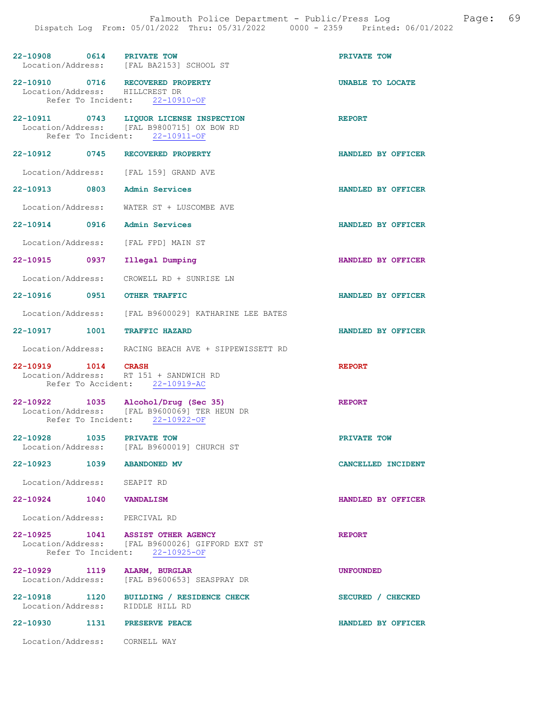| 22-10908 0614                  |      | <b>PRIVATE TOW</b><br>Location/Address: [FAL BA2153] SCHOOL ST                                                          | PRIVATE TOW        |
|--------------------------------|------|-------------------------------------------------------------------------------------------------------------------------|--------------------|
| Location/Address: HILLCREST DR |      | 22-10910 0716 RECOVERED PROPERTY<br>Refer To Incident: 22-10910-OF                                                      | UNABLE TO LOCATE   |
|                                |      | 22-10911 0743 LIQUOR LICENSE INSPECTION<br>Location/Address: [FAL B9800715] OX BOW RD<br>Refer To Incident: 22-10911-OF | <b>REPORT</b>      |
|                                |      | 22-10912 0745 RECOVERED PROPERTY                                                                                        | HANDLED BY OFFICER |
|                                |      | Location/Address: [FAL 159] GRAND AVE                                                                                   |                    |
| 22-10913 0803 Admin Services   |      |                                                                                                                         | HANDLED BY OFFICER |
|                                |      | Location/Address: WATER ST + LUSCOMBE AVE                                                                               |                    |
| 22-10914 0916 Admin Services   |      |                                                                                                                         | HANDLED BY OFFICER |
|                                |      | Location/Address: [FAL FPD] MAIN ST                                                                                     |                    |
| 22-10915 0937                  |      | Illegal Dumping                                                                                                         | HANDLED BY OFFICER |
|                                |      | Location/Address: CROWELL RD + SUNRISE LN                                                                               |                    |
| 22-10916 0951 OTHER TRAFFIC    |      |                                                                                                                         | HANDLED BY OFFICER |
|                                |      | Location/Address: [FAL B9600029] KATHARINE LEE BATES                                                                    |                    |
| 22-10917 1001 TRAFFIC HAZARD   |      |                                                                                                                         | HANDLED BY OFFICER |
|                                |      | Location/Address: RACING BEACH AVE + SIPPEWISSETT RD                                                                    |                    |
| 22-10919 1014 CRASH            |      | Location/Address: RT 151 + SANDWICH RD<br>Refer To Accident: 22-10919-AC                                                | <b>REPORT</b>      |
|                                |      | 22-10922 1035 Alcohol/Drug (Sec 35)<br>Location/Address: [FAL B9600069] TER HEUN DR<br>Refer To Incident: 22-10922-OF   | <b>REPORT</b>      |
| 22-10928                       | 1035 | PRIVATE TOW<br>Location/Address: [FAL B9600019] CHURCH ST                                                               | PRIVATE TOW        |
| 22-10923 1039 ABANDONED MV     |      |                                                                                                                         | CANCELLED INCIDENT |
| Location/Address: SEAPIT RD    |      |                                                                                                                         |                    |
| 22-10924 1040 VANDALISM        |      |                                                                                                                         | HANDLED BY OFFICER |
| Location/Address: PERCIVAL RD  |      |                                                                                                                         |                    |
|                                |      | 22-10925 1041 ASSIST OTHER AGENCY<br>Location/Address: [FAL B9600026] GIFFORD EXT ST<br>Refer To Incident: 22-10925-OF  | <b>REPORT</b>      |
| 22-10929 1119 ALARM, BURGLAR   |      | Location/Address: [FAL B9600653] SEASPRAY DR                                                                            | <b>UNFOUNDED</b>   |
|                                |      | 22-10918 1120 BUILDING / RESIDENCE CHECK<br>Location/Address: RIDDLE HILL RD                                            | SECURED / CHECKED  |
| 22-10930 1131 PRESERVE PEACE   |      |                                                                                                                         | HANDLED BY OFFICER |
| Location/Address: CORNELL WAY  |      |                                                                                                                         |                    |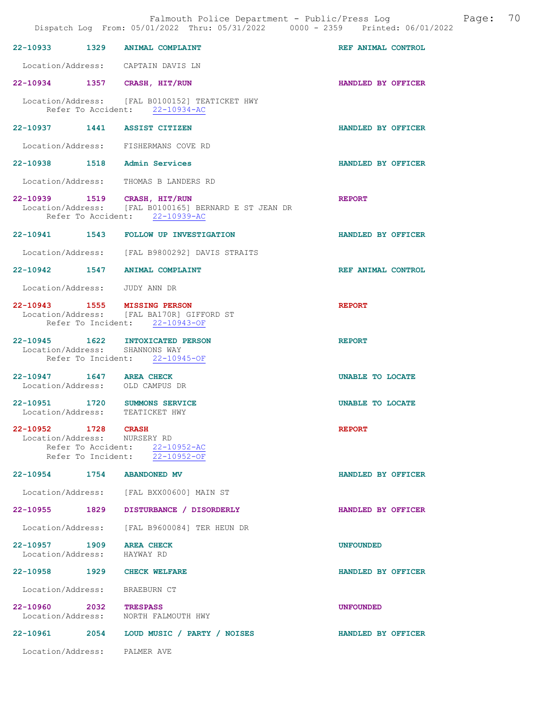|                                    | Falmouth Police Department - Public/Press Log<br>Dispatch Log From: 05/01/2022 Thru: 05/31/2022 0000 - 2359 Printed: 06/01/2022 |                    | Page: | 70 |
|------------------------------------|---------------------------------------------------------------------------------------------------------------------------------|--------------------|-------|----|
| 22-10933 1329                      | ANIMAL COMPLAINT                                                                                                                | REF ANIMAL CONTROL |       |    |
|                                    | Location/Address: CAPTAIN DAVIS LN                                                                                              |                    |       |    |
|                                    | 22-10934 1357 CRASH, HIT/RUN                                                                                                    | HANDLED BY OFFICER |       |    |
|                                    | Location/Address: [FAL B0100152] TEATICKET HWY<br>Refer To Accident: 22-10934-AC                                                |                    |       |    |
|                                    | 22-10937 1441 ASSIST CITIZEN                                                                                                    | HANDLED BY OFFICER |       |    |
|                                    | Location/Address: FISHERMANS COVE RD                                                                                            |                    |       |    |
| 22-10938 1518                      | Admin Services                                                                                                                  | HANDLED BY OFFICER |       |    |
|                                    | Location/Address: THOMAS B LANDERS RD                                                                                           |                    |       |    |
|                                    | 22-10939 1519 CRASH, HIT/RUN<br>Location/Address: [FAL B0100165] BERNARD E ST JEAN DR<br>Refer To Accident: 22-10939-AC         | <b>REPORT</b>      |       |    |
|                                    | 22-10941 1543 FOLLOW UP INVESTIGATION                                                                                           | HANDLED BY OFFICER |       |    |
|                                    | Location/Address: [FAL B9800292] DAVIS STRAITS                                                                                  |                    |       |    |
| 22-10942 1547                      | <b>ANIMAL COMPLAINT</b>                                                                                                         | REF ANIMAL CONTROL |       |    |
|                                    | Location/Address: JUDY ANN DR                                                                                                   |                    |       |    |
|                                    | 22-10943 1555 MISSING PERSON<br>Location/Address: [FAL BA170R] GIFFORD ST<br>Refer To Incident: 22-10943-OF                     | <b>REPORT</b>      |       |    |
| 22-10945 1622<br>Location/Address: | <b>INTOXICATED PERSON</b><br>SHANNONS WAY<br>Refer To Incident: 22-10945-OF                                                     | <b>REPORT</b>      |       |    |
| $22 - 10947$                       | 1647 AREA CHECK<br>Location/Address: OLD CAMPUS DR                                                                              | UNABLE TO LOCATE   |       |    |
| 22-10951                           | 1720 SUMMONS SERVICE<br>Location/Address: TEATICKET HWY                                                                         | UNABLE TO LOCATE   |       |    |
| 22-10952 1728 CRASH                | Location/Address: NURSERY RD<br>Refer To Accident: 22-10952-AC<br>Refer To Incident: $\frac{1}{22-10952-OF}$                    | <b>REPORT</b>      |       |    |
|                                    | 22-10954 1754 ABANDONED MV                                                                                                      | HANDLED BY OFFICER |       |    |
|                                    | Location/Address: [FAL BXX00600] MAIN ST                                                                                        |                    |       |    |
| 22-10955 1829                      | DISTURBANCE / DISORDERLY                                                                                                        | HANDLED BY OFFICER |       |    |
| Location/Address:                  | [FAL B9600084] TER HEUN DR                                                                                                      |                    |       |    |
| Location/Address: HAYWAY RD        | 22-10957 1909 AREA CHECK                                                                                                        | <b>UNFOUNDED</b>   |       |    |
|                                    | 22-10958 1929 CHECK WELFARE                                                                                                     | HANDLED BY OFFICER |       |    |
|                                    | Location/Address: BRAEBURN CT                                                                                                   |                    |       |    |
| 22-10960 2032                      | TRESPASS<br>Location/Address: NORTH FALMOUTH HWY                                                                                | <b>UNFOUNDED</b>   |       |    |
|                                    | 22-10961 2054 LOUD MUSIC / PARTY / NOISES                                                                                       | HANDLED BY OFFICER |       |    |
|                                    | Location/Address: PALMER AVE                                                                                                    |                    |       |    |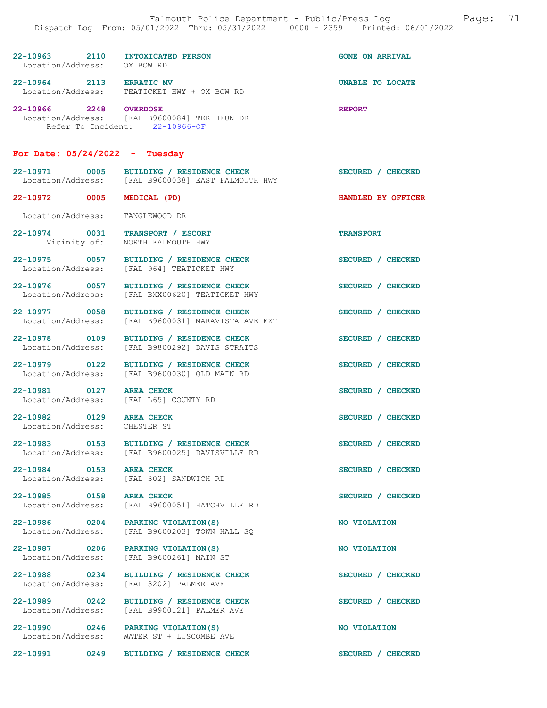| 22-10963<br>Location/Address: | 2110 | INTOXICATED PERSON<br>OX BOW RD                | <b>GONE ON ARRIVAL</b> |
|-------------------------------|------|------------------------------------------------|------------------------|
| 22-10964<br>Location/Address: | 2113 | <b>ERRATIC MV</b><br>TEATICKET HWY + OX BOW RD | UNABLE TO LOCATE       |
| 22-10966                      | 2248 | <b>OVERDOSE</b>                                | <b>REPORT</b>          |

 Location/Address: [FAL B9600084] TER HEUN DR Refer To Incident: 22-10966-OF

NORTH FALMOUTH HWY

## For Date:  $05/24/2022 -$  Tuesday

| 22-10971          | 0005 | BUILDING / RESIDENCE CHECK       | SECURED / CHECKED  |
|-------------------|------|----------------------------------|--------------------|
| Location/Address: |      | [FAL B9600038] EAST FALMOUTH HWY |                    |
| 22-10972          | 0005 | MEDICAL (PD)                     | HANDLED BY OFFICER |

Location/Address: TANGLEWOOD DR

22-10974 0031 TRANSPORT / ESCORT<br>
Vicinity of: MORTH FALMOUTH HWY

Location/Address: [FAL 964] TEATICKET HWY

Location/Address: [FAL BXX00620] TEATICKET HWY

22-10977 0058 BUILDING / RESIDENCE CHECK SECURED / CHECKED Location/Address: [FAL B9600031] MARAVISTA AVE EXT

22-10981 0127 AREA CHECK SECURED / CHECKED<br>
Location/Address: [FAL L65] COUNTY RD Location/Address:

Location/Address: CHESTER ST

22-10978 0109 BUILDING / RESIDENCE CHECK SECURED / CHECKED Location/Address: [FAL B9800292] DAVIS STRAITS

22-10979 0122 BUILDING / RESIDENCE CHECK<br>
Location/Address: [FAL B9600030] OLD MAIN RD [FAL B9600030] OLD MAIN RD

22-10983 0153 BUILDING / RESIDENCE CHECK SECURED / CHECKED Location/Address: [FAL B9600025] DAVISVILLE RD

22-10984 0153 AREA CHECK SECURED / CHECKED Location/Address: [FAL 302] SANDWICH RD

22-10985 0158 AREA CHECK SECURED / CHECKED<br>Location/Address: [FAL B9600051] HATCHVILLE RD [FAL B9600051] HATCHVILLE RD

22-10986 0204 PARKING VIOLATION(S) NO VIOLATION<br>
Location/Address: [FAL B9600203] TOWN HALL SO [FAL B9600203] TOWN HALL SO

22-10987 0206 PARKING VIOLATION(S) NO VIOLATION Location/Address: [FAL B9600261] MAIN ST

22-10988 0234 BUILDING / RESIDENCE CHECK SECURED / CHECKED Location/Address: [FAL 3202] PALMER AVE [FAL 3202] PALMER AVE

22-10989 0242 BUILDING / RESIDENCE CHECK SECURED / CHECKED Location/Address: [FAL B9900121] PALMER AVE

22-10990 0246 PARKING VIOLATION(S) NO VIOLATION Location/Address: WATER ST + LUSCOMBE AVE

22-10991 0249 BUILDING / RESIDENCE CHECK SECURED / CHECKED

22-10975 0057 BUILDING / RESIDENCE CHECK SECURED / CHECKED

22-10976 0057 BUILDING / RESIDENCE CHECK SECURED / CHECKED

22-10982 0129 AREA CHECK SECURED / CHECKED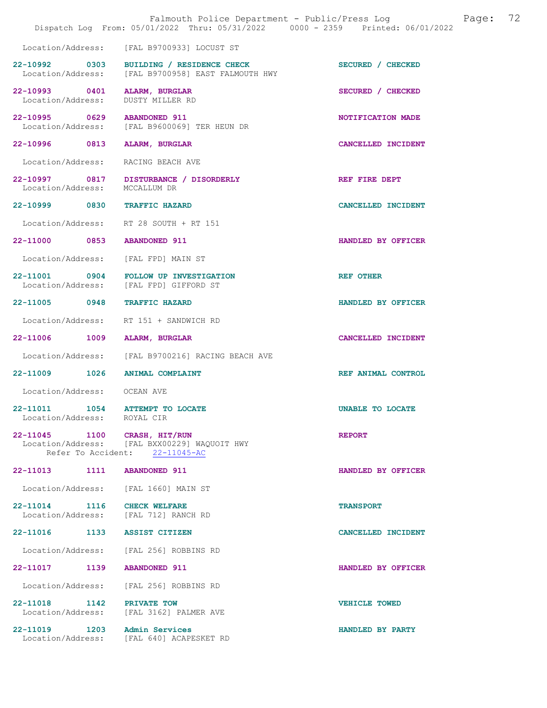|                                                  | Falmouth Police Department - Public/Press Log<br>Dispatch Log From: 05/01/2022 Thru: 05/31/2022 0000 - 2359 Printed: 06/01/2022 |                      | Page: | 72 |
|--------------------------------------------------|---------------------------------------------------------------------------------------------------------------------------------|----------------------|-------|----|
|                                                  | Location/Address: [FAL B9700933] LOCUST ST                                                                                      |                      |       |    |
| 22-10992 0303<br>Location/Address:               | BUILDING / RESIDENCE CHECK<br>[FAL B9700958] EAST FALMOUTH HWY                                                                  | SECURED / CHECKED    |       |    |
| 22-10993 0401<br>Location/Address:               | ALARM, BURGLAR<br><b>DUSTY MILLER RD</b>                                                                                        | SECURED / CHECKED    |       |    |
| 22-10995 0629 ABANDONED 911<br>Location/Address: | [FAL B9600069] TER HEUN DR                                                                                                      | NOTIFICATION MADE    |       |    |
| 22-10996 0813                                    | <b>ALARM, BURGLAR</b>                                                                                                           | CANCELLED INCIDENT   |       |    |
| Location/Address:                                | RACING BEACH AVE                                                                                                                |                      |       |    |
| Location/Address:                                | 22-10997 0817 DISTURBANCE / DISORDERLY<br>MCCALLUM DR                                                                           | REF FIRE DEPT        |       |    |
| 22-10999 0830 TRAFFIC HAZARD                     |                                                                                                                                 | CANCELLED INCIDENT   |       |    |
|                                                  | Location/Address: RT 28 SOUTH + RT 151                                                                                          |                      |       |    |
| 22-11000 0853 ABANDONED 911                      |                                                                                                                                 | HANDLED BY OFFICER   |       |    |
| Location/Address:                                | [FAL FPD] MAIN ST                                                                                                               |                      |       |    |
|                                                  | 22-11001 0904 FOLLOW UP INVESTIGATION<br>Location/Address: [FAL FPD] GIFFORD ST                                                 | <b>REF OTHER</b>     |       |    |
| 22-11005 0948                                    | <b>TRAFFIC HAZARD</b>                                                                                                           | HANDLED BY OFFICER   |       |    |
| Location/Address:                                | RT 151 + SANDWICH RD                                                                                                            |                      |       |    |
| 22-11006 1009                                    | ALARM, BURGLAR                                                                                                                  | CANCELLED INCIDENT   |       |    |
|                                                  | Location/Address: [FAL B9700216] RACING BEACH AVE                                                                               |                      |       |    |
| 22-11009 1026 ANIMAL COMPLAINT                   |                                                                                                                                 | REF ANIMAL CONTROL   |       |    |
| Location/Address: OCEAN AVE                      |                                                                                                                                 |                      |       |    |
| 22-11011<br>1054<br>Location/Address:            | <b>ATTEMPT TO LOCATE</b><br>ROYAL CIR                                                                                           | UNABLE TO LOCATE     |       |    |
| 22-11045 1100 CRASH, HIT/RUN                     | Location/Address: [FAL BXX00229] WAQUOIT HWY<br>Refer To Accident: 22-11045-AC                                                  | <b>REPORT</b>        |       |    |
| 1111<br>$22 - 11013$                             | <b>ABANDONED 911</b>                                                                                                            | HANDLED BY OFFICER   |       |    |
| Location/Address:                                | [FAL 1660] MAIN ST                                                                                                              |                      |       |    |
| 22-11014 1116<br>Location/Address:               | <b>CHECK WELFARE</b><br>[FAL 712] RANCH RD                                                                                      | <b>TRANSPORT</b>     |       |    |
| 22-11016<br>1133                                 | <b>ASSIST CITIZEN</b>                                                                                                           | CANCELLED INCIDENT   |       |    |
| Location/Address:                                | [FAL 256] ROBBINS RD                                                                                                            |                      |       |    |
| 22-11017 1139                                    | <b>ABANDONED 911</b>                                                                                                            | HANDLED BY OFFICER   |       |    |
| Location/Address:                                | [FAL 256] ROBBINS RD                                                                                                            |                      |       |    |
| 22-11018 1142<br>Location/Address:               | PRIVATE TOW<br>[FAL 3162] PALMER AVE                                                                                            | <b>VEHICLE TOWED</b> |       |    |
| 22-11019 1203<br>Location/Address:               | Admin Services<br>[FAL 640] ACAPESKET RD                                                                                        | HANDLED BY PARTY     |       |    |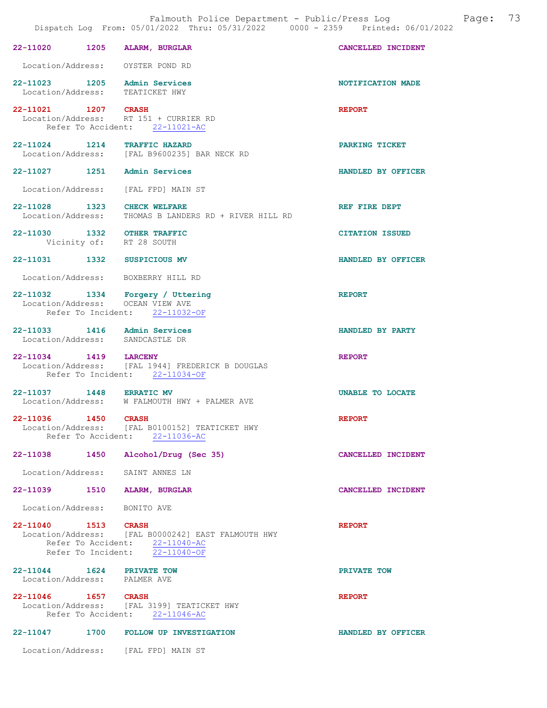|                     |                                                                                                                          | 73<br>Falmouth Police Department - Public/Press Log<br>Page:<br>Dispatch Log From: 05/01/2022 Thru: 05/31/2022 0000 - 2359 Printed: 06/01/2022 |  |
|---------------------|--------------------------------------------------------------------------------------------------------------------------|------------------------------------------------------------------------------------------------------------------------------------------------|--|
|                     | 22-11020 1205 ALARM, BURGLAR                                                                                             | CANCELLED INCIDENT                                                                                                                             |  |
|                     | Location/Address: OYSTER POND RD                                                                                         |                                                                                                                                                |  |
|                     | 22-11023 1205 Admin Services<br>Location/Address: TEATICKET HWY                                                          | NOTIFICATION MADE                                                                                                                              |  |
|                     | 22-11021 1207 CRASH<br>Location/Address: RT 151 + CURRIER RD<br>Refer To Accident: 22-11021-AC                           | <b>REPORT</b>                                                                                                                                  |  |
|                     | 22-11024 1214 TRAFFIC HAZARD<br>Location/Address: [FAL B9600235] BAR NECK RD                                             | PARKING TICKET                                                                                                                                 |  |
|                     | 22-11027 1251 Admin Services                                                                                             | HANDLED BY OFFICER                                                                                                                             |  |
|                     | Location/Address: [FAL FPD] MAIN ST                                                                                      |                                                                                                                                                |  |
|                     | 22-11028 1323 CHECK WELFARE<br>Location/Address: THOMAS B LANDERS RD + RIVER HILL RD                                     | REF FIRE DEPT                                                                                                                                  |  |
|                     | 22-11030 1332 OTHER TRAFFIC<br>Vicinity of: RT 28 SOUTH                                                                  | <b>CITATION ISSUED</b>                                                                                                                         |  |
|                     | 22-11031 1332 SUSPICIOUS MV                                                                                              | HANDLED BY OFFICER                                                                                                                             |  |
|                     | Location/Address: BOXBERRY HILL RD                                                                                       |                                                                                                                                                |  |
|                     | 22-11032 1334 Forgery / Uttering<br>Location/Address: OCEAN VIEW AVE<br>Refer To Incident: 22-11032-OF                   | <b>REPORT</b>                                                                                                                                  |  |
|                     | 22-11033 1416 Admin Services<br>Location/Address: SANDCASTLE DR                                                          | HANDLED BY PARTY                                                                                                                               |  |
|                     | 22-11034 1419 LARCENY<br>Location/Address: [FAL 1944] FREDERICK B DOUGLAS<br>Refer To Incident: 22-11034-OF              | <b>REPORT</b>                                                                                                                                  |  |
|                     | 22-11037 1448 ERRATIC MV<br>Location/Address: W FALMOUTH HWY + PALMER AVE                                                | UNABLE TO LOCATE                                                                                                                               |  |
| 22-11036 1450 CRASH | Location/Address: [FAL B0100152] TEATICKET HWY<br>Refer To Accident: 22-11036-AC                                         | <b>REPORT</b>                                                                                                                                  |  |
|                     | 22-11038 1450 Alcohol/Drug (Sec 35)                                                                                      | CANCELLED INCIDENT                                                                                                                             |  |
|                     | Location/Address: SAINT ANNES LN                                                                                         |                                                                                                                                                |  |
|                     | 22-11039 1510 ALARM, BURGLAR                                                                                             | CANCELLED INCIDENT                                                                                                                             |  |
|                     | Location/Address: BONITO AVE                                                                                             |                                                                                                                                                |  |
| 22-11040 1513 CRASH | Location/Address: [FAL B0000242] EAST FALMOUTH HWY<br>Refer To Accident: 22-11040-AC<br>Refer To Incident: $22-11040-OF$ | <b>REPORT</b>                                                                                                                                  |  |
|                     | 22-11044   1624   PRIVATE TOW<br>Location/Address: PALMER AVE                                                            | PRIVATE TOW                                                                                                                                    |  |
| 22-11046 1657 CRASH | Location/Address: [FAL 3199] TEATICKET HWY<br>Refer To Accident: 22-11046-AC                                             | <b>REPORT</b>                                                                                                                                  |  |
|                     | 22-11047 1700 FOLLOW UP INVESTIGATION                                                                                    | HANDLED BY OFFICER                                                                                                                             |  |
|                     | Location/Address: [FAL FPD] MAIN ST                                                                                      |                                                                                                                                                |  |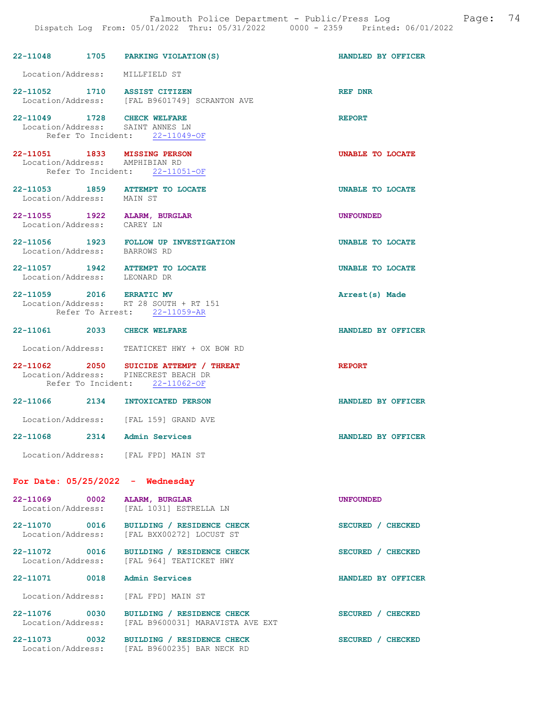|                                              |      | 22-11048 1705 PARKING VIOLATION (S)                                                                              | HANDLED BY OFFICER      |
|----------------------------------------------|------|------------------------------------------------------------------------------------------------------------------|-------------------------|
| Location/Address: MILLFIELD ST               |      |                                                                                                                  |                         |
|                                              |      | 22-11052 1710 ASSIST CITIZEN<br>Location/Address: [FAL B9601749] SCRANTON AVE                                    | REF DNR                 |
| 22-11049 1728                                |      | <b>CHECK WELFARE</b><br>Location/Address: SAINT ANNES LN<br>Refer To Incident: 22-11049-OF                       | <b>REPORT</b>           |
| Location/Address: AMPHIBIAN RD               |      | 22-11051 1833 MISSING PERSON<br>Refer To Incident: 22-11051-OF                                                   | <b>UNABLE TO LOCATE</b> |
| Location/Address: MAIN ST                    |      | 22-11053 1859 ATTEMPT TO LOCATE                                                                                  | <b>UNABLE TO LOCATE</b> |
| Location/Address: CAREY LN                   |      | 22-11055 1922 ALARM, BURGLAR                                                                                     | <b>UNFOUNDED</b>        |
|                                              |      | 22-11056 1923 FOLLOW UP INVESTIGATION<br>Location/Address: BARROWS RD                                            | <b>UNABLE TO LOCATE</b> |
| Location/Address: LEONARD DR                 |      | 22-11057 1942 ATTEMPT TO LOCATE                                                                                  | <b>UNABLE TO LOCATE</b> |
| 22-11059 2016 ERRATIC MV                     |      | Location/Address: RT 28 SOUTH + RT 151<br>Refer To Arrest: 22-11059-AR                                           | Arrest(s) Made          |
| 22-11061 2033 CHECK WELFARE                  |      |                                                                                                                  | HANDLED BY OFFICER      |
|                                              |      | Location/Address: TEATICKET HWY + OX BOW RD                                                                      |                         |
|                                              |      | 22-11062 2050 SUICIDE ATTEMPT / THREAT<br>Location/Address: PINECREST BEACH DR<br>Refer To Incident: 22-11062-OF | <b>REPORT</b>           |
|                                              |      | 22-11066 2134 INTOXICATED PERSON                                                                                 | HANDLED BY OFFICER      |
|                                              |      | Location/Address: [FAL 159] GRAND AVE                                                                            |                         |
| 22-11068 2314 Admin Services                 |      |                                                                                                                  | HANDLED BY OFFICER      |
|                                              |      | Location/Address: [FAL FPD] MAIN ST                                                                              |                         |
|                                              |      | For Date: $05/25/2022 -$ Wednesday                                                                               |                         |
| 22-11069<br>Location/Address:                | 0002 | ALARM, BURGLAR<br>[FAL 1031] ESTRELLA LN                                                                         | <b>UNFOUNDED</b>        |
| 22-11070 0016<br>Location/Address:           |      | BUILDING / RESIDENCE CHECK<br>[FAL BXX00272] LOCUST ST                                                           | SECURED / CHECKED       |
| 22-11072 0016<br>Location/Address:           |      | BUILDING / RESIDENCE CHECK<br>[FAL 964] TEATICKET HWY                                                            | SECURED / CHECKED       |
| 22-11071                                     | 0018 | <b>Admin Services</b>                                                                                            | HANDLED BY OFFICER      |
| Location/Address:                            |      | [FAL FPD] MAIN ST                                                                                                |                         |
| 22-11076 0030<br>Location/Address:           |      | BUILDING / RESIDENCE CHECK<br>[FAL B9600031] MARAVISTA AVE EXT                                                   | SECURED / CHECKED       |
| 22-11073<br>$\sim$ 0032<br>Location/Address: |      | BUILDING / RESIDENCE CHECK<br>[FAL B9600235] BAR NECK RD                                                         | SECURED / CHECKED       |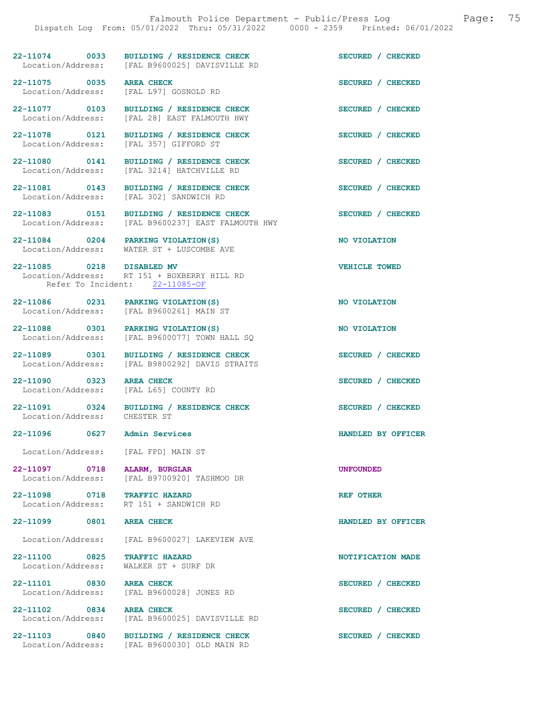22-11074 0033 BUILDING / RESIDENCE CHECK SECURED / CHECKED Location/Address: [FAL B9600025] DAVISVILLE RD 22-11075 0035 AREA CHECK SECURED / CHECKED<br>
Location/Address: [FAL L97] GOSNOLD RD

Location/Address: [FAL L97] GOSNOLD RD

[FAL 3214] HATCHVILLE RD

[FAL 302] SANDWICH RD

22-11077 0103 BUILDING / RESIDENCE CHECK SECURED / CHECKED Location/Address: [FAL 28] EAST FALMOUTH HWY

22-11078 0121 BUILDING / RESIDENCE CHECK SECURED / CHECKED Location/Address: [FAL 357] GIFFORD ST

22-11080 0141 BUILDING / RESIDENCE CHECK SECURED / CHECKED Location/Address: [FAL 3214] HATCHVILLE RD

22-11081 0143 BUILDING / RESIDENCE CHECK SECURED / CHECKED Location/Address: [FAL 302] SANDWICH RD

22-11083 0151 BUILDING / RESIDENCE CHECK SECURED / CHECKED

Location/Address: [FAL B9600237] EAST FALMOUTH HWY

22-11084 0204 PARKING VIOLATION(S) NO VIOLATION Location/Address: WATER ST + LUSCOMBE AVE

22-11085 0218 DISABLED MV VEHICLE TOWED Location/Address: RT 151 + BOXBERRY HILL RD Refer To Incident: 22-11085-OF

22-11086 0231 PARKING VIOLATION(S) NO VIOLATION Location/Address: [FAL B9600261] MAIN ST

22-11088 0301 PARKING VIOLATION(S)<br>
Location/Address: [FAL B9600077] TOWN HALL SQ

22-11089 0301 BUILDING / RESIDENCE CHECK SECURED / CHECKED Location/Address: [FAL B9800292] DAVIS STRAITS

22-11090 0323 AREA CHECK SECURED / CHECKED

Location/Address: [FAL L65] COUNTY RD

22-11091 0324 BUILDING / RESIDENCE CHECK SECURED / CHECKED Location/Address: CHESTER ST

[FAL B9600077] TOWN HALL SQ

Location/Address: [FAL FPD] MAIN ST

22-11097 0718 ALARM, BURGLAR UNFOUNDED Location/Address: [FAL B9700920] TASHMOO DR

22-11098 0718 TRAFFIC HAZARD REF OTHER Location/Address: RT 151 + SANDWICH RD

Location/Address: [FAL B9600027] LAKEVIEW AVE

22-11100 0825 TRAFFIC HAZARD NOTIFICATION MADE Location/Address: WALKER ST + SURF DR

22-11101 0830 AREA CHECK 3ECURED / CHECKED<br>
Location/Address: [FAL B9600028] JONES RD [FAL B9600028] JONES RD

22-11102 0834 AREA CHECK SECURED / CHECKED<br>
Location/Address: [FAL B9600025] DAVISVILLE RD [FAL B9600025] DAVISVILLE RD

22-11103 0840 BUILDING / RESIDENCE CHECK SECURED / CHECKED Location/Address: [FAL B9600030] OLD MAIN RD

22-11096 0627 Admin Services HANDLED BY OFFICER

22-11099 0801 AREA CHECK HANDLED BY OFFICER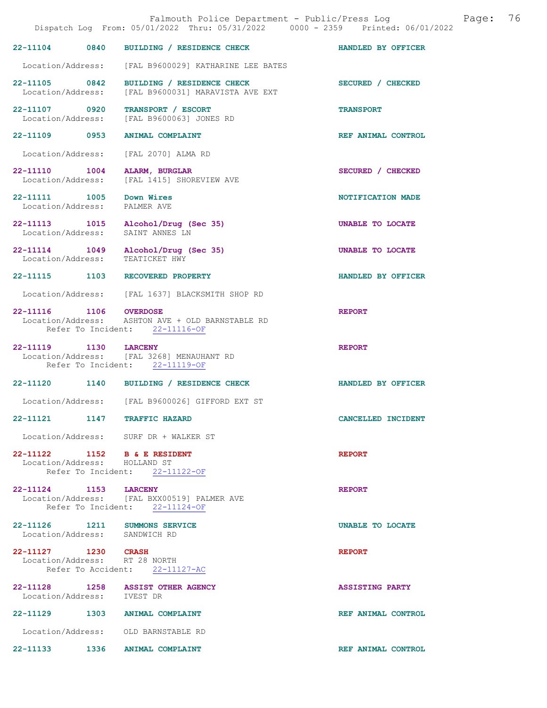|                                                          |      | Falmouth Police Department - Public/Press Log<br>Dispatch Log From: 05/01/2022 Thru: 05/31/2022 0000 - 2359 Printed: 06/01/2022 | Page:                   | 76 |
|----------------------------------------------------------|------|---------------------------------------------------------------------------------------------------------------------------------|-------------------------|----|
| 22-11104 0840                                            |      | BUILDING / RESIDENCE CHECK                                                                                                      | HANDLED BY OFFICER      |    |
|                                                          |      | Location/Address: [FAL B9600029] KATHARINE LEE BATES                                                                            |                         |    |
| 22-11105 0842<br>Location/Address:                       |      | BUILDING / RESIDENCE CHECK<br>[FAL B9600031] MARAVISTA AVE EXT                                                                  | SECURED / CHECKED       |    |
| 22-11107 0920                                            |      | TRANSPORT / ESCORT<br>Location/Address: [FAL B9600063] JONES RD                                                                 | <b>TRANSPORT</b>        |    |
| 22-11109 0953                                            |      | <b>ANIMAL COMPLAINT</b>                                                                                                         | REF ANIMAL CONTROL      |    |
| Location/Address:                                        |      | [FAL 2070] ALMA RD                                                                                                              |                         |    |
| 22-11110 1004<br>Location/Address:                       |      | ALARM, BURGLAR<br>[FAL 1415] SHOREVIEW AVE                                                                                      | SECURED / CHECKED       |    |
| 22-11111 1005 Down Wires<br>Location/Address: PALMER AVE |      |                                                                                                                                 | NOTIFICATION MADE       |    |
| Location/Address:                                        |      | 22-11113 1015 Alcohol/Drug (Sec 35)<br>SAINT ANNES LN                                                                           | UNABLE TO LOCATE        |    |
|                                                          |      | 22-11114 1049 Alcohol/Drug (Sec 35)<br>Location/Address: TEATICKET HWY                                                          | UNABLE TO LOCATE        |    |
|                                                          |      | 22-11115 1103 RECOVERED PROPERTY                                                                                                | HANDLED BY OFFICER      |    |
|                                                          |      | Location/Address: [FAL 1637] BLACKSMITH SHOP RD                                                                                 |                         |    |
| 22-11116 1106 OVERDOSE                                   |      | Location/Address: ASHTON AVE + OLD BARNSTABLE RD<br>Refer To Incident: 22-11116-OF                                              | <b>REPORT</b>           |    |
| 22-11119 1130 LARCENY                                    |      | Location/Address: [FAL 3268] MENAUHANT RD<br>Refer To Incident: 22-11119-OF                                                     | <b>REPORT</b>           |    |
|                                                          |      | 22-11120 1140 BUILDING / RESIDENCE CHECK                                                                                        | HANDLED BY OFFICER      |    |
|                                                          |      | Location/Address: [FAL B9600026] GIFFORD EXT ST                                                                                 |                         |    |
| 22-11121                                                 | 1147 | <b>TRAFFIC HAZARD</b>                                                                                                           | CANCELLED INCIDENT      |    |
|                                                          |      | Location/Address: SURF DR + WALKER ST                                                                                           |                         |    |
| Location/Address: HOLLAND ST                             |      | 22-11122 1152 B & E RESIDENT                                                                                                    | <b>REPORT</b>           |    |
|                                                          |      | Refer To Incident: 22-11122-OF                                                                                                  |                         |    |
| 22-11124 1153 LARCENY                                    |      | Location/Address: [FAL BXX00519] PALMER AVE<br>Refer To Incident: 22-11124-OF                                                   | <b>REPORT</b>           |    |
| Location/Address: SANDWICH RD                            |      | 22-11126 1211 SUMMONS SERVICE                                                                                                   | <b>UNABLE TO LOCATE</b> |    |
| 22-11127 1230 CRASH                                      |      | Location/Address: RT 28 NORTH<br>Refer To Accident: 22-11127-AC                                                                 | <b>REPORT</b>           |    |
| Location/Address: IVEST DR                               |      | 22-11128 1258 ASSIST OTHER AGENCY                                                                                               | <b>ASSISTING PARTY</b>  |    |
|                                                          |      | 22-11129 1303 ANIMAL COMPLAINT                                                                                                  | REF ANIMAL CONTROL      |    |
|                                                          |      | Location/Address: OLD BARNSTABLE RD                                                                                             |                         |    |
|                                                          |      | 22-11133 1336 ANIMAL COMPLAINT                                                                                                  | REF ANIMAL CONTROL      |    |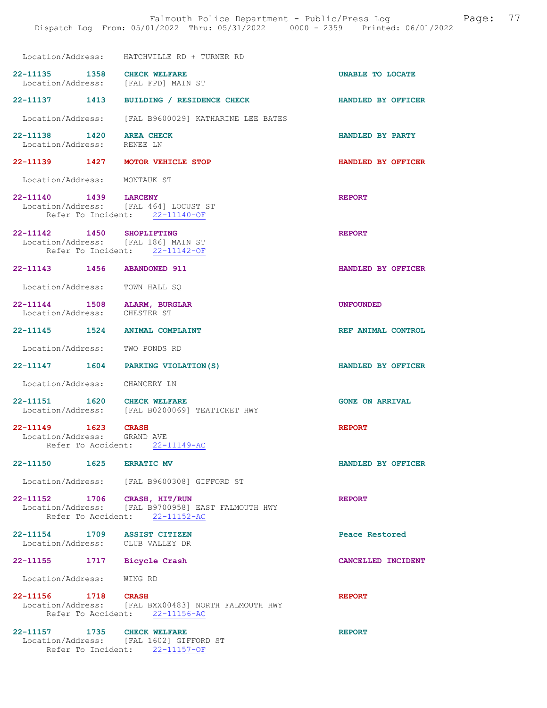|                                                                                      | Location/Address: HATCHVILLE RD + TURNER RD                                           |                        |
|--------------------------------------------------------------------------------------|---------------------------------------------------------------------------------------|------------------------|
| 22-11135 1358 CHECK WELFARE<br>Location/Address: [FAL FPD] MAIN ST                   |                                                                                       | UNABLE TO LOCATE       |
|                                                                                      | 22-11137 1413 BUILDING / RESIDENCE CHECK                                              | HANDLED BY OFFICER     |
|                                                                                      | Location/Address: [FAL B9600029] KATHARINE LEE BATES                                  |                        |
| 22-11138 1420 AREA CHECK<br>Location/Address: RENEE LN                               |                                                                                       | HANDLED BY PARTY       |
| 22-11139 1427 MOTOR VEHICLE STOP                                                     |                                                                                       | HANDLED BY OFFICER     |
| Location/Address: MONTAUK ST                                                         |                                                                                       |                        |
| 22-11140 1439 LARCENY                                                                | Location/Address: [FAL 464] LOCUST ST<br>Refer To Incident: 22-11140-OF               | <b>REPORT</b>          |
| 22-11142 1450 SHOPLIFTING<br>Location/Address: [FAL 186] MAIN ST                     | Refer To Incident: 22-11142-OF                                                        | <b>REPORT</b>          |
| 22-11143 1456 ABANDONED 911                                                          |                                                                                       | HANDLED BY OFFICER     |
| Location/Address: TOWN HALL SQ                                                       |                                                                                       |                        |
| 22-11144 1508 ALARM, BURGLAR<br>Location/Address: CHESTER ST                         |                                                                                       | <b>UNFOUNDED</b>       |
| 22-11145 1524 ANIMAL COMPLAINT                                                       |                                                                                       | REF ANIMAL CONTROL     |
| Location/Address: TWO PONDS RD                                                       |                                                                                       |                        |
|                                                                                      | 22-11147 1604 PARKING VIOLATION (S)                                                   | HANDLED BY OFFICER     |
| Location/Address: CHANCERY LN                                                        |                                                                                       |                        |
|                                                                                      | 22-11151 1620 CHECK WELFARE<br>Location/Address: [FAL B0200069] TEATICKET HWY         | <b>GONE ON ARRIVAL</b> |
| 22-11149 1623 CRASH<br>Location/Address: GRAND AVE<br>Refer To Accident: 22-11149-AC |                                                                                       | <b>REPORT</b>          |
| 22-11150 1625 ERRATIC MV                                                             |                                                                                       | HANDLED BY OFFICER     |
|                                                                                      | Location/Address: [FAL B9600308] GIFFORD ST                                           |                        |
| 22-11152 1706 CRASH, HIT/RUN                                                         | Location/Address: [FAL B9700958] EAST FALMOUTH HWY<br>Refer To Accident: 22-11152-AC  | <b>REPORT</b>          |
| 22-11154 1709 ASSIST CITIZEN<br>Location/Address: CLUB VALLEY DR                     |                                                                                       | Peace Restored         |
| 22-11155 1717 Bicycle Crash                                                          |                                                                                       | CANCELLED INCIDENT     |
| Location/Address: WING RD                                                            |                                                                                       |                        |
| 22-11156 1718 CRASH                                                                  | Location/Address: [FAL BXX00483] NORTH FALMOUTH HWY<br>Refer To Accident: 22-11156-AC | <b>REPORT</b>          |
| 22-11157<br>1735                                                                     | <b>CHECK WELFARE</b>                                                                  | <b>REPORT</b>          |

 Location/Address: [FAL 1602] GIFFORD ST Refer To Incident: 22-11157-OF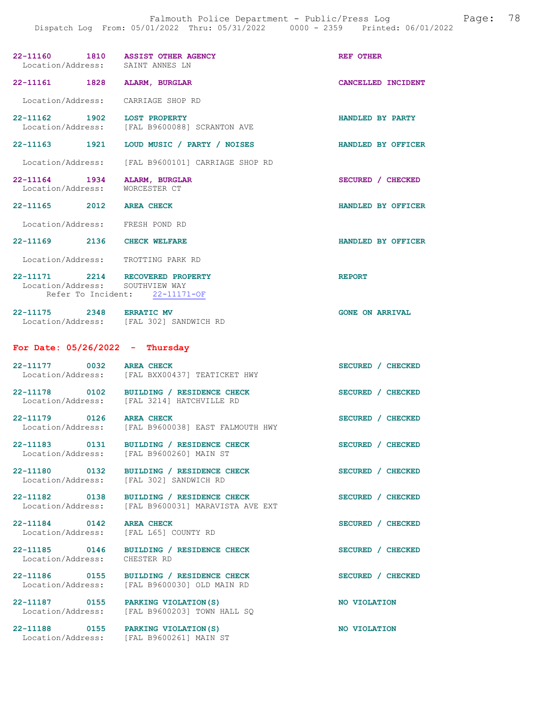| 22-11160 1810 ASSIST OTHER AGENCY<br>Location/Address: SAINT ANNES LN |                                                                                        | REF OTHER              |
|-----------------------------------------------------------------------|----------------------------------------------------------------------------------------|------------------------|
| 22-11161 1828 ALARM, BURGLAR                                          |                                                                                        | CANCELLED INCIDENT     |
| Location/Address: CARRIAGE SHOP RD                                    |                                                                                        |                        |
| 22-11162 1902                                                         | <b>LOST PROPERTY</b><br>Location/Address: [FAL B9600088] SCRANTON AVE                  | HANDLED BY PARTY       |
|                                                                       | 22-11163 1921 LOUD MUSIC / PARTY / NOISES                                              | HANDLED BY OFFICER     |
|                                                                       | Location/Address: [FAL B9600101] CARRIAGE SHOP RD                                      |                        |
| 22-11164 1934 ALARM, BURGLAR<br>Location/Address: WORCESTER CT        |                                                                                        | SECURED / CHECKED      |
| 22-11165 2012 AREA CHECK                                              |                                                                                        | HANDLED BY OFFICER     |
| Location/Address: FRESH POND RD                                       |                                                                                        |                        |
| 22-11169 2136 CHECK WELFARE                                           |                                                                                        | HANDLED BY OFFICER     |
| Location/Address: TROTTING PARK RD                                    |                                                                                        |                        |
| 22-11171 2214 RECOVERED PROPERTY<br>Location/Address: SOUTHVIEW WAY   | Refer To Incident: 22-11171-OF                                                         | <b>REPORT</b>          |
| 22-11175 2348 ERRATIC MV                                              | Location/Address: [FAL 302] SANDWICH RD                                                | <b>GONE ON ARRIVAL</b> |
| For Date: $05/26/2022 - Thursday$                                     |                                                                                        |                        |
| 22-11177 0032 AREA CHECK                                              | Location/Address: [FAL BXX00437] TEATICKET HWY                                         | SECURED / CHECKED      |
|                                                                       | 22-11178 0102 BUILDING / RESIDENCE CHECK<br>Location/Address: [FAL 3214] HATCHVILLE RD | SECURED / CHECKED      |
| 22-11179 0126 AREA CHECK                                              | Location/Address: [FAL B9600038] EAST FALMOUTH HWY                                     | SECURED / CHECKED      |
| 22-11183 0131                                                         | BUILDING / RESIDENCE CHECK<br>Location/Address: [FAL B9600260] MAIN ST                 | SECURED / CHECKED      |
| 22-11180 0132                                                         | BUILDING / RESIDENCE CHECK<br>Location/Address: [FAL 302] SANDWICH RD                  | SECURED / CHECKED      |
| 22-11182 0138<br>Location/Address:                                    | BUILDING / RESIDENCE CHECK<br>[FAL B9600031] MARAVISTA AVE EXT                         | SECURED / CHECKED      |
| 22-11184 0142                                                         | <b>AREA CHECK</b><br>Location/Address: [FAL L65] COUNTY RD                             | SECURED / CHECKED      |
| 22-11185 0146<br>Location/Address:                                    | BUILDING / RESIDENCE CHECK<br>CHESTER RD                                               | SECURED / CHECKED      |
| 22-11186 0155                                                         | BUILDING / RESIDENCE CHECK<br>Location/Address: [FAL B9600030] OLD MAIN RD             | SECURED / CHECKED      |
| Location/Address:                                                     | 22-11187 0155 PARKING VIOLATION (S)<br>[FAL B9600203] TOWN HALL SQ                     | NO VIOLATION           |
| 22-11188 0155                                                         | PARKING VIOLATION (S)<br>Location/Address: [FAL B9600261] MAIN ST                      | NO VIOLATION           |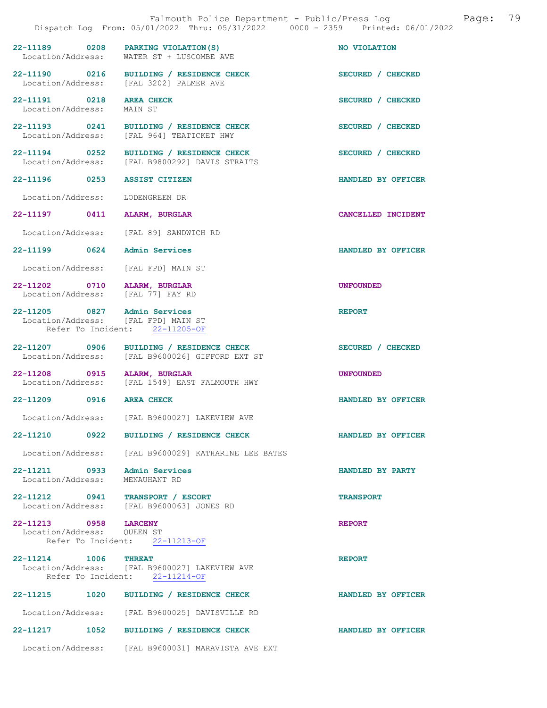|                                                                     | Falmouth Police Department - Public/Press Log<br>Dispatch Log From: 05/01/2022 Thru: 05/31/2022 0000 - 2359 Printed: 06/01/2022 | 79<br>Page:        |
|---------------------------------------------------------------------|---------------------------------------------------------------------------------------------------------------------------------|--------------------|
| Location/Address:                                                   | 22-11189 0208 PARKING VIOLATION (S)<br>WATER ST + LUSCOMBE AVE                                                                  | NO VIOLATION       |
|                                                                     | 22-11190 0216 BUILDING / RESIDENCE CHECK<br>Location/Address: [FAL 3202] PALMER AVE                                             | SECURED / CHECKED  |
| 22-11191 0218 AREA CHECK<br>Location/Address:                       | MAIN ST                                                                                                                         | SECURED / CHECKED  |
|                                                                     | 22-11193 0241 BUILDING / RESIDENCE CHECK<br>Location/Address: [FAL 964] TEATICKET HWY                                           | SECURED / CHECKED  |
|                                                                     | 22-11194 0252 BUILDING / RESIDENCE CHECK<br>Location/Address: [FAL B9800292] DAVIS STRAITS                                      | SECURED / CHECKED  |
| 22-11196 0253 ASSIST CITIZEN                                        |                                                                                                                                 | HANDLED BY OFFICER |
| Location/Address:                                                   | LODENGREEN DR                                                                                                                   |                    |
| 22-11197 0411 ALARM, BURGLAR                                        |                                                                                                                                 | CANCELLED INCIDENT |
|                                                                     | Location/Address: [FAL 89] SANDWICH RD                                                                                          |                    |
| 22-11199 0624 Admin Services                                        |                                                                                                                                 | HANDLED BY OFFICER |
| Location/Address: [FAL FPD] MAIN ST                                 |                                                                                                                                 |                    |
| 22-11202 0710 ALARM, BURGLAR<br>Location/Address: [FAL 77] FAY RD   |                                                                                                                                 | <b>UNFOUNDED</b>   |
| 22-11205 0827 Admin Services<br>Location/Address: [FAL FPD] MAIN ST | Refer To Incident: 22-11205-OF                                                                                                  | <b>REPORT</b>      |
|                                                                     | 22-11207 0906 BUILDING / RESIDENCE CHECK<br>Location/Address: [FAL B9600026] GIFFORD EXT ST                                     | SECURED / CHECKED  |
| 22-11208 0915 ALARM, BURGLAR                                        | Location/Address: [FAL 1549] EAST FALMOUTH HWY                                                                                  | <b>UNFOUNDED</b>   |
| 22-11209 0916 AREA CHECK                                            |                                                                                                                                 | HANDLED BY OFFICER |
| Location/Address:                                                   | [FAL B9600027] LAKEVIEW AVE                                                                                                     |                    |
|                                                                     | 22-11210 0922 BUILDING / RESIDENCE CHECK                                                                                        | HANDLED BY OFFICER |
|                                                                     | Location/Address: [FAL B9600029] KATHARINE LEE BATES                                                                            |                    |
| 22-11211 0933 Admin Services<br>Location/Address:                   | MENAUHANT RD                                                                                                                    | HANDLED BY PARTY   |
| 22-11212 0941 TRANSPORT / ESCORT                                    | Location/Address: [FAL B9600063] JONES RD                                                                                       | <b>TRANSPORT</b>   |
| 22-11213 0958 LARCENY<br>Location/Address: QUEEN ST                 | Refer To Incident: 22-11213-OF                                                                                                  | <b>REPORT</b>      |
| 22-11214 1006 THREAT                                                | Location/Address: [FAL B9600027] LAKEVIEW AVE<br>Refer To Incident: 22-11214-OF                                                 | <b>REPORT</b>      |
| 22-11215 1020                                                       | BUILDING / RESIDENCE CHECK                                                                                                      | HANDLED BY OFFICER |
|                                                                     | Location/Address: [FAL B9600025] DAVISVILLE RD                                                                                  |                    |
| 1052<br>22-11217                                                    | BUILDING / RESIDENCE CHECK                                                                                                      | HANDLED BY OFFICER |
|                                                                     | Location/Address: [FAL B9600031] MARAVISTA AVE EXT                                                                              |                    |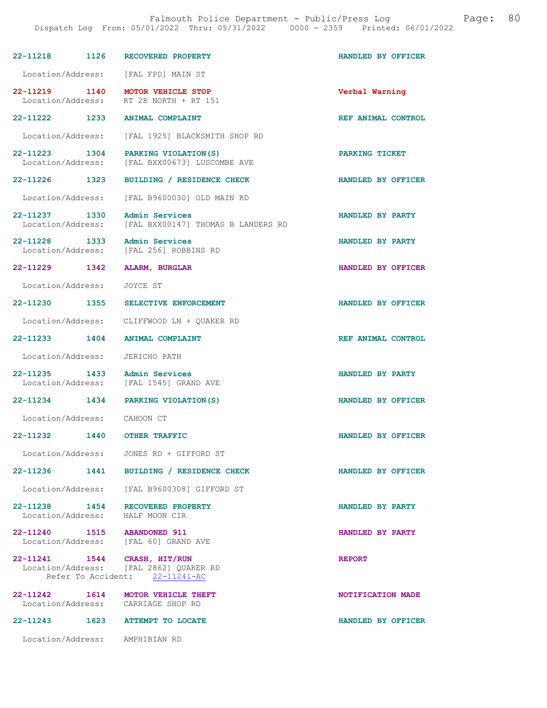| 22-11218 1126                      | RECOVERED PROPERTY                                                                                       | HANDLED BY OFFICER |
|------------------------------------|----------------------------------------------------------------------------------------------------------|--------------------|
|                                    | Location/Address: [FAL FPD] MAIN ST                                                                      |                    |
| 22-11219 1140<br>Location/Address: | MOTOR VEHICLE STOP<br>RT 28 NORTH + RT 151                                                               | Verbal Warning     |
|                                    | 22-11222 1233 ANIMAL COMPLAINT                                                                           | REF ANIMAL CONTROL |
| Location/Address:                  | [FAL 1925] BLACKSMITH SHOP RD                                                                            |                    |
|                                    | 22-11223 1304 PARKING VIOLATION (S)<br>Location/Address: [FAL BXX00673] LUSCOMBE AVE                     | PARKING TICKET     |
| 22–11226 1323                      | BUILDING / RESIDENCE CHECK                                                                               | HANDLED BY OFFICER |
|                                    | Location/Address: [FAL B9600030] OLD MAIN RD                                                             |                    |
| 22-11237 1330<br>Location/Address: | Admin Services<br>[FAL BXX00147] THOMAS B LANDERS RD                                                     | HANDLED BY PARTY   |
| 22-11228 1333                      | Admin Services<br>Location/Address: [FAL 256] ROBBINS RD                                                 | HANDLED BY PARTY   |
| 22-11229 1342                      | <b>ALARM, BURGLAR</b>                                                                                    | HANDLED BY OFFICER |
| Location/Address:                  | JOYCE ST                                                                                                 |                    |
| 22–11230 1355                      | SELECTIVE ENFORCEMENT                                                                                    | HANDLED BY OFFICER |
|                                    | Location/Address: CLIFFWOOD LN + QUAKER RD                                                               |                    |
| 22-11233 1404                      | <b>ANIMAL COMPLAINT</b>                                                                                  | REF ANIMAL CONTROL |
| Location/Address:                  | JERICHO PATH                                                                                             |                    |
| 22-11235 1433                      | Admin Services<br>Location/Address: [FAL 1545] GRAND AVE                                                 | HANDLED BY PARTY   |
|                                    | 22-11234 1434 PARKING VIOLATION (S)                                                                      | HANDLED BY OFFICER |
| Location/Address: CAHOON CT        |                                                                                                          |                    |
| 22-11232                           | <b>1440 OTHER TRAFFIC</b>                                                                                | HANDLED BY OFFICER |
| Location/Address:                  | JONES RD + GIFFORD ST                                                                                    |                    |
|                                    | 22-11236 1441 BUILDING / RESIDENCE CHECK                                                                 | HANDLED BY OFFICER |
|                                    | Location/Address: [FAL B9600308] GIFFORD ST                                                              |                    |
|                                    | 22-11238 1454 RECOVERED PROPERTY<br>Location/Address: HALF MOON CIR                                      | HANDLED BY PARTY   |
| Location/Address:                  | 22-11240 1515 ABANDONED 911<br>[FAL 60] GRAND AVE                                                        | HANDLED BY PARTY   |
|                                    | 22-11241 1544 CRASH, HIT/RUN<br>Location/Address: [FAL 2862] QUAKER RD<br>Refer To Accident: 22-11241-AC | <b>REPORT</b>      |
|                                    | 22-11242 1614 MOTOR VEHICLE THEFT<br>Location/Address: CARRIAGE SHOP RD                                  | NOTIFICATION MADE  |
|                                    | 22-11243 1623 ATTEMPT TO LOCATE                                                                          | HANDLED BY OFFICER |
|                                    | Location/Address: AMPHIBIAN RD                                                                           |                    |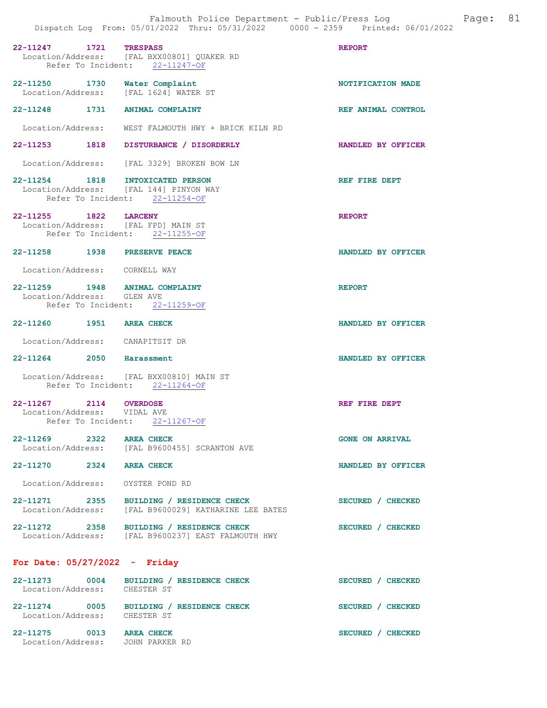| 22-11247 1721                                                          | <b>TRESPASS</b><br>Location/Address: [FAL BXX00801] QUAKER RD<br>Refer To Incident: 22-11247-OF  | <b>REPORT</b>          |
|------------------------------------------------------------------------|--------------------------------------------------------------------------------------------------|------------------------|
| 22-11250 1730 Water Complaint<br>Location/Address: [FAL 1624] WATER ST |                                                                                                  | NOTIFICATION MADE      |
| 22-11248 1731 ANIMAL COMPLAINT                                         |                                                                                                  | REF ANIMAL CONTROL     |
|                                                                        | Location/Address: WEST FALMOUTH HWY + BRICK KILN RD                                              |                        |
|                                                                        | 22-11253 1818 DISTURBANCE / DISORDERLY                                                           | HANDLED BY OFFICER     |
|                                                                        | Location/Address: [FAL 3329] BROKEN BOW LN                                                       |                        |
| 22-11254 1818                                                          | INTOXICATED PERSON<br>Location/Address: [FAL 144] PINYON WAY<br>Refer To Incident: 22-11254-OF   | REF FIRE DEPT          |
| 22-11255 1822 LARCENY<br>Location/Address: [FAL FPD] MAIN ST           | Refer To Incident: 22-11255-OF                                                                   | <b>REPORT</b>          |
| 22-11258 1938 PRESERVE PEACE                                           |                                                                                                  | HANDLED BY OFFICER     |
| Location/Address: CORNELL WAY                                          |                                                                                                  |                        |
| 22-11259 1948 ANIMAL COMPLAINT<br>Location/Address: GLEN AVE           | Refer To Incident: 22-11259-OF                                                                   | <b>REPORT</b>          |
| 22-11260 1951 AREA CHECK                                               |                                                                                                  | HANDLED BY OFFICER     |
| Location/Address: CANAPITSIT DR                                        |                                                                                                  |                        |
| 22-11264 2050 Harassment                                               |                                                                                                  | HANDLED BY OFFICER     |
|                                                                        | Location/Address: [FAL BXX00810] MAIN ST<br>Refer To Incident: 22-11264-OF                       |                        |
| 22-11267 2114 OVERDOSE<br>Location/Address: VIDAL AVE                  | Refer To Incident: 22-11267-OF                                                                   | REF FIRE DEPT          |
| 22-11269 2322                                                          | <b>AREA CHECK</b><br>Location/Address: [FAL B9600455] SCRANTON AVE                               | <b>GONE ON ARRIVAL</b> |
| 22-11270 2324 AREA CHECK                                               |                                                                                                  | HANDLED BY OFFICER     |
| Location/Address: OYSTER POND RD                                       |                                                                                                  |                        |
|                                                                        | 22-11271 2355 BUILDING / RESIDENCE CHECK<br>Location/Address: [FAL B9600029] KATHARINE LEE BATES | SECURED / CHECKED      |
|                                                                        | 22-11272 2358 BUILDING / RESIDENCE CHECK<br>Location/Address: [FAL B9600237] EAST FALMOUTH HWY   | SECURED / CHECKED      |
| For Date: $05/27/2022 -$ Friday                                        |                                                                                                  |                        |
| $22 - 11273$<br>Location/Address: CHESTER ST                           | 0004 BUILDING / RESIDENCE CHECK                                                                  | SECURED / CHECKED      |
| Location/Address: CHESTER ST                                           | 22-11274 0005 BUILDING / RESIDENCE CHECK                                                         | SECURED / CHECKED      |

22-11275 0013 AREA CHECK 3ECURED / CHECKED Location/Address: JOHN PARKER RD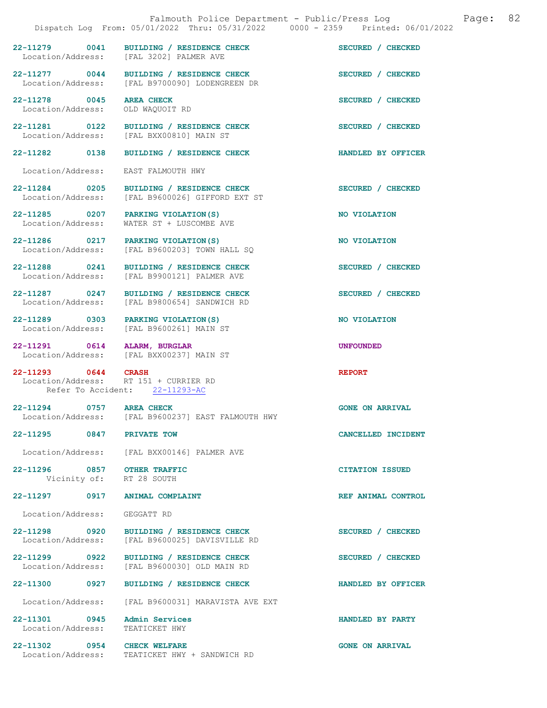|                                                   | Dispatch Log From: 05/01/2022 Thru: 05/31/2022 0000 - 2359 Printed: 06/01/2022             | 82<br>Falmouth Police Department - Public/Press Log<br>Page: |
|---------------------------------------------------|--------------------------------------------------------------------------------------------|--------------------------------------------------------------|
|                                                   | 22-11279 0041 BUILDING / RESIDENCE CHECK<br>Location/Address: [FAL 3202] PALMER AVE        | SECURED / CHECKED                                            |
|                                                   | 22-11277 0044 BUILDING / RESIDENCE CHECK<br>Location/Address: [FAL B9700090] LODENGREEN DR | SECURED / CHECKED                                            |
| 22-11278 0045 AREA CHECK<br>Location/Address:     | OLD WAQUOIT RD                                                                             | SECURED / CHECKED                                            |
|                                                   | 22-11281 0122 BUILDING / RESIDENCE CHECK<br>Location/Address: [FAL BXX00810] MAIN ST       | SECURED / CHECKED                                            |
| 22-11282 0138                                     | BUILDING / RESIDENCE CHECK                                                                 | HANDLED BY OFFICER                                           |
| Location/Address:                                 | EAST FALMOUTH HWY                                                                          |                                                              |
| 22-11284 0205<br>Location/Address:                | BUILDING / RESIDENCE CHECK<br>[FAL B9600026] GIFFORD EXT ST                                | SECURED / CHECKED                                            |
| Location/Address:                                 | 22-11285 0207 PARKING VIOLATION (S)<br>WATER ST + LUSCOMBE AVE                             | NO VIOLATION                                                 |
|                                                   | 22-11286 0217 PARKING VIOLATION (S)<br>Location/Address: [FAL B9600203] TOWN HALL SO       | NO VIOLATION                                                 |
| 22-11288 0241                                     | BUILDING / RESIDENCE CHECK<br>Location/Address: [FAL B9900121] PALMER AVE                  | SECURED / CHECKED                                            |
|                                                   | 22-11287 0247 BUILDING / RESIDENCE CHECK<br>Location/Address: [FAL B9800654] SANDWICH RD   | SECURED / CHECKED                                            |
|                                                   | 22-11289 0303 PARKING VIOLATION(S)<br>Location/Address: [FAL B9600261] MAIN ST             | NO VIOLATION                                                 |
| 22-11291 0614 ALARM, BURGLAR                      | Location/Address: [FAL BXX00237] MAIN ST                                                   | <b>UNFOUNDED</b>                                             |
| 22-11293 0644 CRASH                               | Location/Address: RT 151 + CURRIER RD<br>Refer To Accident: 22-11293-AC                    | <b>REPORT</b>                                                |
| 22-11294 0757                                     | <b>AREA CHECK</b><br>Location/Address: [FAL B9600237] EAST FALMOUTH HWY                    | <b>GONE ON ARRIVAL</b>                                       |
| 22-11295 0847 PRIVATE TOW                         |                                                                                            | CANCELLED INCIDENT                                           |
|                                                   | Location/Address: [FAL BXX00146] PALMER AVE                                                |                                                              |
| 22-11296 0857 OTHER TRAFFIC                       | Vicinity of: RT 28 SOUTH                                                                   | <b>CITATION ISSUED</b>                                       |
|                                                   | 22-11297 0917 ANIMAL COMPLAINT                                                             | REF ANIMAL CONTROL                                           |
| Location/Address:                                 | GEGGATT RD                                                                                 |                                                              |
| 22-11298 0920<br>Location/Address:                | BUILDING / RESIDENCE CHECK<br>[FAL B9600025] DAVISVILLE RD                                 | SECURED / CHECKED                                            |
| 22-11299 0922<br>Location/Address:                | BUILDING / RESIDENCE CHECK<br>[FAL B9600030] OLD MAIN RD                                   | SECURED / CHECKED                                            |
| 22-11300 0927                                     | BUILDING / RESIDENCE CHECK                                                                 | HANDLED BY OFFICER                                           |
| Location/Address:                                 | [FAL B9600031] MARAVISTA AVE EXT                                                           |                                                              |
| 22-11301 0945 Admin Services<br>Location/Address: | TEATICKET HWY                                                                              | HANDLED BY PARTY                                             |
| 22-11302 0954                                     | <b>CHECK WELFARE</b>                                                                       | <b>GONE ON ARRIVAL</b>                                       |

Location/Address: TEATICKET HWY + SANDWICH RD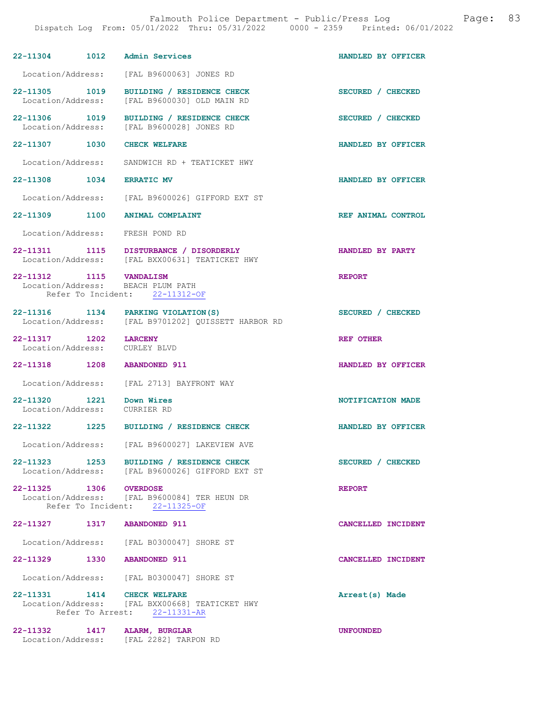| 22-11304 1012 Admin Services                             |                                                                                                          | HANDLED BY OFFICER |
|----------------------------------------------------------|----------------------------------------------------------------------------------------------------------|--------------------|
|                                                          | Location/Address: [FAL B9600063] JONES RD                                                                |                    |
| 22-11305 1019<br>Location/Address:                       | BUILDING / RESIDENCE CHECK<br>[FAL B9600030] OLD MAIN RD                                                 | SECURED / CHECKED  |
| 22-11306 1019                                            | BUILDING / RESIDENCE CHECK<br>Location/Address: [FAL B9600028] JONES RD                                  | SECURED / CHECKED  |
| 22-11307 1030                                            | <b>CHECK WELFARE</b>                                                                                     | HANDLED BY OFFICER |
|                                                          | Location/Address: SANDWICH RD + TEATICKET HWY                                                            |                    |
| 22-11308 1034 ERRATIC MV                                 |                                                                                                          | HANDLED BY OFFICER |
|                                                          | Location/Address: [FAL B9600026] GIFFORD EXT ST                                                          |                    |
|                                                          | 22-11309 1100 ANIMAL COMPLAINT                                                                           | REF ANIMAL CONTROL |
|                                                          | Location/Address: FRESH POND RD                                                                          |                    |
|                                                          | 22-11311 1115 DISTURBANCE / DISORDERLY<br>Location/Address: [FAL BXX00631] TEATICKET HWY                 | HANDLED BY PARTY   |
| 22-11312 1115 VANDALISM                                  | Location/Address: BEACH PLUM PATH<br>Refer To Incident: 22-11312-OF                                      | <b>REPORT</b>      |
|                                                          | 22-11316 1134 PARKING VIOLATION (S)<br>Location/Address: [FAL B9701202] QUISSETT HARBOR RD               | SECURED / CHECKED  |
| 22-11317 1202<br>Location/Address: CURLEY BLVD           | <b>LARCENY</b>                                                                                           | <b>REF OTHER</b>   |
| 22-11318 1208 ABANDONED 911                              |                                                                                                          | HANDLED BY OFFICER |
| Location/Address:                                        | [FAL 2713] BAYFRONT WAY                                                                                  |                    |
| 22-11320 1221 Down Wires<br>Location/Address: CURRIER RD |                                                                                                          | NOTIFICATION MADE  |
|                                                          | 22-11322 1225 BUILDING / RESIDENCE CHECK                                                                 | HANDLED BY OFFICER |
|                                                          | Location/Address: [FAL B9600027] LAKEVIEW AVE                                                            |                    |
|                                                          | 22-11323 1253 BUILDING / RESIDENCE CHECK<br>Location/Address: [FAL B9600026] GIFFORD EXT ST              | SECURED / CHECKED  |
|                                                          | 22-11325 1306 OVERDOSE<br>Location/Address: [FAL B9600084] TER HEUN DR<br>Refer To Incident: 22-11325-OF | <b>REPORT</b>      |
| 22-11327 1317 ABANDONED 911                              |                                                                                                          | CANCELLED INCIDENT |
|                                                          | Location/Address: [FAL B0300047] SHORE ST                                                                |                    |
| 22-11329 1330 ABANDONED 911                              |                                                                                                          | CANCELLED INCIDENT |
|                                                          | Location/Address: [FAL B0300047] SHORE ST                                                                |                    |
| 22-11331 1414 CHECK WELFARE                              | Location/Address: [FAL BXX00668] TEATICKET HWY<br>Refer To Arrest: 22-11331-AR                           | Arrest(s) Made     |
| 22-11332 1417 ALARM, BURGLAR                             | Location/Address: [FAL 2282] TARPON RD                                                                   | <b>UNFOUNDED</b>   |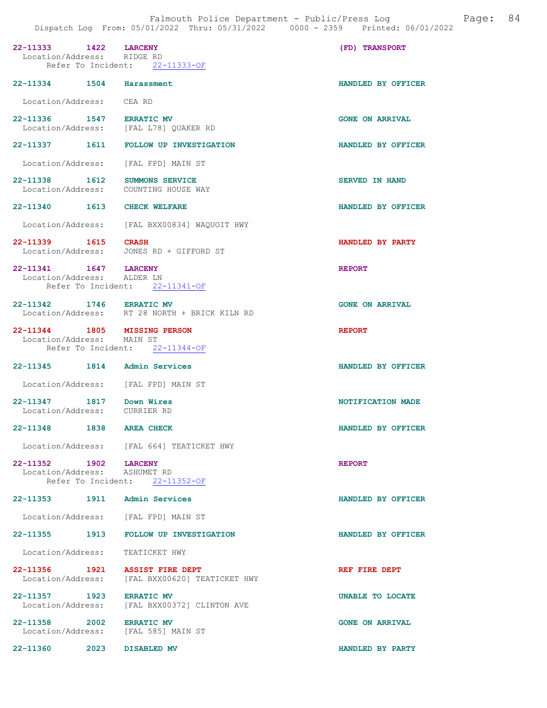22-11333 1422 LARCENY (FD) TRANSPORT Location/Address: RIDGE RD Location/Address: Refer To Incident: 22-11333-OF 22-11334 1504 Harassment HANDLED BY OFFICER Location/Address: CEA RD 22-11336 1547 ERRATIC MV 1999 CONE ON ARRIVAL Location/Address: [FAL L78] OUAKER RD [FAL L78] QUAKER RD 22-11337 1611 FOLLOW UP INVESTIGATION HANDLED BY OFFICER Location/Address: [FAL FPD] MAIN ST 22-11338 1612 SUMMONS SERVICE SERVED IN HAND<br>
Location/Address: COUNTING HOUSE WAY Location/Address: 22-11340 1613 CHECK WELFARE **HANDLED BY OFFICER**  Location/Address: [FAL BXX00834] WAQUOIT HWY 22-11339 1615 CRASH HANDLED BY PARTY Location/Address: JONES RD + GIFFORD ST 22-11341 1647 LARCENY REPORT Location/Address: ALDER LN Refer To Incident: 22-11341-OF 22-11342 1746 ERRATIC MV GONE ON ARRIVAL Location/Address: RT 28 NORTH + BRICK KILN RD 22-11344 1805 MISSING PERSON REPORT Location/Address: MAIN ST Refer To Incident: 22-11344-OF 22-11345 1814 Admin Services HANDLED BY OFFICER Location/Address: [FAL FPD] MAIN ST 22-11347 1817 Down Wires NOTIFICATION MADE Location/Address: 22-11348 1838 AREA CHECK HANDLED BY OFFICER Location/Address: [FAL 664] TEATICKET HWY 22-11352 1902 LARCENY REPORT Location/Address: ASHUMET RD Location/Address: Refer To Incident: 22-11352-OF 22-11353 1911 Admin Services HANDLED BY OFFICER Location/Address: [FAL FPD] MAIN ST 22-11355 1913 FOLLOW UP INVESTIGATION HANDLED BY OFFICER Location/Address: TEATICKET HWY 22-11356 1921 ASSIST FIRE DEPT<br>Location/Address: [FAL BXX00620] TEATICKET HWY [FAL BXX00620] TEATICKET HWY 22-11357 1923 ERRATIC MV UNABLE TO LOCATE Location/Address: [FAL BXX00372] CLINTON AVE [FAL BXX00372] CLINTON AVE 22-11358 2002 ERRATIC MV GONE ON ARRIVAL Location/Address: [FAL 585] MAIN ST

22-11360 2023 DISABLED MV HANDLED BY PARTY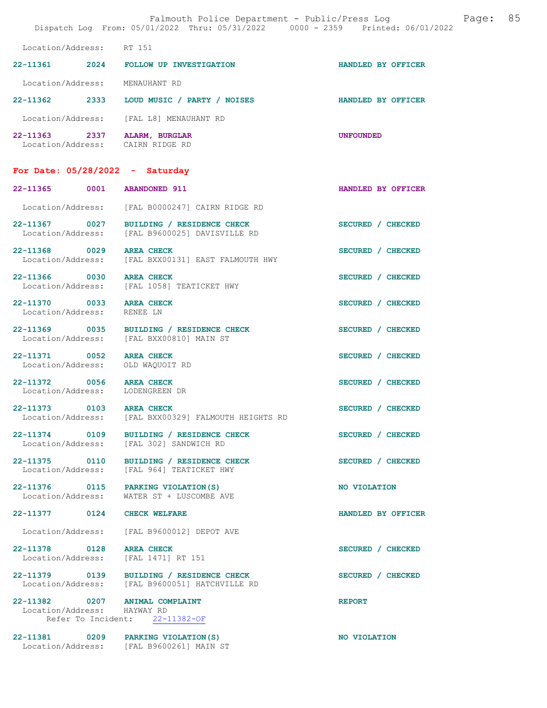| Falmouth Police Department - Public/Press Log<br>Dispatch Log From: 05/01/2022 Thru: 05/31/2022 0000 - 2359 Printed: 06/01/2022 |      |                                                                                      |                    | Page: | 85 |
|---------------------------------------------------------------------------------------------------------------------------------|------|--------------------------------------------------------------------------------------|--------------------|-------|----|
| Location/Address: RT 151                                                                                                        |      |                                                                                      |                    |       |    |
| 22-11361                                                                                                                        |      | 2024 FOLLOW UP INVESTIGATION                                                         | HANDLED BY OFFICER |       |    |
| Location/Address:                                                                                                               |      | MENAUHANT RD                                                                         |                    |       |    |
| 22-11362 2333                                                                                                                   |      | LOUD MUSIC / PARTY / NOISES                                                          | HANDLED BY OFFICER |       |    |
| Location/Address:                                                                                                               |      | [FAL L8] MENAUHANT RD                                                                |                    |       |    |
| 22–11363 2337<br>Location/Address: CAIRN RIDGE RD                                                                               |      | ALARM, BURGLAR                                                                       | <b>UNFOUNDED</b>   |       |    |
| For Date: $05/28/2022 - Saturday$                                                                                               |      |                                                                                      |                    |       |    |
| 22-11365 0001                                                                                                                   |      | <b>ABANDONED 911</b>                                                                 | HANDLED BY OFFICER |       |    |
| Location/Address:                                                                                                               |      | [FAL B0000247] CAIRN RIDGE RD                                                        |                    |       |    |
| 22-11367 0027<br>Location/Address:                                                                                              |      | BUILDING / RESIDENCE CHECK<br>[FAL B9600025] DAVISVILLE RD                           | SECURED / CHECKED  |       |    |
| 22-11368 0029                                                                                                                   |      | <b>AREA CHECK</b><br>Location/Address: [FAL BXX00131] EAST FALMOUTH HWY              | SECURED / CHECKED  |       |    |
| 22-11366 0030                                                                                                                   |      | <b>AREA CHECK</b><br>Location/Address: [FAL 1058] TEATICKET HWY                      | SECURED / CHECKED  |       |    |
| 22-11370 0033<br>Location/Address:                                                                                              |      | <b>AREA CHECK</b><br>RENEE LN                                                        | SECURED / CHECKED  |       |    |
|                                                                                                                                 |      | 22-11369 0035 BUILDING / RESIDENCE CHECK<br>Location/Address: [FAL BXX00810] MAIN ST | SECURED / CHECKED  |       |    |
| 22-11371 0052<br>Location/Address: OLD WAQUOIT RD                                                                               |      | <b>AREA CHECK</b>                                                                    | SECURED / CHECKED  |       |    |
| 22-11372 0056 AREA CHECK<br>Location/Address: LODENGREEN DR                                                                     |      |                                                                                      | SECURED / CHECKED  |       |    |
| 22-11373<br>Location/Address:                                                                                                   | 0103 | <b>AREA CHECK</b><br>[FAL BXX00329] FALMOUTH HEIGHTS RD                              | SECURED / CHECKED  |       |    |
| 22-11374 0109                                                                                                                   |      | BUILDING / RESIDENCE CHECK<br>Location/Address: [FAL 302] SANDWICH RD                | SECURED / CHECKED  |       |    |
| 22-11375 0110<br>Location/Address:                                                                                              |      | BUILDING / RESIDENCE CHECK<br>[FAL 964] TEATICKET HWY                                | SECURED / CHECKED  |       |    |
| 22-11376 0115<br>Location/Address:                                                                                              |      | PARKING VIOLATION (S)<br>WATER ST + LUSCOMBE AVE                                     | NO VIOLATION       |       |    |
| 22-11377 0124                                                                                                                   |      | <b>CHECK WELFARE</b>                                                                 | HANDLED BY OFFICER |       |    |
| Location/Address:                                                                                                               |      | [FAL B9600012] DEPOT AVE                                                             |                    |       |    |
| 22-11378 0128<br>Location/Address:                                                                                              |      | <b>AREA CHECK</b><br>[FAL 1471] RT 151                                               | SECURED / CHECKED  |       |    |
| 22-11379 0139                                                                                                                   |      | BUILDING / RESIDENCE CHECK<br>Location/Address: [FAL B9600051] HATCHVILLE RD         | SECURED / CHECKED  |       |    |
| 22-11382 0207 ANIMAL COMPLAINT<br>Location/Address: HAYWAY RD                                                                   |      | Refer To Incident: 22-11382-OF                                                       | <b>REPORT</b>      |       |    |
| 22-11381 0209                                                                                                                   |      | PARKING VIOLATION (S)<br>Location/Address: [FAL B9600261] MAIN ST                    | NO VIOLATION       |       |    |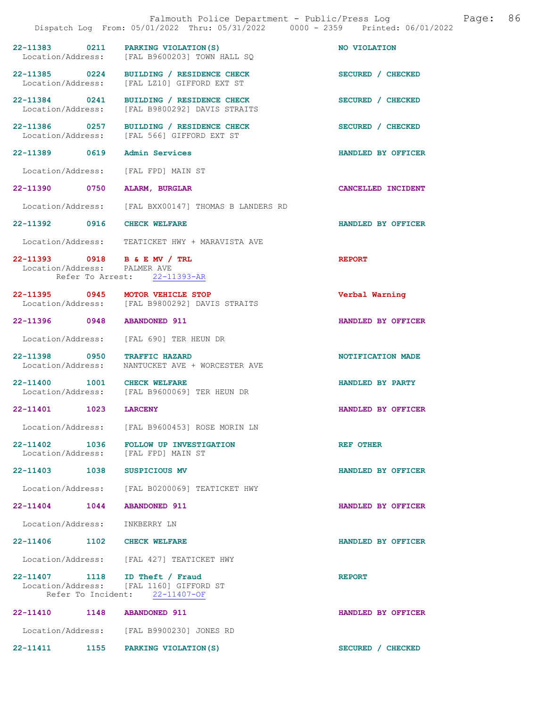|                               | Falmouth Police Department - Public/Press Log Falmouth Police Department - Public/Press Log<br>Dispatch Log From: 05/01/2022 Thru: 05/31/2022 0000 - 2359 Printed: 06/01/2022 |                    |
|-------------------------------|-------------------------------------------------------------------------------------------------------------------------------------------------------------------------------|--------------------|
|                               | 22-11383 0211 PARKING VIOLATION(S)<br>Location/Address: [FAL B9600203] TOWN HALL SQ                                                                                           | NO VIOLATION       |
|                               | 22-11385 0224 BUILDING / RESIDENCE CHECK<br>Location/Address: [FAL LZ10] GIFFORD EXT ST                                                                                       | SECURED / CHECKED  |
|                               | 22-11384 0241 BUILDING / RESIDENCE CHECK<br>Location/Address: [FAL B9800292] DAVIS STRAITS                                                                                    | SECURED / CHECKED  |
|                               | 22-11386 0257 BUILDING / RESIDENCE CHECK<br>Location/Address: [FAL 566] GIFFORD EXT ST                                                                                        | SECURED / CHECKED  |
|                               | 22-11389 0619 Admin Services                                                                                                                                                  | HANDLED BY OFFICER |
|                               | Location/Address: [FAL FPD] MAIN ST                                                                                                                                           |                    |
|                               | 22-11390 0750 ALARM, BURGLAR                                                                                                                                                  | CANCELLED INCIDENT |
|                               | Location/Address: [FAL BXX00147] THOMAS B LANDERS RD                                                                                                                          |                    |
| 22-11392 0916 CHECK WELFARE   |                                                                                                                                                                               | HANDLED BY OFFICER |
|                               | Location/Address: TEATICKET HWY + MARAVISTA AVE                                                                                                                               |                    |
| Location/Address: PALMER AVE  | 22-11393 0918 B & E MV / TRL                                                                                                                                                  | <b>REPORT</b>      |
|                               | Refer To Arrest: 22-11393-AR                                                                                                                                                  |                    |
|                               | 22-11395 0945 MOTOR VEHICLE STOP<br>Location/Address: [FAL B9800292] DAVIS STRAITS                                                                                            | Verbal Warning     |
| 22-11396 0948 ABANDONED 911   |                                                                                                                                                                               | HANDLED BY OFFICER |
|                               | Location/Address: [FAL 690] TER HEUN DR                                                                                                                                       |                    |
|                               | 22-11398 0950 TRAFFIC HAZARD<br>Location/Address: NANTUCKET AVE + WORCESTER AVE                                                                                               | NOTIFICATION MADE  |
|                               | 22-11400 1001 CHECK WELFARE<br>Location/Address: [FAL B9600069] TER HEUN DR                                                                                                   | HANDLED BY PARTY   |
| 22-11401 1023 LARCENY         |                                                                                                                                                                               | HANDLED BY OFFICER |
|                               | Location/Address: [FAL B9600453] ROSE MORIN LN                                                                                                                                |                    |
|                               | 22-11402 1036 FOLLOW UP INVESTIGATION<br>Location/Address: [FAL FPD] MAIN ST                                                                                                  | REF OTHER          |
| 22-11403 1038 SUSPICIOUS MV   |                                                                                                                                                                               | HANDLED BY OFFICER |
|                               | Location/Address: [FAL B0200069] TEATICKET HWY                                                                                                                                |                    |
| 22-11404  1044  ABANDONED 911 |                                                                                                                                                                               | HANDLED BY OFFICER |
| Location/Address: INKBERRY LN |                                                                                                                                                                               |                    |
| 22-11406 1102 CHECK WELFARE   |                                                                                                                                                                               | HANDLED BY OFFICER |
|                               | Location/Address: [FAL 427] TEATICKET HWY                                                                                                                                     |                    |
|                               | 22-11407 1118 ID Theft / Fraud<br>Location/Address: [FAL 1160] GIFFORD ST<br>Refer To Incident: 22-11407-OF                                                                   | <b>REPORT</b>      |
| 22-11410 1148 ABANDONED 911   |                                                                                                                                                                               | HANDLED BY OFFICER |
|                               | Location/Address: [FAL B9900230] JONES RD                                                                                                                                     |                    |
|                               | 22-11411 1155 PARKING VIOLATION(S)                                                                                                                                            | SECURED / CHECKED  |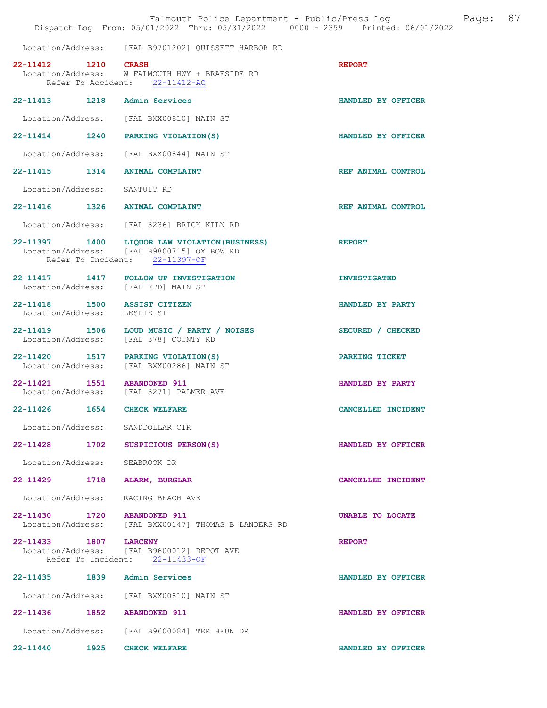|                             | Falmouth Police Department - Public/Press Log<br>Dispatch Log From: 05/01/2022 Thru: 05/31/2022 0000 - 2359 Printed: 06/01/2022 | Page: 87            |  |
|-----------------------------|---------------------------------------------------------------------------------------------------------------------------------|---------------------|--|
|                             | Location/Address: [FAL B9701202] OUISSETT HARBOR RD                                                                             |                     |  |
| 22-11412 1210 CRASH         | Location/Address: W FALMOUTH HWY + BRAESIDE RD<br>Refer To Accident: 22-11412-AC                                                | <b>REPORT</b>       |  |
|                             | 22-11413 1218 Admin Services                                                                                                    | HANDLED BY OFFICER  |  |
|                             | Location/Address: [FAL BXX00810] MAIN ST                                                                                        |                     |  |
|                             | 22-11414 1240 PARKING VIOLATION (S)                                                                                             | HANDLED BY OFFICER  |  |
|                             | Location/Address: [FAL BXX00844] MAIN ST                                                                                        |                     |  |
|                             | 22-11415 1314 ANIMAL COMPLAINT                                                                                                  | REF ANIMAL CONTROL  |  |
|                             | Location/Address: SANTUIT RD                                                                                                    |                     |  |
|                             | 22-11416 1326 ANIMAL COMPLAINT                                                                                                  | REF ANIMAL CONTROL  |  |
|                             | Location/Address: [FAL 3236] BRICK KILN RD                                                                                      |                     |  |
|                             | 22-11397 1400 LIQUOR LAW VIOLATION (BUSINESS)<br>Location/Address: [FAL B9800715] OX BOW RD<br>Refer To Incident: 22-11397-OF   | <b>REPORT</b>       |  |
|                             | 22-11417 1417 FOLLOW UP INVESTIGATION<br>Location/Address: [FAL FPD] MAIN ST                                                    | <b>INVESTIGATED</b> |  |
| Location/Address: LESLIE ST | 22-11418 1500 ASSIST CITIZEN                                                                                                    | HANDLED BY PARTY    |  |
|                             | 22-11419 1506 LOUD MUSIC / PARTY / NOISES<br>Location/Address: [FAL 378] COUNTY RD                                              | SECURED / CHECKED   |  |
|                             | 22-11420 1517 PARKING VIOLATION (S)<br>Location/Address: [FAL BXX00286] MAIN ST                                                 | PARKING TICKET      |  |
|                             | 22-11421 1551 ABANDONED 911<br>Location/Address: [FAL 3271] PALMER AVE                                                          | HANDLED BY PARTY    |  |
| 22-11426 1654               | <b>CHECK WELFARE</b>                                                                                                            | CANCELLED INCIDENT  |  |
|                             | Location/Address: SANDDOLLAR CIR                                                                                                |                     |  |
|                             | 22-11428 1702 SUSPICIOUS PERSON(S)                                                                                              | HANDLED BY OFFICER  |  |
|                             | Location/Address: SEABROOK DR                                                                                                   |                     |  |
|                             | 22-11429 1718 ALARM, BURGLAR                                                                                                    | CANCELLED INCIDENT  |  |
|                             | Location/Address: RACING BEACH AVE                                                                                              |                     |  |
|                             | 22-11430 1720 ABANDONED 911<br>Location/Address: [FAL BXX00147] THOMAS B LANDERS RD                                             | UNABLE TO LOCATE    |  |
| 22-11433 1807 LARCENY       | Location/Address: [FAL B9600012] DEPOT AVE<br>Refer To Incident: 22-11433-OF                                                    | <b>REPORT</b>       |  |
|                             | 22-11435 1839 Admin Services                                                                                                    | HANDLED BY OFFICER  |  |
|                             | Location/Address: [FAL BXX00810] MAIN ST                                                                                        |                     |  |
|                             | 22-11436 1852 ABANDONED 911                                                                                                     | HANDLED BY OFFICER  |  |
|                             | Location/Address: [FAL B9600084] TER HEUN DR                                                                                    |                     |  |
|                             | 22-11440 1925 CHECK WELFARE                                                                                                     | HANDLED BY OFFICER  |  |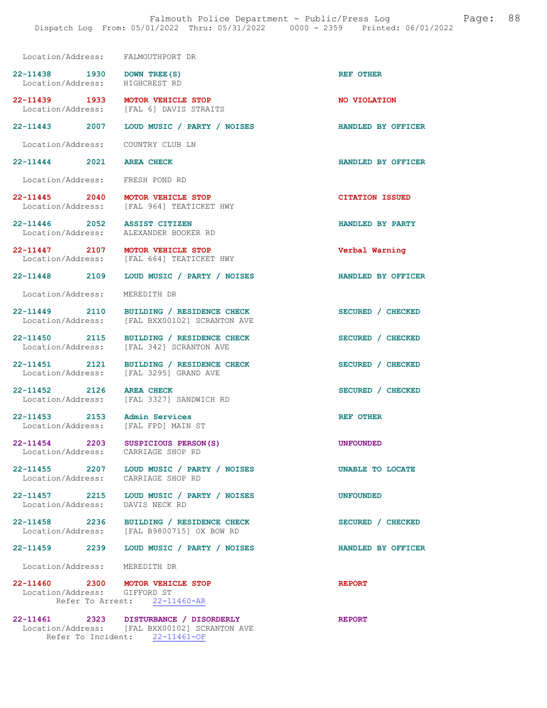| Location/Address: FALMOUTHPORT DR                                        |                                                                                                                           |                        |
|--------------------------------------------------------------------------|---------------------------------------------------------------------------------------------------------------------------|------------------------|
| 22-11438 1930 DOWN TREE (S)<br>Location/Address: HIGHCREST RD            |                                                                                                                           | <b>REF OTHER</b>       |
| 22-11439 1933 MOTOR VEHICLE STOP                                         | Location/Address: [FAL 6] DAVIS STRAITS                                                                                   | NO VIOLATION           |
|                                                                          | 22-11443 2007 LOUD MUSIC / PARTY / NOISES                                                                                 | HANDLED BY OFFICER     |
| Location/Address: COUNTRY CLUB LN                                        |                                                                                                                           |                        |
| 22-11444 2021 AREA CHECK                                                 |                                                                                                                           | HANDLED BY OFFICER     |
| Location/Address: FRESH POND RD                                          |                                                                                                                           |                        |
| 22-11445 2040 MOTOR VEHICLE STOP                                         | Location/Address: [FAL 964] TEATICKET HWY                                                                                 | <b>CITATION ISSUED</b> |
| 22-11446 2052 ASSIST CITIZEN<br>Location/Address: ALEXANDER BOOKER RD    |                                                                                                                           | HANDLED BY PARTY       |
| 22-11447 2107 MOTOR VEHICLE STOP                                         | Location/Address: [FAL 664] TEATICKET HWY                                                                                 | Verbal Warning         |
|                                                                          | 22-11448 2109 LOUD MUSIC / PARTY / NOISES                                                                                 | HANDLED BY OFFICER     |
| Location/Address:                                                        | MEREDITH DR                                                                                                               |                        |
|                                                                          | 22-11449 2110 BUILDING / RESIDENCE CHECK<br>Location/Address: [FAL BXX00102] SCRANTON AVE                                 | SECURED / CHECKED      |
| Location/Address:                                                        | 22-11450 2115 BUILDING / RESIDENCE CHECK<br>[FAL 342] SCRANTON AVE                                                        | SECURED / CHECKED      |
| Location/Address: [FAL 3295] GRAND AVE                                   | 22-11451 2121 BUILDING / RESIDENCE CHECK                                                                                  | SECURED / CHECKED      |
| 22-11452 2126 AREA CHECK                                                 | Location/Address: [FAL 3327] SANDWICH RD                                                                                  | SECURED / CHECKED      |
| 22-11453 2153 Admin Services<br>Location/Address: [FAL FPD] MAIN ST      |                                                                                                                           | <b>REF OTHER</b>       |
| 22-11454 2203 SUSPICIOUS PERSON(S)<br>Location/Address: CARRIAGE SHOP RD |                                                                                                                           | <b>UNFOUNDED</b>       |
| Location/Address: CARRIAGE SHOP RD                                       | 22-11455 2207 LOUD MUSIC / PARTY / NOISES                                                                                 | UNABLE TO LOCATE       |
| Location/Address: DAVIS NECK RD                                          | 22-11457 2215 LOUD MUSIC / PARTY / NOISES                                                                                 | <b>UNFOUNDED</b>       |
|                                                                          | 22-11458 2236 BUILDING / RESIDENCE CHECK<br>Location/Address: [FAL B9800715] OX BOW RD                                    | SECURED / CHECKED      |
|                                                                          | 22-11459 2239 LOUD MUSIC / PARTY / NOISES                                                                                 | HANDLED BY OFFICER     |
| Location/Address: MEREDITH DR                                            |                                                                                                                           |                        |
| 22-11460 2300 MOTOR VEHICLE STOP<br>Location/Address: GIFFORD ST         | Refer To Arrest: 22-11460-AR                                                                                              | <b>REPORT</b>          |
|                                                                          | 22-11461 2323 DISTURBANCE / DISORDERLY<br>Location/Address: [FAL BXX00102] SCRANTON AVE<br>Refer To Incident: 22-11461-OF | <b>REPORT</b>          |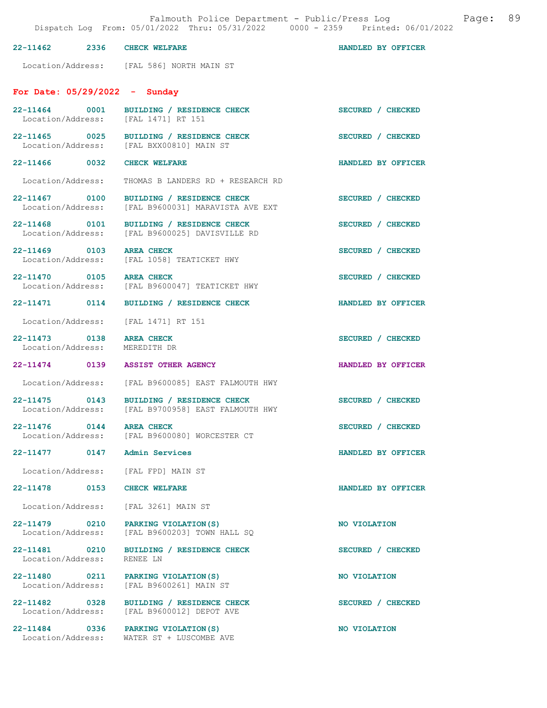| 22-11462 | 2336 | <b>CHECK WELFARE</b> |  |  | HANDLED BY OFFICER |
|----------|------|----------------------|--|--|--------------------|
|----------|------|----------------------|--|--|--------------------|

Location/Address: [FAL 586] NORTH MAIN ST

## For Date: 05/29/2022 - Sunday

| Location/Address: [FAL 1471] RT 151                       | 22-11464 0001 BUILDING / RESIDENCE CHECK                                                       | SECURED / CHECKED  |
|-----------------------------------------------------------|------------------------------------------------------------------------------------------------|--------------------|
| 22-11465 0025                                             | BUILDING / RESIDENCE CHECK<br>Location/Address: [FAL BXX00810] MAIN ST                         | SECURED / CHECKED  |
| 22-11466 0032 CHECK WELFARE                               |                                                                                                | HANDLED BY OFFICER |
| Location/Address:                                         | THOMAS B LANDERS RD + RESEARCH RD                                                              |                    |
|                                                           | 22-11467 0100 BUILDING / RESIDENCE CHECK<br>Location/Address: [FAL B9600031] MARAVISTA AVE EXT | SECURED / CHECKED  |
| 22-11468 0101                                             | BUILDING / RESIDENCE CHECK<br>Location/Address: [FAL B9600025] DAVISVILLE RD                   | SECURED / CHECKED  |
| 22-11469 0103 AREA CHECK<br>Location/Address:             | [FAL 1058] TEATICKET HWY                                                                       | SECURED / CHECKED  |
| 22-11470 0105                                             | AREA CHECK<br>Location/Address: [FAL B9600047] TEATICKET HWY                                   | SECURED / CHECKED  |
|                                                           | 22-11471 0114 BUILDING / RESIDENCE CHECK                                                       | HANDLED BY OFFICER |
| Location/Address: [FAL 1471] RT 151                       |                                                                                                |                    |
| 22-11473 0138 AREA CHECK<br>Location/Address: MEREDITH DR |                                                                                                | SECURED / CHECKED  |
| 22-11474 0139 ASSIST OTHER AGENCY                         |                                                                                                | HANDLED BY OFFICER |
|                                                           | Location/Address: [FAL B9600085] EAST FALMOUTH HWY                                             |                    |
| 22-11475 0143                                             | BUILDING / RESIDENCE CHECK<br>Location/Address: [FAL B9700958] EAST FALMOUTH HWY               | SECURED / CHECKED  |
| 22-11476 0144                                             | <b>AREA CHECK</b><br>Location/Address: [FAL B9600080] WORCESTER CT                             | SECURED / CHECKED  |
| 22-11477 0147 Admin Services                              |                                                                                                | HANDLED BY OFFICER |
| Location/Address: [FAL FPD] MAIN ST                       |                                                                                                |                    |
| 22-11478 0153                                             | <b>CHECK WELFARE</b>                                                                           | HANDLED BY OFFICER |
| Location/Address: [FAL 3261] MAIN ST                      |                                                                                                |                    |
| 22-11479 0210 PARKING VIOLATION (S)                       | Location/Address: [FAL B9600203] TOWN HALL SQ                                                  | NO VIOLATION       |
| 22-11481 0210<br>Location/Address:                        | BUILDING / RESIDENCE CHECK<br>RENEE LN                                                         | SECURED / CHECKED  |
| 22-11480 0211 PARKING VIOLATION (S)                       | Location/Address: [FAL B9600261] MAIN ST                                                       | NO VIOLATION       |
| 22-11482 0328                                             | BUILDING / RESIDENCE CHECK<br>Location/Address: [FAL B9600012] DEPOT AVE                       | SECURED / CHECKED  |
| 22-11484 0336 PARKING VIOLATION (S)<br>Location/Address:  | WATER ST + LUSCOMBE AVE                                                                        | NO VIOLATION       |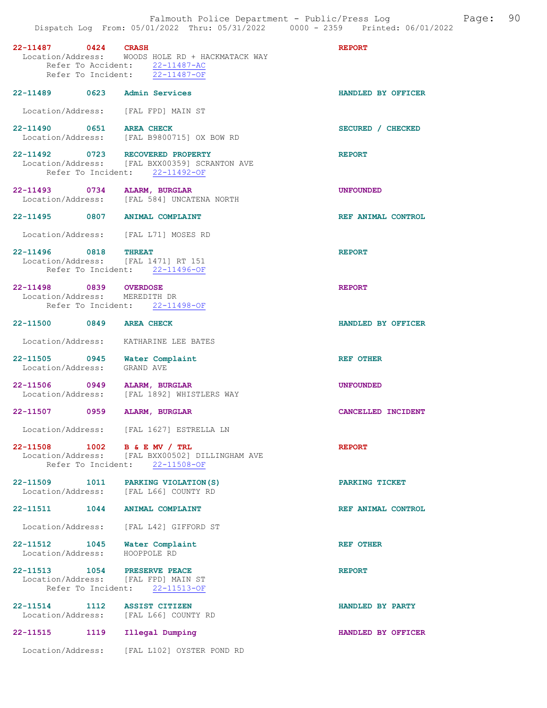| 22-11487 0424 CRASH                                          | Location/Address: WOODS HOLE RD + HACKMATACK WAY<br>Refer To Accident: 22-11487-AC<br>Refer To Incident: 22-11487-OF | <b>REPORT</b>      |
|--------------------------------------------------------------|----------------------------------------------------------------------------------------------------------------------|--------------------|
| 22-11489 0623 Admin Services                                 |                                                                                                                      | HANDLED BY OFFICER |
| Location/Address: [FAL FPD] MAIN ST                          |                                                                                                                      |                    |
| 22-11490 0651 AREA CHECK                                     | Location/Address: [FAL B9800715] OX BOW RD                                                                           | SECURED / CHECKED  |
| 22-11492 0723 RECOVERED PROPERTY                             | Location/Address: [FAL BXX00359] SCRANTON AVE<br>Refer To Incident: 22-11492-OF                                      | <b>REPORT</b>      |
|                                                              | 22-11493 0734 ALARM, BURGLAR<br>Location/Address: [FAL 584] UNCATENA NORTH                                           | <b>UNFOUNDED</b>   |
| 22-11495 0807 ANIMAL COMPLAINT                               |                                                                                                                      | REF ANIMAL CONTROL |
| Location/Address: [FAL L71] MOSES RD                         |                                                                                                                      |                    |
| 22-11496 0818 THREAT<br>Location/Address: [FAL 1471] RT 151  | Refer To Incident: 22-11496-OF                                                                                       | <b>REPORT</b>      |
| 22-11498 0839 OVERDOSE<br>Location/Address: MEREDITH DR      | Refer To Incident: 22-11498-OF                                                                                       | <b>REPORT</b>      |
| 22-11500 0849 AREA CHECK                                     |                                                                                                                      | HANDLED BY OFFICER |
| Location/Address: KATHARINE LEE BATES                        |                                                                                                                      |                    |
| 22-11505 0945 Water Complaint<br>Location/Address: GRAND AVE |                                                                                                                      | <b>REF OTHER</b>   |
| 22-11506 0949 ALARM, BURGLAR                                 | Location/Address: [FAL 1892] WHISTLERS WAY                                                                           | <b>UNFOUNDED</b>   |
| 22-11507 0959 ALARM, BURGLAR                                 |                                                                                                                      | CANCELLED INCIDENT |
|                                                              | Location/Address: [FAL 1627] ESTRELLA LN                                                                             |                    |
| 22-11508<br>1002                                             | B & E MV / TRL<br>Location/Address: [FAL BXX00502] DILLINGHAM AVE<br>Refer To Incident: 22-11508-OF                  | <b>REPORT</b>      |
| 22-11509 1011<br>Location/Address: [FAL L66] COUNTY RD       | PARKING VIOLATION (S)                                                                                                | PARKING TICKET     |
| 22-11511<br>1044                                             | <b>ANIMAL COMPLAINT</b>                                                                                              | REF ANIMAL CONTROL |
| Location/Address: [FAL L42] GIFFORD ST                       |                                                                                                                      |                    |
| 22-11512 1045<br>Location/Address:                           | Water Complaint<br>HOOPPOLE RD                                                                                       | REF OTHER          |
| 22-11513<br>1054<br>Location/Address: [FAL FPD] MAIN ST      | PRESERVE PEACE<br>Refer To Incident: 22-11513-OF                                                                     | <b>REPORT</b>      |
| 22-11514 1112<br>Location/Address: [FAL L66] COUNTY RD       | <b>ASSIST CITIZEN</b>                                                                                                | HANDLED BY PARTY   |
| 22-11515<br>1119                                             | Illegal Dumping                                                                                                      | HANDLED BY OFFICER |
| Location/Address:                                            | [FAL L102] OYSTER POND RD                                                                                            |                    |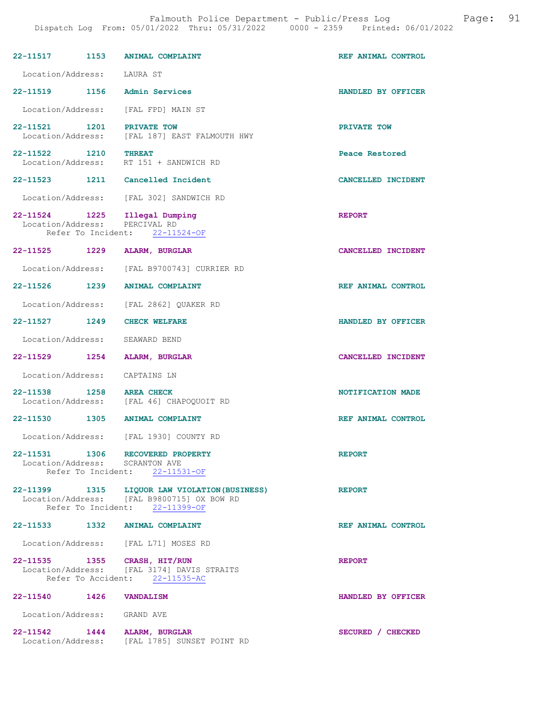| 22-11517 1153                      |      | <b>ANIMAL COMPLAINT</b>                                                                                                       | REF ANIMAL CONTROL |
|------------------------------------|------|-------------------------------------------------------------------------------------------------------------------------------|--------------------|
| Location/Address:                  |      | LAURA ST                                                                                                                      |                    |
| $22 - 11519$                       | 1156 | <b>Admin Services</b>                                                                                                         | HANDLED BY OFFICER |
| Location/Address:                  |      | [FAL FPD] MAIN ST                                                                                                             |                    |
| 22-11521 1201<br>Location/Address: |      | PRIVATE TOW<br>[FAL 187] EAST FALMOUTH HWY                                                                                    | PRIVATE TOW        |
| 22-11522<br>Location/Address:      | 1210 | <b>THREAT</b><br>RT 151 + SANDWICH RD                                                                                         | Peace Restored     |
|                                    |      | 22-11523 1211 Cancelled Incident                                                                                              | CANCELLED INCIDENT |
|                                    |      | Location/Address: [FAL 302] SANDWICH RD                                                                                       |                    |
| 22-11524<br>Location/Address:      | 1225 | Illegal Dumping<br>PERCIVAL RD<br>Refer To Incident: 22-11524-OF                                                              | <b>REPORT</b>      |
| 22-11525                           | 1229 | ALARM, BURGLAR                                                                                                                | CANCELLED INCIDENT |
| Location/Address:                  |      | [FAL B9700743] CURRIER RD                                                                                                     |                    |
| 22-11526 1239                      |      | <b>ANIMAL COMPLAINT</b>                                                                                                       | REF ANIMAL CONTROL |
| Location/Address:                  |      | [FAL 2862] QUAKER RD                                                                                                          |                    |
| 22-11527 1249                      |      | <b>CHECK WELFARE</b>                                                                                                          | HANDLED BY OFFICER |
| Location/Address:                  |      | SEAWARD BEND                                                                                                                  |                    |
| 22-11529                           | 1254 | ALARM, BURGLAR                                                                                                                | CANCELLED INCIDENT |
| Location/Address:                  |      | CAPTAINS LN                                                                                                                   |                    |
| $22 - 11538$<br>Location/Address:  | 1258 | <b>AREA CHECK</b><br>[FAL 46] CHAPOQUOIT RD                                                                                   | NOTIFICATION MADE  |
| 22-11530                           |      | 1305 ANIMAL COMPLAINT                                                                                                         | REF ANIMAL CONTROL |
|                                    |      | Location/Address: [FAL 1930] COUNTY RD                                                                                        |                    |
|                                    |      | 22-11531 1306 RECOVERED PROPERTY<br>Location/Address: SCRANTON AVE<br>Refer To Incident: 22-11531-OF                          | <b>REPORT</b>      |
|                                    |      | 22-11399 1315 LIQUOR LAW VIOLATION (BUSINESS)<br>Location/Address: [FAL B9800715] OX BOW RD<br>Refer To Incident: 22-11399-OF | <b>REPORT</b>      |
|                                    |      | 22-11533 1332 ANIMAL COMPLAINT                                                                                                | REF ANIMAL CONTROL |
|                                    |      | Location/Address: [FAL L71] MOSES RD                                                                                          |                    |
| 22-11535 1355 CRASH, HIT/RUN       |      | Location/Address: [FAL 3174] DAVIS STRAITS<br>Refer To Accident: 22-11535-AC                                                  | <b>REPORT</b>      |
| 22-11540 1426 VANDALISM            |      |                                                                                                                               | HANDLED BY OFFICER |
| Location/Address: GRAND AVE        |      |                                                                                                                               |                    |
| 22-11542 1444 ALARM, BURGLAR       |      | Location/Address: [FAL 1785] SUNSET POINT RD                                                                                  | SECURED / CHECKED  |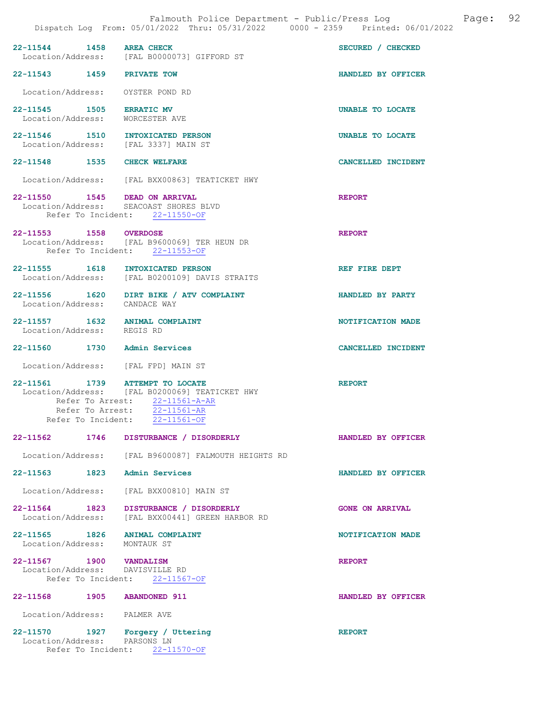| 22-11544 1458 AREA CHECK                                                 | Location/Address: [FAL B0000073] GIFFORD ST                                                                                                                                                      | SECURED / CHECKED      |
|--------------------------------------------------------------------------|--------------------------------------------------------------------------------------------------------------------------------------------------------------------------------------------------|------------------------|
| 22-11543 1459 PRIVATE TOW                                                |                                                                                                                                                                                                  | HANDLED BY OFFICER     |
| Location/Address: OYSTER POND RD                                         |                                                                                                                                                                                                  |                        |
| 22-11545 1505 ERRATIC MV<br>Location/Address: WORCESTER AVE              |                                                                                                                                                                                                  | UNABLE TO LOCATE       |
| 22-11546 1510 INTOXICATED PERSON<br>Location/Address: [FAL 3337] MAIN ST |                                                                                                                                                                                                  | UNABLE TO LOCATE       |
| 22-11548 1535 CHECK WELFARE                                              |                                                                                                                                                                                                  | CANCELLED INCIDENT     |
|                                                                          | Location/Address: [FAL BXX00863] TEATICKET HWY                                                                                                                                                   |                        |
| 22-11550 1545 DEAD ON ARRIVAL                                            | Location/Address: SEACOAST SHORES BLVD<br>Refer To Incident: 22-11550-OF                                                                                                                         | <b>REPORT</b>          |
| 22-11553 1558 OVERDOSE                                                   | Location/Address: [FAL B9600069] TER HEUN DR<br>Refer To Incident: 22-11553-OF                                                                                                                   | <b>REPORT</b>          |
| 22-11555 1618 INTOXICATED PERSON                                         | Location/Address: [FAL B0200109] DAVIS STRAITS                                                                                                                                                   | REF FIRE DEPT          |
| Location/Address: CANDACE WAY                                            | 22-11556 1620 DIRT BIKE / ATV COMPLAINT                                                                                                                                                          | HANDLED BY PARTY       |
| 22-11557 1632 ANIMAL COMPLAINT<br>Location/Address: REGIS RD             |                                                                                                                                                                                                  | NOTIFICATION MADE      |
| 22-11560 1730 Admin Services                                             |                                                                                                                                                                                                  | CANCELLED INCIDENT     |
| Location/Address: [FAL FPD] MAIN ST                                      |                                                                                                                                                                                                  |                        |
| 22-11561 1739 ATTEMPT TO LOCATE                                          | Location/Address: [FAL B0200069] TEATICKET HWY<br>Refer To Arrest: $\frac{22-11561-A-AR}{22-11561-AR}$<br>Refer To Arrest: $\frac{22-11561-AR}{22-11561-AR}$<br>Refer To Incident: $22-11561-OF$ | <b>REPORT</b>          |
| $22 - 11562$<br>1746                                                     | DISTURBANCE / DISORDERLY                                                                                                                                                                         | HANDLED BY OFFICER     |
| Location/Address:                                                        | [FAL B9600087] FALMOUTH HEIGHTS RD                                                                                                                                                               |                        |
| 22-11563 1823                                                            | Admin Services                                                                                                                                                                                   | HANDLED BY OFFICER     |
| Location/Address:                                                        | [FAL BXX00810] MAIN ST                                                                                                                                                                           |                        |
| 22-11564 1823<br>Location/Address:                                       | DISTURBANCE / DISORDERLY<br>[FAL BXX00441] GREEN HARBOR RD                                                                                                                                       | <b>GONE ON ARRIVAL</b> |
| 22-11565 1826<br>Location/Address: MONTAUK ST                            | <b>ANIMAL COMPLAINT</b>                                                                                                                                                                          | NOTIFICATION MADE      |
| 22-11567 1900<br>Location/Address: DAVISVILLE RD                         | <b>VANDALISM</b><br>Refer To Incident: 22-11567-OF                                                                                                                                               | <b>REPORT</b>          |
| 22-11568 1905                                                            | <b>ABANDONED 911</b>                                                                                                                                                                             | HANDLED BY OFFICER     |
| Location/Address: PALMER AVE                                             |                                                                                                                                                                                                  |                        |
| 22-11570<br>1927<br>Location/Address: PARSONS LN                         | Forgery / Uttering                                                                                                                                                                               | <b>REPORT</b>          |

Refer To Incident: 22-11570-OF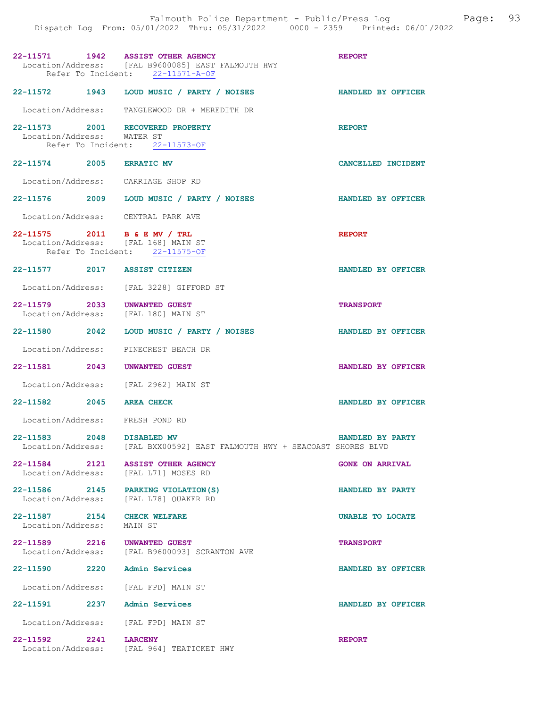| 22-11571 1942 ASSIST OTHER AGENCY                                   | Location/Address: [FAL B9600085] EAST FALMOUTH HWY<br>Refer To Incident: 22-11571-A-OF | <b>REPORT</b>             |
|---------------------------------------------------------------------|----------------------------------------------------------------------------------------|---------------------------|
|                                                                     | 22-11572 1943 LOUD MUSIC / PARTY / NOISES                                              | <b>HANDLED BY OFFICER</b> |
|                                                                     | Location/Address: TANGLEWOOD DR + MEREDITH DR                                          |                           |
| 22-11573 2001 RECOVERED PROPERTY<br>Location/Address: WATER ST      | Refer To Incident: 22-11573-OF                                                         | <b>REPORT</b>             |
| 22-11574 2005 ERRATIC MV                                            |                                                                                        | CANCELLED INCIDENT        |
| Location/Address: CARRIAGE SHOP RD                                  |                                                                                        |                           |
|                                                                     | 22-11576 2009 LOUD MUSIC / PARTY / NOISES                                              | <b>HANDLED BY OFFICER</b> |
| Location/Address: CENTRAL PARK AVE                                  |                                                                                        |                           |
| 22-11575 2011 B & E MV / TRL<br>Location/Address: [FAL 168] MAIN ST | Refer To Incident: 22-11575-OF                                                         | <b>REPORT</b>             |
| 22-11577 2017 ASSIST CITIZEN                                        |                                                                                        | HANDLED BY OFFICER        |
|                                                                     | Location/Address: [FAL 3228] GIFFORD ST                                                |                           |
| 22-11579 2033 UNWANTED GUEST<br>Location/Address: [FAL 180] MAIN ST |                                                                                        | <b>TRANSPORT</b>          |
|                                                                     | 22-11580 2042 LOUD MUSIC / PARTY / NOISES                                              | HANDLED BY OFFICER        |
|                                                                     | Location/Address: PINECREST BEACH DR                                                   |                           |
| 22-11581 2043 UNWANTED GUEST                                        |                                                                                        | HANDLED BY OFFICER        |
|                                                                     | Location/Address: [FAL 2962] MAIN ST                                                   |                           |
| 22-11582 2045 AREA CHECK                                            |                                                                                        | HANDLED BY OFFICER        |
| Location/Address: FRESH POND RD                                     |                                                                                        |                           |
| 22-11583 2048 DISABLED MV                                           | Location/Address: [FAL BXX00592] EAST FALMOUTH HWY + SEACOAST SHORES BLVD              | HANDLED BY PARTY          |
| 22-11584 2121                                                       | <b>ASSIST OTHER AGENCY</b><br>Location/Address: [FAL L71] MOSES RD                     | <b>GONE ON ARRIVAL</b>    |
|                                                                     | 22-11586 2145 PARKING VIOLATION (S)<br>Location/Address: [FAL L78] QUAKER RD           | HANDLED BY PARTY          |
| 22-11587 2154 CHECK WELFARE<br>Location/Address:                    | MAIN ST                                                                                | UNABLE TO LOCATE          |
| 22-11589 2216 UNWANTED GUEST                                        | Location/Address: [FAL B9600093] SCRANTON AVE                                          | <b>TRANSPORT</b>          |
| 22-11590 2220 Admin Services                                        |                                                                                        | HANDLED BY OFFICER        |
| Location/Address: [FAL FPD] MAIN ST                                 |                                                                                        |                           |
| 22-11591 2237 Admin Services                                        |                                                                                        | HANDLED BY OFFICER        |
| Location/Address: [FAL FPD] MAIN ST                                 |                                                                                        |                           |
| 22-11592 2241                                                       | <b>LARCENY</b><br>Location/Address: [FAL 964] TEATICKET HWY                            | <b>REPORT</b>             |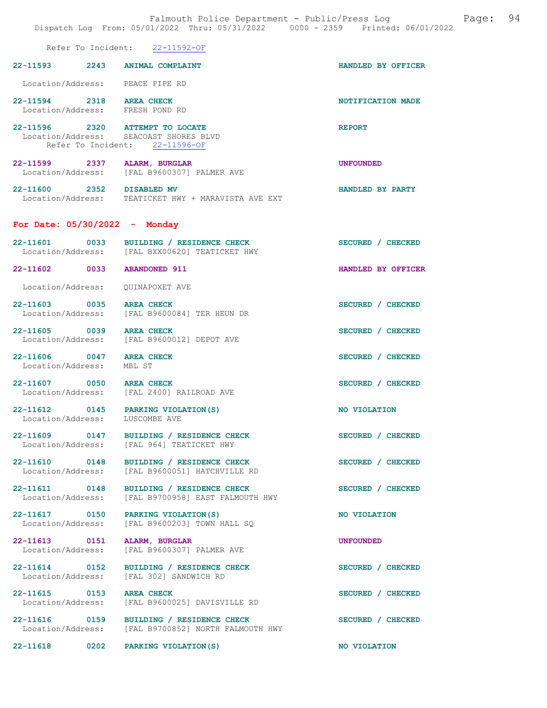| Falmouth Police Department - Public/Press Log<br>Page:<br>Dispatch Log From: 05/01/2022 Thru: 05/31/2022 0000 - 2359 Printed: 06/01/2022 |                                                                                                 |                    |  |  |
|------------------------------------------------------------------------------------------------------------------------------------------|-------------------------------------------------------------------------------------------------|--------------------|--|--|
| Refer To Incident:                                                                                                                       | 22-11592-OF                                                                                     |                    |  |  |
| $22 - 11593$<br>2243                                                                                                                     | <b>ANIMAL COMPLAINT</b>                                                                         | HANDLED BY OFFICER |  |  |
|                                                                                                                                          | Location/Address: PEACE PIPE RD                                                                 |                    |  |  |
| 22-11594 2318 AREA CHECK                                                                                                                 | Location/Address: FRESH POND RD                                                                 | NOTIFICATION MADE  |  |  |
| Location/Address:                                                                                                                        | 22-11596 2320 ATTEMPT TO LOCATE<br>SEACOAST SHORES BLVD<br>Refer To Incident: 22-11596-OF       | <b>REPORT</b>      |  |  |
| 22–11599 2337                                                                                                                            | ALARM, BURGLAR<br>Location/Address: [FAL B9600307] PALMER AVE                                   | <b>UNFOUNDED</b>   |  |  |
| 22-11600 2352 DISABLED MV                                                                                                                | Location/Address: TEATICKET HWY + MARAVISTA AVE EXT                                             | HANDLED BY PARTY   |  |  |
| For Date: $05/30/2022 -$ Monday                                                                                                          |                                                                                                 |                    |  |  |
| 22-11601                                                                                                                                 | 0033 BUILDING / RESIDENCE CHECK<br>Location/Address: [FAL BXX00620] TEATICKET HWY               | SECURED / CHECKED  |  |  |
| 22-11602 0033                                                                                                                            | <b>ABANDONED 911</b>                                                                            | HANDLED BY OFFICER |  |  |
| Location/Address:                                                                                                                        | QUINAPOXET AVE                                                                                  |                    |  |  |
| 22-11603 0035                                                                                                                            | <b>AREA CHECK</b><br>Location/Address: [FAL B9600084] TER HEUN DR                               | SECURED / CHECKED  |  |  |
| 22-11605 0039                                                                                                                            | <b>AREA CHECK</b><br>Location/Address: [FAL B9600012] DEPOT AVE                                 | SECURED / CHECKED  |  |  |
| 22-11606 0047<br>Location/Address:                                                                                                       | <b>AREA CHECK</b><br>MBL ST                                                                     | SECURED / CHECKED  |  |  |
| 22-11607 0050                                                                                                                            | <b>AREA CHECK</b><br>Location/Address: [FAL 2400] RAILROAD AVE                                  | SECURED / CHECKED  |  |  |
| 22-11612<br>0145<br>Location/Address:                                                                                                    | PARKING VIOLATION (S)<br>LUSCOMBE AVE                                                           | NO VIOLATION       |  |  |
|                                                                                                                                          | 22-11609 0147 BUILDING / RESIDENCE CHECK<br>Location/Address: [FAL 964] TEATICKET HWY           | SECURED / CHECKED  |  |  |
| 22-11610 0148<br>Location/Address:                                                                                                       | BUILDING / RESIDENCE CHECK<br>[FAL B9600051] HATCHVILLE RD                                      | SECURED / CHECKED  |  |  |
| 22-11611 0148<br>Location/Address:                                                                                                       | BUILDING / RESIDENCE CHECK<br>[FAL B9700958] EAST FALMOUTH HWY                                  | SECURED / CHECKED  |  |  |
| 22-11617 0150<br>Location/Address:                                                                                                       | PARKING VIOLATION (S)<br>[FAL B9600203] TOWN HALL SQ                                            | NO VIOLATION       |  |  |
| 22-11613 0151<br>Location/Address:                                                                                                       | ALARM, BURGLAR<br>[FAL B9600307] PALMER AVE                                                     | <b>UNFOUNDED</b>   |  |  |
| 22-11614 0152                                                                                                                            | BUILDING / RESIDENCE CHECK<br>Location/Address: [FAL 302] SANDWICH RD                           | SECURED / CHECKED  |  |  |
| 22-11615 0153<br>Location/Address:                                                                                                       | <b>AREA CHECK</b><br>[FAL B9600025] DAVISVILLE RD                                               | SECURED / CHECKED  |  |  |
|                                                                                                                                          | 22-11616 0159 BUILDING / RESIDENCE CHECK<br>Location/Address: [FAL B9700852] NORTH FALMOUTH HWY | SECURED / CHECKED  |  |  |
|                                                                                                                                          | 22-11618 0202 PARKING VIOLATION (S)                                                             | NO VIOLATION       |  |  |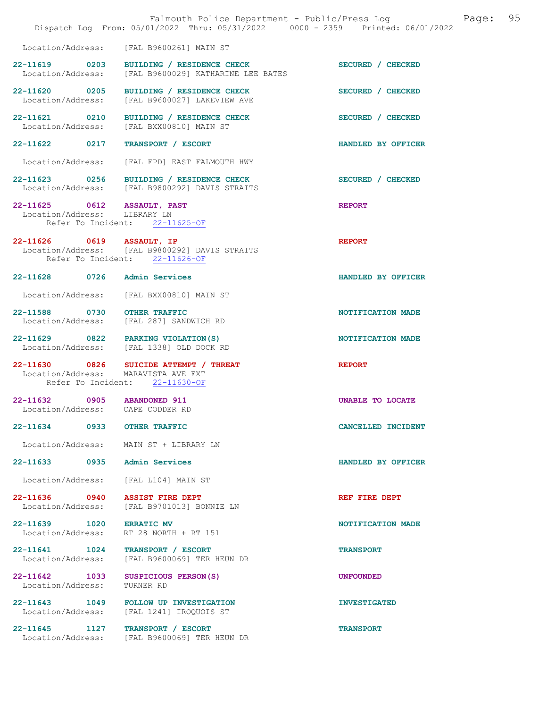|                                        | Falmouth Police Department - Public/Press Log<br>Dispatch Log From: 05/01/2022 Thru: 05/31/2022 0000 - 2359 Printed: 06/01/2022 | 95<br>Page:         |
|----------------------------------------|---------------------------------------------------------------------------------------------------------------------------------|---------------------|
| Location/Address:                      | [FAL B9600261] MAIN ST                                                                                                          |                     |
| 22-11619 0203<br>Location/Address:     | BUILDING / RESIDENCE CHECK<br>[FAL B9600029] KATHARINE LEE BATES                                                                | SECURED / CHECKED   |
| 22-11620 0205<br>Location/Address:     | BUILDING / RESIDENCE CHECK<br>[FAL B9600027] LAKEVIEW AVE                                                                       | SECURED / CHECKED   |
| 22-11621 0210<br>Location/Address:     | BUILDING / RESIDENCE CHECK<br>[FAL BXX00810] MAIN ST                                                                            | SECURED / CHECKED   |
| 22-11622 0217                          | TRANSPORT / ESCORT                                                                                                              | HANDLED BY OFFICER  |
| Location/Address:                      | [FAL FPD] EAST FALMOUTH HWY                                                                                                     |                     |
|                                        | 22-11623 0256 BUILDING / RESIDENCE CHECK<br>Location/Address: [FAL B9800292] DAVIS STRAITS                                      | SECURED / CHECKED   |
| Location/Address: LIBRARY LN           | 22-11625 0612 ASSAULT, PAST<br>Refer To Incident: 22-11625-OF                                                                   | <b>REPORT</b>       |
| 22-11626 0619 ASSAULT, IP              | Location/Address: [FAL B9800292] DAVIS STRAITS<br>Refer To Incident: 22-11626-OF                                                | <b>REPORT</b>       |
|                                        | 22-11628 0726 Admin Services                                                                                                    | HANDLED BY OFFICER  |
| Location/Address:                      | [FAL BXX00810] MAIN ST                                                                                                          |                     |
| 22-11588 0730                          | <b>OTHER TRAFFIC</b><br>Location/Address: [FAL 287] SANDWICH RD                                                                 | NOTIFICATION MADE   |
|                                        | 22-11629 0822 PARKING VIOLATION (S)<br>Location/Address: [FAL 1338] OLD DOCK RD                                                 | NOTIFICATION MADE   |
| 22-11630 0826<br>Location/Address:     | SUICIDE ATTEMPT / THREAT<br>MARAVISTA AVE EXT<br>Refer To Incident: 22-11630-OF                                                 | <b>REPORT</b>       |
|                                        | 22-11632 0905 ABANDONED 911<br>Location/Address: CAPE CODDER RD                                                                 | UNABLE TO LOCATE    |
| 22-11634                               | 0933 OTHER TRAFFIC                                                                                                              | CANCELLED INCIDENT  |
| Location/Address:                      | MAIN ST + LIBRARY LN                                                                                                            |                     |
| $22 - 11633$                           | 0935<br>Admin Services                                                                                                          | HANDLED BY OFFICER  |
| Location/Address:                      | [FAL L104] MAIN ST                                                                                                              |                     |
| 22-11636 0940<br>Location/Address:     | <b>ASSIST FIRE DEPT</b><br>[FAL B9701013] BONNIE LN                                                                             | REF FIRE DEPT       |
| 22-11639 1020<br>Location/Address:     | <b>ERRATIC MV</b><br>RT 28 NORTH + RT 151                                                                                       | NOTIFICATION MADE   |
| $22 - 11641$ 1024<br>Location/Address: | TRANSPORT / ESCORT<br>[FAL B9600069] TER HEUN DR                                                                                | <b>TRANSPORT</b>    |
| 22-11642 1033<br>Location/Address:     | SUSPICIOUS PERSON(S)<br>TURNER RD                                                                                               | <b>UNFOUNDED</b>    |
| 22-11643 1049<br>Location/Address:     | <b>FOLLOW UP INVESTIGATION</b><br>[FAL 1241] IROQUOIS ST                                                                        | <b>INVESTIGATED</b> |
| 22-11645 1127<br>Location/Address:     | TRANSPORT / ESCORT<br>[FAL B9600069] TER HEUN DR                                                                                | <b>TRANSPORT</b>    |
|                                        |                                                                                                                                 |                     |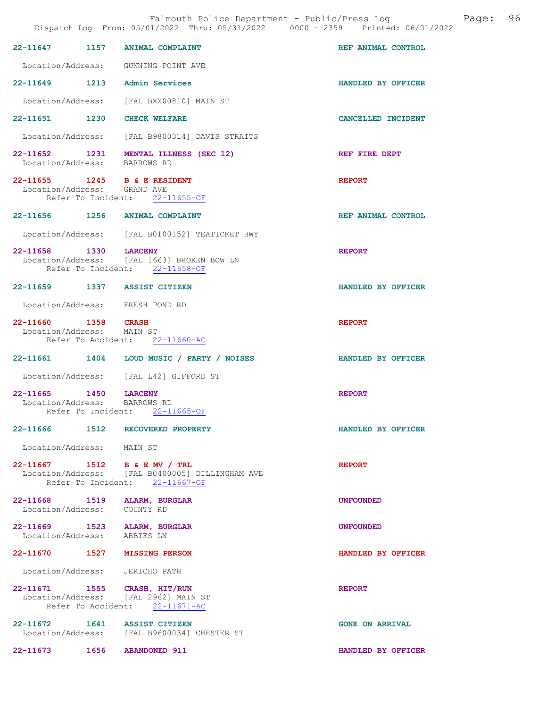|                                                       |      | Dispatch Log From: 05/01/2022 Thru: 05/31/2022 0000 - 2359 Printed: 06/01/2022                                    |                           |
|-------------------------------------------------------|------|-------------------------------------------------------------------------------------------------------------------|---------------------------|
| 22-11647 1157                                         |      | <b>ANIMAL COMPLAINT</b>                                                                                           | REF ANIMAL CONTROL        |
|                                                       |      | Location/Address: GUNNING POINT AVE                                                                               |                           |
|                                                       |      | 22-11649 1213 Admin Services                                                                                      | HANDLED BY OFFICER        |
|                                                       |      | Location/Address: [FAL BXX00810] MAIN ST                                                                          |                           |
|                                                       |      | 22-11651 1230 CHECK WELFARE                                                                                       | CANCELLED INCIDENT        |
|                                                       |      | Location/Address: [FAL B9800314] DAVIS STRAITS                                                                    |                           |
| Location/Address: BARROWS RD                          |      | 22-11652 1231 MENTAL ILLNESS (SEC 12)                                                                             | REF FIRE DEPT             |
| Location/Address: GRAND AVE                           |      | 22-11655 1245 B & E RESIDENT<br>Refer To Incident: 22-11655-OF                                                    | <b>REPORT</b>             |
|                                                       |      | 22-11656 1256 ANIMAL COMPLAINT                                                                                    | REF ANIMAL CONTROL        |
|                                                       |      | Location/Address: [FAL B0100152] TEATICKET HWY                                                                    |                           |
| 22-11658 1330 LARCENY                                 |      | Location/Address: [FAL 1663] BROKEN BOW LN<br>Refer To Incident: 22-11658-OF                                      | <b>REPORT</b>             |
|                                                       |      | 22-11659 1337 ASSIST CITIZEN                                                                                      | HANDLED BY OFFICER        |
|                                                       |      | Location/Address: FRESH POND RD                                                                                   |                           |
| 22-11660 1358 CRASH<br>Location/Address: MAIN ST      |      | Refer To Accident: 22-11660-AC                                                                                    | <b>REPORT</b>             |
|                                                       |      | 22-11661  1404  LOUD MUSIC / PARTY / NOISES                                                                       | <b>HANDLED BY OFFICER</b> |
|                                                       |      | Location/Address: [FAL L42] GIFFORD ST                                                                            |                           |
| 22-11665 1450 LARCENY<br>Location/Address: BARROWS RD |      | Refer To Incident: 22-11665-OF                                                                                    | <b>REPORT</b>             |
| 22-11666                                              | 1512 | RECOVERED PROPERTY                                                                                                | HANDLED BY OFFICER        |
| Location/Address: MAIN ST                             |      |                                                                                                                   |                           |
|                                                       |      | 22-11667 1512 B & E MV / TRL<br>Location/Address: [FAL B0400005] DILLINGHAM AVE<br>Refer To Incident: 22-11667-OF | <b>REPORT</b>             |
| 22-11668 1519<br>Location/Address: COUNTY RD          |      | <b>ALARM, BURGLAR</b>                                                                                             | <b>UNFOUNDED</b>          |
| Location/Address: ABBIES LN                           |      | 22-11669 1523 ALARM, BURGLAR                                                                                      | <b>UNFOUNDED</b>          |
|                                                       |      | 22-11670 1527 MISSING PERSON                                                                                      | HANDLED BY OFFICER        |
| Location/Address: JERICHO PATH                        |      |                                                                                                                   |                           |
|                                                       |      | 22-11671 1555 CRASH, HIT/RUN<br>Location/Address: [FAL 2962] MAIN ST<br>Refer To Accident: 22-11671-AC            | <b>REPORT</b>             |

22-11672 1641 ASSIST CITIZEN GONE ON ARRIVAL Location/Address: [FAL B9600034] CHESTER ST

22-11673 1656 ABANDONED 911 HANDLED BY OFFICER

Falmouth Police Department - Public/Press Log and Page: 96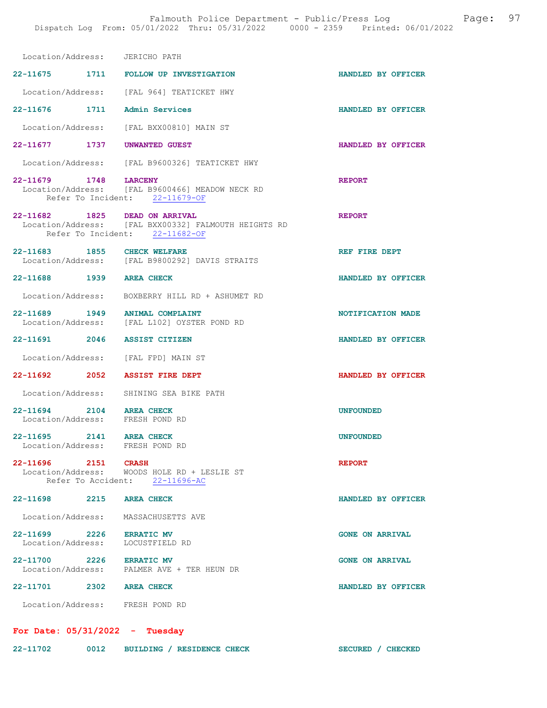| Location/Address: JERICHO PATH                               |                                                                                        |                        |
|--------------------------------------------------------------|----------------------------------------------------------------------------------------|------------------------|
|                                                              | 22-11675 1711 FOLLOW UP INVESTIGATION                                                  | HANDLED BY OFFICER     |
|                                                              | Location/Address: [FAL 964] TEATICKET HWY                                              |                        |
| 22-11676 1711 Admin Services                                 |                                                                                        | HANDLED BY OFFICER     |
|                                                              | Location/Address: [FAL BXX00810] MAIN ST                                               |                        |
| 22-11677 1737                                                | UNWANTED GUEST                                                                         | HANDLED BY OFFICER     |
|                                                              | Location/Address: [FAL B9600326] TEATICKET HWY                                         |                        |
| 22-11679 1748 LARCENY                                        |                                                                                        | <b>REPORT</b>          |
|                                                              | Location/Address: [FAL B9600466] MEADOW NECK RD<br>Refer To Incident: 22-11679-OF      |                        |
| 22-11682 1825 DEAD ON ARRIVAL                                | Location/Address: [FAL BXX00332] FALMOUTH HEIGHTS RD<br>Refer To Incident: 22-11682-OF | <b>REPORT</b>          |
| 22-11683 1855 CHECK WELFARE                                  | Location/Address: [FAL B9800292] DAVIS STRAITS                                         | REF FIRE DEPT          |
| 22-11688 1939 AREA CHECK                                     |                                                                                        | HANDLED BY OFFICER     |
|                                                              | Location/Address: BOXBERRY HILL RD + ASHUMET RD                                        |                        |
| 22-11689 1949 ANIMAL COMPLAINT                               | Location/Address: [FAL L102] OYSTER POND RD                                            | NOTIFICATION MADE      |
| 22-11691 2046 ASSIST CITIZEN                                 |                                                                                        | HANDLED BY OFFICER     |
| Location/Address: [FAL FPD] MAIN ST                          |                                                                                        |                        |
| 22-11692 2052                                                | <b>ASSIST FIRE DEPT</b>                                                                | HANDLED BY OFFICER     |
|                                                              | Location/Address: SHINING SEA BIKE PATH                                                |                        |
| 22-11694 2104 AREA CHECK<br>Location/Address: FRESH POND RD  |                                                                                        | <b>UNFOUNDED</b>       |
| $22 - 11695$<br>2141<br>Location/Address: FRESH POND RD      | <b>AREA CHECK</b>                                                                      | <b>UNFOUNDED</b>       |
| 22-11696 2151 CRASH                                          | Location/Address: WOODS HOLE RD + LESLIE ST<br>Refer To Accident: 22-11696-AC          | <b>REPORT</b>          |
| 22-11698 2215 AREA CHECK                                     |                                                                                        | HANDLED BY OFFICER     |
| Location/Address: MASSACHUSETTS AVE                          |                                                                                        |                        |
| 22-11699 2226 ERRATIC MV<br>Location/Address: LOCUSTFIELD RD |                                                                                        | <b>GONE ON ARRIVAL</b> |
| 22-11700 2226 ERRATIC MV                                     | Location/Address: PALMER AVE + TER HEUN DR                                             | <b>GONE ON ARRIVAL</b> |
| 22-11701 2302 AREA CHECK                                     |                                                                                        | HANDLED BY OFFICER     |
| Location/Address: FRESH POND RD                              |                                                                                        |                        |
| For Date: $05/31/2022 - Tuesday$                             |                                                                                        |                        |

SECURED / CHECKED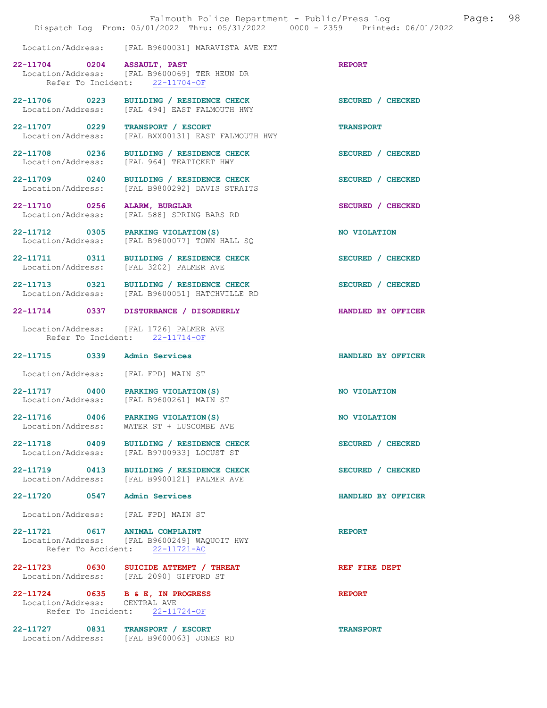|                                                                   | Falmouth Police Department - Public/Press Log<br>Dispatch Log From: 05/01/2022 Thru: 05/31/2022 0000 - 2359 Printed: 06/01/2022 | Page:              | 98 |
|-------------------------------------------------------------------|---------------------------------------------------------------------------------------------------------------------------------|--------------------|----|
|                                                                   | Location/Address: [FAL B9600031] MARAVISTA AVE EXT                                                                              |                    |    |
| 22-11704 0204 ASSAULT, PAST                                       | Location/Address: [FAL B9600069] TER HEUN DR<br>Refer To Incident: 22-11704-OF                                                  | <b>REPORT</b>      |    |
| Location/Address:                                                 | 22-11706 0223 BUILDING / RESIDENCE CHECK<br>[FAL 494] EAST FALMOUTH HWY                                                         | SECURED / CHECKED  |    |
| 22-11707 0229<br>Location/Address:                                | TRANSPORT / ESCORT<br>[FAL BXX00131] EAST FALMOUTH HWY                                                                          | <b>TRANSPORT</b>   |    |
| 22-11708 0236<br>Location/Address:                                | BUILDING / RESIDENCE CHECK<br>[FAL 964] TEATICKET HWY                                                                           | SECURED / CHECKED  |    |
| 22-11709 0240<br>Location/Address:                                | BUILDING / RESIDENCE CHECK<br>[FAL B9800292] DAVIS STRAITS                                                                      | SECURED / CHECKED  |    |
| 22-11710 0256                                                     | ALARM, BURGLAR<br>Location/Address: [FAL 588] SPRING BARS RD                                                                    | SECURED / CHECKED  |    |
| 22-11712 0305 PARKING VIOLATION (S)                               | Location/Address: [FAL B9600077] TOWN HALL SQ                                                                                   | NO VIOLATION       |    |
| Location/Address: [FAL 3202] PALMER AVE                           | 22-11711 0311 BUILDING / RESIDENCE CHECK                                                                                        | SECURED / CHECKED  |    |
|                                                                   | 22-11713 0321 BUILDING / RESIDENCE CHECK<br>Location/Address: [FAL B9600051] HATCHVILLE RD                                      | SECURED / CHECKED  |    |
|                                                                   | 22-11714 0337 DISTURBANCE / DISORDERLY                                                                                          | HANDLED BY OFFICER |    |
|                                                                   | Location/Address: [FAL 1726] PALMER AVE<br>Refer To Incident: 22-11714-OF                                                       |                    |    |
| 22-11715 0339 Admin Services                                      |                                                                                                                                 | HANDLED BY OFFICER |    |
| Location/Address: [FAL FPD] MAIN ST                               |                                                                                                                                 |                    |    |
| 22-11717 0400 PARKING VIOLATION(S)                                | Location/Address: [FAL B9600261] MAIN ST                                                                                        | NO VIOLATION       |    |
| 22-11716 0406<br>Location/Address:                                | PARKING VIOLATION (S)<br>WATER ST + LUSCOMBE AVE                                                                                | NO VIOLATION       |    |
| 22-11718 0409<br>Location/Address:                                | BUILDING / RESIDENCE CHECK<br>[FAL B9700933] LOCUST ST                                                                          | SECURED / CHECKED  |    |
| 22-11719 0413<br>Location/Address:                                | BUILDING / RESIDENCE CHECK<br>[FAL B9900121] PALMER AVE                                                                         | SECURED / CHECKED  |    |
| 22-11720 0547 Admin Services                                      |                                                                                                                                 | HANDLED BY OFFICER |    |
| Location/Address: [FAL FPD] MAIN ST                               |                                                                                                                                 |                    |    |
| 22-11721 0617 ANIMAL COMPLAINT                                    | Location/Address: [FAL B9600249] WAQUOIT HWY<br>Refer To Accident: 22-11721-AC                                                  | <b>REPORT</b>      |    |
|                                                                   | 22-11723 0630 SUICIDE ATTEMPT / THREAT<br>Location/Address: [FAL 2090] GIFFORD ST                                               | REF FIRE DEPT      |    |
| 22-11724 0635 B & E, IN PROGRESS<br>Location/Address: CENTRAL AVE | Refer To Incident: 22-11724-OF                                                                                                  | <b>REPORT</b>      |    |
| 22-11727 0831                                                     | TRANSPORT / ESCORT<br>Location/Address: [FAL B9600063] JONES RD                                                                 | <b>TRANSPORT</b>   |    |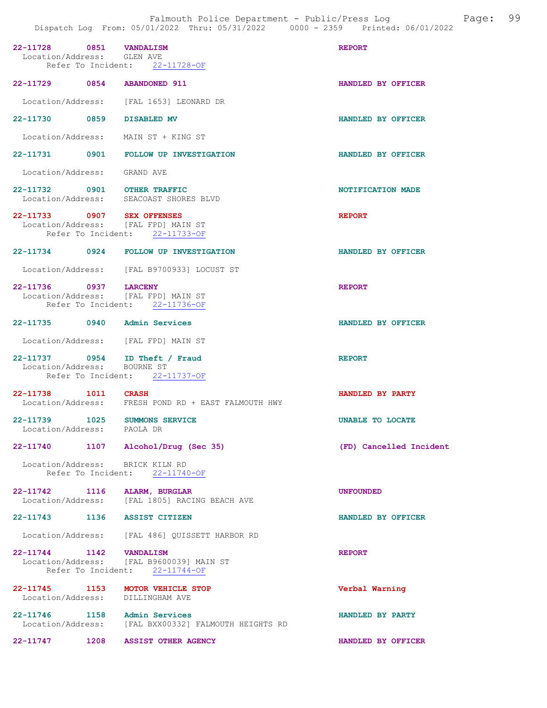| 22-11728 0851 VANDALISM<br>Location/Address: GLEN AVE                | Refer To Incident: 22-11728-OF                                             | <b>REPORT</b>           |
|----------------------------------------------------------------------|----------------------------------------------------------------------------|-------------------------|
| 22-11729 0854 ABANDONED 911                                          |                                                                            | HANDLED BY OFFICER      |
|                                                                      | Location/Address: [FAL 1653] LEONARD DR                                    |                         |
| 22-11730 0859 DISABLED MV                                            |                                                                            | HANDLED BY OFFICER      |
| Location/Address: MAIN ST + KING ST                                  |                                                                            |                         |
|                                                                      | 22-11731 0901 FOLLOW UP INVESTIGATION                                      | HANDLED BY OFFICER      |
| Location/Address: GRAND AVE                                          |                                                                            |                         |
| 22-11732 0901 OTHER TRAFFIC                                          | Location/Address: SEACOAST SHORES BLVD                                     | NOTIFICATION MADE       |
| 22-11733 0907 SEX OFFENSES<br>Location/Address: [FAL FPD] MAIN ST    | Refer To Incident: 22-11733-OF                                             | <b>REPORT</b>           |
|                                                                      | 22-11734 0924 FOLLOW UP INVESTIGATION                                      | HANDLED BY OFFICER      |
|                                                                      | Location/Address: [FAL B9700933] LOCUST ST                                 |                         |
| 22-11736 0937 LARCENY<br>Location/Address: [FAL FPD] MAIN ST         | Refer To Incident: 22-11736-OF                                             | <b>REPORT</b>           |
| 22-11735 0940 Admin Services                                         |                                                                            | HANDLED BY OFFICER      |
| Location/Address: [FAL FPD] MAIN ST                                  |                                                                            |                         |
| 22-11737 0954 ID Theft / Fraud<br>Location/Address: BOURNE ST        | Refer To Incident: 22-11737-OF                                             | <b>REPORT</b>           |
| 22-11738 1011 CRASH                                                  | Location/Address: FRESH POND RD + EAST FALMOUTH HWY                        | HANDLED BY PARTY        |
| 22-11739 1025 SUMMONS SERVICE<br>Location/Address: PAOLA DR          |                                                                            | <b>UNABLE TO LOCATE</b> |
| 22-11740 1107 Alcohol/Drug (Sec 35)                                  |                                                                            | (FD) Cancelled Incident |
| Location/Address: BRICK KILN RD                                      | Refer To Incident: 22-11740-OF                                             |                         |
| 22-11742 1116 ALARM, BURGLAR                                         | Location/Address: [FAL 1805] RACING BEACH AVE                              | <b>UNFOUNDED</b>        |
| 22-11743 1136 ASSIST CITIZEN                                         |                                                                            | HANDLED BY OFFICER      |
|                                                                      | Location/Address: [FAL 486] QUISSETT HARBOR RD                             |                         |
| 22-11744 1142 VANDALISM                                              | Location/Address: [FAL B9600039] MAIN ST<br>Refer To Incident: 22-11744-OF | <b>REPORT</b>           |
| 22-11745 1153 MOTOR VEHICLE STOP<br>Location/Address: DILLINGHAM AVE |                                                                            | Verbal Warning          |
| 22-11746 1158 Admin Services                                         | Location/Address: [FAL BXX00332] FALMOUTH HEIGHTS RD                       | HANDLED BY PARTY        |

22-11747 1208 ASSIST OTHER AGENCY HANDLED BY OFFICER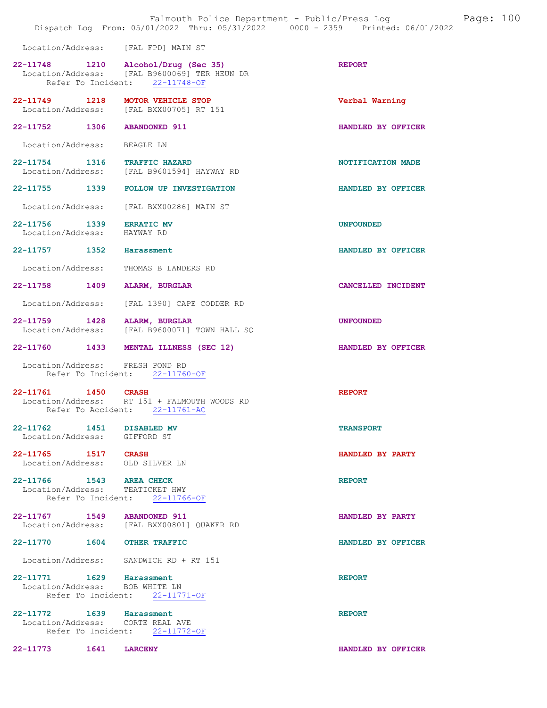|                                                            | Falmouth Police Department - Public/Press Log Fage: 100<br>Dispatch Log From: 05/01/2022 Thru: 05/31/2022 0000 - 2359 Printed: 06/01/2022 |                    |  |
|------------------------------------------------------------|-------------------------------------------------------------------------------------------------------------------------------------------|--------------------|--|
|                                                            | Location/Address: [FAL FPD] MAIN ST                                                                                                       |                    |  |
|                                                            | 22-11748 1210 Alcohol/Drug (Sec 35)<br>Location/Address: [FAL B9600069] TER HEUN DR<br>Refer To Incident: 22-11748-OF                     | <b>REPORT</b>      |  |
|                                                            | 22-11749 1218 MOTOR VEHICLE STOP<br>Location/Address: [FAL BXX00705] RT 151                                                               | Verbal Warning     |  |
|                                                            | 22-11752 1306 ABANDONED 911                                                                                                               | HANDLED BY OFFICER |  |
| Location/Address: BEAGLE LN                                |                                                                                                                                           |                    |  |
|                                                            | 22-11754 1316 TRAFFIC HAZARD<br>Location/Address: [FAL B9601594] HAYWAY RD                                                                | NOTIFICATION MADE  |  |
|                                                            | 22-11755 1339 FOLLOW UP INVESTIGATION                                                                                                     | HANDLED BY OFFICER |  |
|                                                            | Location/Address: [FAL BXX00286] MAIN ST                                                                                                  |                    |  |
| 22-11756 1339 ERRATIC MV<br>Location/Address: HAYWAY RD    |                                                                                                                                           | <b>UNFOUNDED</b>   |  |
| 22-11757 1352 Harassment                                   |                                                                                                                                           | HANDLED BY OFFICER |  |
| Location/Address:                                          | THOMAS B LANDERS RD                                                                                                                       |                    |  |
|                                                            | 22-11758 1409 ALARM, BURGLAR                                                                                                              | CANCELLED INCIDENT |  |
|                                                            | Location/Address: [FAL 1390] CAPE CODDER RD                                                                                               |                    |  |
|                                                            | 22-11759 1428 ALARM, BURGLAR<br>Location/Address: [FAL B9600071] TOWN HALL SQ                                                             | <b>UNFOUNDED</b>   |  |
|                                                            | 22-11760 1433 MENTAL ILLNESS (SEC 12)                                                                                                     | HANDLED BY OFFICER |  |
|                                                            | Location/Address: FRESH POND RD<br>Refer To Incident: 22-11760-OF                                                                         |                    |  |
| 22-11761 1450 CRASH                                        | Location/Address: RT 151 + FALMOUTH WOODS RD<br>Refer To Accident: 22-11761-AC                                                            | <b>REPORT</b>      |  |
| 22-11762 1451 DISABLED MV<br>Location/Address: GIFFORD ST  |                                                                                                                                           | <b>TRANSPORT</b>   |  |
| 22-11765 1517 CRASH                                        | Location/Address: OLD SILVER LN                                                                                                           | HANDLED BY PARTY   |  |
| 22-11766 1543 AREA CHECK                                   |                                                                                                                                           | <b>REPORT</b>      |  |
|                                                            | Location/Address: TEATICKET HWY<br>Refer To Incident: 22-11766-OF                                                                         |                    |  |
|                                                            | 22-11767 1549 ABANDONED 911<br>Location/Address: [FAL BXX00801] QUAKER RD                                                                 | HANDLED BY PARTY   |  |
|                                                            | 22-11770 1604 OTHER TRAFFIC                                                                                                               | HANDLED BY OFFICER |  |
|                                                            | Location/Address: SANDWICH RD + RT 151                                                                                                    |                    |  |
| 22-11771 1629 Harassment<br>Location/Address: BOB WHITE LN | Refer To Incident: 22-11771-OF                                                                                                            | <b>REPORT</b>      |  |
| 22-11772 1639 Harassment                                   | Location/Address: CORTE REAL AVE<br>Refer To Incident: 22-11772-OF                                                                        | <b>REPORT</b>      |  |
| 22-11773 1641 LARCENY                                      |                                                                                                                                           | HANDLED BY OFFICER |  |